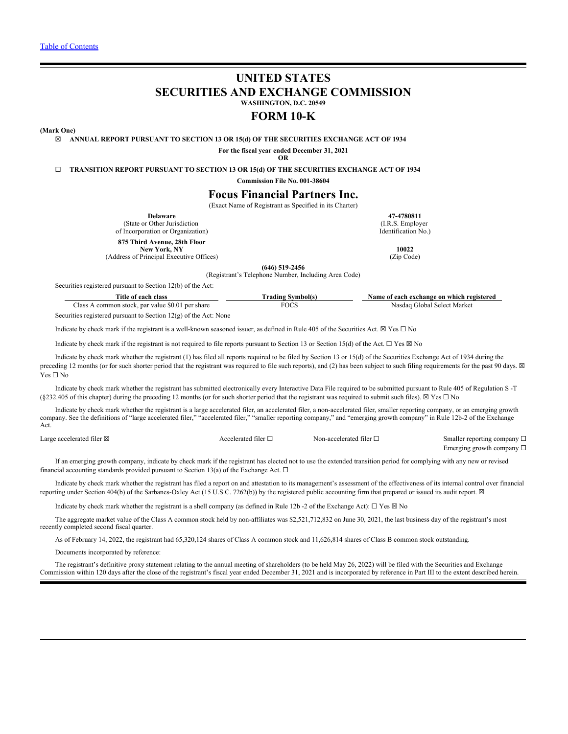# **UNITED STATES SECURITIES AND EXCHANGE COMMISSION WASHINGTON, D.C. 20549 FORM 10-K**

#### **(Mark One)**

☒ **ANNUAL REPORT PURSUANT TO SECTION 13 OR 15(d) OF THE SECURITIES EXCHANGE ACT OF 1934**

**For the fiscal year ended December 31, 2021**

**OR**

☐ **TRANSITION REPORT PURSUANT TO SECTION 13 OR 15(d) OF THE SECURITIES EXCHANGE ACT OF 1934**

# **Commission File No. 001-38604 Focus Financial Partners Inc.**

(Exact Name of Registrant as Specified in its Charter)

(State or Other Jurisdiction

of Incorporation or Organization)

**875 Third Avenue, 28th Floor New York, NY 10022**

(Address of Principal Executive Offices) (Zip Code)

**(646) 519-2456**

(Registrant's Telephone Number, Including Area Code)

Securities registered pursuant to Section 12(b) of the Act:

| Title of each class                                                | Trading Symbol(s) | Name of each exchange on which registered |  |
|--------------------------------------------------------------------|-------------------|-------------------------------------------|--|
| A common stock, par value \$0.01 per share<br>lass                 | FOCS              | Nasdag Global Select Market               |  |
| Securities registered pursuant to Section $12(g)$ of the Act: None |                   |                                           |  |

Indicate by check mark if the registrant is a well-known seasoned issuer, as defined in Rule 405 of the Securities Act.  $\boxtimes$  Yes  $\Box$  No

Indicate by check mark if the registrant is not required to file reports pursuant to Section 13 or Section 15(d) of the Act.  $\Box$  Yes  $\boxtimes$  No

Indicate by check mark whether the registrant (1) has filed all reports required to be filed by Section 13 or 15(d) of the Securities Exchange Act of 1934 during the preceding 12 months (or for such shorter period that the registrant was required to file such reports), and (2) has been subject to such filing requirements for the past 90 days.  $\boxtimes$ Yes ☐ No

Indicate by check mark whether the registrant has submitted electronically every Interactive Data File required to be submitted pursuant to Rule 405 of Regulation S -T (§232.405 of this chapter) during the preceding 12 months (or for such shorter period that the registrant was required to submit such files).  $\boxtimes$  Yes  $\square$  No

Indicate by check mark whether the registrant is a large accelerated filer, an accelerated filer, a non-accelerated filer, smaller reporting company, or an emerging growth company. See the definitions of "large accelerated filer," "accelerated filer," "smaller reporting company," and "emerging growth company" in Rule 12b-2 of the Exchange Act.

| Large accelerated filer $\boxtimes$ | $\overline{\phantom{0}}$<br>$\sim$ 1<br>Accelerated filer $\Box$ | Non-accelerated filer | Smaller reporting company $\Box$ |
|-------------------------------------|------------------------------------------------------------------|-----------------------|----------------------------------|
|                                     |                                                                  |                       | Emerging growth company $\Box$   |

If an emerging growth company, indicate by check mark if the registrant has elected not to use the extended transition period for complying with any new or revised financial accounting standards provided pursuant to Section 13(a) of the Exchange Act.  $\Box$ 

Indicate by check mark whether the registrant has filed a report on and attestation to its management's assessment of the effectiveness of its internal control over financial reporting under Section 404(b) of the Sarbanes-Oxley Act (15 U.S.C. 7262(b)) by the registered public accounting firm that prepared or issued its audit report.  $[ \boxtimes ]$ 

Indicate by check mark whether the registrant is a shell company (as defined in Rule 12b -2 of the Exchange Act):  $\Box$  Yes  $\boxtimes$  No

The aggregate market value of the Class A common stock held by non-affiliates was \$2,521,712,832 on June 30, 2021, the last business day of the registrant's most recently completed second fiscal quarter.

As of February 14, 2022, the registrant had 65,320,124 shares of Class A common stock and 11,626,814 shares of Class B common stock outstanding.

Documents incorporated by reference:

The registrant's definitive proxy statement relating to the annual meeting of shareholders (to be held May 26, 2022) will be filed with the Securities and Exchange Commission within 120 days after the close of the registrant's fiscal year ended December 31, 2021 and is incorporated by reference in Part III to the extent described herein.

**Delaware 47-4780811** (I.R.S. Employer Identification No.)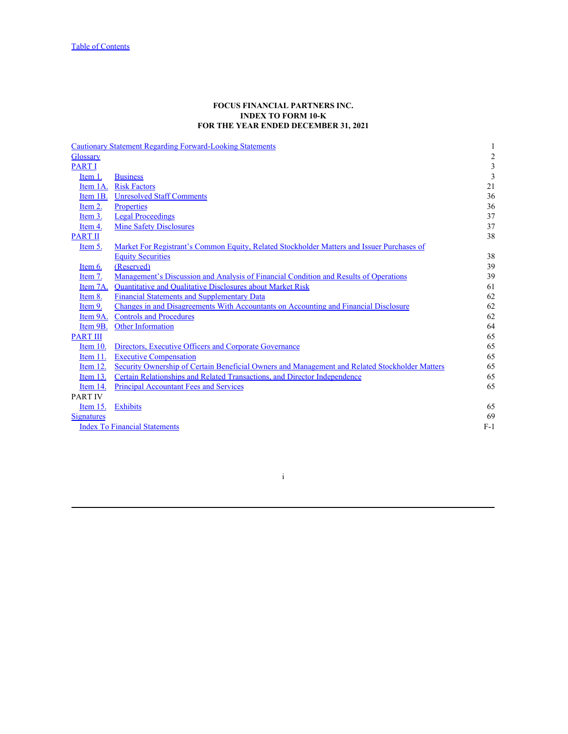# **FOCUS FINANCIAL PARTNERS INC. INDEX TO FORM 10-K FOR THE YEAR ENDED DECEMBER 31, 2021**

<span id="page-1-0"></span>

|                   | <b>Cautionary Statement Regarding Forward-Looking Statements</b>                               |                |  |
|-------------------|------------------------------------------------------------------------------------------------|----------------|--|
| Glossary          |                                                                                                | $\overline{2}$ |  |
| <b>PART I</b>     |                                                                                                |                |  |
| Item 1.           | <b>Business</b>                                                                                | 3              |  |
| Item 1A.          | <b>Risk Factors</b>                                                                            | 21             |  |
| Item 1B.          | <b>Unresolved Staff Comments</b>                                                               | 36             |  |
| Item 2.           | <b>Properties</b>                                                                              | 36             |  |
| Item 3.           | <b>Legal Proceedings</b>                                                                       | 37             |  |
| Item 4.           | <b>Mine Safety Disclosures</b>                                                                 | 37             |  |
| <b>PART II</b>    |                                                                                                | 38             |  |
| Item 5.           | Market For Registrant's Common Equity, Related Stockholder Matters and Issuer Purchases of     |                |  |
|                   | <b>Equity Securities</b>                                                                       | 38             |  |
| Item 6.           | (Reserved)                                                                                     | 39             |  |
| Item 7.           | Management's Discussion and Analysis of Financial Condition and Results of Operations          | 39             |  |
| Item 7A.          | Quantitative and Qualitative Disclosures about Market Risk                                     | 61             |  |
| Item 8.           | <b>Financial Statements and Supplementary Data</b>                                             | 62             |  |
| Item 9.           | Changes in and Disagreements With Accountants on Accounting and Financial Disclosure           | 62             |  |
| Item 9A.          | <b>Controls and Procedures</b>                                                                 | 62             |  |
| Item 9B.          | Other Information                                                                              | 64             |  |
| <b>PART III</b>   |                                                                                                | 65             |  |
| Item 10.          | Directors, Executive Officers and Corporate Governance                                         | 65             |  |
| Item $11$ .       | <b>Executive Compensation</b>                                                                  | 65             |  |
| Item $12$ .       | Security Ownership of Certain Beneficial Owners and Management and Related Stockholder Matters | 65             |  |
| Item 13.          | <b>Certain Relationships and Related Transactions, and Director Independence</b>               | 65             |  |
| Item 14.          | <b>Principal Accountant Fees and Services</b>                                                  | 65             |  |
| <b>PART IV</b>    |                                                                                                |                |  |
| Item $15$ .       | <b>Exhibits</b>                                                                                | 65             |  |
| <b>Signatures</b> |                                                                                                | 69             |  |
|                   | <b>Index To Financial Statements</b>                                                           | $F-1$          |  |
|                   |                                                                                                |                |  |

### i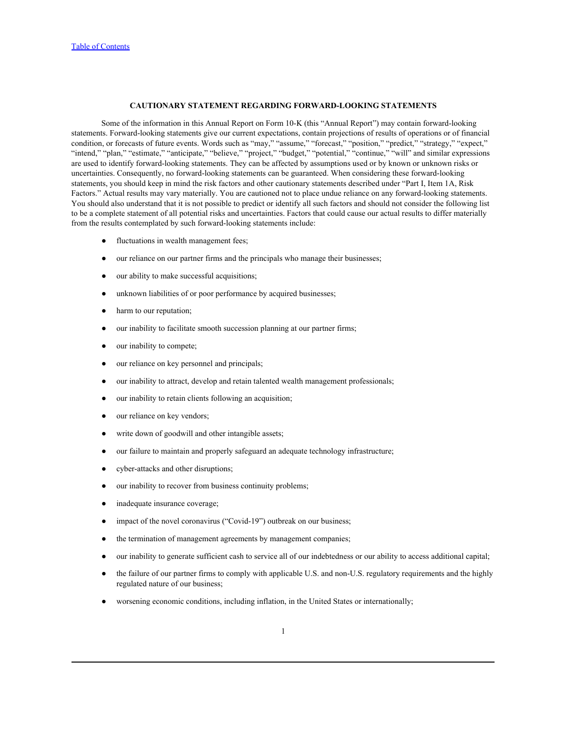### **CAUTIONARY STATEMENT REGARDING FORWARD-LOOKING STATEMENTS**

<span id="page-2-0"></span>Some of the information in this Annual Report on Form 10-K (this "Annual Report") may contain forward-looking statements. Forward-looking statements give our current expectations, contain projections of results of operations or of financial condition, or forecasts of future events. Words such as "may," "assume," "forecast," "position," "predict," "strategy," "expect," "intend," "plan," "estimate," "anticipate," "believe," "project," "budget," "potential," "continue," "will" and similar expressions are used to identify forward-looking statements. They can be affected by assumptions used or by known or unknown risks or uncertainties. Consequently, no forward-looking statements can be guaranteed. When considering these forward-looking statements, you should keep in mind the risk factors and other cautionary statements described under "Part I, Item 1A, Risk Factors." Actual results may vary materially. You are cautioned not to place undue reliance on any forward-looking statements. You should also understand that it is not possible to predict or identify all such factors and should not consider the following list to be a complete statement of all potential risks and uncertainties. Factors that could cause our actual results to differ materially from the results contemplated by such forward-looking statements include:

- fluctuations in wealth management fees;
- our reliance on our partner firms and the principals who manage their businesses;
- our ability to make successful acquisitions;
- unknown liabilities of or poor performance by acquired businesses;
- harm to our reputation;
- our inability to facilitate smooth succession planning at our partner firms;
- our inability to compete;
- our reliance on key personnel and principals;
- our inability to attract, develop and retain talented wealth management professionals;
- our inability to retain clients following an acquisition;
- our reliance on key vendors;
- write down of goodwill and other intangible assets;
- our failure to maintain and properly safeguard an adequate technology infrastructure;
- cyber-attacks and other disruptions;
- our inability to recover from business continuity problems;
- inadequate insurance coverage;
- impact of the novel coronavirus ("Covid-19") outbreak on our business;
- the termination of management agreements by management companies;
- our inability to generate sufficient cash to service all of our indebtedness or our ability to access additional capital;
- the failure of our partner firms to comply with applicable U.S. and non-U.S. regulatory requirements and the highly regulated nature of our business;
- worsening economic conditions, including inflation, in the United States or internationally;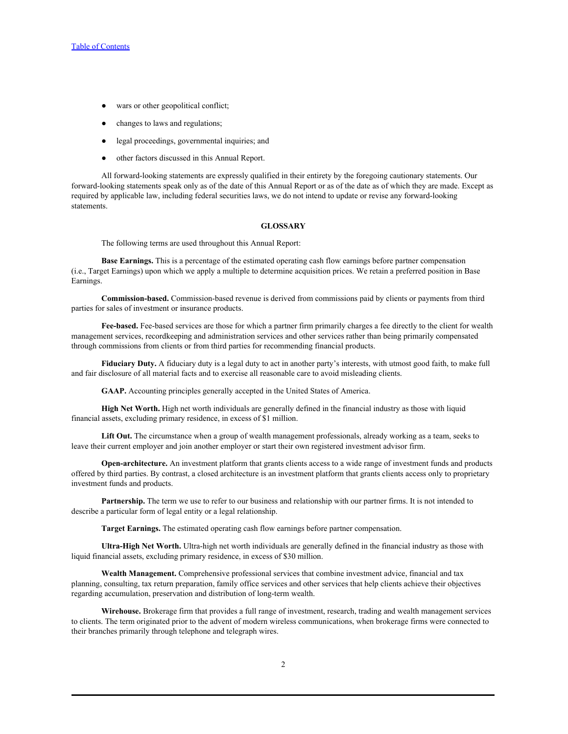- wars or other geopolitical conflict;
- changes to laws and regulations;
- legal proceedings, governmental inquiries; and
- other factors discussed in this Annual Report.

All forward-looking statements are expressly qualified in their entirety by the foregoing cautionary statements. Our forward-looking statements speak only as of the date of this Annual Report or as of the date as of which they are made. Except as required by applicable law, including federal securities laws, we do not intend to update or revise any forward-looking statements.

### **GLOSSARY**

<span id="page-3-0"></span>The following terms are used throughout this Annual Report:

**Base Earnings.** This is a percentage of the estimated operating cash flow earnings before partner compensation (i.e., Target Earnings) upon which we apply a multiple to determine acquisition prices. We retain a preferred position in Base Earnings.

**Commission-based.** Commission-based revenue is derived from commissions paid by clients or payments from third parties for sales of investment or insurance products.

**Fee-based.** Fee-based services are those for which a partner firm primarily charges a fee directly to the client for wealth management services, recordkeeping and administration services and other services rather than being primarily compensated through commissions from clients or from third parties for recommending financial products.

**Fiduciary Duty.** A fiduciary duty is a legal duty to act in another party's interests, with utmost good faith, to make full and fair disclosure of all material facts and to exercise all reasonable care to avoid misleading clients.

**GAAP.** Accounting principles generally accepted in the United States of America.

**High Net Worth.** High net worth individuals are generally defined in the financial industry as those with liquid financial assets, excluding primary residence, in excess of \$1 million.

Lift Out. The circumstance when a group of wealth management professionals, already working as a team, seeks to leave their current employer and join another employer or start their own registered investment advisor firm.

**Open-architecture.** An investment platform that grants clients access to a wide range of investment funds and products offered by third parties. By contrast, a closed architecture is an investment platform that grants clients access only to proprietary investment funds and products.

**Partnership.** The term we use to refer to our business and relationship with our partner firms. It is not intended to describe a particular form of legal entity or a legal relationship.

**Target Earnings.** The estimated operating cash flow earnings before partner compensation.

**Ultra-High Net Worth.** Ultra-high net worth individuals are generally defined in the financial industry as those with liquid financial assets, excluding primary residence, in excess of \$30 million.

**Wealth Management.** Comprehensive professional services that combine investment advice, financial and tax planning, consulting, tax return preparation, family office services and other services that help clients achieve their objectives regarding accumulation, preservation and distribution of long-term wealth.

**Wirehouse.** Brokerage firm that provides a full range of investment, research, trading and wealth management services to clients. The term originated prior to the advent of modern wireless communications, when brokerage firms were connected to their branches primarily through telephone and telegraph wires.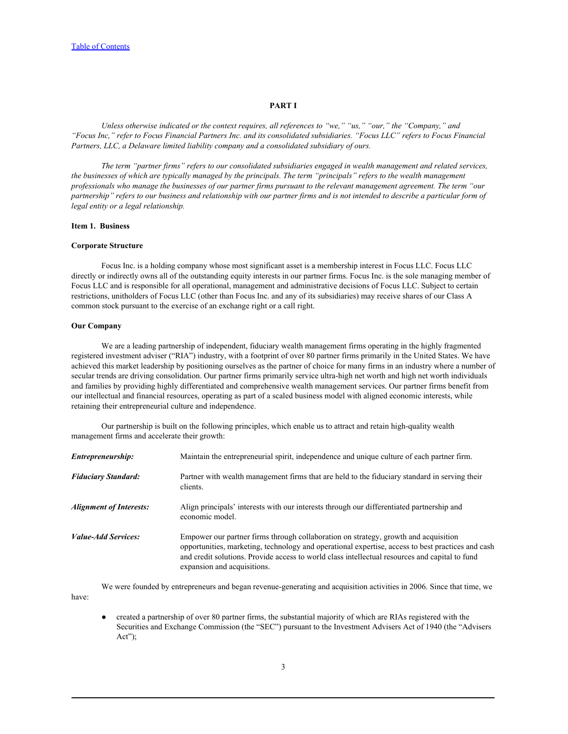# **PART I**

<span id="page-4-0"></span>*Unless otherwise indicated or the context requires, all references to "we," "us," "our," the "Company," and "Focus Inc," refer to Focus Financial Partners Inc. and its consolidated subsidiaries. "Focus LLC" refers to Focus Financial Partners, LLC, a Delaware limited liability company and a consolidated subsidiary of ours.*

*The term "partner firms" refers to our consolidated subsidiaries engaged in wealth management and related services, the businesses of which are typically managed by the principals. The term "principals" refers to the wealth management professionals who manage the businesses of our partner firms pursuant to the relevant management agreement. The term "our partnership" refers to our business and relationship with our partner firms and is not intended to describe a particular form of legal entity or a legal relationship.*

# <span id="page-4-1"></span>**Item 1. Business**

#### **Corporate Structure**

Focus Inc. is a holding company whose most significant asset is a membership interest in Focus LLC. Focus LLC directly or indirectly owns all of the outstanding equity interests in our partner firms. Focus Inc. is the sole managing member of Focus LLC and is responsible for all operational, management and administrative decisions of Focus LLC. Subject to certain restrictions, unitholders of Focus LLC (other than Focus Inc. and any of its subsidiaries) may receive shares of our Class A common stock pursuant to the exercise of an exchange right or a call right.

# **Our Company**

We are a leading partnership of independent, fiduciary wealth management firms operating in the highly fragmented registered investment adviser ("RIA") industry, with a footprint of over 80 partner firms primarily in the United States. We have achieved this market leadership by positioning ourselves as the partner of choice for many firms in an industry where a number of secular trends are driving consolidation. Our partner firms primarily service ultra-high net worth and high net worth individuals and families by providing highly differentiated and comprehensive wealth management services. Our partner firms benefit from our intellectual and financial resources, operating as part of a scaled business model with aligned economic interests, while retaining their entrepreneurial culture and independence.

Our partnership is built on the following principles, which enable us to attract and retain high-quality wealth management firms and accelerate their growth:

| Entrepreneurship:              | Maintain the entrepreneurial spirit, independence and unique culture of each partner firm.                                                                                                                                                                                                                                |
|--------------------------------|---------------------------------------------------------------------------------------------------------------------------------------------------------------------------------------------------------------------------------------------------------------------------------------------------------------------------|
| <b>Fiduciary Standard:</b>     | Partner with wealth management firms that are held to the fiduciary standard in serving their<br>clients.                                                                                                                                                                                                                 |
| <b>Alignment of Interests:</b> | Align principals' interests with our interests through our differentiated partnership and<br>economic model.                                                                                                                                                                                                              |
| <i>Value-Add Services:</i>     | Empower our partner firms through collaboration on strategy, growth and acquisition<br>opportunities, marketing, technology and operational expertise, access to best practices and cash<br>and credit solutions. Provide access to world class intellectual resources and capital to fund<br>expansion and acquisitions. |

We were founded by entrepreneurs and began revenue-generating and acquisition activities in 2006. Since that time, we have:

● created a partnership of over 80 partner firms, the substantial majority of which are RIAs registered with the Securities and Exchange Commission (the "SEC") pursuant to the Investment Advisers Act of 1940 (the "Advisers  $Act$ ");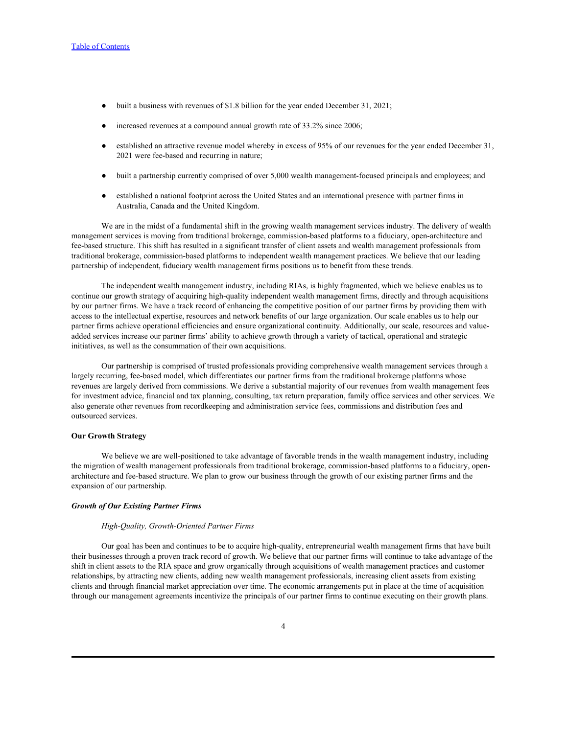- built a business with revenues of \$1.8 billion for the year ended December 31, 2021;
- increased revenues at a compound annual growth rate of 33.2% since 2006;
- established an attractive revenue model whereby in excess of 95% of our revenues for the year ended December 31, 2021 were fee-based and recurring in nature;
- built a partnership currently comprised of over 5,000 wealth management-focused principals and employees; and
- established a national footprint across the United States and an international presence with partner firms in Australia, Canada and the United Kingdom.

We are in the midst of a fundamental shift in the growing wealth management services industry. The delivery of wealth management services is moving from traditional brokerage, commission-based platforms to a fiduciary, open-architecture and fee-based structure. This shift has resulted in a significant transfer of client assets and wealth management professionals from traditional brokerage, commission-based platforms to independent wealth management practices. We believe that our leading partnership of independent, fiduciary wealth management firms positions us to benefit from these trends.

The independent wealth management industry, including RIAs, is highly fragmented, which we believe enables us to continue our growth strategy of acquiring high-quality independent wealth management firms, directly and through acquisitions by our partner firms. We have a track record of enhancing the competitive position of our partner firms by providing them with access to the intellectual expertise, resources and network benefits of our large organization. Our scale enables us to help our partner firms achieve operational efficiencies and ensure organizational continuity. Additionally, our scale, resources and valueadded services increase our partner firms' ability to achieve growth through a variety of tactical, operational and strategic initiatives, as well as the consummation of their own acquisitions.

Our partnership is comprised of trusted professionals providing comprehensive wealth management services through a largely recurring, fee-based model, which differentiates our partner firms from the traditional brokerage platforms whose revenues are largely derived from commissions. We derive a substantial majority of our revenues from wealth management fees for investment advice, financial and tax planning, consulting, tax return preparation, family office services and other services. We also generate other revenues from recordkeeping and administration service fees, commissions and distribution fees and outsourced services.

### **Our Growth Strategy**

We believe we are well-positioned to take advantage of favorable trends in the wealth management industry, including the migration of wealth management professionals from traditional brokerage, commission-based platforms to a fiduciary, openarchitecture and fee-based structure. We plan to grow our business through the growth of our existing partner firms and the expansion of our partnership.

### *Growth of Our Existing Partner Firms*

#### *High-Quality, Growth-Oriented Partner Firms*

Our goal has been and continues to be to acquire high-quality, entrepreneurial wealth management firms that have built their businesses through a proven track record of growth. We believe that our partner firms will continue to take advantage of the shift in client assets to the RIA space and grow organically through acquisitions of wealth management practices and customer relationships, by attracting new clients, adding new wealth management professionals, increasing client assets from existing clients and through financial market appreciation over time. The economic arrangements put in place at the time of acquisition through our management agreements incentivize the principals of our partner firms to continue executing on their growth plans.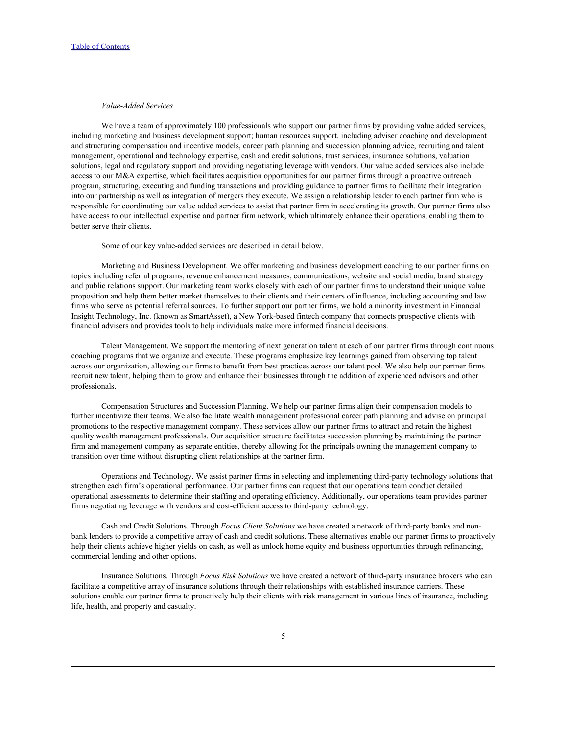### *Value-Added Services*

We have a team of approximately 100 professionals who support our partner firms by providing value added services, including marketing and business development support; human resources support, including adviser coaching and development and structuring compensation and incentive models, career path planning and succession planning advice, recruiting and talent management, operational and technology expertise, cash and credit solutions, trust services, insurance solutions, valuation solutions, legal and regulatory support and providing negotiating leverage with vendors. Our value added services also include access to our M&A expertise, which facilitates acquisition opportunities for our partner firms through a proactive outreach program, structuring, executing and funding transactions and providing guidance to partner firms to facilitate their integration into our partnership as well as integration of mergers they execute. We assign a relationship leader to each partner firm who is responsible for coordinating our value added services to assist that partner firm in accelerating its growth. Our partner firms also have access to our intellectual expertise and partner firm network, which ultimately enhance their operations, enabling them to better serve their clients.

Some of our key value-added services are described in detail below.

Marketing and Business Development. We offer marketing and business development coaching to our partner firms on topics including referral programs, revenue enhancement measures, communications, website and social media, brand strategy and public relations support. Our marketing team works closely with each of our partner firms to understand their unique value proposition and help them better market themselves to their clients and their centers of influence, including accounting and law firms who serve as potential referral sources. To further support our partner firms, we hold a minority investment in Financial Insight Technology, Inc. (known as SmartAsset), a New York-based fintech company that connects prospective clients with financial advisers and provides tools to help individuals make more informed financial decisions.

Talent Management. We support the mentoring of next generation talent at each of our partner firms through continuous coaching programs that we organize and execute. These programs emphasize key learnings gained from observing top talent across our organization, allowing our firms to benefit from best practices across our talent pool. We also help our partner firms recruit new talent, helping them to grow and enhance their businesses through the addition of experienced advisors and other professionals.

Compensation Structures and Succession Planning. We help our partner firms align their compensation models to further incentivize their teams. We also facilitate wealth management professional career path planning and advise on principal promotions to the respective management company. These services allow our partner firms to attract and retain the highest quality wealth management professionals. Our acquisition structure facilitates succession planning by maintaining the partner firm and management company as separate entities, thereby allowing for the principals owning the management company to transition over time without disrupting client relationships at the partner firm.

Operations and Technology. We assist partner firms in selecting and implementing third-party technology solutions that strengthen each firm's operational performance. Our partner firms can request that our operations team conduct detailed operational assessments to determine their staffing and operating efficiency. Additionally, our operations team provides partner firms negotiating leverage with vendors and cost-efficient access to third-party technology.

Cash and Credit Solutions. Through *Focus Client Solutions* we have created a network of third-party banks and nonbank lenders to provide a competitive array of cash and credit solutions. These alternatives enable our partner firms to proactively help their clients achieve higher yields on cash, as well as unlock home equity and business opportunities through refinancing, commercial lending and other options.

Insurance Solutions. Through *Focus Risk Solutions* we have created a network of third-party insurance brokers who can facilitate a competitive array of insurance solutions through their relationships with established insurance carriers. These solutions enable our partner firms to proactively help their clients with risk management in various lines of insurance, including life, health, and property and casualty.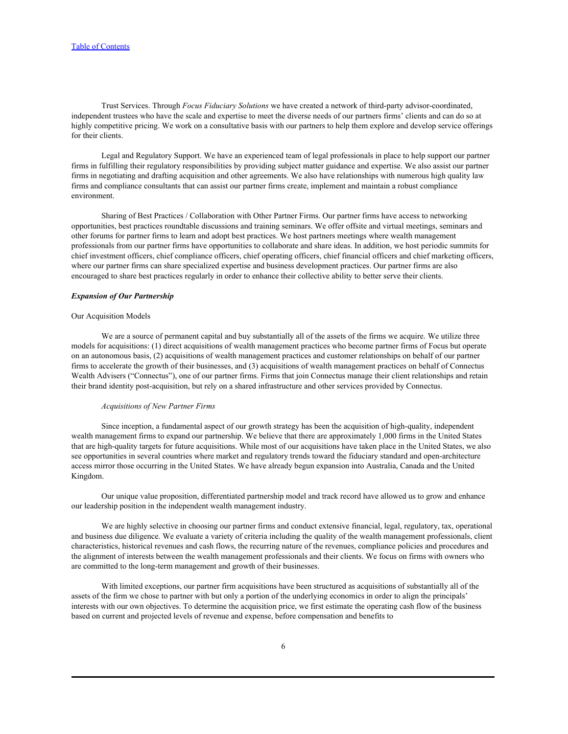Trust Services. Through *Focus Fiduciary Solutions* we have created a network of third-party advisor-coordinated, independent trustees who have the scale and expertise to meet the diverse needs of our partners firms' clients and can do so at highly competitive pricing. We work on a consultative basis with our partners to help them explore and develop service offerings for their clients.

Legal and Regulatory Support. We have an experienced team of legal professionals in place to help support our partner firms in fulfilling their regulatory responsibilities by providing subject matter guidance and expertise. We also assist our partner firms in negotiating and drafting acquisition and other agreements. We also have relationships with numerous high quality law firms and compliance consultants that can assist our partner firms create, implement and maintain a robust compliance environment.

Sharing of Best Practices / Collaboration with Other Partner Firms. Our partner firms have access to networking opportunities, best practices roundtable discussions and training seminars. We offer offsite and virtual meetings, seminars and other forums for partner firms to learn and adopt best practices. We host partners meetings where wealth management professionals from our partner firms have opportunities to collaborate and share ideas. In addition, we host periodic summits for chief investment officers, chief compliance officers, chief operating officers, chief financial officers and chief marketing officers, where our partner firms can share specialized expertise and business development practices. Our partner firms are also encouraged to share best practices regularly in order to enhance their collective ability to better serve their clients.

# *Expansion of Our Partnership*

### Our Acquisition Models

We are a source of permanent capital and buy substantially all of the assets of the firms we acquire. We utilize three models for acquisitions: (1) direct acquisitions of wealth management practices who become partner firms of Focus but operate on an autonomous basis, (2) acquisitions of wealth management practices and customer relationships on behalf of our partner firms to accelerate the growth of their businesses, and (3) acquisitions of wealth management practices on behalf of Connectus Wealth Advisers ("Connectus"), one of our partner firms. Firms that join Connectus manage their client relationships and retain their brand identity post-acquisition, but rely on a shared infrastructure and other services provided by Connectus.

#### *Acquisitions of New Partner Firms*

Since inception, a fundamental aspect of our growth strategy has been the acquisition of high-quality, independent wealth management firms to expand our partnership. We believe that there are approximately 1,000 firms in the United States that are high-quality targets for future acquisitions. While most of our acquisitions have taken place in the United States, we also see opportunities in several countries where market and regulatory trends toward the fiduciary standard and open-architecture access mirror those occurring in the United States. We have already begun expansion into Australia, Canada and the United Kingdom.

Our unique value proposition, differentiated partnership model and track record have allowed us to grow and enhance our leadership position in the independent wealth management industry.

We are highly selective in choosing our partner firms and conduct extensive financial, legal, regulatory, tax, operational and business due diligence. We evaluate a variety of criteria including the quality of the wealth management professionals, client characteristics, historical revenues and cash flows, the recurring nature of the revenues, compliance policies and procedures and the alignment of interests between the wealth management professionals and their clients. We focus on firms with owners who are committed to the long-term management and growth of their businesses.

With limited exceptions, our partner firm acquisitions have been structured as acquisitions of substantially all of the assets of the firm we chose to partner with but only a portion of the underlying economics in order to align the principals' interests with our own objectives. To determine the acquisition price, we first estimate the operating cash flow of the business based on current and projected levels of revenue and expense, before compensation and benefits to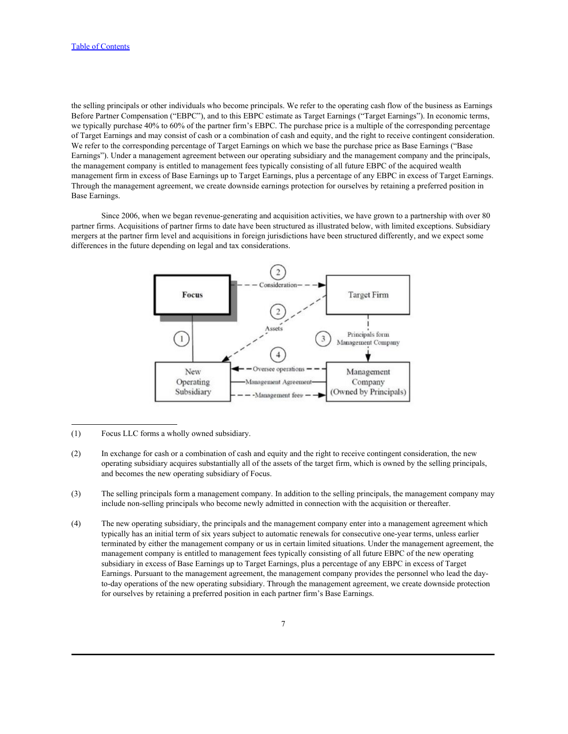the selling principals or other individuals who become principals. We refer to the operating cash flow of the business as Earnings Before Partner Compensation ("EBPC"), and to this EBPC estimate as Target Earnings ("Target Earnings"). In economic terms, we typically purchase 40% to 60% of the partner firm's EBPC. The purchase price is a multiple of the corresponding percentage of Target Earnings and may consist of cash or a combination of cash and equity, and the right to receive contingent consideration. We refer to the corresponding percentage of Target Earnings on which we base the purchase price as Base Earnings ("Base Earnings"). Under a management agreement between our operating subsidiary and the management company and the principals, the management company is entitled to management fees typically consisting of all future EBPC of the acquired wealth management firm in excess of Base Earnings up to Target Earnings, plus a percentage of any EBPC in excess of Target Earnings. Through the management agreement, we create downside earnings protection for ourselves by retaining a preferred position in Base Earnings.

Since 2006, when we began revenue-generating and acquisition activities, we have grown to a partnership with over 80 partner firms. Acquisitions of partner firms to date have been structured as illustrated below, with limited exceptions. Subsidiary mergers at the partner firm level and acquisitions in foreign jurisdictions have been structured differently, and we expect some differences in the future depending on legal and tax considerations.



- (1) Focus LLC forms a wholly owned subsidiary.
- (2) In exchange for cash or a combination of cash and equity and the right to receive contingent consideration, the new operating subsidiary acquires substantially all of the assets of the target firm, which is owned by the selling principals, and becomes the new operating subsidiary of Focus.
- (3) The selling principals form a management company. In addition to the selling principals, the management company may include non-selling principals who become newly admitted in connection with the acquisition or thereafter.
- (4) The new operating subsidiary, the principals and the management company enter into a management agreement which typically has an initial term of six years subject to automatic renewals for consecutive one-year terms, unless earlier terminated by either the management company or us in certain limited situations. Under the management agreement, the management company is entitled to management fees typically consisting of all future EBPC of the new operating subsidiary in excess of Base Earnings up to Target Earnings, plus a percentage of any EBPC in excess of Target Earnings. Pursuant to the management agreement, the management company provides the personnel who lead the dayto-day operations of the new operating subsidiary. Through the management agreement, we create downside protection for ourselves by retaining a preferred position in each partner firm's Base Earnings.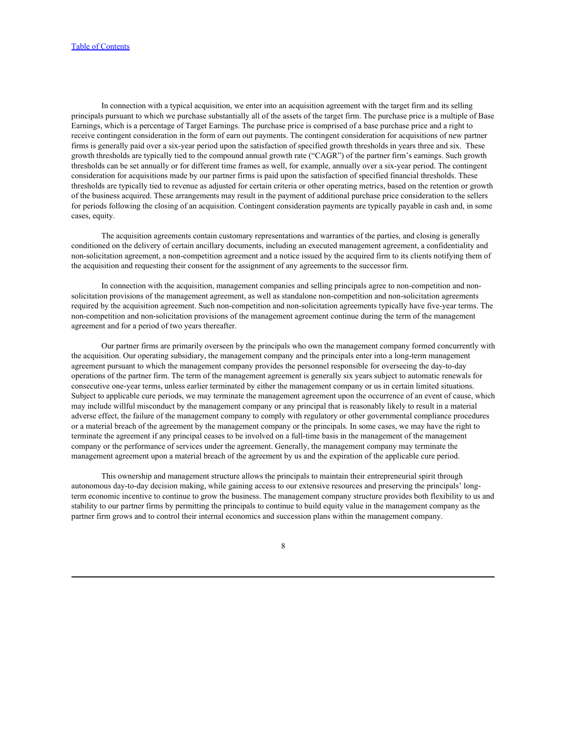In connection with a typical acquisition, we enter into an acquisition agreement with the target firm and its selling principals pursuant to which we purchase substantially all of the assets of the target firm. The purchase price is a multiple of Base Earnings, which is a percentage of Target Earnings. The purchase price is comprised of a base purchase price and a right to receive contingent consideration in the form of earn out payments. The contingent consideration for acquisitions of new partner firms is generally paid over a six-year period upon the satisfaction of specified growth thresholds in years three and six. These growth thresholds are typically tied to the compound annual growth rate ("CAGR") of the partner firm's earnings. Such growth thresholds can be set annually or for different time frames as well, for example, annually over a six-year period. The contingent consideration for acquisitions made by our partner firms is paid upon the satisfaction of specified financial thresholds. These thresholds are typically tied to revenue as adjusted for certain criteria or other operating metrics, based on the retention or growth of the business acquired. These arrangements may result in the payment of additional purchase price consideration to the sellers for periods following the closing of an acquisition. Contingent consideration payments are typically payable in cash and, in some cases, equity.

The acquisition agreements contain customary representations and warranties of the parties, and closing is generally conditioned on the delivery of certain ancillary documents, including an executed management agreement, a confidentiality and non-solicitation agreement, a non-competition agreement and a notice issued by the acquired firm to its clients notifying them of the acquisition and requesting their consent for the assignment of any agreements to the successor firm.

In connection with the acquisition, management companies and selling principals agree to non-competition and nonsolicitation provisions of the management agreement, as well as standalone non-competition and non-solicitation agreements required by the acquisition agreement. Such non-competition and non-solicitation agreements typically have five-year terms. The non-competition and non-solicitation provisions of the management agreement continue during the term of the management agreement and for a period of two years thereafter.

Our partner firms are primarily overseen by the principals who own the management company formed concurrently with the acquisition. Our operating subsidiary, the management company and the principals enter into a long-term management agreement pursuant to which the management company provides the personnel responsible for overseeing the day-to-day operations of the partner firm. The term of the management agreement is generally six years subject to automatic renewals for consecutive one-year terms, unless earlier terminated by either the management company or us in certain limited situations. Subject to applicable cure periods, we may terminate the management agreement upon the occurrence of an event of cause, which may include willful misconduct by the management company or any principal that is reasonably likely to result in a material adverse effect, the failure of the management company to comply with regulatory or other governmental compliance procedures or a material breach of the agreement by the management company or the principals. In some cases, we may have the right to terminate the agreement if any principal ceases to be involved on a full-time basis in the management of the management company or the performance of services under the agreement. Generally, the management company may terminate the management agreement upon a material breach of the agreement by us and the expiration of the applicable cure period.

This ownership and management structure allows the principals to maintain their entrepreneurial spirit through autonomous day-to-day decision making, while gaining access to our extensive resources and preserving the principals' longterm economic incentive to continue to grow the business. The management company structure provides both flexibility to us and stability to our partner firms by permitting the principals to continue to build equity value in the management company as the partner firm grows and to control their internal economics and succession plans within the management company.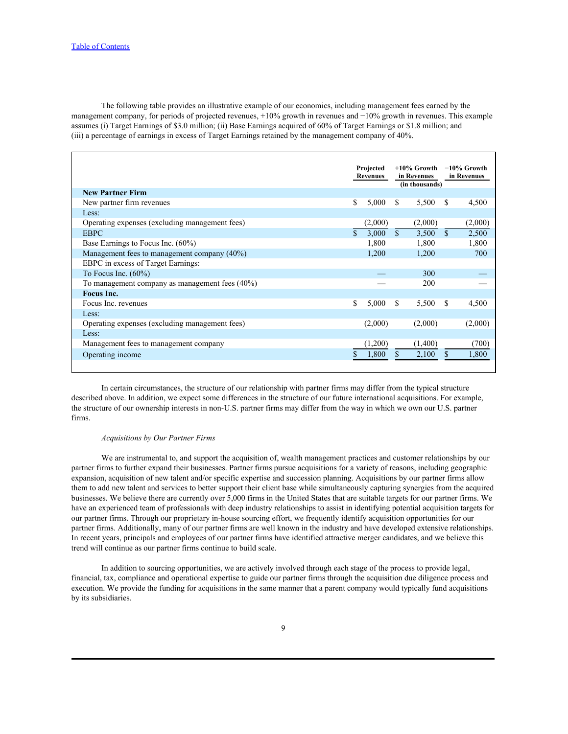The following table provides an illustrative example of our economics, including management fees earned by the management company, for periods of projected revenues, +10% growth in revenues and −10% growth in revenues. This example assumes (i) Target Earnings of \$3.0 million; (ii) Base Earnings acquired of 60% of Target Earnings or \$1.8 million; and (iii) a percentage of earnings in excess of Target Earnings retained by the management company of 40%.

|                                                | Projected   |                               | $+10\%$ Growth $-10\%$ Growth |
|------------------------------------------------|-------------|-------------------------------|-------------------------------|
|                                                | Revenues    | in Revenues<br>(in thousands) | in Revenues                   |
| <b>New Partner Firm</b>                        |             |                               |                               |
| New partner firm revenues                      | S<br>5,000  | 5,500<br>-S                   | 4,500<br>-S                   |
| Less:                                          |             |                               |                               |
| Operating expenses (excluding management fees) | (2,000)     | (2,000)                       | (2,000)                       |
| <b>EBPC</b>                                    | 3,000       | 3,500                         | 2,500<br>-8                   |
| Base Earnings to Focus Inc. (60%)              | 1,800       | 1,800                         | 1,800                         |
| Management fees to management company (40%)    | 1,200       | 1,200                         | 700                           |
| EBPC in excess of Target Earnings:             |             |                               |                               |
| To Focus Inc. $(60\%)$                         |             | 300                           | $\hspace{0.05cm}$             |
| To management company as management fees (40%) |             | 200                           | $\hspace{0.05cm}$             |
| Focus Inc.                                     |             |                               |                               |
| Focus Inc. revenues                            | 5,000<br>\$ | 5,500<br>- S                  | 4,500<br><sup>S</sup>         |
| Less:                                          |             |                               |                               |
| Operating expenses (excluding management fees) | (2,000)     | (2,000)                       | (2,000)                       |
| Less:                                          |             |                               |                               |
| Management fees to management company          | (1,200)     | (1,400)                       | (700)                         |
| Operating income                               | 1,800       | 2,100                         | 1,800                         |
|                                                |             |                               |                               |

In certain circumstances, the structure of our relationship with partner firms may differ from the typical structure described above. In addition, we expect some differences in the structure of our future international acquisitions. For example, the structure of our ownership interests in non-U.S. partner firms may differ from the way in which we own our U.S. partner firms.

### *Acquisitions by Our Partner Firms*

We are instrumental to, and support the acquisition of, wealth management practices and customer relationships by our partner firms to further expand their businesses. Partner firms pursue acquisitions for a variety of reasons, including geographic expansion, acquisition of new talent and/or specific expertise and succession planning. Acquisitions by our partner firms allow them to add new talent and services to better support their client base while simultaneously capturing synergies from the acquired businesses. We believe there are currently over 5,000 firms in the United States that are suitable targets for our partner firms. We have an experienced team of professionals with deep industry relationships to assist in identifying potential acquisition targets for our partner firms. Through our proprietary in-house sourcing effort, we frequently identify acquisition opportunities for our partner firms. Additionally, many of our partner firms are well known in the industry and have developed extensive relationships. In recent years, principals and employees of our partner firms have identified attractive merger candidates, and we believe this trend will continue as our partner firms continue to build scale.

In addition to sourcing opportunities, we are actively involved through each stage of the process to provide legal, financial, tax, compliance and operational expertise to guide our partner firms through the acquisition due diligence process and execution. We provide the funding for acquisitions in the same manner that a parent company would typically fund acquisitions by its subsidiaries.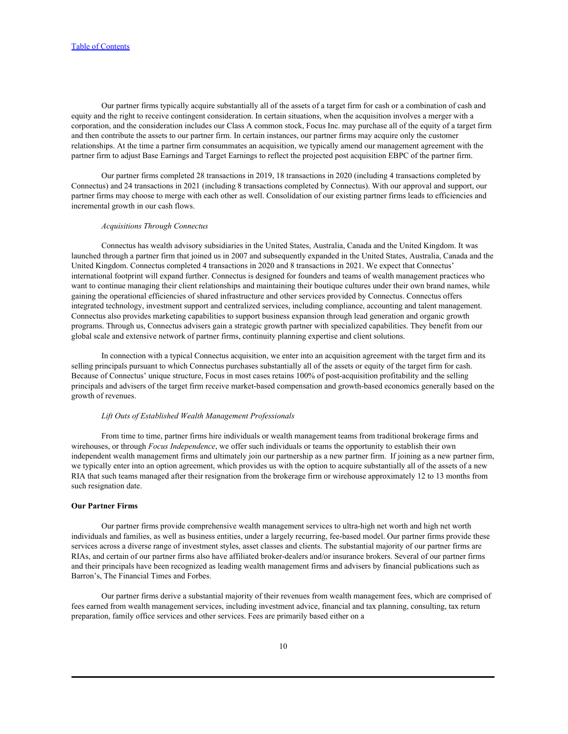Our partner firms typically acquire substantially all of the assets of a target firm for cash or a combination of cash and equity and the right to receive contingent consideration. In certain situations, when the acquisition involves a merger with a corporation, and the consideration includes our Class A common stock, Focus Inc. may purchase all of the equity of a target firm and then contribute the assets to our partner firm. In certain instances, our partner firms may acquire only the customer relationships. At the time a partner firm consummates an acquisition, we typically amend our management agreement with the partner firm to adjust Base Earnings and Target Earnings to reflect the projected post acquisition EBPC of the partner firm.

Our partner firms completed 28 transactions in 2019, 18 transactions in 2020 (including 4 transactions completed by Connectus) and 24 transactions in 2021 (including 8 transactions completed by Connectus). With our approval and support, our partner firms may choose to merge with each other as well. Consolidation of our existing partner firms leads to efficiencies and incremental growth in our cash flows.

#### *Acquisitions Through Connectus*

Connectus has wealth advisory subsidiaries in the United States, Australia, Canada and the United Kingdom. It was launched through a partner firm that joined us in 2007 and subsequently expanded in the United States, Australia, Canada and the United Kingdom. Connectus completed 4 transactions in 2020 and 8 transactions in 2021. We expect that Connectus' international footprint will expand further. Connectus is designed for founders and teams of wealth management practices who want to continue managing their client relationships and maintaining their boutique cultures under their own brand names, while gaining the operational efficiencies of shared infrastructure and other services provided by Connectus. Connectus offers integrated technology, investment support and centralized services, including compliance, accounting and talent management. Connectus also provides marketing capabilities to support business expansion through lead generation and organic growth programs. Through us, Connectus advisers gain a strategic growth partner with specialized capabilities. They benefit from our global scale and extensive network of partner firms, continuity planning expertise and client solutions.

In connection with a typical Connectus acquisition, we enter into an acquisition agreement with the target firm and its selling principals pursuant to which Connectus purchases substantially all of the assets or equity of the target firm for cash. Because of Connectus' unique structure, Focus in most cases retains 100% of post-acquisition profitability and the selling principals and advisers of the target firm receive market-based compensation and growth-based economics generally based on the growth of revenues.

### *Lift Outs of Established Wealth Management Professionals*

From time to time, partner firms hire individuals or wealth management teams from traditional brokerage firms and wirehouses, or through *Focus Independence*, we offer such individuals or teams the opportunity to establish their own independent wealth management firms and ultimately join our partnership as a new partner firm. If joining as a new partner firm, we typically enter into an option agreement, which provides us with the option to acquire substantially all of the assets of a new RIA that such teams managed after their resignation from the brokerage firm or wirehouse approximately 12 to 13 months from such resignation date.

### **Our Partner Firms**

Our partner firms provide comprehensive wealth management services to ultra-high net worth and high net worth individuals and families, as well as business entities, under a largely recurring, fee-based model. Our partner firms provide these services across a diverse range of investment styles, asset classes and clients. The substantial majority of our partner firms are RIAs, and certain of our partner firms also have affiliated broker-dealers and/or insurance brokers. Several of our partner firms and their principals have been recognized as leading wealth management firms and advisers by financial publications such as Barron's, The Financial Times and Forbes.

Our partner firms derive a substantial majority of their revenues from wealth management fees, which are comprised of fees earned from wealth management services, including investment advice, financial and tax planning, consulting, tax return preparation, family office services and other services. Fees are primarily based either on a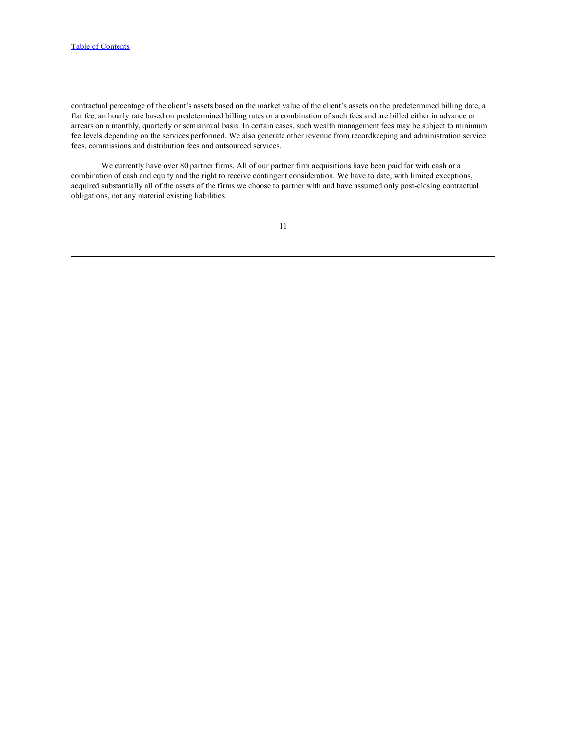contractual percentage of the client's assets based on the market value of the client's assets on the predetermined billing date, a flat fee, an hourly rate based on predetermined billing rates or a combination of such fees and are billed either in advance or arrears on a monthly, quarterly or semiannual basis. In certain cases, such wealth management fees may be subject to minimum fee levels depending on the services performed. We also generate other revenue from recordkeeping and administration service fees, commissions and distribution fees and outsourced services.

We currently have over 80 partner firms. All of our partner firm acquisitions have been paid for with cash or a combination of cash and equity and the right to receive contingent consideration. We have to date, with limited exceptions, acquired substantially all of the assets of the firms we choose to partner with and have assumed only post-closing contractual obligations, not any material existing liabilities.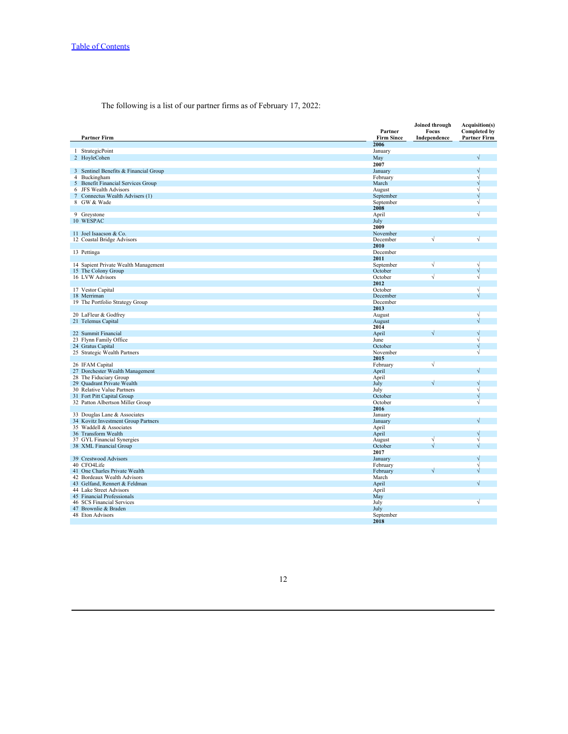The following is a list of our partner firms as of February 17, 2022:

|                                                      | Partner           | Joined through<br>Focus | Acquisition(s)<br><b>Completed by</b> |
|------------------------------------------------------|-------------------|-------------------------|---------------------------------------|
| <b>Partner Firm</b>                                  | <b>Firm Since</b> | Independence            | <b>Partner Firm</b>                   |
|                                                      | 2006              |                         |                                       |
| 1 StrategicPoint                                     | January           |                         |                                       |
| 2 HoyleCohen                                         | May               |                         |                                       |
|                                                      | 2007              |                         |                                       |
| 3 Sentinel Benefits & Financial Group                | January           |                         |                                       |
| 4 Buckingham                                         | February          |                         |                                       |
| 5 Benefit Financial Services Group                   | March             |                         |                                       |
| 6 JFS Wealth Advisors                                | August            |                         |                                       |
| 7 Connectus Wealth Advisers (1)                      | September         |                         |                                       |
| 8 GW & Wade                                          | September         |                         |                                       |
|                                                      | 2008              |                         |                                       |
| 9 Greystone                                          | April             |                         |                                       |
| 10 WESPAC                                            | July              |                         |                                       |
|                                                      | 2009              |                         |                                       |
| 11 Joel Isaacson & Co.                               | November          |                         |                                       |
| 12 Coastal Bridge Advisors                           | December          |                         |                                       |
|                                                      | 2010              |                         |                                       |
| 13 Pettinga                                          | December          |                         |                                       |
|                                                      | 2011              |                         |                                       |
| 14 Sapient Private Wealth Management                 | September         | $\sqrt{ }$              |                                       |
| 15 The Colony Group                                  | October           |                         |                                       |
| 16 LVW Advisors                                      | October           | $\sqrt{ }$              |                                       |
|                                                      | 2012              |                         |                                       |
|                                                      |                   |                         |                                       |
| 17 Vestor Capital                                    | October           |                         |                                       |
| 18 Merriman                                          | December          |                         |                                       |
| 19 The Portfolio Strategy Group                      | December          |                         |                                       |
|                                                      | 2013              |                         |                                       |
| 20 LaFleur & Godfrey                                 | August            |                         |                                       |
| 21 Telemus Capital                                   | August            |                         |                                       |
|                                                      | 2014              |                         |                                       |
| 22 Summit Financial                                  | April             |                         |                                       |
| 23 Flynn Family Office                               | June              |                         |                                       |
| 24 Gratus Capital                                    | October           |                         |                                       |
| 25 Strategic Wealth Partners                         | November          |                         |                                       |
|                                                      | 2015              |                         |                                       |
| 26 IFAM Capital                                      | February          | $\sqrt{ }$              |                                       |
| 27 Dorchester Wealth Management                      | April             |                         |                                       |
|                                                      |                   |                         |                                       |
| 28 The Fiduciary Group<br>29 Quadrant Private Wealth | April             |                         |                                       |
|                                                      | July              |                         |                                       |
| 30 Relative Value Partners                           | July              |                         |                                       |
| 31 Fort Pitt Capital Group                           | October           |                         |                                       |
| 32 Patton Albertson Miller Group                     | October           |                         |                                       |
|                                                      | 2016              |                         |                                       |
| 33 Douglas Lane & Associates                         | January           |                         |                                       |
| 34 Kovitz Investment Group Partners                  | January           |                         |                                       |
| 35 Waddell & Associates                              | April             |                         |                                       |
| 36 Transform Wealth                                  | April             |                         |                                       |
| 37 GYL Financial Synergies                           | August            |                         |                                       |
| 38 XML Financial Group                               | October           |                         |                                       |
|                                                      | 2017              |                         |                                       |
| 39 Crestwood Advisors                                | January           |                         |                                       |
| 40 CFO4Life                                          | February          |                         |                                       |
| 41 One Charles Private Wealth                        |                   |                         |                                       |
|                                                      | February          |                         |                                       |
| 42 Bordeaux Wealth Advisors                          | March             |                         |                                       |
| 43 Gelfand, Rennert & Feldman                        | April             |                         |                                       |
| 44 Lake Street Advisors                              | April             |                         |                                       |
| 45 Financial Professionals                           | May               |                         |                                       |
| 46 SCS Financial Services                            | July              |                         |                                       |
| 47 Brownlie & Braden                                 | July              |                         |                                       |
| 48 Eton Advisors                                     | September         |                         |                                       |
|                                                      | 2018              |                         |                                       |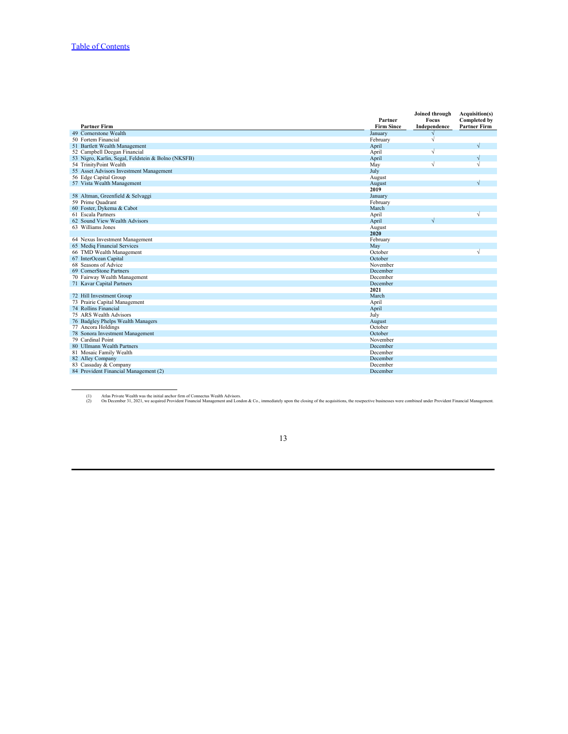|                                                    | Partner           | Joined through<br>Focus | <b>Acquisition(s)</b><br><b>Completed by</b> |
|----------------------------------------------------|-------------------|-------------------------|----------------------------------------------|
| <b>Partner Firm</b>                                | <b>Firm Since</b> | Independence            | Partner Firm                                 |
| 49 Cornerstone Wealth                              | January           |                         |                                              |
| 50 Fortem Financial                                | February          |                         |                                              |
| 51 Bartlett Wealth Management                      | April             |                         |                                              |
| 52 Campbell Deegan Financial                       | April             |                         |                                              |
| 53 Nigro, Karlin, Segal, Feldstein & Bolno (NKSFB) | April             |                         |                                              |
| 54 TrinityPoint Wealth                             | May               |                         |                                              |
| 55 Asset Advisors Investment Management            | July              |                         |                                              |
| 56 Edge Capital Group                              | August            |                         |                                              |
| 57 Vista Wealth Management                         | August            |                         |                                              |
|                                                    | 2019              |                         |                                              |
| 58 Altman, Greenfield & Selvaggi                   | January           |                         |                                              |
| 59 Prime Quadrant                                  | February          |                         |                                              |
| 60 Foster, Dykema & Cabot                          | March             |                         |                                              |
| 61 Escala Partners                                 | April             |                         |                                              |
| 62 Sound View Wealth Advisors                      | April             |                         |                                              |
| 63 Williams Jones                                  | August            |                         |                                              |
|                                                    | 2020              |                         |                                              |
| 64 Nexus Investment Management                     | February          |                         |                                              |
| 65 Mediq Financial Services                        | May               |                         |                                              |
| 66 TMD Wealth Management                           | October           |                         |                                              |
| 67 InterOcean Capital                              | October           |                         |                                              |
| 68 Seasons of Advice                               | November          |                         |                                              |
| 69 CornerStone Partners                            | December          |                         |                                              |
| 70 Fairway Wealth Management                       | December          |                         |                                              |
|                                                    | December          |                         |                                              |
| 71 Kavar Capital Partners                          | 2021              |                         |                                              |
|                                                    |                   |                         |                                              |
| 72 Hill Investment Group                           | March             |                         |                                              |
| 73 Prairie Capital Management                      | April             |                         |                                              |
| 74 Rollins Financial                               | April             |                         |                                              |
| 75 ARS Wealth Advisors                             | July              |                         |                                              |
| 76 Badgley Phelps Wealth Managers                  | August            |                         |                                              |
| 77 Ancora Holdings                                 | October           |                         |                                              |
| 78 Sonora Investment Management                    | October           |                         |                                              |
| 79 Cardinal Point                                  | November          |                         |                                              |
| 80 Ullmann Wealth Partners                         | December          |                         |                                              |
| 81 Mosaic Family Wealth                            | December          |                         |                                              |
| 82 Alley Company                                   | December          |                         |                                              |
| 83 Cassaday & Company                              | December          |                         |                                              |
| 84 Provident Financial Management (2)              | December          |                         |                                              |
|                                                    |                   |                         |                                              |

(1) Altas Private Wealth was the initial anchor firm of Comnectus Wealth Advisors.<br>(2) On December 31, 2021, we acquired Provident Financial Management and London & Co., immediately upon the closing of the acquisitions, th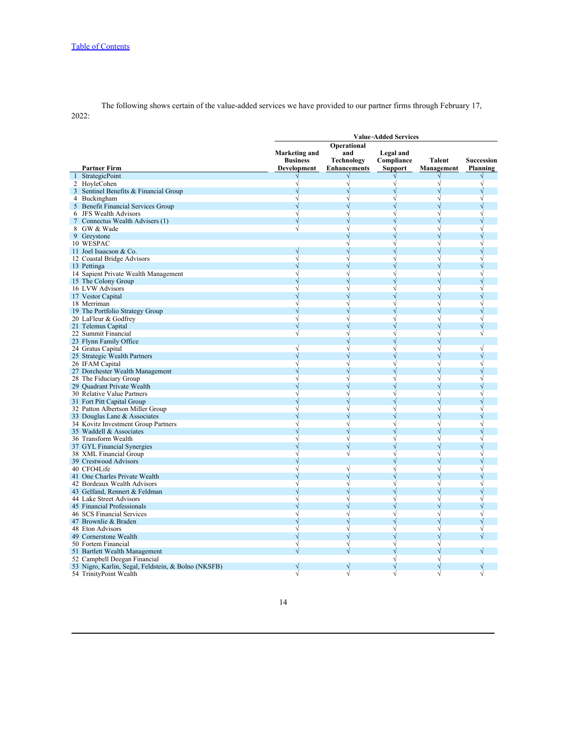The following shows certain of the value-added services we have provided to our partner firms through February 17, 2022:

|                                                     |                 |                     | <b>Value-Added Services</b> |               |                   |
|-----------------------------------------------------|-----------------|---------------------|-----------------------------|---------------|-------------------|
|                                                     |                 | Operational         |                             |               |                   |
|                                                     | Marketing and   | and                 | Legal and                   |               |                   |
|                                                     | <b>Business</b> | <b>Technology</b>   | Compliance                  | <b>Talent</b> | <b>Succession</b> |
| <b>Partner Firm</b>                                 | Development     | <b>Enhancements</b> | <b>Support</b>              | Management    | Planning          |
| StrategicPoint                                      |                 |                     |                             |               |                   |
| 2 HoyleCohen                                        |                 |                     |                             |               |                   |
| 3 Sentinel Benefits & Financial Group               |                 |                     |                             |               |                   |
| 4 Buckingham                                        |                 |                     |                             |               |                   |
| 5 Benefit Financial Services Group                  |                 |                     |                             |               |                   |
| 6 JFS Wealth Advisors                               |                 |                     |                             |               |                   |
| 7 Connectus Wealth Advisers (1)                     |                 |                     |                             |               |                   |
| 8 GW & Wade                                         |                 |                     |                             |               |                   |
| 9 Greystone                                         |                 |                     |                             |               |                   |
| 10 WESPAC                                           |                 |                     |                             |               |                   |
| 11 Joel Isaacson & Co.                              |                 |                     |                             |               |                   |
| 12 Coastal Bridge Advisors                          |                 |                     |                             |               |                   |
| 13 Pettinga                                         |                 |                     |                             |               |                   |
| 14 Sapient Private Wealth Management                |                 |                     |                             |               |                   |
| 15 The Colony Group                                 |                 |                     |                             |               |                   |
| 16 LVW Advisors                                     |                 |                     |                             |               |                   |
| 17 Vestor Capital                                   |                 |                     |                             |               |                   |
| 18 Merriman                                         |                 |                     |                             |               |                   |
| 19 The Portfolio Strategy Group                     |                 |                     |                             |               |                   |
| 20 LaFleur & Godfrey                                |                 |                     |                             |               |                   |
| 21 Telemus Capital                                  |                 |                     |                             |               |                   |
| 22 Summit Financial                                 |                 |                     |                             |               |                   |
| 23 Flynn Family Office                              |                 |                     |                             |               |                   |
| 24 Gratus Capital                                   |                 |                     |                             |               |                   |
| 25 Strategic Wealth Partners                        |                 |                     |                             |               |                   |
| 26 IFAM Capital                                     |                 |                     |                             |               |                   |
| 27 Dorchester Wealth Management                     |                 |                     |                             |               |                   |
| 28 The Fiduciary Group                              |                 |                     |                             |               |                   |
| 29 Quadrant Private Wealth                          |                 |                     |                             |               |                   |
| 30 Relative Value Partners                          |                 |                     |                             |               |                   |
|                                                     |                 |                     |                             |               |                   |
| 31 Fort Pitt Capital Group                          |                 |                     |                             |               |                   |
| 32 Patton Albertson Miller Group                    |                 |                     |                             |               |                   |
| 33 Douglas Lane & Associates                        |                 |                     |                             |               |                   |
| 34 Kovitz Investment Group Partners                 |                 |                     |                             |               |                   |
| 35 Waddell & Associates                             |                 |                     |                             |               |                   |
| 36 Transform Wealth                                 |                 |                     |                             |               |                   |
| 37 GYL Financial Synergies                          |                 |                     |                             |               |                   |
| 38 XML Financial Group                              |                 |                     |                             |               |                   |
| 39 Crestwood Advisors                               |                 |                     |                             |               |                   |
| 40 CFO4Life                                         |                 |                     |                             |               |                   |
| 41 One Charles Private Wealth                       |                 |                     |                             |               |                   |
| 42 Bordeaux Wealth Advisors                         |                 |                     |                             |               |                   |
| 43 Gelfand, Rennert & Feldman                       |                 |                     |                             |               |                   |
| 44 Lake Street Advisors                             |                 |                     |                             |               |                   |
| 45 Financial Professionals                          |                 |                     |                             |               |                   |
| 46 SCS Financial Services                           |                 |                     |                             |               |                   |
| 47 Brownlie & Braden                                |                 |                     |                             |               |                   |
| 48 Eton Advisors                                    |                 |                     |                             |               |                   |
| 49 Cornerstone Wealth                               |                 |                     |                             |               |                   |
| 50 Fortem Financial                                 |                 |                     |                             |               |                   |
| 51 Bartlett Wealth Management                       |                 |                     |                             |               |                   |
| 52 Campbell Deegan Financial                        |                 |                     |                             |               |                   |
| 53 Nigro, Karlin, Segal, Feldstein, & Bolno (NKSFB) |                 |                     |                             |               |                   |
| 54 TrinityPoint Wealth                              |                 |                     |                             |               |                   |
|                                                     |                 |                     |                             |               |                   |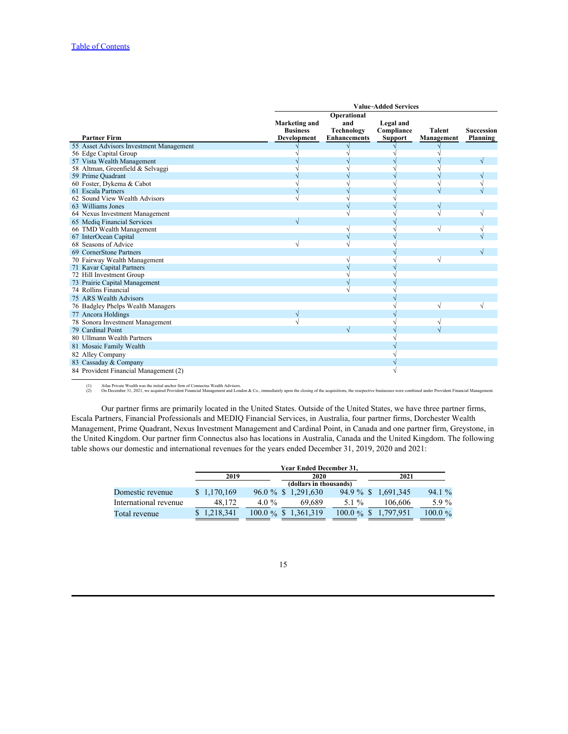|                                         | <b>Value-Added Services</b>                     |                                                         |                                           |                             |                               |  |  |  |  |
|-----------------------------------------|-------------------------------------------------|---------------------------------------------------------|-------------------------------------------|-----------------------------|-------------------------------|--|--|--|--|
| <b>Partner Firm</b>                     | Marketing and<br><b>Business</b><br>Development | Operational<br>and<br>Technology<br><b>Enhancements</b> | Legal and<br>Compliance<br><b>Support</b> | <b>Talent</b><br>Management | Succession<br><b>Planning</b> |  |  |  |  |
| 55 Asset Advisors Investment Management |                                                 |                                                         |                                           |                             |                               |  |  |  |  |
| 56 Edge Capital Group                   |                                                 |                                                         |                                           |                             |                               |  |  |  |  |
| 57 Vista Wealth Management              |                                                 |                                                         |                                           |                             |                               |  |  |  |  |
| 58 Altman, Greenfield & Selvaggi        |                                                 |                                                         |                                           |                             |                               |  |  |  |  |
| 59 Prime Quadrant                       |                                                 |                                                         |                                           |                             |                               |  |  |  |  |
| 60 Foster, Dykema & Cabot               |                                                 |                                                         |                                           |                             |                               |  |  |  |  |
| 61 Escala Partners                      |                                                 |                                                         |                                           |                             |                               |  |  |  |  |
| 62 Sound View Wealth Advisors           |                                                 |                                                         |                                           |                             |                               |  |  |  |  |
| 63 Williams Jones                       |                                                 |                                                         |                                           |                             |                               |  |  |  |  |
| 64 Nexus Investment Management          |                                                 |                                                         |                                           |                             |                               |  |  |  |  |
| 65 Mediq Financial Services             |                                                 |                                                         |                                           |                             |                               |  |  |  |  |
| 66 TMD Wealth Management                |                                                 |                                                         |                                           |                             |                               |  |  |  |  |
| 67 InterOcean Capital                   |                                                 |                                                         |                                           |                             |                               |  |  |  |  |
| 68 Seasons of Advice                    |                                                 |                                                         |                                           |                             |                               |  |  |  |  |
| 69 CornerStone Partners                 |                                                 |                                                         |                                           |                             |                               |  |  |  |  |
| 70 Fairway Wealth Management            |                                                 |                                                         |                                           |                             |                               |  |  |  |  |
| 71 Kavar Capital Partners               |                                                 |                                                         |                                           |                             |                               |  |  |  |  |
| 72 Hill Investment Group                |                                                 |                                                         |                                           |                             |                               |  |  |  |  |
| 73 Prairie Capital Management           |                                                 |                                                         |                                           |                             |                               |  |  |  |  |
| 74 Rollins Financial                    |                                                 |                                                         |                                           |                             |                               |  |  |  |  |
| 75 ARS Wealth Advisors                  |                                                 |                                                         |                                           |                             |                               |  |  |  |  |
| 76 Badgley Phelps Wealth Managers       |                                                 |                                                         |                                           | $\gamma$                    |                               |  |  |  |  |
| 77 Ancora Holdings                      |                                                 |                                                         |                                           |                             |                               |  |  |  |  |
| 78 Sonora Investment Management         |                                                 |                                                         |                                           |                             |                               |  |  |  |  |
| 79 Cardinal Point                       |                                                 |                                                         |                                           |                             |                               |  |  |  |  |
| 80 Ullmann Wealth Partners              |                                                 |                                                         |                                           |                             |                               |  |  |  |  |
| 81 Mosaic Family Wealth                 |                                                 |                                                         |                                           |                             |                               |  |  |  |  |
| 82 Alley Company                        |                                                 |                                                         |                                           |                             |                               |  |  |  |  |
| 83 Cassaday & Company                   |                                                 |                                                         |                                           |                             |                               |  |  |  |  |
|                                         |                                                 |                                                         |                                           |                             |                               |  |  |  |  |
| 84 Provident Financial Management (2)   |                                                 |                                                         |                                           |                             |                               |  |  |  |  |

(1) Atlas Private Wealth was the initial anchor firm of Connectus Wealth Advisors.<br>(2) On December 31, 2021, we acquired Provident Financial Management and London & Co., immediately upon the closing of the acquisitions, th

Our partner firms are primarily located in the United States. Outside of the United States, we have three partner firms, Escala Partners, Financial Professionals and MEDIQ Financial Services, in Australia, four partner firms, Dorchester Wealth Management, Prime Quadrant, Nexus Investment Management and Cardinal Point, in Canada and one partner firm, Greystone, in the United Kingdom. Our partner firm Connectus also has locations in Australia, Canada and the United Kingdom. The following table shows our domestic and international revenues for the years ended December 31, 2019, 2020 and 2021:

|                        |          |                | <b>Year Ended December 31.</b> |              |           |            |
|------------------------|----------|----------------|--------------------------------|--------------|-----------|------------|
|                        | 2019     |                | 2020                           |              | 2021      |            |
| (dollars in thousands) |          |                |                                |              |           |            |
| Domestic revenue       | 170,169  |                | 96.0 % \$ 1,291,630            | $94.9 \%$ \$ | 1.691.345 | 94.1%      |
| International revenue  | 48,172   | 4.0 $%$        | 69,689                         | $5.1\%$      | 106,606   | 5.9 %      |
| Total revenue          | .218,341 | $100.0\%$ \$ 1 | 1,361,319                      | $100.0\%$ \$ | .797.951  | 100.0 $\%$ |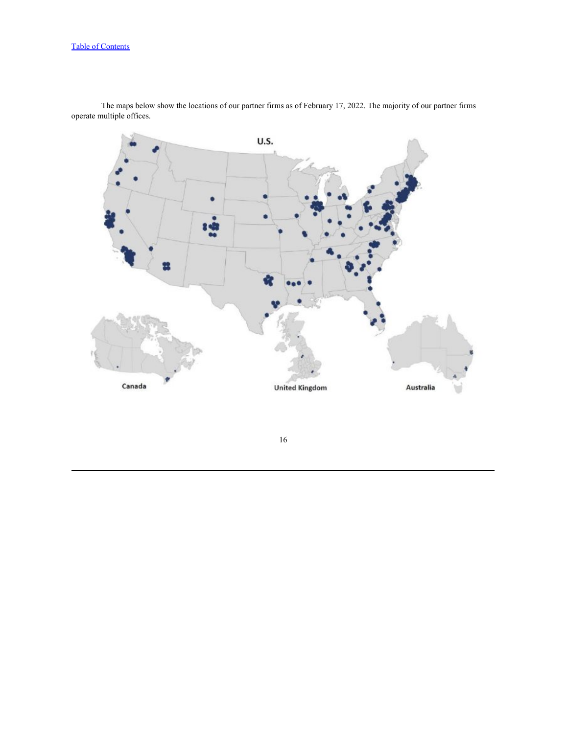

The maps below show the locations of our partner firms as of February 17, 2022. The majority of our partner firms operate multiple offices.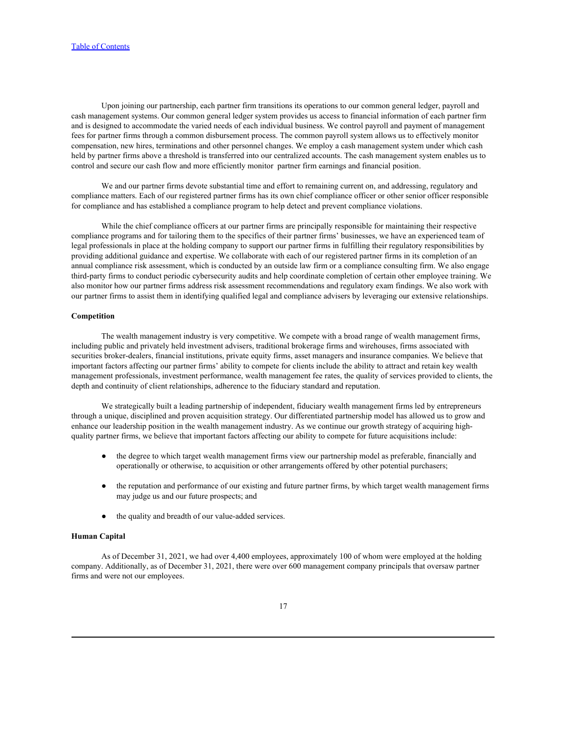Upon joining our partnership, each partner firm transitions its operations to our common general ledger, payroll and cash management systems. Our common general ledger system provides us access to financial information of each partner firm and is designed to accommodate the varied needs of each individual business. We control payroll and payment of management fees for partner firms through a common disbursement process. The common payroll system allows us to effectively monitor compensation, new hires, terminations and other personnel changes. We employ a cash management system under which cash held by partner firms above a threshold is transferred into our centralized accounts. The cash management system enables us to control and secure our cash flow and more efficiently monitor partner firm earnings and financial position.

We and our partner firms devote substantial time and effort to remaining current on, and addressing, regulatory and compliance matters. Each of our registered partner firms has its own chief compliance officer or other senior officer responsible for compliance and has established a compliance program to help detect and prevent compliance violations.

While the chief compliance officers at our partner firms are principally responsible for maintaining their respective compliance programs and for tailoring them to the specifics of their partner firms' businesses, we have an experienced team of legal professionals in place at the holding company to support our partner firms in fulfilling their regulatory responsibilities by providing additional guidance and expertise. We collaborate with each of our registered partner firms in its completion of an annual compliance risk assessment, which is conducted by an outside law firm or a compliance consulting firm. We also engage third-party firms to conduct periodic cybersecurity audits and help coordinate completion of certain other employee training. We also monitor how our partner firms address risk assessment recommendations and regulatory exam findings. We also work with our partner firms to assist them in identifying qualified legal and compliance advisers by leveraging our extensive relationships.

### **Competition**

The wealth management industry is very competitive. We compete with a broad range of wealth management firms, including public and privately held investment advisers, traditional brokerage firms and wirehouses, firms associated with securities broker-dealers, financial institutions, private equity firms, asset managers and insurance companies. We believe that important factors affecting our partner firms' ability to compete for clients include the ability to attract and retain key wealth management professionals, investment performance, wealth management fee rates, the quality of services provided to clients, the depth and continuity of client relationships, adherence to the fiduciary standard and reputation.

We strategically built a leading partnership of independent, fiduciary wealth management firms led by entrepreneurs through a unique, disciplined and proven acquisition strategy. Our differentiated partnership model has allowed us to grow and enhance our leadership position in the wealth management industry. As we continue our growth strategy of acquiring highquality partner firms, we believe that important factors affecting our ability to compete for future acquisitions include:

- the degree to which target wealth management firms view our partnership model as preferable, financially and operationally or otherwise, to acquisition or other arrangements offered by other potential purchasers;
- the reputation and performance of our existing and future partner firms, by which target wealth management firms may judge us and our future prospects; and
- the quality and breadth of our value-added services.

# **Human Capital**

As of December 31, 2021, we had over 4,400 employees, approximately 100 of whom were employed at the holding company. Additionally, as of December 31, 2021, there were over 600 management company principals that oversaw partner firms and were not our employees.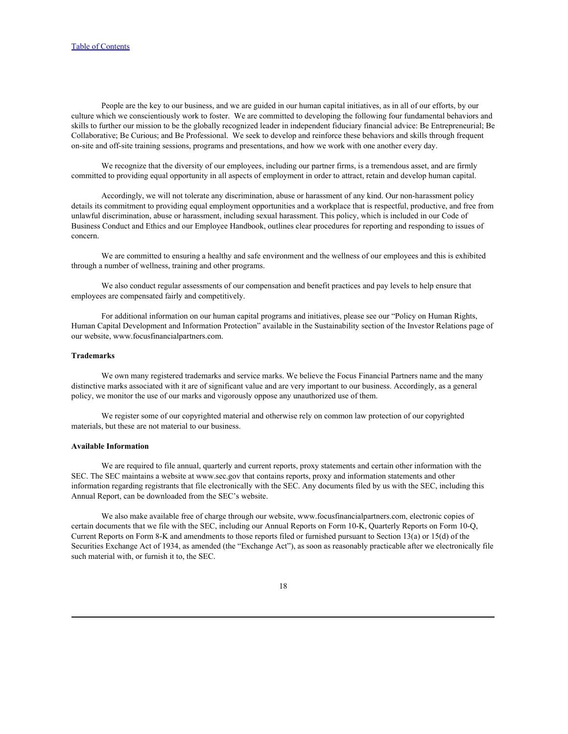People are the key to our business, and we are guided in our human capital initiatives, as in all of our efforts, by our culture which we conscientiously work to foster. We are committed to developing the following four fundamental behaviors and skills to further our mission to be the globally recognized leader in independent fiduciary financial advice: Be Entrepreneurial; Be Collaborative; Be Curious; and Be Professional. We seek to develop and reinforce these behaviors and skills through frequent on-site and off-site training sessions, programs and presentations, and how we work with one another every day.

We recognize that the diversity of our employees, including our partner firms, is a tremendous asset, and are firmly committed to providing equal opportunity in all aspects of employment in order to attract, retain and develop human capital.

Accordingly, we will not tolerate any discrimination, abuse or harassment of any kind. Our non-harassment policy details its commitment to providing equal employment opportunities and a workplace that is respectful, productive, and free from unlawful discrimination, abuse or harassment, including sexual harassment. This policy, which is included in our Code of Business Conduct and Ethics and our Employee Handbook, outlines clear procedures for reporting and responding to issues of concern.

We are committed to ensuring a healthy and safe environment and the wellness of our employees and this is exhibited through a number of wellness, training and other programs.

We also conduct regular assessments of our compensation and benefit practices and pay levels to help ensure that employees are compensated fairly and competitively.

For additional information on our human capital programs and initiatives, please see our "Policy on Human Rights, Human Capital Development and Information Protection" available in the Sustainability section of the Investor Relations page of our website, www.focusfinancialpartners.com.

# **Trademarks**

We own many registered trademarks and service marks. We believe the Focus Financial Partners name and the many distinctive marks associated with it are of significant value and are very important to our business. Accordingly, as a general policy, we monitor the use of our marks and vigorously oppose any unauthorized use of them.

We register some of our copyrighted material and otherwise rely on common law protection of our copyrighted materials, but these are not material to our business.

# **Available Information**

We are required to file annual, quarterly and current reports, proxy statements and certain other information with the SEC. The SEC maintains a website at www.sec.gov that contains reports, proxy and information statements and other information regarding registrants that file electronically with the SEC. Any documents filed by us with the SEC, including this Annual Report, can be downloaded from the SEC's website.

We also make available free of charge through our website, www.focusfinancialpartners.com, electronic copies of certain documents that we file with the SEC, including our Annual Reports on Form 10-K, Quarterly Reports on Form 10-Q, Current Reports on Form 8-K and amendments to those reports filed or furnished pursuant to Section 13(a) or 15(d) of the Securities Exchange Act of 1934, as amended (the "Exchange Act"), as soon as reasonably practicable after we electronically file such material with, or furnish it to, the SEC.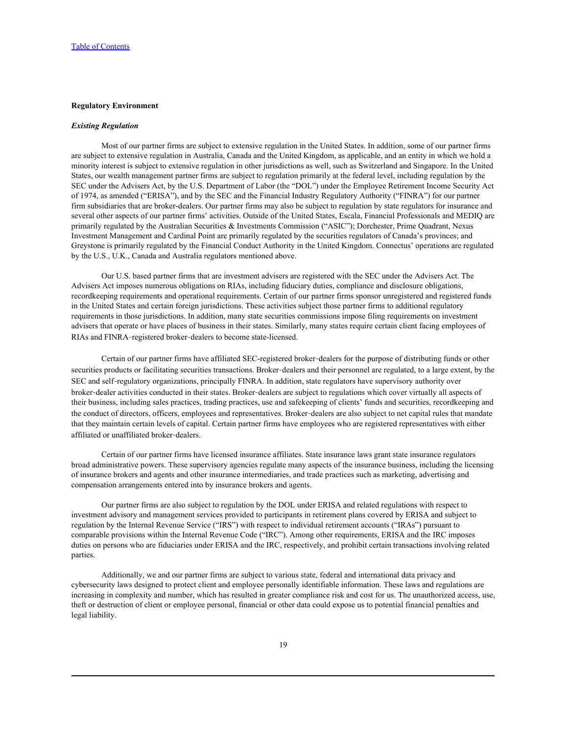# **Regulatory Environment**

#### *Existing Regulation*

Most of our partner firms are subject to extensive regulation in the United States. In addition, some of our partner firms are subject to extensive regulation in Australia, Canada and the United Kingdom, as applicable, and an entity in which we hold a minority interest is subject to extensive regulation in other jurisdictions as well, such as Switzerland and Singapore. In the United States, our wealth management partner firms are subject to regulation primarily at the federal level, including regulation by the SEC under the Advisers Act, by the U.S. Department of Labor (the "DOL") under the Employee Retirement Income Security Act of 1974, as amended ("ERISA"), and by the SEC and the Financial Industry Regulatory Authority ("FINRA") for our partner firm subsidiaries that are broker-dealers. Our partner firms may also be subject to regulation by state regulators for insurance and several other aspects of our partner firms' activities. Outside of the United States, Escala, Financial Professionals and MEDIQ are primarily regulated by the Australian Securities & Investments Commission ("ASIC"); Dorchester, Prime Quadrant, Nexus Investment Management and Cardinal Point are primarily regulated by the securities regulators of Canada's provinces; and Greystone is primarily regulated by the Financial Conduct Authority in the United Kingdom. Connectus' operations are regulated by the U.S., U.K., Canada and Australia regulators mentioned above.

Our U.S. based partner firms that are investment advisers are registered with the SEC under the Advisers Act. The Advisers Act imposes numerous obligations on RIAs, including fiduciary duties, compliance and disclosure obligations, recordkeeping requirements and operational requirements. Certain of our partner firms sponsor unregistered and registered funds in the United States and certain foreign jurisdictions. These activities subject those partner firms to additional regulatory requirements in those jurisdictions. In addition, many state securities commissions impose filing requirements on investment advisers that operate or have places of business in their states. Similarly, many states require certain client facing employees of RIAs and FINRA‑registered broker‑dealers to become state-licensed.

Certain of our partner firms have affiliated SEC-registered broker‑dealers for the purpose of distributing funds or other securities products or facilitating securities transactions. Broker-dealers and their personnel are regulated, to a large extent, by the SEC and self‑regulatory organizations, principally FINRA. In addition, state regulators have supervisory authority over broker‑dealer activities conducted in their states. Broker‑dealers are subject to regulations which cover virtually all aspects of their business, including sales practices, trading practices, use and safekeeping of clients' funds and securities, recordkeeping and the conduct of directors, officers, employees and representatives. Broker‑dealers are also subject to net capital rules that mandate that they maintain certain levels of capital. Certain partner firms have employees who are registered representatives with either affiliated or unaffiliated broker‑dealers.

Certain of our partner firms have licensed insurance affiliates. State insurance laws grant state insurance regulators broad administrative powers. These supervisory agencies regulate many aspects of the insurance business, including the licensing of insurance brokers and agents and other insurance intermediaries, and trade practices such as marketing, advertising and compensation arrangements entered into by insurance brokers and agents.

Our partner firms are also subject to regulation by the DOL under ERISA and related regulations with respect to investment advisory and management services provided to participants in retirement plans covered by ERISA and subject to regulation by the Internal Revenue Service ("IRS") with respect to individual retirement accounts ("IRAs") pursuant to comparable provisions within the Internal Revenue Code ("IRC"). Among other requirements, ERISA and the IRC imposes duties on persons who are fiduciaries under ERISA and the IRC, respectively, and prohibit certain transactions involving related parties.

Additionally, we and our partner firms are subject to various state, federal and international data privacy and cybersecurity laws designed to protect client and employee personally identifiable information. These laws and regulations are increasing in complexity and number, which has resulted in greater compliance risk and cost for us. The unauthorized access, use, theft or destruction of client or employee personal, financial or other data could expose us to potential financial penalties and legal liability.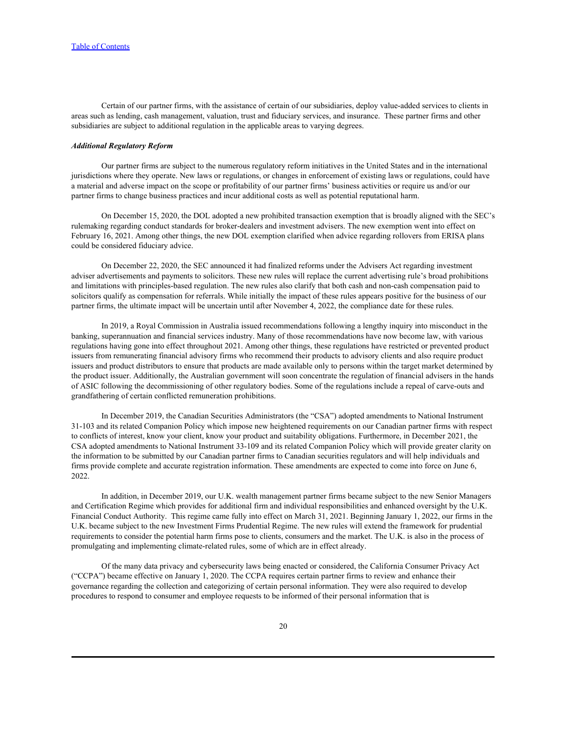Certain of our partner firms, with the assistance of certain of our subsidiaries, deploy value-added services to clients in areas such as lending, cash management, valuation, trust and fiduciary services, and insurance. These partner firms and other subsidiaries are subject to additional regulation in the applicable areas to varying degrees.

### *Additional Regulatory Reform*

Our partner firms are subject to the numerous regulatory reform initiatives in the United States and in the international jurisdictions where they operate. New laws or regulations, or changes in enforcement of existing laws or regulations, could have a material and adverse impact on the scope or profitability of our partner firms' business activities or require us and/or our partner firms to change business practices and incur additional costs as well as potential reputational harm.

On December 15, 2020, the DOL adopted a new prohibited transaction exemption that is broadly aligned with the SEC's rulemaking regarding conduct standards for broker-dealers and investment advisers. The new exemption went into effect on February 16, 2021. Among other things, the new DOL exemption clarified when advice regarding rollovers from ERISA plans could be considered fiduciary advice.

On December 22, 2020, the SEC announced it had finalized reforms under the Advisers Act regarding investment adviser advertisements and payments to solicitors. These new rules will replace the current advertising rule's broad prohibitions and limitations with principles-based regulation. The new rules also clarify that both cash and non-cash compensation paid to solicitors qualify as compensation for referrals. While initially the impact of these rules appears positive for the business of our partner firms, the ultimate impact will be uncertain until after November 4, 2022, the compliance date for these rules.

In 2019, a Royal Commission in Australia issued recommendations following a lengthy inquiry into misconduct in the banking, superannuation and financial services industry. Many of those recommendations have now become law, with various regulations having gone into effect throughout 2021. Among other things, these regulations have restricted or prevented product issuers from remunerating financial advisory firms who recommend their products to advisory clients and also require product issuers and product distributors to ensure that products are made available only to persons within the target market determined by the product issuer. Additionally, the Australian government will soon concentrate the regulation of financial advisers in the hands of ASIC following the decommissioning of other regulatory bodies. Some of the regulations include a repeal of carve-outs and grandfathering of certain conflicted remuneration prohibitions.

In December 2019, the Canadian Securities Administrators (the "CSA") adopted amendments to National Instrument 31-103 and its related Companion Policy which impose new heightened requirements on our Canadian partner firms with respect to conflicts of interest, know your client, know your product and suitability obligations. Furthermore, in December 2021, the CSA adopted amendments to National Instrument 33-109 and its related Companion Policy which will provide greater clarity on the information to be submitted by our Canadian partner firms to Canadian securities regulators and will help individuals and firms provide complete and accurate registration information. These amendments are expected to come into force on June 6, 2022.

In addition, in December 2019, our U.K. wealth management partner firms became subject to the new Senior Managers and Certification Regime which provides for additional firm and individual responsibilities and enhanced oversight by the U.K. Financial Conduct Authority. This regime came fully into effect on March 31, 2021. Beginning January 1, 2022, our firms in the U.K. became subject to the new Investment Firms Prudential Regime. The new rules will extend the framework for prudential requirements to consider the potential harm firms pose to clients, consumers and the market. The U.K. is also in the process of promulgating and implementing climate-related rules, some of which are in effect already.

Of the many data privacy and cybersecurity laws being enacted or considered, the California Consumer Privacy Act ("CCPA") became effective on January 1, 2020. The CCPA requires certain partner firms to review and enhance their governance regarding the collection and categorizing of certain personal information. They were also required to develop procedures to respond to consumer and employee requests to be informed of their personal information that is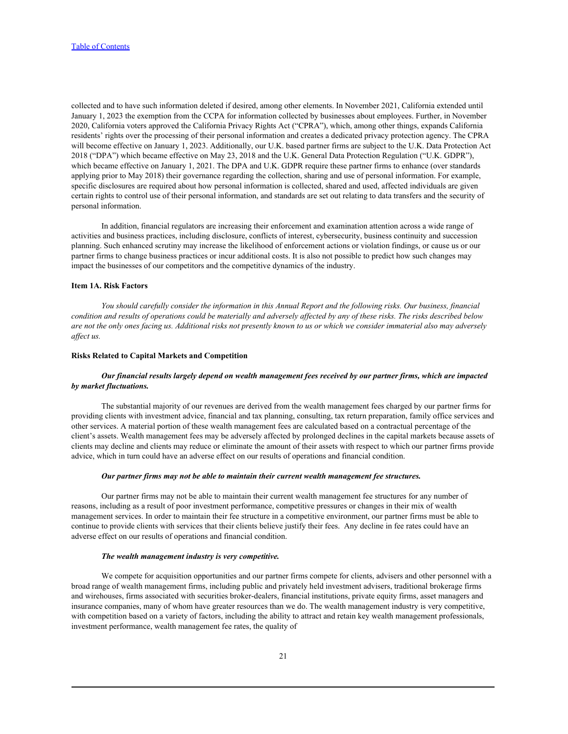collected and to have such information deleted if desired, among other elements. In November 2021, California extended until January 1, 2023 the exemption from the CCPA for information collected by businesses about employees. Further, in November 2020, California voters approved the California Privacy Rights Act ("CPRA"), which, among other things, expands California residents' rights over the processing of their personal information and creates a dedicated privacy protection agency. The CPRA will become effective on January 1, 2023. Additionally, our U.K. based partner firms are subject to the U.K. Data Protection Act 2018 ("DPA") which became effective on May 23, 2018 and the U.K. General Data Protection Regulation ("U.K. GDPR"), which became effective on January 1, 2021. The DPA and U.K. GDPR require these partner firms to enhance (over standards applying prior to May 2018) their governance regarding the collection, sharing and use of personal information. For example, specific disclosures are required about how personal information is collected, shared and used, affected individuals are given certain rights to control use of their personal information, and standards are set out relating to data transfers and the security of personal information.

In addition, financial regulators are increasing their enforcement and examination attention across a wide range of activities and business practices, including disclosure, conflicts of interest, cybersecurity, business continuity and succession planning. Such enhanced scrutiny may increase the likelihood of enforcement actions or violation findings, or cause us or our partner firms to change business practices or incur additional costs. It is also not possible to predict how such changes may impact the businesses of our competitors and the competitive dynamics of the industry.

#### <span id="page-22-0"></span>**Item 1A. Risk Factors**

*You should carefully consider the information in this Annual Report and the following risks. Our business, financial condition and results of operations could be materially and adversely affected by any of these risks. The risks described below are not the only ones facing us. Additional risks not presently known to us or which we consider immaterial also may adversely affect us.*

#### **Risks Related to Capital Markets and Competition**

## *Our financial results largely depend on wealth management fees received by our partner firms, which are impacted by market fluctuations.*

The substantial majority of our revenues are derived from the wealth management fees charged by our partner firms for providing clients with investment advice, financial and tax planning, consulting, tax return preparation, family office services and other services. A material portion of these wealth management fees are calculated based on a contractual percentage of the client's assets. Wealth management fees may be adversely affected by prolonged declines in the capital markets because assets of clients may decline and clients may reduce or eliminate the amount of their assets with respect to which our partner firms provide advice, which in turn could have an adverse effect on our results of operations and financial condition.

#### *Our partner firms may not be able to maintain their current wealth management fee structures.*

Our partner firms may not be able to maintain their current wealth management fee structures for any number of reasons, including as a result of poor investment performance, competitive pressures or changes in their mix of wealth management services. In order to maintain their fee structure in a competitive environment, our partner firms must be able to continue to provide clients with services that their clients believe justify their fees. Any decline in fee rates could have an adverse effect on our results of operations and financial condition.

### *The wealth management industry is very competitive.*

We compete for acquisition opportunities and our partner firms compete for clients, advisers and other personnel with a broad range of wealth management firms, including public and privately held investment advisers, traditional brokerage firms and wirehouses, firms associated with securities broker-dealers, financial institutions, private equity firms, asset managers and insurance companies, many of whom have greater resources than we do. The wealth management industry is very competitive, with competition based on a variety of factors, including the ability to attract and retain key wealth management professionals, investment performance, wealth management fee rates, the quality of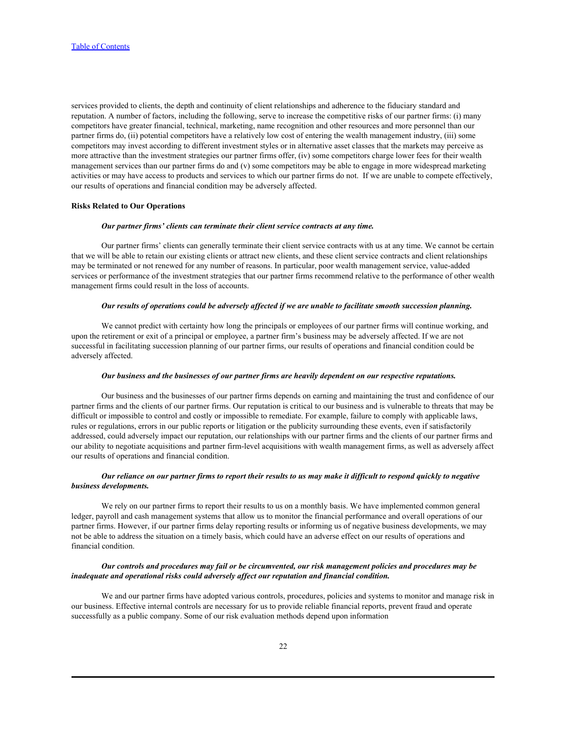services provided to clients, the depth and continuity of client relationships and adherence to the fiduciary standard and reputation. A number of factors, including the following, serve to increase the competitive risks of our partner firms: (i) many competitors have greater financial, technical, marketing, name recognition and other resources and more personnel than our partner firms do, (ii) potential competitors have a relatively low cost of entering the wealth management industry, (iii) some competitors may invest according to different investment styles or in alternative asset classes that the markets may perceive as more attractive than the investment strategies our partner firms offer, (iv) some competitors charge lower fees for their wealth management services than our partner firms do and (v) some competitors may be able to engage in more widespread marketing activities or may have access to products and services to which our partner firms do not. If we are unable to compete effectively, our results of operations and financial condition may be adversely affected.

### **Risks Related to Our Operations**

#### *Our partner firms' clients can terminate their client service contracts at any time.*

Our partner firms' clients can generally terminate their client service contracts with us at any time. We cannot be certain that we will be able to retain our existing clients or attract new clients, and these client service contracts and client relationships may be terminated or not renewed for any number of reasons. In particular, poor wealth management service, value-added services or performance of the investment strategies that our partner firms recommend relative to the performance of other wealth management firms could result in the loss of accounts.

# *Our results of operations could be adversely affected if we are unable to facilitate smooth succession planning.*

We cannot predict with certainty how long the principals or employees of our partner firms will continue working, and upon the retirement or exit of a principal or employee, a partner firm's business may be adversely affected. If we are not successful in facilitating succession planning of our partner firms, our results of operations and financial condition could be adversely affected.

### *Our business and the businesses of our partner firms are heavily dependent on our respective reputations.*

Our business and the businesses of our partner firms depends on earning and maintaining the trust and confidence of our partner firms and the clients of our partner firms. Our reputation is critical to our business and is vulnerable to threats that may be difficult or impossible to control and costly or impossible to remediate. For example, failure to comply with applicable laws, rules or regulations, errors in our public reports or litigation or the publicity surrounding these events, even if satisfactorily addressed, could adversely impact our reputation, our relationships with our partner firms and the clients of our partner firms and our ability to negotiate acquisitions and partner firm-level acquisitions with wealth management firms, as well as adversely affect our results of operations and financial condition.

### *Our reliance on our partner firms to report their results to us may make it difficult to respond quickly to negative business developments.*

We rely on our partner firms to report their results to us on a monthly basis. We have implemented common general ledger, payroll and cash management systems that allow us to monitor the financial performance and overall operations of our partner firms. However, if our partner firms delay reporting results or informing us of negative business developments, we may not be able to address the situation on a timely basis, which could have an adverse effect on our results of operations and financial condition.

# *Our controls and procedures may fail or be circumvented, our risk management policies and procedures may be inadequate and operational risks could adversely affect our reputation and financial condition.*

We and our partner firms have adopted various controls, procedures, policies and systems to monitor and manage risk in our business. Effective internal controls are necessary for us to provide reliable financial reports, prevent fraud and operate successfully as a public company. Some of our risk evaluation methods depend upon information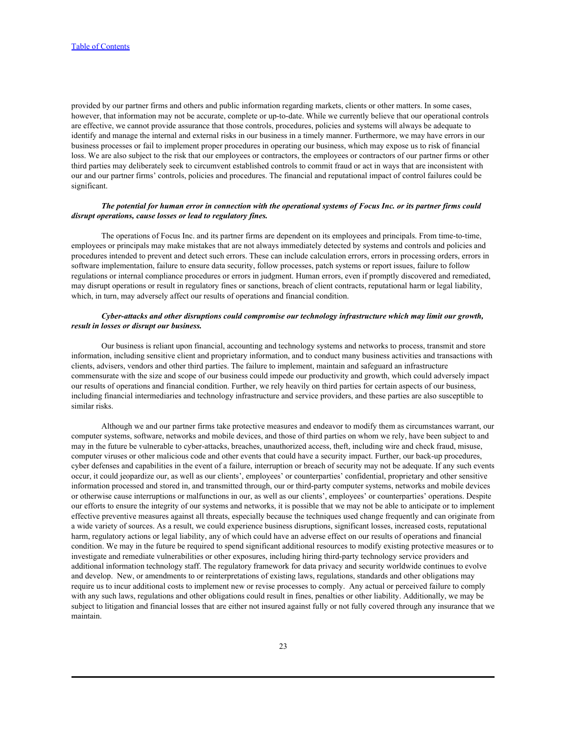provided by our partner firms and others and public information regarding markets, clients or other matters. In some cases, however, that information may not be accurate, complete or up-to-date. While we currently believe that our operational controls are effective, we cannot provide assurance that those controls, procedures, policies and systems will always be adequate to identify and manage the internal and external risks in our business in a timely manner. Furthermore, we may have errors in our business processes or fail to implement proper procedures in operating our business, which may expose us to risk of financial loss. We are also subject to the risk that our employees or contractors, the employees or contractors of our partner firms or other third parties may deliberately seek to circumvent established controls to commit fraud or act in ways that are inconsistent with our and our partner firms' controls, policies and procedures. The financial and reputational impact of control failures could be significant.

### *The potential for human error in connection with the operational systems of Focus Inc. or its partner firms could disrupt operations, cause losses or lead to regulatory fines.*

The operations of Focus Inc. and its partner firms are dependent on its employees and principals. From time-to-time, employees or principals may make mistakes that are not always immediately detected by systems and controls and policies and procedures intended to prevent and detect such errors. These can include calculation errors, errors in processing orders, errors in software implementation, failure to ensure data security, follow processes, patch systems or report issues, failure to follow regulations or internal compliance procedures or errors in judgment. Human errors, even if promptly discovered and remediated, may disrupt operations or result in regulatory fines or sanctions, breach of client contracts, reputational harm or legal liability, which, in turn, may adversely affect our results of operations and financial condition.

# *Cyber-attacks and other disruptions could compromise our technology infrastructure which may limit our growth, result in losses or disrupt our business.*

Our business is reliant upon financial, accounting and technology systems and networks to process, transmit and store information, including sensitive client and proprietary information, and to conduct many business activities and transactions with clients, advisers, vendors and other third parties. The failure to implement, maintain and safeguard an infrastructure commensurate with the size and scope of our business could impede our productivity and growth, which could adversely impact our results of operations and financial condition. Further, we rely heavily on third parties for certain aspects of our business, including financial intermediaries and technology infrastructure and service providers, and these parties are also susceptible to similar risks.

Although we and our partner firms take protective measures and endeavor to modify them as circumstances warrant, our computer systems, software, networks and mobile devices, and those of third parties on whom we rely, have been subject to and may in the future be vulnerable to cyber-attacks, breaches, unauthorized access, theft, including wire and check fraud, misuse, computer viruses or other malicious code and other events that could have a security impact. Further, our back-up procedures, cyber defenses and capabilities in the event of a failure, interruption or breach of security may not be adequate. If any such events occur, it could jeopardize our, as well as our clients', employees' or counterparties' confidential, proprietary and other sensitive information processed and stored in, and transmitted through, our or third-party computer systems, networks and mobile devices or otherwise cause interruptions or malfunctions in our, as well as our clients', employees' or counterparties' operations. Despite our efforts to ensure the integrity of our systems and networks, it is possible that we may not be able to anticipate or to implement effective preventive measures against all threats, especially because the techniques used change frequently and can originate from a wide variety of sources. As a result, we could experience business disruptions, significant losses, increased costs, reputational harm, regulatory actions or legal liability, any of which could have an adverse effect on our results of operations and financial condition. We may in the future be required to spend significant additional resources to modify existing protective measures or to investigate and remediate vulnerabilities or other exposures, including hiring third-party technology service providers and additional information technology staff. The regulatory framework for data privacy and security worldwide continues to evolve and develop. New, or amendments to or reinterpretations of existing laws, regulations, standards and other obligations may require us to incur additional costs to implement new or revise processes to comply. Any actual or perceived failure to comply with any such laws, regulations and other obligations could result in fines, penalties or other liability. Additionally, we may be subject to litigation and financial losses that are either not insured against fully or not fully covered through any insurance that we maintain.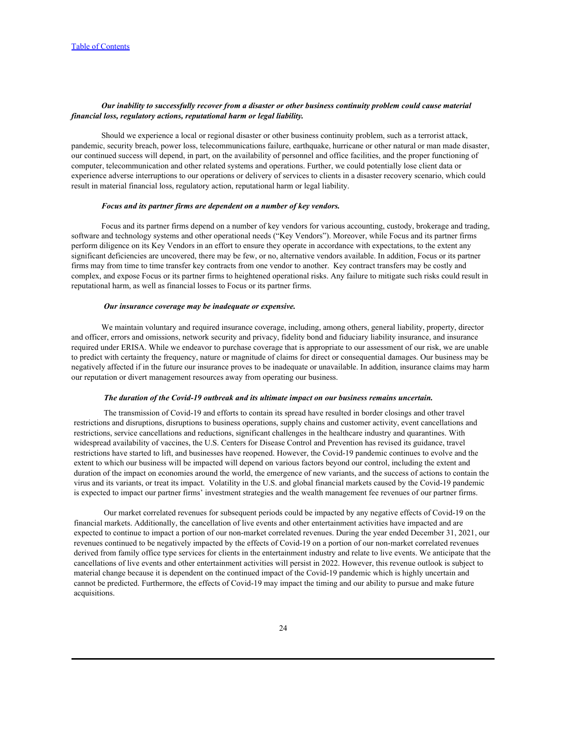# *Our inability to successfully recover from a disaster or other business continuity problem could cause material financial loss, regulatory actions, reputational harm or legal liability.*

Should we experience a local or regional disaster or other business continuity problem, such as a terrorist attack, pandemic, security breach, power loss, telecommunications failure, earthquake, hurricane or other natural or man made disaster, our continued success will depend, in part, on the availability of personnel and office facilities, and the proper functioning of computer, telecommunication and other related systems and operations. Further, we could potentially lose client data or experience adverse interruptions to our operations or delivery of services to clients in a disaster recovery scenario, which could result in material financial loss, regulatory action, reputational harm or legal liability.

### *Focus and its partner firms are dependent on a number of key vendors.*

Focus and its partner firms depend on a number of key vendors for various accounting, custody, brokerage and trading, software and technology systems and other operational needs ("Key Vendors"). Moreover, while Focus and its partner firms perform diligence on its Key Vendors in an effort to ensure they operate in accordance with expectations, to the extent any significant deficiencies are uncovered, there may be few, or no, alternative vendors available. In addition, Focus or its partner firms may from time to time transfer key contracts from one vendor to another. Key contract transfers may be costly and complex, and expose Focus or its partner firms to heightened operational risks. Any failure to mitigate such risks could result in reputational harm, as well as financial losses to Focus or its partner firms.

### *Our insurance coverage may be inadequate or expensive.*

We maintain voluntary and required insurance coverage, including, among others, general liability, property, director and officer, errors and omissions, network security and privacy, fidelity bond and fiduciary liability insurance, and insurance required under ERISA. While we endeavor to purchase coverage that is appropriate to our assessment of our risk, we are unable to predict with certainty the frequency, nature or magnitude of claims for direct or consequential damages. Our business may be negatively affected if in the future our insurance proves to be inadequate or unavailable. In addition, insurance claims may harm our reputation or divert management resources away from operating our business.

### *The duration of the Covid-19 outbreak and its ultimate impact on our business remains uncertain.*

The transmission of Covid-19 and efforts to contain its spread have resulted in border closings and other travel restrictions and disruptions, disruptions to business operations, supply chains and customer activity, event cancellations and restrictions, service cancellations and reductions, significant challenges in the healthcare industry and quarantines. With widespread availability of vaccines, the U.S. Centers for Disease Control and Prevention has revised its guidance, travel restrictions have started to lift, and businesses have reopened. However, the Covid-19 pandemic continues to evolve and the extent to which our business will be impacted will depend on various factors beyond our control, including the extent and duration of the impact on economies around the world, the emergence of new variants, and the success of actions to contain the virus and its variants, or treat its impact. Volatility in the U.S. and global financial markets caused by the Covid-19 pandemic is expected to impact our partner firms' investment strategies and the wealth management fee revenues of our partner firms.

Our market correlated revenues for subsequent periods could be impacted by any negative effects of Covid-19 on the financial markets. Additionally, the cancellation of live events and other entertainment activities have impacted and are expected to continue to impact a portion of our non-market correlated revenues. During the year ended December 31, 2021, our revenues continued to be negatively impacted by the effects of Covid-19 on a portion of our non-market correlated revenues derived from family office type services for clients in the entertainment industry and relate to live events. We anticipate that the cancellations of live events and other entertainment activities will persist in 2022. However, this revenue outlook is subject to material change because it is dependent on the continued impact of the Covid-19 pandemic which is highly uncertain and cannot be predicted. Furthermore, the effects of Covid-19 may impact the timing and our ability to pursue and make future acquisitions.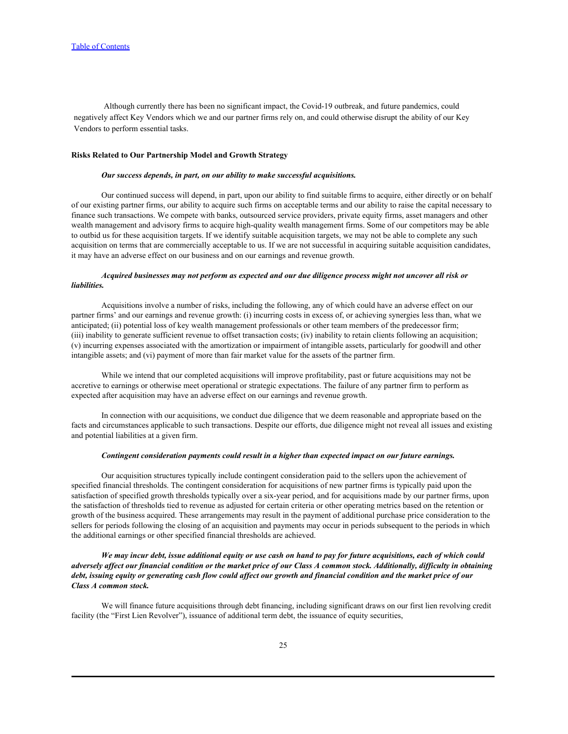Although currently there has been no significant impact, the Covid-19 outbreak, and future pandemics, could negatively affect Key Vendors which we and our partner firms rely on, and could otherwise disrupt the ability of our Key Vendors to perform essential tasks.

#### **Risks Related to Our Partnership Model and Growth Strategy**

#### *Our success depends, in part, on our ability to make successful acquisitions.*

Our continued success will depend, in part, upon our ability to find suitable firms to acquire, either directly or on behalf of our existing partner firms, our ability to acquire such firms on acceptable terms and our ability to raise the capital necessary to finance such transactions. We compete with banks, outsourced service providers, private equity firms, asset managers and other wealth management and advisory firms to acquire high-quality wealth management firms. Some of our competitors may be able to outbid us for these acquisition targets. If we identify suitable acquisition targets, we may not be able to complete any such acquisition on terms that are commercially acceptable to us. If we are not successful in acquiring suitable acquisition candidates, it may have an adverse effect on our business and on our earnings and revenue growth.

# *Acquired businesses may not perform as expected and our due diligence process might not uncover all risk or liabilities.*

Acquisitions involve a number of risks, including the following, any of which could have an adverse effect on our partner firms' and our earnings and revenue growth: (i) incurring costs in excess of, or achieving synergies less than, what we anticipated; (ii) potential loss of key wealth management professionals or other team members of the predecessor firm; (iii) inability to generate sufficient revenue to offset transaction costs; (iv) inability to retain clients following an acquisition; (v) incurring expenses associated with the amortization or impairment of intangible assets, particularly for goodwill and other intangible assets; and (vi) payment of more than fair market value for the assets of the partner firm.

While we intend that our completed acquisitions will improve profitability, past or future acquisitions may not be accretive to earnings or otherwise meet operational or strategic expectations. The failure of any partner firm to perform as expected after acquisition may have an adverse effect on our earnings and revenue growth.

In connection with our acquisitions, we conduct due diligence that we deem reasonable and appropriate based on the facts and circumstances applicable to such transactions. Despite our efforts, due diligence might not reveal all issues and existing and potential liabilities at a given firm.

### *Contingent consideration payments could result in a higher than expected impact on our future earnings.*

Our acquisition structures typically include contingent consideration paid to the sellers upon the achievement of specified financial thresholds. The contingent consideration for acquisitions of new partner firms is typically paid upon the satisfaction of specified growth thresholds typically over a six-year period, and for acquisitions made by our partner firms, upon the satisfaction of thresholds tied to revenue as adjusted for certain criteria or other operating metrics based on the retention or growth of the business acquired. These arrangements may result in the payment of additional purchase price consideration to the sellers for periods following the closing of an acquisition and payments may occur in periods subsequent to the periods in which the additional earnings or other specified financial thresholds are achieved.

# *We may incur debt, issue additional equity or use cash on hand to pay for future acquisitions, each of which could adversely affect our financial condition or the market price of our Class A common stock. Additionally, difficulty in obtaining debt, issuing equity or generating cash flow could affect our growth and financial condition and the market price of our Class A common stock.*

We will finance future acquisitions through debt financing, including significant draws on our first lien revolving credit facility (the "First Lien Revolver"), issuance of additional term debt, the issuance of equity securities,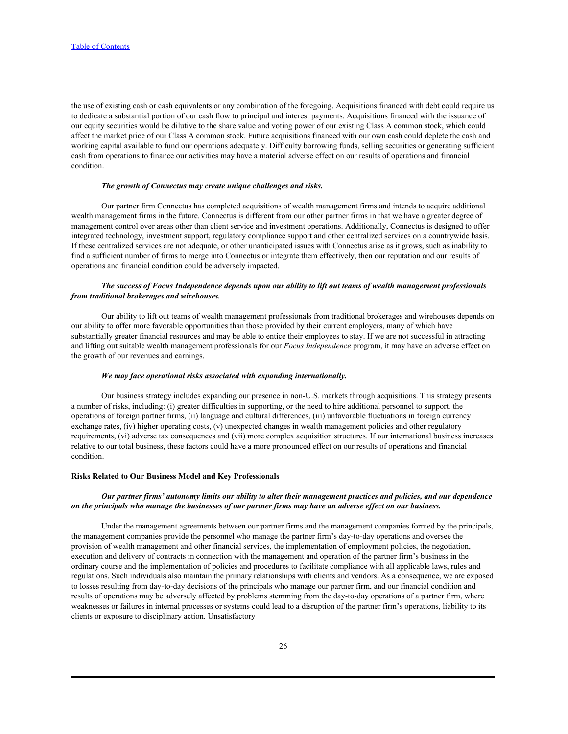the use of existing cash or cash equivalents or any combination of the foregoing. Acquisitions financed with debt could require us to dedicate a substantial portion of our cash flow to principal and interest payments. Acquisitions financed with the issuance of our equity securities would be dilutive to the share value and voting power of our existing Class A common stock, which could affect the market price of our Class A common stock. Future acquisitions financed with our own cash could deplete the cash and working capital available to fund our operations adequately. Difficulty borrowing funds, selling securities or generating sufficient cash from operations to finance our activities may have a material adverse effect on our results of operations and financial condition.

### *The growth of Connectus may create unique challenges and risks.*

Our partner firm Connectus has completed acquisitions of wealth management firms and intends to acquire additional wealth management firms in the future. Connectus is different from our other partner firms in that we have a greater degree of management control over areas other than client service and investment operations. Additionally, Connectus is designed to offer integrated technology, investment support, regulatory compliance support and other centralized services on a countrywide basis. If these centralized services are not adequate, or other unanticipated issues with Connectus arise as it grows, such as inability to find a sufficient number of firms to merge into Connectus or integrate them effectively, then our reputation and our results of operations and financial condition could be adversely impacted.

# *The success of Focus Independence depends upon our ability to lift out teams of wealth management professionals from traditional brokerages and wirehouses.*

Our ability to lift out teams of wealth management professionals from traditional brokerages and wirehouses depends on our ability to offer more favorable opportunities than those provided by their current employers, many of which have substantially greater financial resources and may be able to entice their employees to stay. If we are not successful in attracting and lifting out suitable wealth management professionals for our *Focus Independence* program, it may have an adverse effect on the growth of our revenues and earnings.

### *We may face operational risks associated with expanding internationally.*

Our business strategy includes expanding our presence in non-U.S. markets through acquisitions. This strategy presents a number of risks, including: (i) greater difficulties in supporting, or the need to hire additional personnel to support, the operations of foreign partner firms, (ii) language and cultural differences, (iii) unfavorable fluctuations in foreign currency exchange rates, (iv) higher operating costs, (v) unexpected changes in wealth management policies and other regulatory requirements, (vi) adverse tax consequences and (vii) more complex acquisition structures. If our international business increases relative to our total business, these factors could have a more pronounced effect on our results of operations and financial condition.

#### **Risks Related to Our Business Model and Key Professionals**

### *Our partner firms' autonomy limits our ability to alter their management practices and policies, and our dependence on the principals who manage the businesses of our partner firms may have an adverse effect on our business.*

Under the management agreements between our partner firms and the management companies formed by the principals, the management companies provide the personnel who manage the partner firm's day-to-day operations and oversee the provision of wealth management and other financial services, the implementation of employment policies, the negotiation, execution and delivery of contracts in connection with the management and operation of the partner firm's business in the ordinary course and the implementation of policies and procedures to facilitate compliance with all applicable laws, rules and regulations. Such individuals also maintain the primary relationships with clients and vendors. As a consequence, we are exposed to losses resulting from day-to-day decisions of the principals who manage our partner firm, and our financial condition and results of operations may be adversely affected by problems stemming from the day-to-day operations of a partner firm, where weaknesses or failures in internal processes or systems could lead to a disruption of the partner firm's operations, liability to its clients or exposure to disciplinary action. Unsatisfactory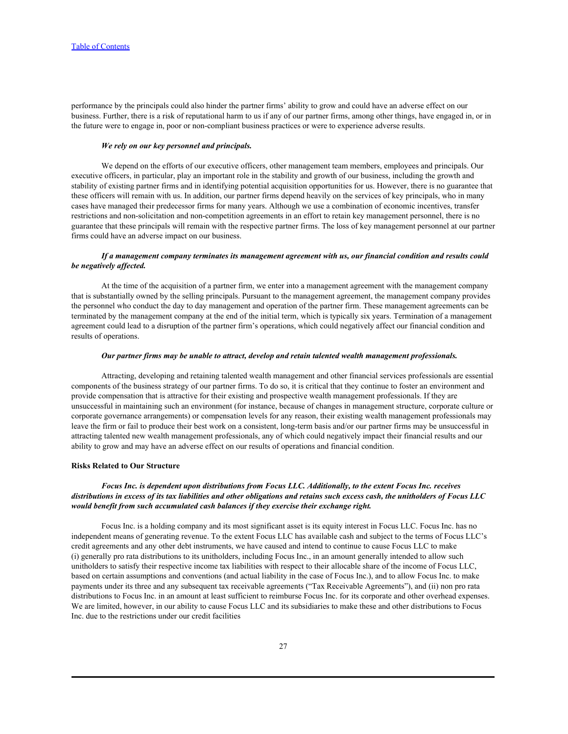performance by the principals could also hinder the partner firms' ability to grow and could have an adverse effect on our business. Further, there is a risk of reputational harm to us if any of our partner firms, among other things, have engaged in, or in the future were to engage in, poor or non-compliant business practices or were to experience adverse results.

### *We rely on our key personnel and principals.*

We depend on the efforts of our executive officers, other management team members, employees and principals. Our executive officers, in particular, play an important role in the stability and growth of our business, including the growth and stability of existing partner firms and in identifying potential acquisition opportunities for us. However, there is no guarantee that these officers will remain with us. In addition, our partner firms depend heavily on the services of key principals, who in many cases have managed their predecessor firms for many years. Although we use a combination of economic incentives, transfer restrictions and non-solicitation and non-competition agreements in an effort to retain key management personnel, there is no guarantee that these principals will remain with the respective partner firms. The loss of key management personnel at our partner firms could have an adverse impact on our business.

# *If a management company terminates its management agreement with us, our financial condition and results could be negatively affected.*

At the time of the acquisition of a partner firm, we enter into a management agreement with the management company that is substantially owned by the selling principals. Pursuant to the management agreement, the management company provides the personnel who conduct the day to day management and operation of the partner firm. These management agreements can be terminated by the management company at the end of the initial term, which is typically six years. Termination of a management agreement could lead to a disruption of the partner firm's operations, which could negatively affect our financial condition and results of operations.

#### *Our partner firms may be unable to attract, develop and retain talented wealth management professionals.*

Attracting, developing and retaining talented wealth management and other financial services professionals are essential components of the business strategy of our partner firms. To do so, it is critical that they continue to foster an environment and provide compensation that is attractive for their existing and prospective wealth management professionals. If they are unsuccessful in maintaining such an environment (for instance, because of changes in management structure, corporate culture or corporate governance arrangements) or compensation levels for any reason, their existing wealth management professionals may leave the firm or fail to produce their best work on a consistent, long-term basis and/or our partner firms may be unsuccessful in attracting talented new wealth management professionals, any of which could negatively impact their financial results and our ability to grow and may have an adverse effect on our results of operations and financial condition.

## **Risks Related to Our Structure**

# *Focus Inc. is dependent upon distributions from Focus LLC. Additionally, to the extent Focus Inc. receives distributions in excess of its tax liabilities and other obligations and retains such excess cash, the unitholders of Focus LLC would benefit from such accumulated cash balances if they exercise their exchange right.*

Focus Inc. is a holding company and its most significant asset is its equity interest in Focus LLC. Focus Inc. has no independent means of generating revenue. To the extent Focus LLC has available cash and subject to the terms of Focus LLC's credit agreements and any other debt instruments, we have caused and intend to continue to cause Focus LLC to make (i) generally pro rata distributions to its unitholders, including Focus Inc., in an amount generally intended to allow such unitholders to satisfy their respective income tax liabilities with respect to their allocable share of the income of Focus LLC, based on certain assumptions and conventions (and actual liability in the case of Focus Inc.), and to allow Focus Inc. to make payments under its three and any subsequent tax receivable agreements ("Tax Receivable Agreements"), and (ii) non pro rata distributions to Focus Inc. in an amount at least sufficient to reimburse Focus Inc. for its corporate and other overhead expenses. We are limited, however, in our ability to cause Focus LLC and its subsidiaries to make these and other distributions to Focus Inc. due to the restrictions under our credit facilities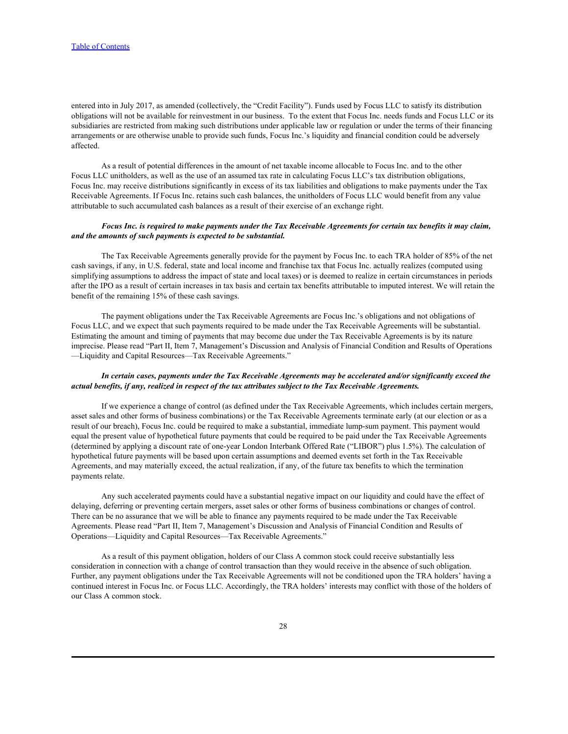entered into in July 2017, as amended (collectively, the "Credit Facility"). Funds used by Focus LLC to satisfy its distribution obligations will not be available for reinvestment in our business. To the extent that Focus Inc. needs funds and Focus LLC or its subsidiaries are restricted from making such distributions under applicable law or regulation or under the terms of their financing arrangements or are otherwise unable to provide such funds, Focus Inc.'s liquidity and financial condition could be adversely affected.

As a result of potential differences in the amount of net taxable income allocable to Focus Inc. and to the other Focus LLC unitholders, as well as the use of an assumed tax rate in calculating Focus LLC's tax distribution obligations, Focus Inc. may receive distributions significantly in excess of its tax liabilities and obligations to make payments under the Tax Receivable Agreements. If Focus Inc. retains such cash balances, the unitholders of Focus LLC would benefit from any value attributable to such accumulated cash balances as a result of their exercise of an exchange right.

### *Focus Inc. is required to make payments under the Tax Receivable Agreements for certain tax benefits it may claim, and the amounts of such payments is expected to be substantial.*

The Tax Receivable Agreements generally provide for the payment by Focus Inc. to each TRA holder of 85% of the net cash savings, if any, in U.S. federal, state and local income and franchise tax that Focus Inc. actually realizes (computed using simplifying assumptions to address the impact of state and local taxes) or is deemed to realize in certain circumstances in periods after the IPO as a result of certain increases in tax basis and certain tax benefits attributable to imputed interest. We will retain the benefit of the remaining 15% of these cash savings.

The payment obligations under the Tax Receivable Agreements are Focus Inc.'s obligations and not obligations of Focus LLC, and we expect that such payments required to be made under the Tax Receivable Agreements will be substantial. Estimating the amount and timing of payments that may become due under the Tax Receivable Agreements is by its nature imprecise. Please read "Part II, Item 7, Management's Discussion and Analysis of Financial Condition and Results of Operations —Liquidity and Capital Resources—Tax Receivable Agreements."

## *In certain cases, payments under the Tax Receivable Agreements may be accelerated and/or significantly exceed the actual benefits, if any, realized in respect of the tax attributes subject to the Tax Receivable Agreements.*

If we experience a change of control (as defined under the Tax Receivable Agreements, which includes certain mergers, asset sales and other forms of business combinations) or the Tax Receivable Agreements terminate early (at our election or as a result of our breach), Focus Inc. could be required to make a substantial, immediate lump-sum payment. This payment would equal the present value of hypothetical future payments that could be required to be paid under the Tax Receivable Agreements (determined by applying a discount rate of one-year London Interbank Offered Rate ("LIBOR") plus 1.5%). The calculation of hypothetical future payments will be based upon certain assumptions and deemed events set forth in the Tax Receivable Agreements, and may materially exceed, the actual realization, if any, of the future tax benefits to which the termination payments relate.

Any such accelerated payments could have a substantial negative impact on our liquidity and could have the effect of delaying, deferring or preventing certain mergers, asset sales or other forms of business combinations or changes of control. There can be no assurance that we will be able to finance any payments required to be made under the Tax Receivable Agreements. Please read "Part II, Item 7, Management's Discussion and Analysis of Financial Condition and Results of Operations—Liquidity and Capital Resources—Tax Receivable Agreements."

As a result of this payment obligation, holders of our Class A common stock could receive substantially less consideration in connection with a change of control transaction than they would receive in the absence of such obligation. Further, any payment obligations under the Tax Receivable Agreements will not be conditioned upon the TRA holders' having a continued interest in Focus Inc. or Focus LLC. Accordingly, the TRA holders' interests may conflict with those of the holders of our Class A common stock.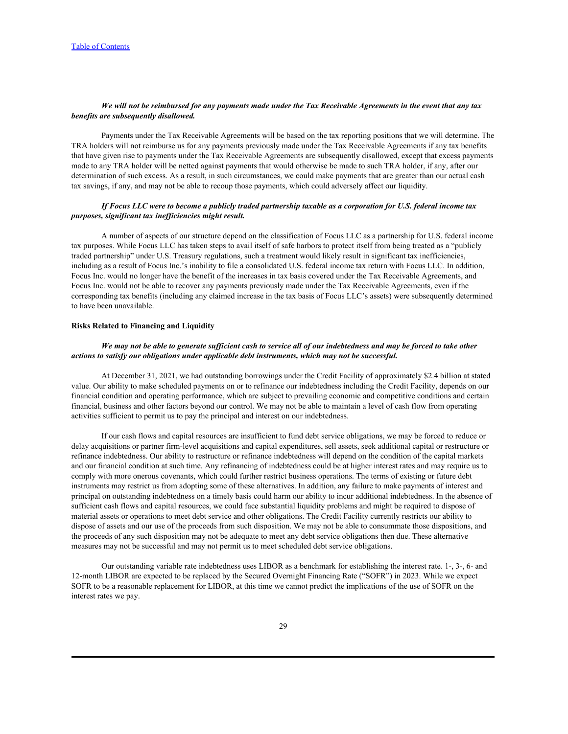# *We will not be reimbursed for any payments made under the Tax Receivable Agreements in the event that any tax benefits are subsequently disallowed.*

Payments under the Tax Receivable Agreements will be based on the tax reporting positions that we will determine. The TRA holders will not reimburse us for any payments previously made under the Tax Receivable Agreements if any tax benefits that have given rise to payments under the Tax Receivable Agreements are subsequently disallowed, except that excess payments made to any TRA holder will be netted against payments that would otherwise be made to such TRA holder, if any, after our determination of such excess. As a result, in such circumstances, we could make payments that are greater than our actual cash tax savings, if any, and may not be able to recoup those payments, which could adversely affect our liquidity.

# *If Focus LLC were to become a publicly traded partnership taxable as a corporation for U.S. federal income tax purposes, significant tax inefficiencies might result.*

A number of aspects of our structure depend on the classification of Focus LLC as a partnership for U.S. federal income tax purposes. While Focus LLC has taken steps to avail itself of safe harbors to protect itself from being treated as a "publicly traded partnership" under U.S. Treasury regulations, such a treatment would likely result in significant tax inefficiencies, including as a result of Focus Inc.'s inability to file a consolidated U.S. federal income tax return with Focus LLC. In addition, Focus Inc. would no longer have the benefit of the increases in tax basis covered under the Tax Receivable Agreements, and Focus Inc. would not be able to recover any payments previously made under the Tax Receivable Agreements, even if the corresponding tax benefits (including any claimed increase in the tax basis of Focus LLC's assets) were subsequently determined to have been unavailable.

### **Risks Related to Financing and Liquidity**

# *We may not be able to generate sufficient cash to service all of our indebtedness and may be forced to take other actions to satisfy our obligations under applicable debt instruments, which may not be successful.*

At December 31, 2021, we had outstanding borrowings under the Credit Facility of approximately \$2.4 billion at stated value. Our ability to make scheduled payments on or to refinance our indebtedness including the Credit Facility, depends on our financial condition and operating performance, which are subject to prevailing economic and competitive conditions and certain financial, business and other factors beyond our control. We may not be able to maintain a level of cash flow from operating activities sufficient to permit us to pay the principal and interest on our indebtedness.

If our cash flows and capital resources are insufficient to fund debt service obligations, we may be forced to reduce or delay acquisitions or partner firm-level acquisitions and capital expenditures, sell assets, seek additional capital or restructure or refinance indebtedness. Our ability to restructure or refinance indebtedness will depend on the condition of the capital markets and our financial condition at such time. Any refinancing of indebtedness could be at higher interest rates and may require us to comply with more onerous covenants, which could further restrict business operations. The terms of existing or future debt instruments may restrict us from adopting some of these alternatives. In addition, any failure to make payments of interest and principal on outstanding indebtedness on a timely basis could harm our ability to incur additional indebtedness. In the absence of sufficient cash flows and capital resources, we could face substantial liquidity problems and might be required to dispose of material assets or operations to meet debt service and other obligations. The Credit Facility currently restricts our ability to dispose of assets and our use of the proceeds from such disposition. We may not be able to consummate those dispositions, and the proceeds of any such disposition may not be adequate to meet any debt service obligations then due. These alternative measures may not be successful and may not permit us to meet scheduled debt service obligations.

Our outstanding variable rate indebtedness uses LIBOR as a benchmark for establishing the interest rate. 1-, 3-, 6- and 12-month LIBOR are expected to be replaced by the Secured Overnight Financing Rate ("SOFR") in 2023. While we expect SOFR to be a reasonable replacement for LIBOR, at this time we cannot predict the implications of the use of SOFR on the interest rates we pay.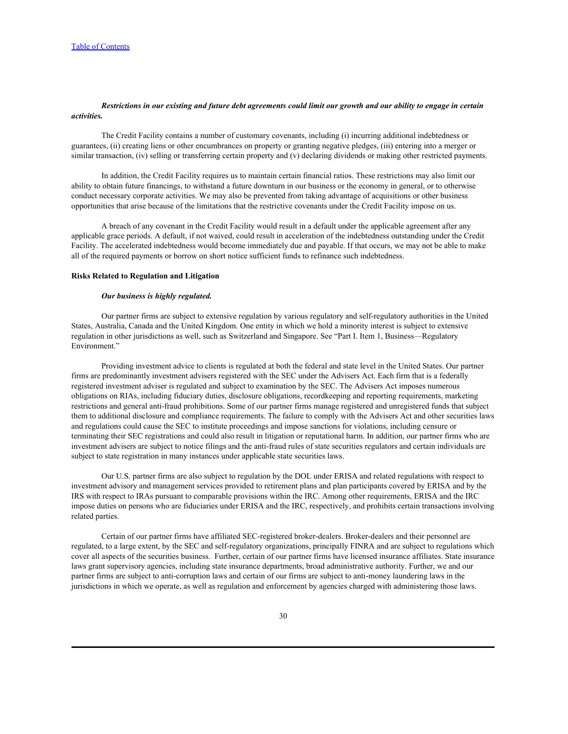# *Restrictions in our existing and future debt agreements could limit our growth and our ability to engage in certain activities.*

The Credit Facility contains a number of customary covenants, including (i) incurring additional indebtedness or guarantees, (ii) creating liens or other encumbrances on property or granting negative pledges, (iii) entering into a merger or similar transaction, (iv) selling or transferring certain property and (v) declaring dividends or making other restricted payments.

In addition, the Credit Facility requires us to maintain certain financial ratios. These restrictions may also limit our ability to obtain future financings, to withstand a future downturn in our business or the economy in general, or to otherwise conduct necessary corporate activities. We may also be prevented from taking advantage of acquisitions or other business opportunities that arise because of the limitations that the restrictive covenants under the Credit Facility impose on us.

A breach of any covenant in the Credit Facility would result in a default under the applicable agreement after any applicable grace periods. A default, if not waived, could result in acceleration of the indebtedness outstanding under the Credit Facility. The accelerated indebtedness would become immediately due and payable. If that occurs, we may not be able to make all of the required payments or borrow on short notice sufficient funds to refinance such indebtedness.

### **Risks Related to Regulation and Litigation**

### *Our business is highly regulated.*

Our partner firms are subject to extensive regulation by various regulatory and self-regulatory authorities in the United States, Australia, Canada and the United Kingdom. One entity in which we hold a minority interest is subject to extensive regulation in other jurisdictions as well, such as Switzerland and Singapore. See "Part I. Item 1, Business—Regulatory Environment."

Providing investment advice to clients is regulated at both the federal and state level in the United States. Our partner firms are predominantly investment advisers registered with the SEC under the Advisers Act. Each firm that is a federally registered investment adviser is regulated and subject to examination by the SEC. The Advisers Act imposes numerous obligations on RIAs, including fiduciary duties, disclosure obligations, recordkeeping and reporting requirements, marketing restrictions and general anti-fraud prohibitions. Some of our partner firms manage registered and unregistered funds that subject them to additional disclosure and compliance requirements. The failure to comply with the Advisers Act and other securities laws and regulations could cause the SEC to institute proceedings and impose sanctions for violations, including censure or terminating their SEC registrations and could also result in litigation or reputational harm. In addition, our partner firms who are investment advisers are subject to notice filings and the anti-fraud rules of state securities regulators and certain individuals are subject to state registration in many instances under applicable state securities laws.

Our U.S. partner firms are also subject to regulation by the DOL under ERISA and related regulations with respect to investment advisory and management services provided to retirement plans and plan participants covered by ERISA and by the IRS with respect to IRAs pursuant to comparable provisions within the IRC. Among other requirements, ERISA and the IRC impose duties on persons who are fiduciaries under ERISA and the IRC, respectively, and prohibits certain transactions involving related parties.

Certain of our partner firms have affiliated SEC-registered broker-dealers. Broker-dealers and their personnel are regulated, to a large extent, by the SEC and self-regulatory organizations, principally FINRA and are subject to regulations which cover all aspects of the securities business. Further, certain of our partner firms have licensed insurance affiliates. State insurance laws grant supervisory agencies, including state insurance departments, broad administrative authority. Further, we and our partner firms are subject to anti-corruption laws and certain of our firms are subject to anti-money laundering laws in the jurisdictions in which we operate, as well as regulation and enforcement by agencies charged with administering those laws.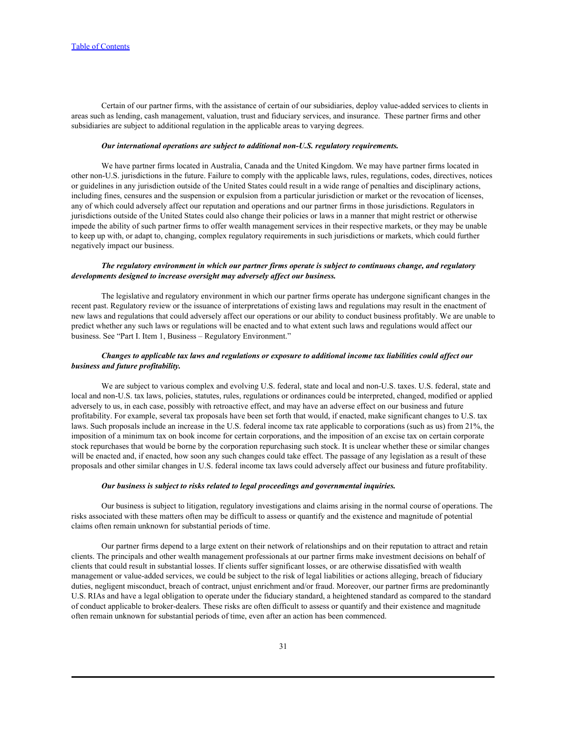Certain of our partner firms, with the assistance of certain of our subsidiaries, deploy value-added services to clients in areas such as lending, cash management, valuation, trust and fiduciary services, and insurance. These partner firms and other subsidiaries are subject to additional regulation in the applicable areas to varying degrees.

### *Our international operations are subject to additional non-U.S. regulatory requirements.*

We have partner firms located in Australia, Canada and the United Kingdom. We may have partner firms located in other non-U.S. jurisdictions in the future. Failure to comply with the applicable laws, rules, regulations, codes, directives, notices or guidelines in any jurisdiction outside of the United States could result in a wide range of penalties and disciplinary actions, including fines, censures and the suspension or expulsion from a particular jurisdiction or market or the revocation of licenses, any of which could adversely affect our reputation and operations and our partner firms in those jurisdictions. Regulators in jurisdictions outside of the United States could also change their policies or laws in a manner that might restrict or otherwise impede the ability of such partner firms to offer wealth management services in their respective markets, or they may be unable to keep up with, or adapt to, changing, complex regulatory requirements in such jurisdictions or markets, which could further negatively impact our business.

# *The regulatory environment in which our partner firms operate is subject to continuous change, and regulatory developments designed to increase oversight may adversely affect our business.*

The legislative and regulatory environment in which our partner firms operate has undergone significant changes in the recent past. Regulatory review or the issuance of interpretations of existing laws and regulations may result in the enactment of new laws and regulations that could adversely affect our operations or our ability to conduct business profitably. We are unable to predict whether any such laws or regulations will be enacted and to what extent such laws and regulations would affect our business. See "Part I. Item 1, Business – Regulatory Environment."

# *Changes to applicable tax laws and regulations or exposure to additional income tax liabilities could affect our business and future profitability.*

We are subject to various complex and evolving U.S. federal, state and local and non-U.S. taxes. U.S. federal, state and local and non-U.S. tax laws, policies, statutes, rules, regulations or ordinances could be interpreted, changed, modified or applied adversely to us, in each case, possibly with retroactive effect, and may have an adverse effect on our business and future profitability. For example, several tax proposals have been set forth that would, if enacted, make significant changes to U.S. tax laws. Such proposals include an increase in the U.S. federal income tax rate applicable to corporations (such as us) from 21%, the imposition of a minimum tax on book income for certain corporations, and the imposition of an excise tax on certain corporate stock repurchases that would be borne by the corporation repurchasing such stock. It is unclear whether these or similar changes will be enacted and, if enacted, how soon any such changes could take effect. The passage of any legislation as a result of these proposals and other similar changes in U.S. federal income tax laws could adversely affect our business and future profitability.

#### *Our business is subject to risks related to legal proceedings and governmental inquiries.*

Our business is subject to litigation, regulatory investigations and claims arising in the normal course of operations. The risks associated with these matters often may be difficult to assess or quantify and the existence and magnitude of potential claims often remain unknown for substantial periods of time.

Our partner firms depend to a large extent on their network of relationships and on their reputation to attract and retain clients. The principals and other wealth management professionals at our partner firms make investment decisions on behalf of clients that could result in substantial losses. If clients suffer significant losses, or are otherwise dissatisfied with wealth management or value-added services, we could be subject to the risk of legal liabilities or actions alleging, breach of fiduciary duties, negligent misconduct, breach of contract, unjust enrichment and/or fraud. Moreover, our partner firms are predominantly U.S. RIAs and have a legal obligation to operate under the fiduciary standard, a heightened standard as compared to the standard of conduct applicable to broker-dealers. These risks are often difficult to assess or quantify and their existence and magnitude often remain unknown for substantial periods of time, even after an action has been commenced.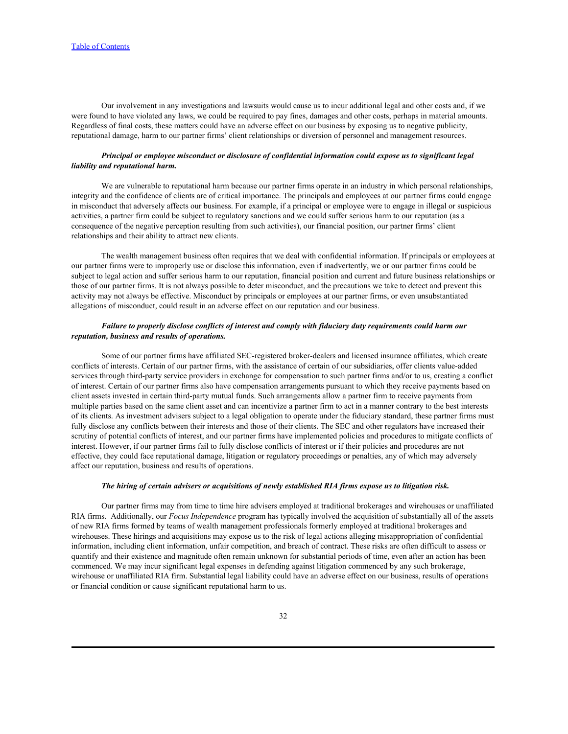Our involvement in any investigations and lawsuits would cause us to incur additional legal and other costs and, if we were found to have violated any laws, we could be required to pay fines, damages and other costs, perhaps in material amounts. Regardless of final costs, these matters could have an adverse effect on our business by exposing us to negative publicity, reputational damage, harm to our partner firms' client relationships or diversion of personnel and management resources.

# *Principal or employee misconduct or disclosure of confidential information could expose us to significant legal liability and reputational harm.*

We are vulnerable to reputational harm because our partner firms operate in an industry in which personal relationships, integrity and the confidence of clients are of critical importance. The principals and employees at our partner firms could engage in misconduct that adversely affects our business. For example, if a principal or employee were to engage in illegal or suspicious activities, a partner firm could be subject to regulatory sanctions and we could suffer serious harm to our reputation (as a consequence of the negative perception resulting from such activities), our financial position, our partner firms' client relationships and their ability to attract new clients.

The wealth management business often requires that we deal with confidential information. If principals or employees at our partner firms were to improperly use or disclose this information, even if inadvertently, we or our partner firms could be subject to legal action and suffer serious harm to our reputation, financial position and current and future business relationships or those of our partner firms. It is not always possible to deter misconduct, and the precautions we take to detect and prevent this activity may not always be effective. Misconduct by principals or employees at our partner firms, or even unsubstantiated allegations of misconduct, could result in an adverse effect on our reputation and our business.

# *Failure to properly disclose conflicts of interest and comply with fiduciary duty requirements could harm our reputation, business and results of operations.*

Some of our partner firms have affiliated SEC-registered broker-dealers and licensed insurance affiliates, which create conflicts of interests. Certain of our partner firms, with the assistance of certain of our subsidiaries, offer clients value-added services through third-party service providers in exchange for compensation to such partner firms and/or to us, creating a conflict of interest. Certain of our partner firms also have compensation arrangements pursuant to which they receive payments based on client assets invested in certain third-party mutual funds. Such arrangements allow a partner firm to receive payments from multiple parties based on the same client asset and can incentivize a partner firm to act in a manner contrary to the best interests of its clients. As investment advisers subject to a legal obligation to operate under the fiduciary standard, these partner firms must fully disclose any conflicts between their interests and those of their clients. The SEC and other regulators have increased their scrutiny of potential conflicts of interest, and our partner firms have implemented policies and procedures to mitigate conflicts of interest. However, if our partner firms fail to fully disclose conflicts of interest or if their policies and procedures are not effective, they could face reputational damage, litigation or regulatory proceedings or penalties, any of which may adversely affect our reputation, business and results of operations.

### *The hiring of certain advisers or acquisitions of newly established RIA firms expose us to litigation risk.*

Our partner firms may from time to time hire advisers employed at traditional brokerages and wirehouses or unaffiliated RIA firms. Additionally, our *Focus Independence* program has typically involved the acquisition of substantially all of the assets of new RIA firms formed by teams of wealth management professionals formerly employed at traditional brokerages and wirehouses. These hirings and acquisitions may expose us to the risk of legal actions alleging misappropriation of confidential information, including client information, unfair competition, and breach of contract. These risks are often difficult to assess or quantify and their existence and magnitude often remain unknown for substantial periods of time, even after an action has been commenced. We may incur significant legal expenses in defending against litigation commenced by any such brokerage, wirehouse or unaffiliated RIA firm. Substantial legal liability could have an adverse effect on our business, results of operations or financial condition or cause significant reputational harm to us.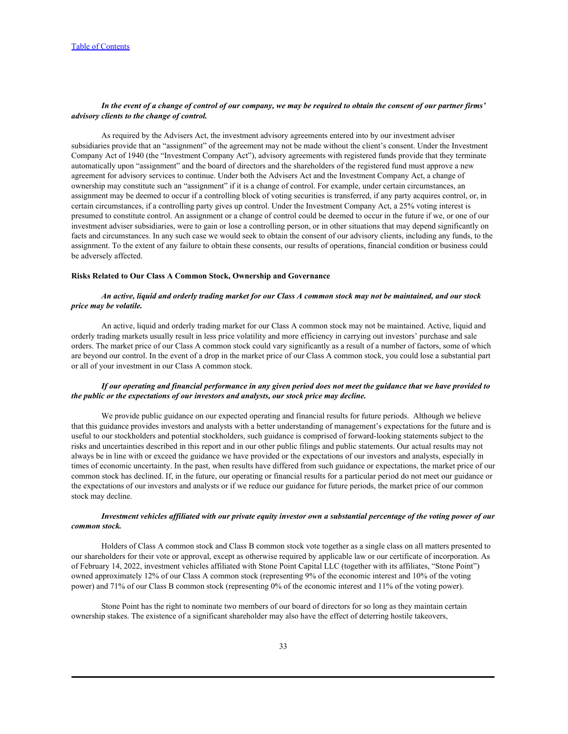# *In the event of a change of control of our company, we may be required to obtain the consent of our partner firms' advisory clients to the change of control.*

As required by the Advisers Act, the investment advisory agreements entered into by our investment adviser subsidiaries provide that an "assignment" of the agreement may not be made without the client's consent. Under the Investment Company Act of 1940 (the "Investment Company Act"), advisory agreements with registered funds provide that they terminate automatically upon "assignment" and the board of directors and the shareholders of the registered fund must approve a new agreement for advisory services to continue. Under both the Advisers Act and the Investment Company Act, a change of ownership may constitute such an "assignment" if it is a change of control. For example, under certain circumstances, an assignment may be deemed to occur if a controlling block of voting securities is transferred, if any party acquires control, or, in certain circumstances, if a controlling party gives up control. Under the Investment Company Act, a 25% voting interest is presumed to constitute control. An assignment or a change of control could be deemed to occur in the future if we, or one of our investment adviser subsidiaries, were to gain or lose a controlling person, or in other situations that may depend significantly on facts and circumstances. In any such case we would seek to obtain the consent of our advisory clients, including any funds, to the assignment. To the extent of any failure to obtain these consents, our results of operations, financial condition or business could be adversely affected.

### **Risks Related to Our Class A Common Stock, Ownership and Governance**

# *An active, liquid and orderly trading market for our Class A common stock may not be maintained, and our stock price may be volatile.*

An active, liquid and orderly trading market for our Class A common stock may not be maintained. Active, liquid and orderly trading markets usually result in less price volatility and more efficiency in carrying out investors' purchase and sale orders. The market price of our Class A common stock could vary significantly as a result of a number of factors, some of which are beyond our control. In the event of a drop in the market price of our Class A common stock, you could lose a substantial part or all of your investment in our Class A common stock.

# *If our operating and financial performance in any given period does not meet the guidance that we have provided to the public or the expectations of our investors and analysts, our stock price may decline.*

We provide public guidance on our expected operating and financial results for future periods. Although we believe that this guidance provides investors and analysts with a better understanding of management's expectations for the future and is useful to our stockholders and potential stockholders, such guidance is comprised of forward-looking statements subject to the risks and uncertainties described in this report and in our other public filings and public statements. Our actual results may not always be in line with or exceed the guidance we have provided or the expectations of our investors and analysts, especially in times of economic uncertainty. In the past, when results have differed from such guidance or expectations, the market price of our common stock has declined. If, in the future, our operating or financial results for a particular period do not meet our guidance or the expectations of our investors and analysts or if we reduce our guidance for future periods, the market price of our common stock may decline.

# *Investment vehicles affiliated with our private equity investor own a substantial percentage of the voting power of our common stock.*

Holders of Class A common stock and Class B common stock vote together as a single class on all matters presented to our shareholders for their vote or approval, except as otherwise required by applicable law or our certificate of incorporation. As of February 14, 2022, investment vehicles affiliated with Stone Point Capital LLC (together with its affiliates, "Stone Point") owned approximately 12% of our Class A common stock (representing 9% of the economic interest and 10% of the voting power) and 71% of our Class B common stock (representing 0% of the economic interest and 11% of the voting power).

Stone Point has the right to nominate two members of our board of directors for so long as they maintain certain ownership stakes. The existence of a significant shareholder may also have the effect of deterring hostile takeovers,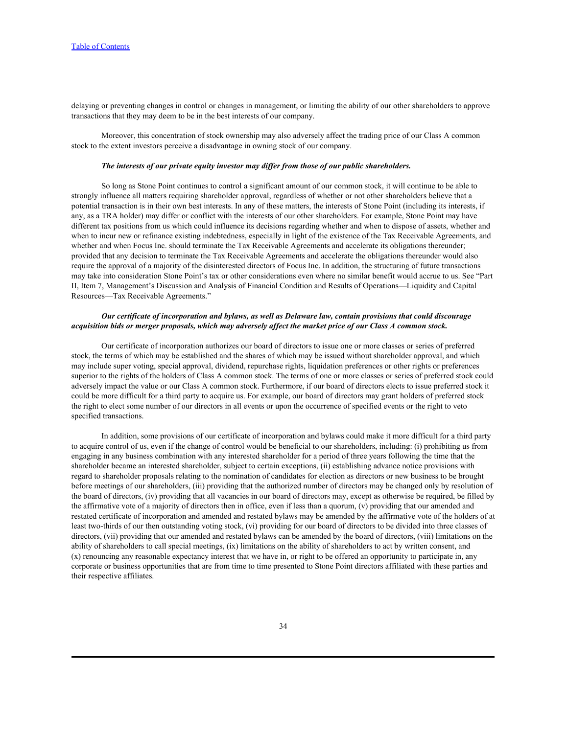delaying or preventing changes in control or changes in management, or limiting the ability of our other shareholders to approve transactions that they may deem to be in the best interests of our company.

Moreover, this concentration of stock ownership may also adversely affect the trading price of our Class A common stock to the extent investors perceive a disadvantage in owning stock of our company.

### *The interests of our private equity investor may differ from those of our public shareholders.*

So long as Stone Point continues to control a significant amount of our common stock, it will continue to be able to strongly influence all matters requiring shareholder approval, regardless of whether or not other shareholders believe that a potential transaction is in their own best interests. In any of these matters, the interests of Stone Point (including its interests, if any, as a TRA holder) may differ or conflict with the interests of our other shareholders. For example, Stone Point may have different tax positions from us which could influence its decisions regarding whether and when to dispose of assets, whether and when to incur new or refinance existing indebtedness, especially in light of the existence of the Tax Receivable Agreements, and whether and when Focus Inc. should terminate the Tax Receivable Agreements and accelerate its obligations thereunder; provided that any decision to terminate the Tax Receivable Agreements and accelerate the obligations thereunder would also require the approval of a majority of the disinterested directors of Focus Inc. In addition, the structuring of future transactions may take into consideration Stone Point's tax or other considerations even where no similar benefit would accrue to us. See "Part II, Item 7, Management's Discussion and Analysis of Financial Condition and Results of Operations—Liquidity and Capital Resources—Tax Receivable Agreements."

# *Our certificate of incorporation and bylaws, as well as Delaware law, contain provisions that could discourage acquisition bids or merger proposals, which may adversely affect the market price of our Class A common stock.*

Our certificate of incorporation authorizes our board of directors to issue one or more classes or series of preferred stock, the terms of which may be established and the shares of which may be issued without shareholder approval, and which may include super voting, special approval, dividend, repurchase rights, liquidation preferences or other rights or preferences superior to the rights of the holders of Class A common stock. The terms of one or more classes or series of preferred stock could adversely impact the value or our Class A common stock. Furthermore, if our board of directors elects to issue preferred stock it could be more difficult for a third party to acquire us. For example, our board of directors may grant holders of preferred stock the right to elect some number of our directors in all events or upon the occurrence of specified events or the right to veto specified transactions.

In addition, some provisions of our certificate of incorporation and bylaws could make it more difficult for a third party to acquire control of us, even if the change of control would be beneficial to our shareholders, including: (i) prohibiting us from engaging in any business combination with any interested shareholder for a period of three years following the time that the shareholder became an interested shareholder, subject to certain exceptions, (ii) establishing advance notice provisions with regard to shareholder proposals relating to the nomination of candidates for election as directors or new business to be brought before meetings of our shareholders, (iii) providing that the authorized number of directors may be changed only by resolution of the board of directors, (iv) providing that all vacancies in our board of directors may, except as otherwise be required, be filled by the affirmative vote of a majority of directors then in office, even if less than a quorum, (v) providing that our amended and restated certificate of incorporation and amended and restated bylaws may be amended by the affirmative vote of the holders of at least two-thirds of our then outstanding voting stock, (vi) providing for our board of directors to be divided into three classes of directors, (vii) providing that our amended and restated bylaws can be amended by the board of directors, (viii) limitations on the ability of shareholders to call special meetings, (ix) limitations on the ability of shareholders to act by written consent, and (x) renouncing any reasonable expectancy interest that we have in, or right to be offered an opportunity to participate in, any corporate or business opportunities that are from time to time presented to Stone Point directors affiliated with these parties and their respective affiliates.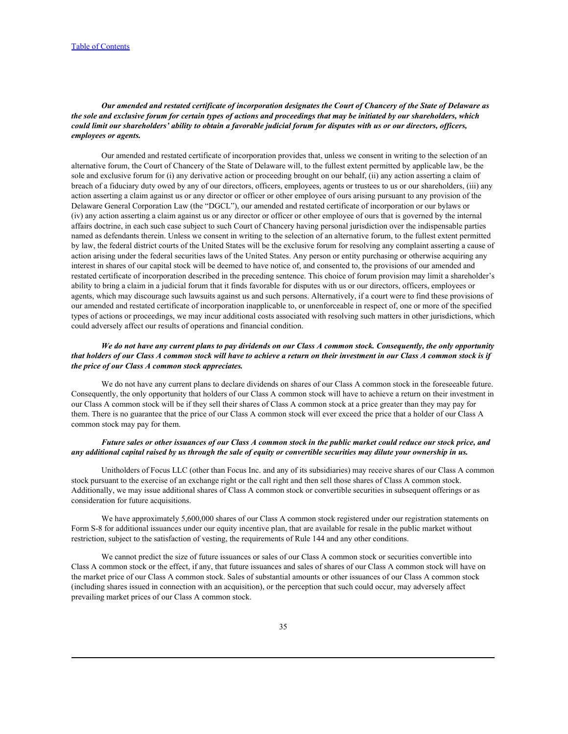# *Our amended and restated certificate of incorporation designates the Court of Chancery of the State of Delaware as the sole and exclusive forum for certain types of actions and proceedings that may be initiated by our shareholders, which could limit our shareholders' ability to obtain a favorable judicial forum for disputes with us or our directors, officers, employees or agents.*

Our amended and restated certificate of incorporation provides that, unless we consent in writing to the selection of an alternative forum, the Court of Chancery of the State of Delaware will, to the fullest extent permitted by applicable law, be the sole and exclusive forum for (i) any derivative action or proceeding brought on our behalf, (ii) any action asserting a claim of breach of a fiduciary duty owed by any of our directors, officers, employees, agents or trustees to us or our shareholders, (iii) any action asserting a claim against us or any director or officer or other employee of ours arising pursuant to any provision of the Delaware General Corporation Law (the "DGCL"), our amended and restated certificate of incorporation or our bylaws or (iv) any action asserting a claim against us or any director or officer or other employee of ours that is governed by the internal affairs doctrine, in each such case subject to such Court of Chancery having personal jurisdiction over the indispensable parties named as defendants therein. Unless we consent in writing to the selection of an alternative forum, to the fullest extent permitted by law, the federal district courts of the United States will be the exclusive forum for resolving any complaint asserting a cause of action arising under the federal securities laws of the United States. Any person or entity purchasing or otherwise acquiring any interest in shares of our capital stock will be deemed to have notice of, and consented to, the provisions of our amended and restated certificate of incorporation described in the preceding sentence. This choice of forum provision may limit a shareholder's ability to bring a claim in a judicial forum that it finds favorable for disputes with us or our directors, officers, employees or agents, which may discourage such lawsuits against us and such persons. Alternatively, if a court were to find these provisions of our amended and restated certificate of incorporation inapplicable to, or unenforceable in respect of, one or more of the specified types of actions or proceedings, we may incur additional costs associated with resolving such matters in other jurisdictions, which could adversely affect our results of operations and financial condition.

# *We do not have any current plans to pay dividends on our Class A common stock. Consequently, the only opportunity that holders of our Class A common stock will have to achieve a return on their investment in our Class A common stock is if the price of our Class A common stock appreciates.*

We do not have any current plans to declare dividends on shares of our Class A common stock in the foreseeable future. Consequently, the only opportunity that holders of our Class A common stock will have to achieve a return on their investment in our Class A common stock will be if they sell their shares of Class A common stock at a price greater than they may pay for them. There is no guarantee that the price of our Class A common stock will ever exceed the price that a holder of our Class A common stock may pay for them.

# *Future sales or other issuances of our Class A common stock in the public market could reduce our stock price, and any additional capital raised by us through the sale of equity or convertible securities may dilute your ownership in us.*

Unitholders of Focus LLC (other than Focus Inc. and any of its subsidiaries) may receive shares of our Class A common stock pursuant to the exercise of an exchange right or the call right and then sell those shares of Class A common stock. Additionally, we may issue additional shares of Class A common stock or convertible securities in subsequent offerings or as consideration for future acquisitions.

We have approximately 5,600,000 shares of our Class A common stock registered under our registration statements on Form S-8 for additional issuances under our equity incentive plan, that are available for resale in the public market without restriction, subject to the satisfaction of vesting, the requirements of Rule 144 and any other conditions.

We cannot predict the size of future issuances or sales of our Class A common stock or securities convertible into Class A common stock or the effect, if any, that future issuances and sales of shares of our Class A common stock will have on the market price of our Class A common stock. Sales of substantial amounts or other issuances of our Class A common stock (including shares issued in connection with an acquisition), or the perception that such could occur, may adversely affect prevailing market prices of our Class A common stock.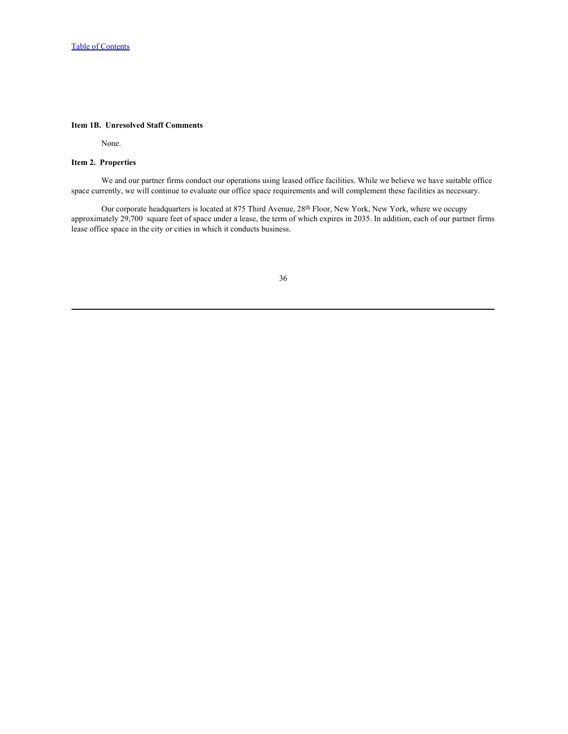## **Item 1B. Unresolved Staff Comments**

None.

# **Item 2. Properties**

We and our partner firms conduct our operations using leased office facilities. While we believe we have suitable office space currently, we will continue to evaluate our office space requirements and will complement these facilities as necessary.

Our corporate headquarters is located at 875 Third Avenue, 28th Floor, New York, New York, where we occupy approximately 29,700 square feet of space under a lease, the term of which expires in 2035. In addition, each of our partner firms lease office space in the city or cities in which it conducts business.

36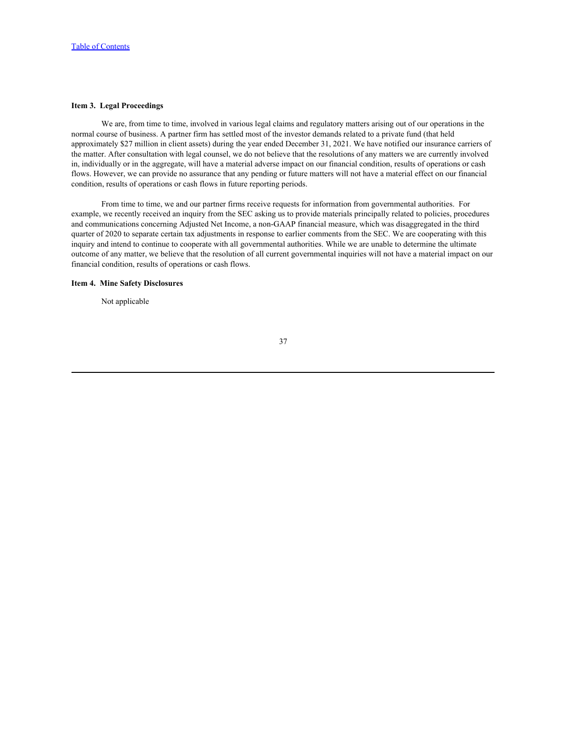# **Item 3. Legal Proceedings**

We are, from time to time, involved in various legal claims and regulatory matters arising out of our operations in the normal course of business. A partner firm has settled most of the investor demands related to a private fund (that held approximately \$27 million in client assets) during the year ended December 31, 2021. We have notified our insurance carriers of the matter. After consultation with legal counsel, we do not believe that the resolutions of any matters we are currently involved in, individually or in the aggregate, will have a material adverse impact on our financial condition, results of operations or cash flows. However, we can provide no assurance that any pending or future matters will not have a material effect on our financial condition, results of operations or cash flows in future reporting periods.

From time to time, we and our partner firms receive requests for information from governmental authorities. For example, we recently received an inquiry from the SEC asking us to provide materials principally related to policies, procedures and communications concerning Adjusted Net Income, a non-GAAP financial measure, which was disaggregated in the third quarter of 2020 to separate certain tax adjustments in response to earlier comments from the SEC. We are cooperating with this inquiry and intend to continue to cooperate with all governmental authorities. While we are unable to determine the ultimate outcome of any matter, we believe that the resolution of all current governmental inquiries will not have a material impact on our financial condition, results of operations or cash flows.

## **Item 4. Mine Safety Disclosures**

Not applicable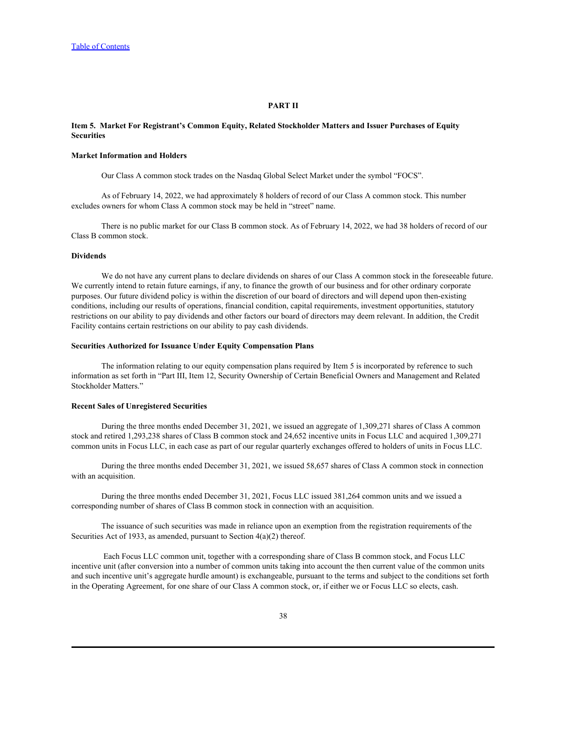# **PART II**

## **Item 5. Market For Registrant's Common Equity, Related Stockholder Matters and Issuer Purchases of Equity Securities**

#### **Market Information and Holders**

Our Class A common stock trades on the Nasdaq Global Select Market under the symbol "FOCS".

As of February 14, 2022, we had approximately 8 holders of record of our Class A common stock. This number excludes owners for whom Class A common stock may be held in "street" name.

There is no public market for our Class B common stock. As of February 14, 2022, we had 38 holders of record of our Class B common stock.

## **Dividends**

We do not have any current plans to declare dividends on shares of our Class A common stock in the foreseeable future. We currently intend to retain future earnings, if any, to finance the growth of our business and for other ordinary corporate purposes. Our future dividend policy is within the discretion of our board of directors and will depend upon then-existing conditions, including our results of operations, financial condition, capital requirements, investment opportunities, statutory restrictions on our ability to pay dividends and other factors our board of directors may deem relevant. In addition, the Credit Facility contains certain restrictions on our ability to pay cash dividends.

#### **Securities Authorized for Issuance Under Equity Compensation Plans**

The information relating to our equity compensation plans required by Item 5 is incorporated by reference to such information as set forth in "Part III, Item 12, Security Ownership of Certain Beneficial Owners and Management and Related Stockholder Matters."

## **Recent Sales of Unregistered Securities**

During the three months ended December 31, 2021, we issued an aggregate of 1,309,271 shares of Class A common stock and retired 1,293,238 shares of Class B common stock and 24,652 incentive units in Focus LLC and acquired 1,309,271 common units in Focus LLC, in each case as part of our regular quarterly exchanges offered to holders of units in Focus LLC.

During the three months ended December 31, 2021, we issued 58,657 shares of Class A common stock in connection with an acquisition.

During the three months ended December 31, 2021, Focus LLC issued 381,264 common units and we issued a corresponding number of shares of Class B common stock in connection with an acquisition.

The issuance of such securities was made in reliance upon an exemption from the registration requirements of the Securities Act of 1933, as amended, pursuant to Section 4(a)(2) thereof.

 Each Focus LLC common unit, together with a corresponding share of Class B common stock, and Focus LLC incentive unit (after conversion into a number of common units taking into account the then current value of the common units and such incentive unit's aggregate hurdle amount) is exchangeable, pursuant to the terms and subject to the conditions set forth in the Operating Agreement, for one share of our Class A common stock, or, if either we or Focus LLC so elects, cash.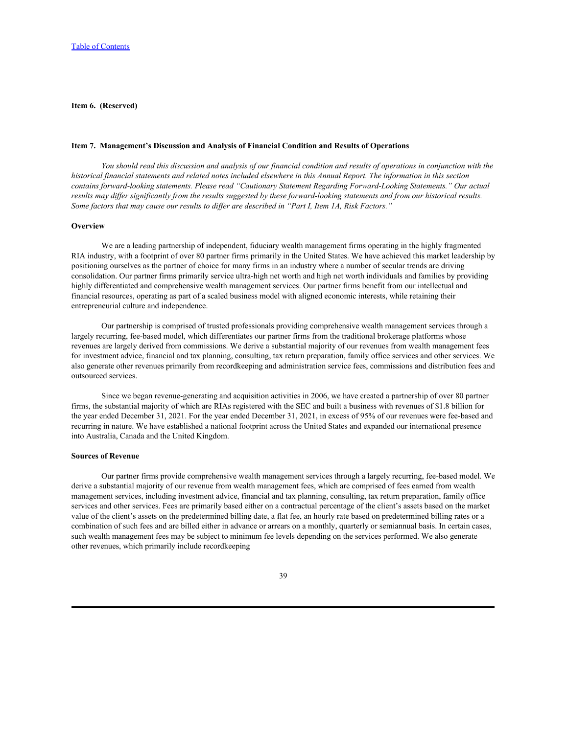# Item 6. (Reserved)

#### **Item 7. Management's Discussion and Analysis of Financial Condition and Results of Operations**

*You should read this discussion and analysis of our financial condition and results of operations in conjunction with the historical financial statements and related notes included elsewhere in this Annual Report. The information in this section contains forward-looking statements. Please read "Cautionary Statement Regarding Forward-Looking Statements." Our actual results may differ significantly from the results suggested by these forward-looking statements and from our historical results. Some factors that may cause our results to differ are described in "Part I, Item 1A, Risk Factors."*

## **Overview**

We are a leading partnership of independent, fiduciary wealth management firms operating in the highly fragmented RIA industry, with a footprint of over 80 partner firms primarily in the United States. We have achieved this market leadership by positioning ourselves as the partner of choice for many firms in an industry where a number of secular trends are driving consolidation. Our partner firms primarily service ultra-high net worth and high net worth individuals and families by providing highly differentiated and comprehensive wealth management services. Our partner firms benefit from our intellectual and financial resources, operating as part of a scaled business model with aligned economic interests, while retaining their entrepreneurial culture and independence.

Our partnership is comprised of trusted professionals providing comprehensive wealth management services through a largely recurring, fee-based model, which differentiates our partner firms from the traditional brokerage platforms whose revenues are largely derived from commissions. We derive a substantial majority of our revenues from wealth management fees for investment advice, financial and tax planning, consulting, tax return preparation, family office services and other services. We also generate other revenues primarily from recordkeeping and administration service fees, commissions and distribution fees and outsourced services.

Since we began revenue-generating and acquisition activities in 2006, we have created a partnership of over 80 partner firms, the substantial majority of which are RIAs registered with the SEC and built a business with revenues of \$1.8 billion for the year ended December 31, 2021. For the year ended December 31, 2021, in excess of 95% of our revenues were fee-based and recurring in nature. We have established a national footprint across the United States and expanded our international presence into Australia, Canada and the United Kingdom.

### **Sources of Revenue**

Our partner firms provide comprehensive wealth management services through a largely recurring, fee-based model. We derive a substantial majority of our revenue from wealth management fees, which are comprised of fees earned from wealth management services, including investment advice, financial and tax planning, consulting, tax return preparation, family office services and other services. Fees are primarily based either on a contractual percentage of the client's assets based on the market value of the client's assets on the predetermined billing date, a flat fee, an hourly rate based on predetermined billing rates or a combination of such fees and are billed either in advance or arrears on a monthly, quarterly or semiannual basis. In certain cases, such wealth management fees may be subject to minimum fee levels depending on the services performed. We also generate other revenues, which primarily include recordkeeping

#### 39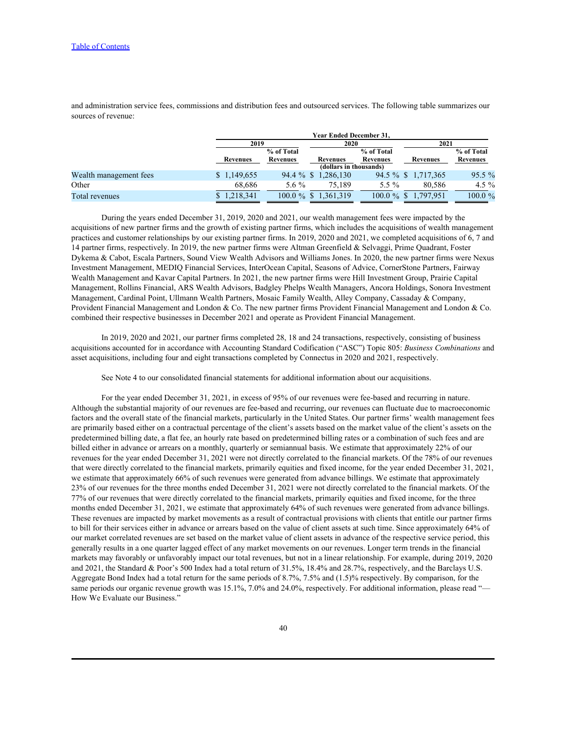and administration service fees, commissions and distribution fees and outsourced services. The following table summarizes our sources of revenue:

|             |            |                 | 2020                                          |                                                          | 2021                                 |  |
|-------------|------------|-----------------|-----------------------------------------------|----------------------------------------------------------|--------------------------------------|--|
|             | % of Total |                 | % of Total                                    |                                                          | % of Total                           |  |
| Revenues    | Revenues   | <b>Revenues</b> | <b>Revenues</b>                               | Revenues                                                 | Revenues                             |  |
|             |            |                 |                                               |                                                          |                                      |  |
| \$1,149,655 |            |                 |                                               |                                                          | 95.5 %                               |  |
| 68,686      | 5.6 $%$    | 75,189          | 5.5 $%$                                       | 80,586                                                   | 4.5 $%$                              |  |
| 1,218,341   |            |                 |                                               | 1,797,951                                                | 100.0%                               |  |
|             |            | 2019            | 94.4 % \$ 1,286,130<br>$100.0\%$ \$ 1,361,319 | <b>Year Ended December 31,</b><br>(dollars in thousands) | 94.5 % \$ 1,717,365<br>$100.0 \%$ \$ |  |

During the years ended December 31, 2019, 2020 and 2021, our wealth management fees were impacted by the acquisitions of new partner firms and the growth of existing partner firms, which includes the acquisitions of wealth management practices and customer relationships by our existing partner firms. In 2019, 2020 and 2021, we completed acquisitions of 6, 7 and 14 partner firms, respectively. In 2019, the new partner firms were Altman Greenfield & Selvaggi, Prime Quadrant, Foster Dykema & Cabot, Escala Partners, Sound View Wealth Advisors and Williams Jones. In 2020, the new partner firms were Nexus Investment Management, MEDIQ Financial Services, InterOcean Capital, Seasons of Advice, CornerStone Partners, Fairway Wealth Management and Kavar Capital Partners. In 2021, the new partner firms were Hill Investment Group, Prairie Capital Management, Rollins Financial, ARS Wealth Advisors, Badgley Phelps Wealth Managers, Ancora Holdings, Sonora Investment Management, Cardinal Point, Ullmann Wealth Partners, Mosaic Family Wealth, Alley Company, Cassaday & Company, Provident Financial Management and London & Co. The new partner firms Provident Financial Management and London & Co. combined their respective businesses in December 2021 and operate as Provident Financial Management.

In 2019, 2020 and 2021, our partner firms completed 28, 18 and 24 transactions, respectively, consisting of business acquisitions accounted for in accordance with Accounting Standard Codification ("ASC") Topic 805: *Business Combinations* and asset acquisitions, including four and eight transactions completed by Connectus in 2020 and 2021, respectively.

See Note 4 to our consolidated financial statements for additional information about our acquisitions.

For the year ended December 31, 2021, in excess of 95% of our revenues were fee-based and recurring in nature. Although the substantial majority of our revenues are fee-based and recurring, our revenues can fluctuate due to macroeconomic factors and the overall state of the financial markets, particularly in the United States. Our partner firms' wealth management fees are primarily based either on a contractual percentage of the client's assets based on the market value of the client's assets on the predetermined billing date, a flat fee, an hourly rate based on predetermined billing rates or a combination of such fees and are billed either in advance or arrears on a monthly, quarterly or semiannual basis. We estimate that approximately 22% of our revenues for the year ended December 31, 2021 were not directly correlated to the financial markets. Of the 78% of our revenues that were directly correlated to the financial markets, primarily equities and fixed income, for the year ended December 31, 2021, we estimate that approximately 66% of such revenues were generated from advance billings. We estimate that approximately 23% of our revenues for the three months ended December 31, 2021 were not directly correlated to the financial markets. Of the 77% of our revenues that were directly correlated to the financial markets, primarily equities and fixed income, for the three months ended December 31, 2021, we estimate that approximately 64% of such revenues were generated from advance billings. These revenues are impacted by market movements as a result of contractual provisions with clients that entitle our partner firms to bill for their services either in advance or arrears based on the value of client assets at such time. Since approximately 64% of our market correlated revenues are set based on the market value of client assets in advance of the respective service period, this generally results in a one quarter lagged effect of any market movements on our revenues. Longer term trends in the financial markets may favorably or unfavorably impact our total revenues, but not in a linear relationship. For example, during 2019, 2020 and 2021, the Standard & Poor's 500 Index had a total return of 31.5%, 18.4% and 28.7%, respectively, and the Barclays U.S. Aggregate Bond Index had a total return for the same periods of 8.7%, 7.5% and (1.5)% respectively. By comparison, for the same periods our organic revenue growth was 15.1%, 7.0% and 24.0%, respectively. For additional information, please read "— How We Evaluate our Business."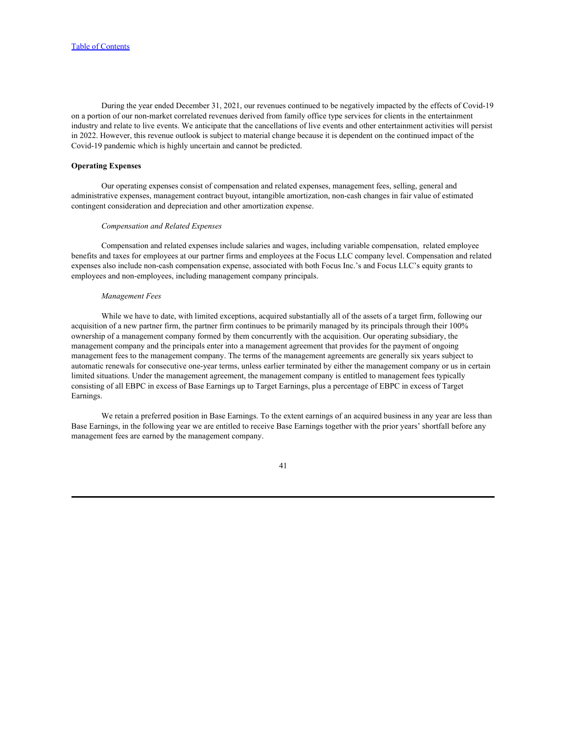During the year ended December 31, 2021, our revenues continued to be negatively impacted by the effects of Covid-19 on a portion of our non-market correlated revenues derived from family office type services for clients in the entertainment industry and relate to live events. We anticipate that the cancellations of live events and other entertainment activities will persist in 2022. However, this revenue outlook is subject to material change because it is dependent on the continued impact of the Covid-19 pandemic which is highly uncertain and cannot be predicted.

## **Operating Expenses**

Our operating expenses consist of compensation and related expenses, management fees, selling, general and administrative expenses, management contract buyout, intangible amortization, non-cash changes in fair value of estimated contingent consideration and depreciation and other amortization expense.

## *Compensation and Related Expenses*

Compensation and related expenses include salaries and wages, including variable compensation, related employee benefits and taxes for employees at our partner firms and employees at the Focus LLC company level. Compensation and related expenses also include non-cash compensation expense, associated with both Focus Inc.'s and Focus LLC's equity grants to employees and non-employees, including management company principals.

#### *Management Fees*

While we have to date, with limited exceptions, acquired substantially all of the assets of a target firm, following our acquisition of a new partner firm, the partner firm continues to be primarily managed by its principals through their 100% ownership of a management company formed by them concurrently with the acquisition. Our operating subsidiary, the management company and the principals enter into a management agreement that provides for the payment of ongoing management fees to the management company. The terms of the management agreements are generally six years subject to automatic renewals for consecutive one-year terms, unless earlier terminated by either the management company or us in certain limited situations. Under the management agreement, the management company is entitled to management fees typically consisting of all EBPC in excess of Base Earnings up to Target Earnings, plus a percentage of EBPC in excess of Target Earnings.

We retain a preferred position in Base Earnings. To the extent earnings of an acquired business in any year are less than Base Earnings, in the following year we are entitled to receive Base Earnings together with the prior years' shortfall before any management fees are earned by the management company.

41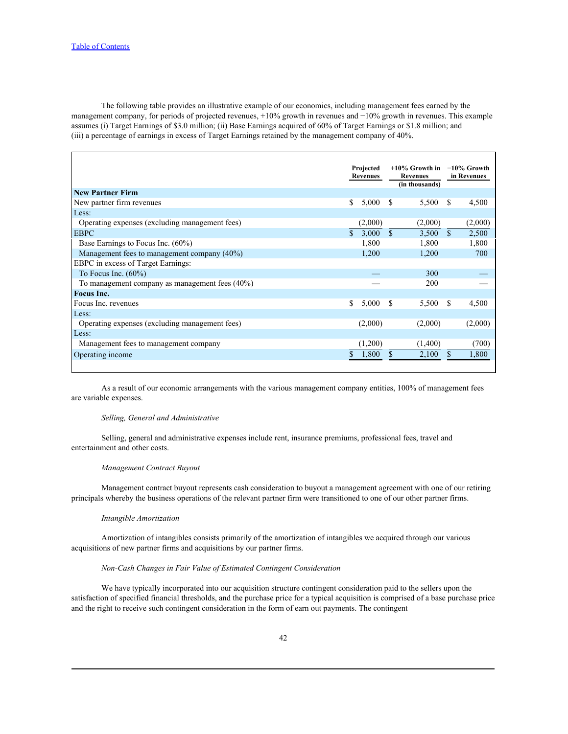The following table provides an illustrative example of our economics, including management fees earned by the management company, for periods of projected revenues, +10% growth in revenues and −10% growth in revenues. This example assumes (i) Target Earnings of \$3.0 million; (ii) Base Earnings acquired of 60% of Target Earnings or \$1.8 million; and (iii) a percentage of earnings in excess of Target Earnings retained by the management company of 40%.

|                                                | Projected        | $+10\%$ Growth in  |      | -10% Growth                     |
|------------------------------------------------|------------------|--------------------|------|---------------------------------|
|                                                | Revenues         | <b>Revenues</b>    |      | in Revenues                     |
|                                                |                  | (in thousands)     |      |                                 |
| <b>New Partner Firm</b>                        |                  |                    |      |                                 |
| New partner firm revenues                      | $5,000$ \$<br>S. | 5,500              | - \$ | 4,500                           |
| Less:                                          |                  |                    |      |                                 |
| Operating expenses (excluding management fees) | (2,000)          | (2,000)            |      | (2,000)                         |
| <b>EBPC</b>                                    | 3,000            | $3,500$ \$<br>- \$ |      | 2,500                           |
| Base Earnings to Focus Inc. (60%)              | 1,800            | 1,800              |      | 1,800                           |
| Management fees to management company (40%)    | 1,200            | 1,200              |      | 700                             |
| EBPC in excess of Target Earnings:             |                  |                    |      |                                 |
| To Focus Inc. $(60\%)$                         |                  | 300                |      | $\hspace{0.1mm}-\hspace{0.1mm}$ |
| To management company as management fees (40%) |                  | 200                |      | $\hspace{0.1mm}-\hspace{0.1mm}$ |
| <b>Focus Inc.</b>                              |                  |                    |      |                                 |
| Focus Inc. revenues                            | $$5,000$ \ \$    | 5,500 \$           |      | 4,500                           |
| Less:                                          |                  |                    |      |                                 |
| Operating expenses (excluding management fees) | (2,000)          | (2,000)            |      | (2,000)                         |
| Less:                                          |                  |                    |      |                                 |
| Management fees to management company          | (1,200)          | (1,400)            |      | (700)                           |
| Operating income                               | 1,800            | 2,100              |      | 1,800                           |
|                                                |                  |                    |      |                                 |

As a result of our economic arrangements with the various management company entities, 100% of management fees are variable expenses.

#### *Selling, General and Administrative*

Selling, general and administrative expenses include rent, insurance premiums, professional fees, travel and entertainment and other costs.

# *Management Contract Buyout*

Management contract buyout represents cash consideration to buyout a management agreement with one of our retiring principals whereby the business operations of the relevant partner firm were transitioned to one of our other partner firms.

## *Intangible Amortization*

Amortization of intangibles consists primarily of the amortization of intangibles we acquired through our various acquisitions of new partner firms and acquisitions by our partner firms.

## *Non-Cash Changes in Fair Value of Estimated Contingent Consideration*

We have typically incorporated into our acquisition structure contingent consideration paid to the sellers upon the satisfaction of specified financial thresholds, and the purchase price for a typical acquisition is comprised of a base purchase price and the right to receive such contingent consideration in the form of earn out payments. The contingent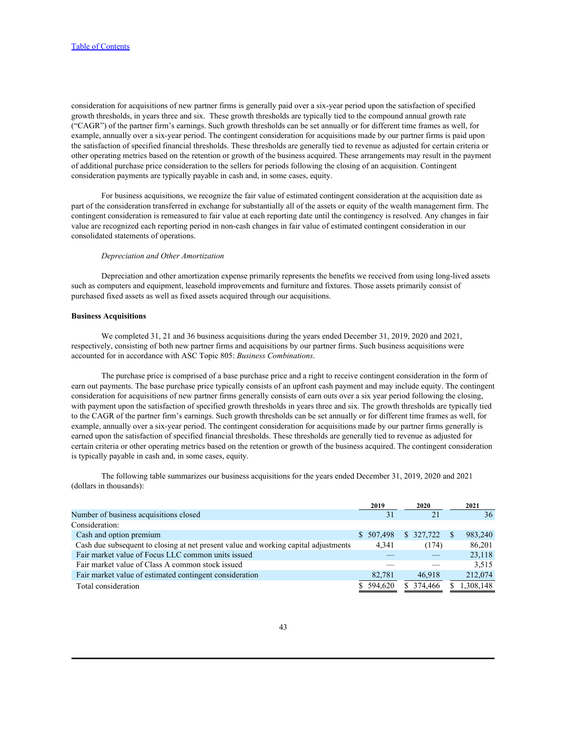consideration for acquisitions of new partner firms is generally paid over a six-year period upon the satisfaction of specified growth thresholds, in years three and six. These growth thresholds are typically tied to the compound annual growth rate ("CAGR") of the partner firm's earnings. Such growth thresholds can be set annually or for different time frames as well, for example, annually over a six-year period. The contingent consideration for acquisitions made by our partner firms is paid upon the satisfaction of specified financial thresholds. These thresholds are generally tied to revenue as adjusted for certain criteria or other operating metrics based on the retention or growth of the business acquired. These arrangements may result in the payment of additional purchase price consideration to the sellers for periods following the closing of an acquisition. Contingent consideration payments are typically payable in cash and, in some cases, equity.

For business acquisitions, we recognize the fair value of estimated contingent consideration at the acquisition date as part of the consideration transferred in exchange for substantially all of the assets or equity of the wealth management firm. The contingent consideration is remeasured to fair value at each reporting date until the contingency is resolved. Any changes in fair value are recognized each reporting period in non-cash changes in fair value of estimated contingent consideration in our consolidated statements of operations.

#### *Depreciation and Other Amortization*

Depreciation and other amortization expense primarily represents the benefits we received from using long-lived assets such as computers and equipment, leasehold improvements and furniture and fixtures. Those assets primarily consist of purchased fixed assets as well as fixed assets acquired through our acquisitions.

## **Business Acquisitions**

We completed 31, 21 and 36 business acquisitions during the years ended December 31, 2019, 2020 and 2021, respectively, consisting of both new partner firms and acquisitions by our partner firms. Such business acquisitions were accounted for in accordance with ASC Topic 805: *Business Combinations*.

The purchase price is comprised of a base purchase price and a right to receive contingent consideration in the form of earn out payments. The base purchase price typically consists of an upfront cash payment and may include equity. The contingent consideration for acquisitions of new partner firms generally consists of earn outs over a six year period following the closing, with payment upon the satisfaction of specified growth thresholds in years three and six. The growth thresholds are typically tied to the CAGR of the partner firm's earnings. Such growth thresholds can be set annually or for different time frames as well, for example, annually over a six-year period. The contingent consideration for acquisitions made by our partner firms generally is earned upon the satisfaction of specified financial thresholds. These thresholds are generally tied to revenue as adjusted for certain criteria or other operating metrics based on the retention or growth of the business acquired. The contingent consideration is typically payable in cash and, in some cases, equity.

The following table summarizes our business acquisitions for the years ended December 31, 2019, 2020 and 2021 (dollars in thousands):

|                                                                                     | 2019       | 2020      | 2021     |
|-------------------------------------------------------------------------------------|------------|-----------|----------|
| Number of business acquisitions closed                                              |            | 21        |          |
| Consideration:                                                                      |            |           |          |
| Cash and option premium                                                             | \$ 507,498 |           | 983,240  |
| Cash due subsequent to closing at net present value and working capital adjustments | 4,341      | (174)     | 86,201   |
| Fair market value of Focus LLC common units issued                                  |            |           | 23,118   |
| Fair market value of Class A common stock issued                                    |            |           | 3,515    |
| Fair market value of estimated contingent consideration                             | 82,781     | 46.918    | 212,074  |
| Total consideration                                                                 | \$594,620  | \$374,466 | ,308,148 |
|                                                                                     |            |           |          |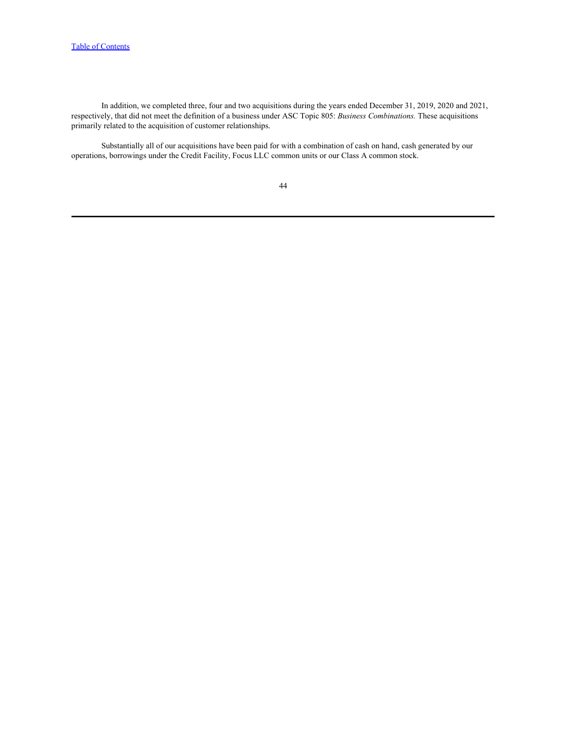In addition, we completed three, four and two acquisitions during the years ended December 31, 2019, 2020 and 2021, respectively, that did not meet the definition of a business under ASC Topic 805: *Business Combinations.* These acquisitions primarily related to the acquisition of customer relationships.

Substantially all of our acquisitions have been paid for with a combination of cash on hand, cash generated by our operations, borrowings under the Credit Facility, Focus LLC common units or our Class A common stock.

44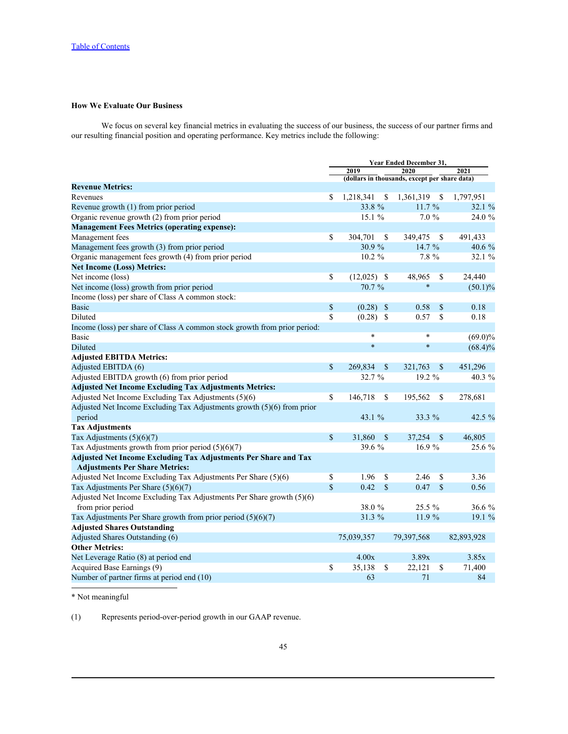# **How We Evaluate Our Business**

We focus on several key financial metrics in evaluating the success of our business, the success of our partner firms and our resulting financial position and operating performance. Key metrics include the following:

|                                                                           | <b>Year Ended December 31,</b> |                |                                               |            |  |
|---------------------------------------------------------------------------|--------------------------------|----------------|-----------------------------------------------|------------|--|
|                                                                           |                                | 2019           | 2020                                          | 2021       |  |
| <b>Revenue Metrics:</b>                                                   |                                |                | (dollars in thousands, except per share data) |            |  |
|                                                                           |                                |                |                                               |            |  |
| Revenues                                                                  | <sup>S</sup>                   | $1,218,341$ \$ | 1,361,319 \$                                  | 1,797,951  |  |
| Revenue growth (1) from prior period                                      |                                | 33.8 %         | 11.7%                                         | 32.1%      |  |
| Organic revenue growth (2) from prior period                              |                                | 15.1%          | 7.0 %                                         | 24.0 %     |  |
| <b>Management Fees Metrics (operating expense):</b>                       |                                |                |                                               |            |  |
| Management fees                                                           |                                | 304,701 \$     | 349,475 \$                                    | 491,433    |  |
| Management fees growth (3) from prior period                              |                                | 30.9%          | $14.7\%$                                      | 40.6 $%$   |  |
| Organic management fees growth (4) from prior period                      |                                | $10.2 \%$      | 7.8 %                                         | 32.1 %     |  |
| <b>Net Income (Loss) Metrics:</b>                                         |                                |                |                                               |            |  |
| Net income (loss)                                                         | \$                             | $(12,025)$ \$  | 48,965 \$                                     | 24,440     |  |
| Net income (loss) growth from prior period                                |                                | 70.7 %         |                                               | $(50.1)\%$ |  |
| Income (loss) per share of Class A common stock:                          |                                |                |                                               |            |  |
| <b>Basic</b>                                                              | $\mathbb{S}$                   | $(0.28)$ \$    | 0.58<br>$\mathbf{s}$                          | 0.18       |  |
| Diluted                                                                   | \$                             | $(0.28)$ \$    | $0.57$ \$                                     | 0.18       |  |
| Income (loss) per share of Class A common stock growth from prior period: |                                |                |                                               |            |  |
| Basic                                                                     |                                | $\ast$         | $\ast$                                        | $(69.0)\%$ |  |
| Diluted                                                                   |                                | $\ast$         | $\ast$                                        | $(68.4)\%$ |  |
| <b>Adjusted EBITDA Metrics:</b>                                           |                                |                |                                               |            |  |
| Adjusted EBITDA (6)                                                       | <sup>\$</sup>                  | 269.834<br>- S | 321,763<br>- \$                               | 451,296    |  |
| Adjusted EBITDA growth (6) from prior period                              |                                | 32.7 %         | 19.2 %                                        | 40.3 %     |  |
| <b>Adjusted Net Income Excluding Tax Adjustments Metrics:</b>             |                                |                |                                               |            |  |
| Adjusted Net Income Excluding Tax Adjustments (5)(6)                      | \$                             | 146,718 \$     | 195,562 \$                                    | 278,681    |  |
|                                                                           |                                |                |                                               |            |  |
| Adjusted Net Income Excluding Tax Adjustments growth (5)(6) from prior    |                                | 43.1 $%$       | 33.3 %                                        | 42.5 %     |  |
| period                                                                    |                                |                |                                               |            |  |
| <b>Tax Adjustments</b>                                                    |                                |                |                                               |            |  |
| Tax Adjustments $(5)(6)(7)$                                               | $\mathcal{S}$                  | 31,860 \$      | $37,254$ \$                                   | 46,805     |  |
| Tax Adjustments growth from prior period $(5)(6)(7)$                      |                                | 39.6 %         | 16.9%                                         | 25.6 %     |  |
| Adjusted Net Income Excluding Tax Adjustments Per Share and Tax           |                                |                |                                               |            |  |
| <b>Adjustments Per Share Metrics:</b>                                     |                                |                |                                               |            |  |
| Adjusted Net Income Excluding Tax Adjustments Per Share (5)(6)            | \$                             | $1.96$ \$      | $2.46$ \$                                     | 3.36       |  |
| Tax Adjustments Per Share $(5)(6)(7)$                                     | $\mathbb{S}$                   | $0.42 \quad$   | 0.47 S                                        | 0.56       |  |
| Adjusted Net Income Excluding Tax Adjustments Per Share growth (5)(6)     |                                |                |                                               |            |  |
| from prior period                                                         |                                | 38.0 %         | $25.5\%$                                      | 36.6 %     |  |
| Tax Adjustments Per Share growth from prior period $(5)(6)(7)$            |                                | 31.3 %         | 11.9%                                         | 19.1%      |  |
| <b>Adjusted Shares Outstanding</b>                                        |                                |                |                                               |            |  |
| Adjusted Shares Outstanding (6)                                           |                                | 75,039,357     | 79,397,568                                    | 82,893,928 |  |
| <b>Other Metrics:</b>                                                     |                                |                |                                               |            |  |
| Net Leverage Ratio (8) at period end                                      |                                | 4.00x          | 3.89x                                         | 3.85x      |  |
| Acquired Base Earnings (9)                                                | \$                             | $35,138$ \$    | $22,121$ \$                                   | 71,400     |  |
| Number of partner firms at period end (10)                                |                                | 63             | 71                                            | 84         |  |
|                                                                           |                                |                |                                               |            |  |

\* Not meaningful

(1) Represents period-over-period growth in our GAAP revenue.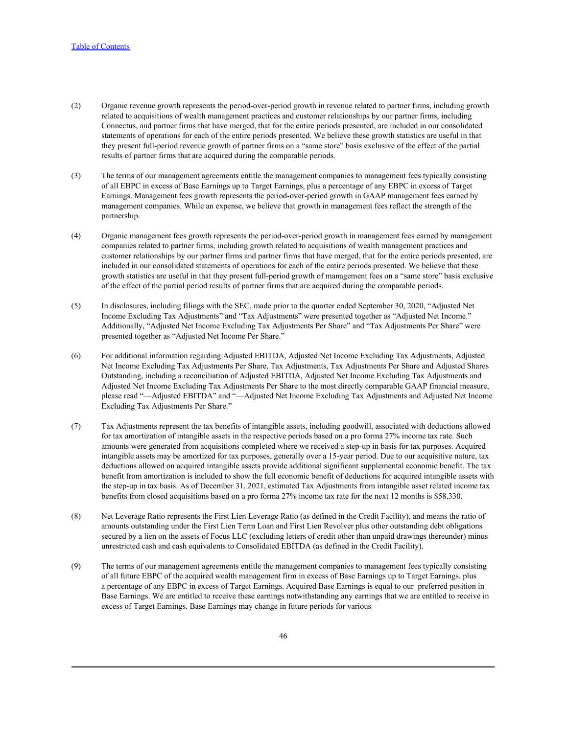- (2) Organic revenue growth represents the period-over-period growth in revenue related to partner firms, including growth related to acquisitions of wealth management practices and customer relationships by our partner firms, including Connectus, and partner firms that have merged, that for the entire periods presented, are included in our consolidated statements of operations for each of the entire periods presented. We believe these growth statistics are useful in that they present full-period revenue growth of partner firms on a "same store" basis exclusive of the effect of the partial results of partner firms that are acquired during the comparable periods.
- (3) The terms of our management agreements entitle the management companies to management fees typically consisting of all EBPC in excess of Base Earnings up to Target Earnings, plus a percentage of any EBPC in excess of Target Earnings. Management fees growth represents the period-over-period growth in GAAP management fees earned by management companies. While an expense, we believe that growth in management fees reflect the strength of the partnership.
- (4) Organic management fees growth represents the period-over-period growth in management fees earned by management companies related to partner firms, including growth related to acquisitions of wealth management practices and customer relationships by our partner firms and partner firms that have merged, that for the entire periods presented, are included in our consolidated statements of operations for each of the entire periods presented. We believe that these growth statistics are useful in that they present full-period growth of management fees on a "same store" basis exclusive of the effect of the partial period results of partner firms that are acquired during the comparable periods.
- (5) In disclosures, including filings with the SEC, made prior to the quarter ended September 30, 2020, "Adjusted Net Income Excluding Tax Adjustments" and "Tax Adjustments" were presented together as "Adjusted Net Income." Additionally, "Adjusted Net Income Excluding Tax Adjustments Per Share" and "Tax Adjustments Per Share" were presented together as "Adjusted Net Income Per Share."
- (6) For additional information regarding Adjusted EBITDA, Adjusted Net Income Excluding Tax Adjustments, Adjusted Net Income Excluding Tax Adjustments Per Share, Tax Adjustments, Tax Adjustments Per Share and Adjusted Shares Outstanding, including a reconciliation of Adjusted EBITDA, Adjusted Net Income Excluding Tax Adjustments and Adjusted Net Income Excluding Tax Adjustments Per Share to the most directly comparable GAAP financial measure, please read "—Adjusted EBITDA" and "—Adjusted Net Income Excluding Tax Adjustments and Adjusted Net Income Excluding Tax Adjustments Per Share."
- (7) Tax Adjustments represent the tax benefits of intangible assets, including goodwill, associated with deductions allowed for tax amortization of intangible assets in the respective periods based on a pro forma 27% income tax rate. Such amounts were generated from acquisitions completed where we received a step-up in basis for tax purposes. Acquired intangible assets may be amortized for tax purposes, generally over a 15-year period. Due to our acquisitive nature, tax deductions allowed on acquired intangible assets provide additional significant supplemental economic benefit. The tax benefit from amortization is included to show the full economic benefit of deductions for acquired intangible assets with the step-up in tax basis. As of December 31, 2021, estimated Tax Adjustments from intangible asset related income tax benefits from closed acquisitions based on a pro forma 27% income tax rate for the next 12 months is \$58,330.
- (8) Net Leverage Ratio represents the First Lien Leverage Ratio (as defined in the Credit Facility), and means the ratio of amounts outstanding under the First Lien Term Loan and First Lien Revolver plus other outstanding debt obligations secured by a lien on the assets of Focus LLC (excluding letters of credit other than unpaid drawings thereunder) minus unrestricted cash and cash equivalents to Consolidated EBITDA (as defined in the Credit Facility).
- (9) The terms of our management agreements entitle the management companies to management fees typically consisting of all future EBPC of the acquired wealth management firm in excess of Base Earnings up to Target Earnings, plus a percentage of any EBPC in excess of Target Earnings. Acquired Base Earnings is equal to our preferred position in Base Earnings. We are entitled to receive these earnings notwithstanding any earnings that we are entitled to receive in excess of Target Earnings. Base Earnings may change in future periods for various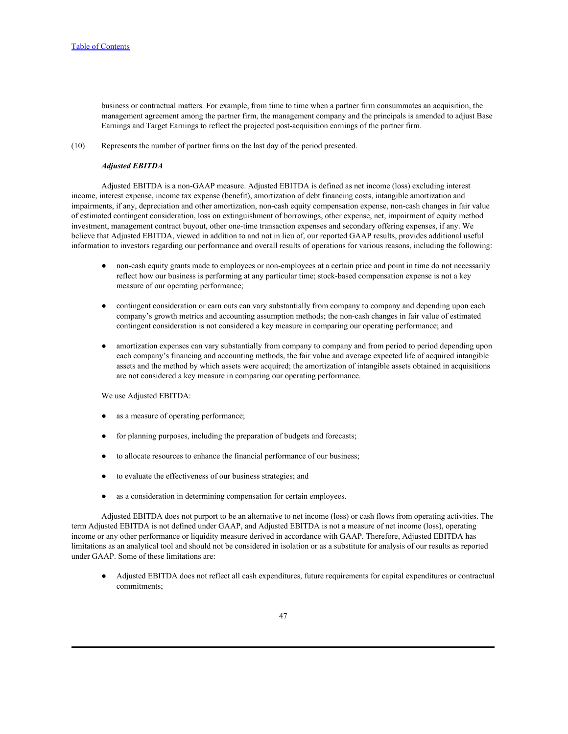business or contractual matters. For example, from time to time when a partner firm consummates an acquisition, the management agreement among the partner firm, the management company and the principals is amended to adjust Base Earnings and Target Earnings to reflect the projected post-acquisition earnings of the partner firm.

(10) Represents the number of partner firms on the last day of the period presented.

## *Adjusted EBITDA*

Adjusted EBITDA is a non-GAAP measure. Adjusted EBITDA is defined as net income (loss) excluding interest income, interest expense, income tax expense (benefit), amortization of debt financing costs, intangible amortization and impairments, if any, depreciation and other amortization, non-cash equity compensation expense, non-cash changes in fair value of estimated contingent consideration, loss on extinguishment of borrowings, other expense, net, impairment of equity method investment, management contract buyout, other one-time transaction expenses and secondary offering expenses, if any. We believe that Adjusted EBITDA, viewed in addition to and not in lieu of, our reported GAAP results, provides additional useful information to investors regarding our performance and overall results of operations for various reasons, including the following:

- non-cash equity grants made to employees or non-employees at a certain price and point in time do not necessarily reflect how our business is performing at any particular time; stock-based compensation expense is not a key measure of our operating performance;
- contingent consideration or earn outs can vary substantially from company to company and depending upon each company's growth metrics and accounting assumption methods; the non-cash changes in fair value of estimated contingent consideration is not considered a key measure in comparing our operating performance; and
- amortization expenses can vary substantially from company to company and from period to period depending upon each company's financing and accounting methods, the fair value and average expected life of acquired intangible assets and the method by which assets were acquired; the amortization of intangible assets obtained in acquisitions are not considered a key measure in comparing our operating performance.

We use Adjusted EBITDA:

- as a measure of operating performance;
- for planning purposes, including the preparation of budgets and forecasts;
- to allocate resources to enhance the financial performance of our business;
- to evaluate the effectiveness of our business strategies; and
- as a consideration in determining compensation for certain employees.

Adjusted EBITDA does not purport to be an alternative to net income (loss) or cash flows from operating activities. The term Adjusted EBITDA is not defined under GAAP, and Adjusted EBITDA is not a measure of net income (loss), operating income or any other performance or liquidity measure derived in accordance with GAAP. Therefore, Adjusted EBITDA has limitations as an analytical tool and should not be considered in isolation or as a substitute for analysis of our results as reported under GAAP. Some of these limitations are:

● Adjusted EBITDA does not reflect all cash expenditures, future requirements for capital expenditures or contractual commitments;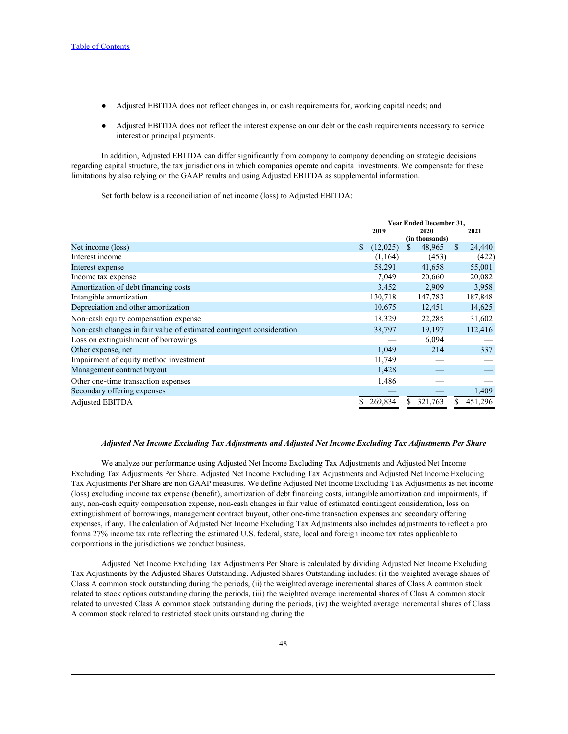- Adjusted EBITDA does not reflect changes in, or cash requirements for, working capital needs; and
- Adjusted EBITDA does not reflect the interest expense on our debt or the cash requirements necessary to service interest or principal payments.

In addition, Adjusted EBITDA can differ significantly from company to company depending on strategic decisions regarding capital structure, the tax jurisdictions in which companies operate and capital investments. We compensate for these limitations by also relying on the GAAP results and using Adjusted EBITDA as supplemental information.

Set forth below is a reconciliation of net income (loss) to Adjusted EBITDA:

|                                                                      | Year Ended December 31, |                                |                   |
|----------------------------------------------------------------------|-------------------------|--------------------------------|-------------------|
|                                                                      | 2019                    | 2020                           | 2021              |
|                                                                      | (12,025)                | (in thousands)                 |                   |
| Net income (loss)                                                    |                         | 48,965                         | 24,440            |
| Interest income                                                      | (1,164)                 | (453)                          | (422)             |
| Interest expense                                                     | 58,291                  | 41,658                         | 55,001            |
| Income tax expense                                                   | 7,049                   | 20,660                         | 20,082            |
| Amortization of debt financing costs                                 | 3,452                   | 2,909                          | 3,958             |
| Intangible amortization                                              | 130,718                 | 147,783                        | 187,848           |
| Depreciation and other amortization                                  | 10,675                  | 12,451                         | 14,625            |
| Non-cash equity compensation expense                                 | 18,329                  | 22,285                         | 31,602            |
| Non-cash changes in fair value of estimated contingent consideration | 38,797                  | 19,197                         | 112,416           |
| Loss on extinguishment of borrowings                                 |                         | 6,094                          | $\hspace{0.05cm}$ |
| Other expense, net                                                   | 1,049                   | 214                            | 337               |
| Impairment of equity method investment                               | 11,749                  | $\overbrace{\hspace{15em}}$    |                   |
| Management contract buyout                                           | 1,428                   | $\overbrace{\hspace{25mm}}^{}$ |                   |
| Other one-time transaction expenses                                  | 1,486                   | $\overbrace{\phantom{13333}}$  |                   |
| Secondary offering expenses                                          | –                       |                                | 1,409             |
| Adjusted EBITDA                                                      | 269,834                 | 321,763                        | 451,296           |

# *Adjusted Net Income Excluding Tax Adjustments and Adjusted Net Income Excluding Tax Adjustments Per Share*

We analyze our performance using Adjusted Net Income Excluding Tax Adjustments and Adjusted Net Income Excluding Tax Adjustments Per Share. Adjusted Net Income Excluding Tax Adjustments and Adjusted Net Income Excluding Tax Adjustments Per Share are non GAAP measures. We define Adjusted Net Income Excluding Tax Adjustments as net income (loss) excluding income tax expense (benefit), amortization of debt financing costs, intangible amortization and impairments, if any, non-cash equity compensation expense, non-cash changes in fair value of estimated contingent consideration, loss on extinguishment of borrowings, management contract buyout, other one-time transaction expenses and secondary offering expenses, if any. The calculation of Adjusted Net Income Excluding Tax Adjustments also includes adjustments to reflect a pro forma 27% income tax rate reflecting the estimated U.S. federal, state, local and foreign income tax rates applicable to corporations in the jurisdictions we conduct business.

Adjusted Net Income Excluding Tax Adjustments Per Share is calculated by dividing Adjusted Net Income Excluding Tax Adjustments by the Adjusted Shares Outstanding. Adjusted Shares Outstanding includes: (i) the weighted average shares of Class A common stock outstanding during the periods, (ii) the weighted average incremental shares of Class A common stock related to stock options outstanding during the periods, (iii) the weighted average incremental shares of Class A common stock related to unvested Class A common stock outstanding during the periods, (iv) the weighted average incremental shares of Class A common stock related to restricted stock units outstanding during the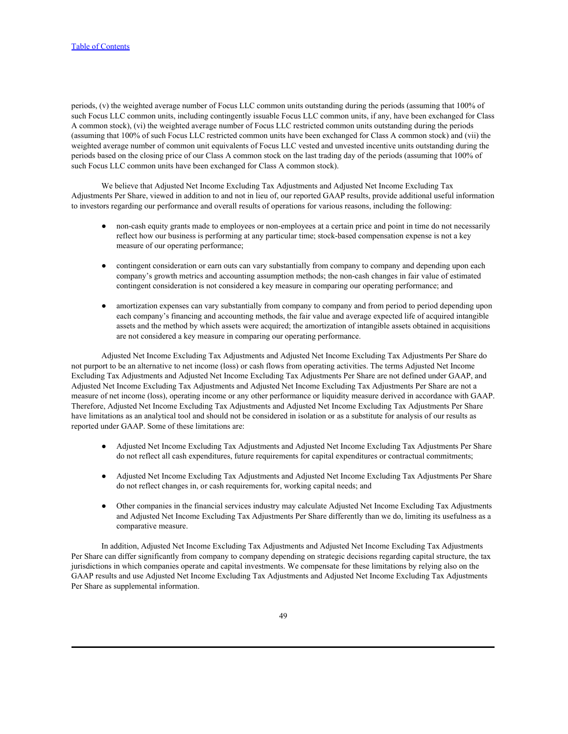periods, (v) the weighted average number of Focus LLC common units outstanding during the periods (assuming that 100% of such Focus LLC common units, including contingently issuable Focus LLC common units, if any, have been exchanged for Class A common stock), (vi) the weighted average number of Focus LLC restricted common units outstanding during the periods (assuming that 100% of such Focus LLC restricted common units have been exchanged for Class A common stock) and (vii) the weighted average number of common unit equivalents of Focus LLC vested and unvested incentive units outstanding during the periods based on the closing price of our Class A common stock on the last trading day of the periods (assuming that 100% of such Focus LLC common units have been exchanged for Class A common stock).

We believe that Adjusted Net Income Excluding Tax Adjustments and Adjusted Net Income Excluding Tax Adjustments Per Share, viewed in addition to and not in lieu of, our reported GAAP results, provide additional useful information to investors regarding our performance and overall results of operations for various reasons, including the following:

- non-cash equity grants made to employees or non-employees at a certain price and point in time do not necessarily reflect how our business is performing at any particular time; stock-based compensation expense is not a key measure of our operating performance;
- contingent consideration or earn outs can vary substantially from company to company and depending upon each company's growth metrics and accounting assumption methods; the non-cash changes in fair value of estimated contingent consideration is not considered a key measure in comparing our operating performance; and
- amortization expenses can vary substantially from company to company and from period to period depending upon each company's financing and accounting methods, the fair value and average expected life of acquired intangible assets and the method by which assets were acquired; the amortization of intangible assets obtained in acquisitions are not considered a key measure in comparing our operating performance.

Adjusted Net Income Excluding Tax Adjustments and Adjusted Net Income Excluding Tax Adjustments Per Share do not purport to be an alternative to net income (loss) or cash flows from operating activities. The terms Adjusted Net Income Excluding Tax Adjustments and Adjusted Net Income Excluding Tax Adjustments Per Share are not defined under GAAP, and Adjusted Net Income Excluding Tax Adjustments and Adjusted Net Income Excluding Tax Adjustments Per Share are not a measure of net income (loss), operating income or any other performance or liquidity measure derived in accordance with GAAP. Therefore, Adjusted Net Income Excluding Tax Adjustments and Adjusted Net Income Excluding Tax Adjustments Per Share have limitations as an analytical tool and should not be considered in isolation or as a substitute for analysis of our results as reported under GAAP. Some of these limitations are:

- Adjusted Net Income Excluding Tax Adjustments and Adjusted Net Income Excluding Tax Adjustments Per Share do not reflect all cash expenditures, future requirements for capital expenditures or contractual commitments;
- Adjusted Net Income Excluding Tax Adjustments and Adjusted Net Income Excluding Tax Adjustments Per Share do not reflect changes in, or cash requirements for, working capital needs; and
- Other companies in the financial services industry may calculate Adjusted Net Income Excluding Tax Adjustments and Adjusted Net Income Excluding Tax Adjustments Per Share differently than we do, limiting its usefulness as a comparative measure.

In addition, Adjusted Net Income Excluding Tax Adjustments and Adjusted Net Income Excluding Tax Adjustments Per Share can differ significantly from company to company depending on strategic decisions regarding capital structure, the tax jurisdictions in which companies operate and capital investments. We compensate for these limitations by relying also on the GAAP results and use Adjusted Net Income Excluding Tax Adjustments and Adjusted Net Income Excluding Tax Adjustments Per Share as supplemental information.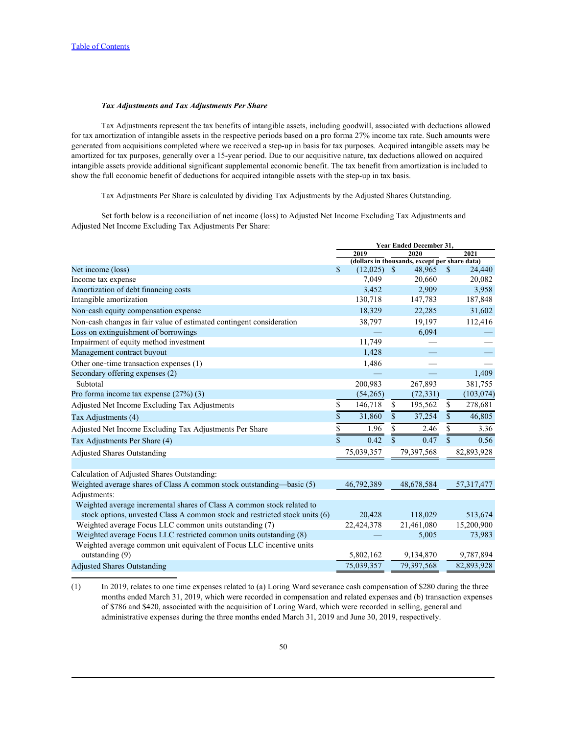# *Tax Adjustments and Tax Adjustments Per Share*

Tax Adjustments represent the tax benefits of intangible assets, including goodwill, associated with deductions allowed for tax amortization of intangible assets in the respective periods based on a pro forma 27% income tax rate. Such amounts were generated from acquisitions completed where we received a step-up in basis for tax purposes. Acquired intangible assets may be amortized for tax purposes, generally over a 15-year period. Due to our acquisitive nature, tax deductions allowed on acquired intangible assets provide additional significant supplemental economic benefit. The tax benefit from amortization is included to show the full economic benefit of deductions for acquired intangible assets with the step-up in tax basis.

Tax Adjustments Per Share is calculated by dividing Tax Adjustments by the Adjusted Shares Outstanding.

Set forth below is a reconciliation of net income (loss) to Adjusted Net Income Excluding Tax Adjustments and Adjusted Net Income Excluding Tax Adjustments Per Share:

|                                                                             |                                                                       |                          |  | <b>Year Ended December 31,</b> |            |
|-----------------------------------------------------------------------------|-----------------------------------------------------------------------|--------------------------|--|--------------------------------|------------|
|                                                                             | 2020<br>2019<br>2021<br>(dollars in thousands, except per share data) |                          |  |                                |            |
|                                                                             |                                                                       |                          |  |                                |            |
| Net income (loss)                                                           |                                                                       | $(12,025)$ \$            |  | $48,965$ \$                    | 24,440     |
| Income tax expense                                                          |                                                                       | 7,049                    |  | 20,660                         | 20,082     |
| Amortization of debt financing costs                                        |                                                                       | 3,452                    |  | 2,909                          | 3,958      |
| Intangible amortization                                                     |                                                                       | 130,718                  |  | 147,783                        | 187,848    |
| Non-cash equity compensation expense                                        |                                                                       | 18,329                   |  | 22,285                         | 31,602     |
| Non-cash changes in fair value of estimated contingent consideration        |                                                                       | 38,797                   |  | 19,197                         | 112,416    |
| Loss on extinguishment of borrowings                                        |                                                                       | $\overline{\phantom{a}}$ |  | 6,094                          |            |
| Impairment of equity method investment                                      |                                                                       | 11,749                   |  |                                |            |
| Management contract buyout                                                  |                                                                       | 1,428                    |  |                                |            |
| Other one-time transaction expenses (1)                                     |                                                                       | 1,486                    |  |                                |            |
| Secondary offering expenses (2)                                             |                                                                       |                          |  |                                | 1,409      |
| Subtotal                                                                    | 200,983                                                               |                          |  | 267,893                        | 381,755    |
| Pro forma income tax expense $(27%)$ (3)                                    |                                                                       | (54,265)                 |  | (72, 331)                      | (103, 074) |
| Adjusted Net Income Excluding Tax Adjustments                               |                                                                       | 146,718                  |  | 195,562                        | 278,681    |
| Tax Adjustments (4)                                                         |                                                                       | 31,860                   |  | 37,254                         | 46,805     |
| Adjusted Net Income Excluding Tax Adjustments Per Share                     |                                                                       | 1.96                     |  | 2.46                           | 3.36       |
| Tax Adjustments Per Share (4)                                               |                                                                       | 0.42                     |  | 0.47                           | 0.56       |
| <b>Adjusted Shares Outstanding</b>                                          | 75,039,357                                                            |                          |  | 79,397,568                     | 82,893,928 |
|                                                                             |                                                                       |                          |  |                                |            |
| Calculation of Adjusted Shares Outstanding:                                 |                                                                       |                          |  |                                |            |
| Weighted average shares of Class A common stock outstanding-basic (5)       | 46,792,389                                                            |                          |  | 48,678,584                     | 57,317,477 |
| Adjustments:                                                                |                                                                       |                          |  |                                |            |
| Weighted average incremental shares of Class A common stock related to      |                                                                       |                          |  |                                |            |
| stock options, unvested Class A common stock and restricted stock units (6) |                                                                       | 20,428                   |  | 118,029                        | 513,674    |
| Weighted average Focus LLC common units outstanding (7)                     | 22,424,378                                                            |                          |  | 21,461,080                     | 15,200,900 |
| Weighted average Focus LLC restricted common units outstanding (8)          |                                                                       |                          |  | 5,005                          | 73,983     |
| Weighted average common unit equivalent of Focus LLC incentive units        |                                                                       |                          |  |                                |            |
| outstanding (9)                                                             | 5,802,162                                                             |                          |  | 9,134,870                      | 9,787,894  |
| <b>Adjusted Shares Outstanding</b>                                          | 75,039,357                                                            |                          |  | 79,397,568                     | 82,893,928 |

(1) In 2019, relates to one time expenses related to (a) Loring Ward severance cash compensation of \$280 during the three months ended March 31, 2019, which were recorded in compensation and related expenses and (b) transaction expenses of \$786 and \$420, associated with the acquisition of Loring Ward, which were recorded in selling, general and administrative expenses during the three months ended March 31, 2019 and June 30, 2019, respectively.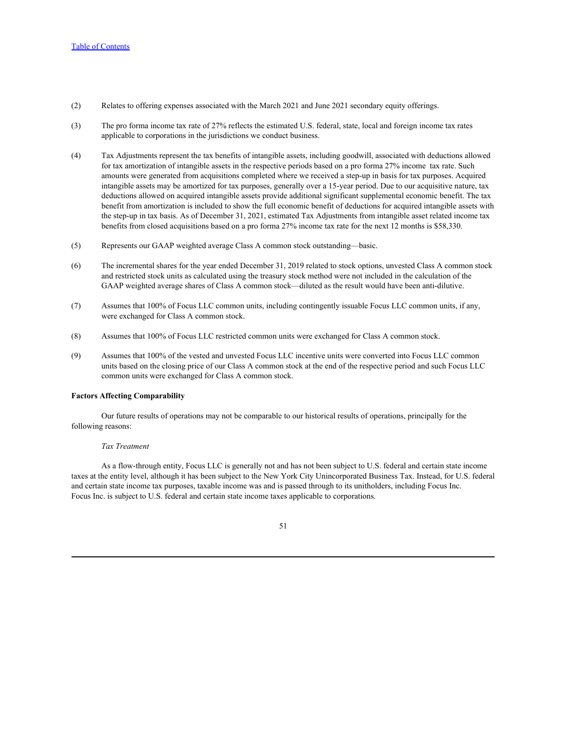- (2) Relates to offering expenses associated with the March 2021 and June 2021 secondary equity offerings.
- (3) The pro forma income tax rate of 27% reflects the estimated U.S. federal, state, local and foreign income tax rates applicable to corporations in the jurisdictions we conduct business.
- (4) Tax Adjustments represent the tax benefits of intangible assets, including goodwill, associated with deductions allowed for tax amortization of intangible assets in the respective periods based on a pro forma 27% income tax rate. Such amounts were generated from acquisitions completed where we received a step-up in basis for tax purposes. Acquired intangible assets may be amortized for tax purposes, generally over a 15-year period. Due to our acquisitive nature, tax deductions allowed on acquired intangible assets provide additional significant supplemental economic benefit. The tax benefit from amortization is included to show the full economic benefit of deductions for acquired intangible assets with the step-up in tax basis. As of December 31, 2021, estimated Tax Adjustments from intangible asset related income tax benefits from closed acquisitions based on a pro forma 27% income tax rate for the next 12 months is \$58,330.
- (5) Represents our GAAP weighted average Class A common stock outstanding—basic.
- (6) The incremental shares for the year ended December 31, 2019 related to stock options, unvested Class A common stock and restricted stock units as calculated using the treasury stock method were not included in the calculation of the GAAP weighted average shares of Class A common stock—diluted as the result would have been anti-dilutive.
- (7) Assumes that 100% of Focus LLC common units, including contingently issuable Focus LLC common units, if any, were exchanged for Class A common stock.
- (8) Assumes that 100% of Focus LLC restricted common units were exchanged for Class A common stock.
- (9) Assumes that 100% of the vested and unvested Focus LLC incentive units were converted into Focus LLC common units based on the closing price of our Class A common stock at the end of the respective period and such Focus LLC common units were exchanged for Class A common stock.

# **Factors Affecting Comparability**

Our future results of operations may not be comparable to our historical results of operations, principally for the following reasons:

#### *Tax Treatment*

As a flow-through entity, Focus LLC is generally not and has not been subject to U.S. federal and certain state income taxes at the entity level, although it has been subject to the New York City Unincorporated Business Tax. Instead, for U.S. federal and certain state income tax purposes, taxable income was and is passed through to its unitholders, including Focus Inc. Focus Inc. is subject to U.S. federal and certain state income taxes applicable to corporations.

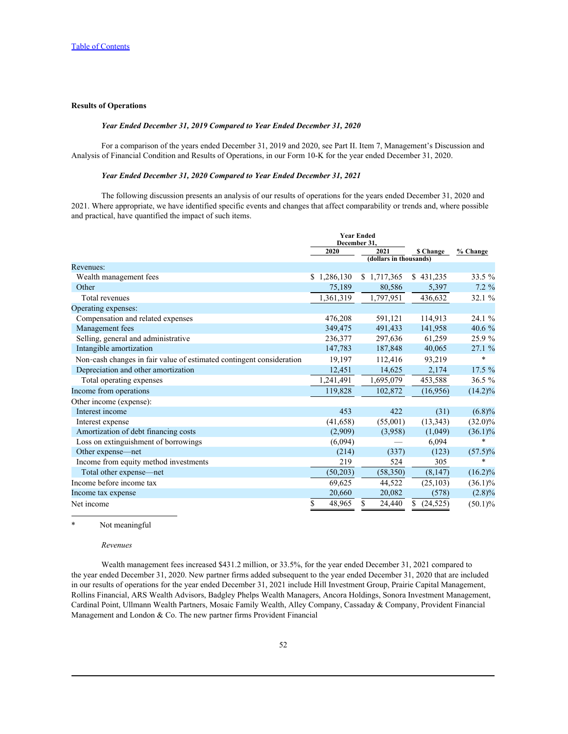# **Results of Operations**

#### *Year Ended December 31, 2019 Compared to Year Ended December 31, 2020*

For a comparison of the years ended December 31, 2019 and 2020, see Part II. Item 7, Management's Discussion and Analysis of Financial Condition and Results of Operations, in our Form 10-K for the year ended December 31, 2020.

#### *Year Ended December 31, 2020 Compared to Year Ended December 31, 2021*

The following discussion presents an analysis of our results of operations for the years ended December 31, 2020 and 2021. Where appropriate, we have identified specific events and changes that affect comparability or trends and, where possible and practical, have quantified the impact of such items.

|                                                                      | December 31, | <b>Year Ended</b>              |                 |            |
|----------------------------------------------------------------------|--------------|--------------------------------|-----------------|------------|
|                                                                      | 2020         | 2021<br>(dollars in thousands) | \$ Change       | % Change   |
| Revenues:                                                            |              |                                |                 |            |
| Wealth management fees                                               | \$1,286,130  | \$1,717,365                    | \$431,235       | $33.5\%$   |
| Other                                                                | 75,189       | 80,586                         | 5,397           | 7.2 %      |
| Total revenues                                                       | 1,361,319    | 1,797,951                      | 436,632         | 32.1 %     |
| Operating expenses:                                                  |              |                                |                 |            |
| Compensation and related expenses                                    | 476,208      | 591,121                        | 114,913         | 24.1 %     |
| Management fees                                                      | 349,475      | 491,433                        | 141,958         | 40.6 %     |
| Selling, general and administrative                                  | 236,377      | 297,636                        | 61,259          | 25.9 %     |
| Intangible amortization                                              | 147,783      | 187,848                        | 40,065          | 27.1 %     |
| Non-cash changes in fair value of estimated contingent consideration | 19,197       | 112,416                        | 93,219          | $\ast$     |
| Depreciation and other amortization                                  | 12,451       | 14,625                         | 2,174           | $17.5\%$   |
| Total operating expenses                                             | ,241,491     | 1,695,079                      | 453,588         | 36.5 %     |
| Income from operations                                               | 119,828      | 102,872                        | (16,956)        | $(14.2)\%$ |
| Other income (expense):                                              |              |                                |                 |            |
| Interest income                                                      | 453          | 422                            | (31)            | $(6.8)\%$  |
| Interest expense                                                     | (41, 658)    | (55,001)                       | (13, 343)       | $(32.0)\%$ |
| Amortization of debt financing costs                                 | (2,909)      | (3,958)                        | (1,049)         | $(36.1)\%$ |
| Loss on extinguishment of borrowings                                 | (6,094)      | $\qquad \qquad$                | 6,094           |            |
| Other expense—net                                                    | (214)        | (337)                          | (123)           | $(57.5)\%$ |
| Income from equity method investments                                | 219          | 524                            | 305             |            |
| Total other expense-net                                              | (50,203)     | (58, 350)                      | (8,147)         | $(16.2)\%$ |
| Income before income tax                                             | 69,625       | 44,522                         | (25, 103)       | $(36.1)\%$ |
| Income tax expense                                                   | 20,660       | 20,082                         | (578)           | $(2.8)\%$  |
| Net income                                                           | 48,965       | 24,440<br><sup>\$</sup>        | (24, 525)<br>S. | $(50.1)\%$ |

# Not meaningful

#### *Revenues*

Wealth management fees increased \$431.2 million, or 33.5%, for the year ended December 31, 2021 compared to the year ended December 31, 2020. New partner firms added subsequent to the year ended December 31, 2020 that are included in our results of operations for the year ended December 31, 2021 include Hill Investment Group, Prairie Capital Management, Rollins Financial, ARS Wealth Advisors, Badgley Phelps Wealth Managers, Ancora Holdings, Sonora Investment Management, Cardinal Point, Ullmann Wealth Partners, Mosaic Family Wealth, Alley Company, Cassaday & Company, Provident Financial Management and London & Co. The new partner firms Provident Financial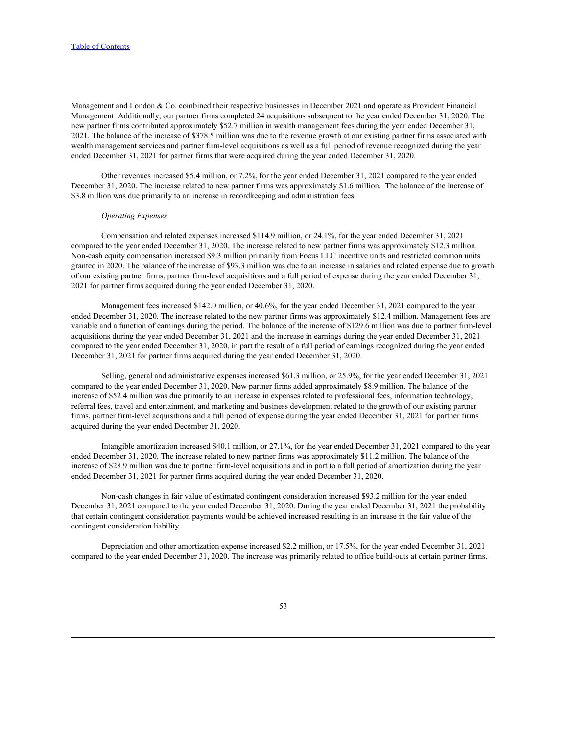Management and London & Co. combined their respective businesses in December 2021 and operate as Provident Financial Management. Additionally, our partner firms completed 24 acquisitions subsequent to the year ended December 31, 2020. The new partner firms contributed approximately \$52.7 million in wealth management fees during the year ended December 31, 2021. The balance of the increase of \$378.5 million was due to the revenue growth at our existing partner firms associated with wealth management services and partner firm-level acquisitions as well as a full period of revenue recognized during the year ended December 31, 2021 for partner firms that were acquired during the year ended December 31, 2020.

Other revenues increased \$5.4 million, or 7.2%, for the year ended December 31, 2021 compared to the year ended December 31, 2020. The increase related to new partner firms was approximately \$1.6 million. The balance of the increase of \$3.8 million was due primarily to an increase in recordkeeping and administration fees.

## *Operating Expenses*

Compensation and related expenses increased \$114.9 million, or 24.1%, for the year ended December 31, 2021 compared to the year ended December 31, 2020. The increase related to new partner firms was approximately \$12.3 million. Non-cash equity compensation increased \$9.3 million primarily from Focus LLC incentive units and restricted common units granted in 2020. The balance of the increase of \$93.3 million was due to an increase in salaries and related expense due to growth of our existing partner firms, partner firm-level acquisitions and a full period of expense during the year ended December 31, 2021 for partner firms acquired during the year ended December 31, 2020.<br>Management fees increased \$142.0 million, or 40.6%, for the year ended December 31, 2021 compared to the year

ended December 31, 2020. The increase related to the new partner firms was approximately \$12.4 million. Management fees are variable and a function of earnings during the period. The balance of the increase of \$129.6 million was due to partner firm-level acquisitions during the year ended December 31, 2021 and the increase in earnings during the year ended December 31, 2021 compared to the year ended December 31, 2020, in part the result of a full period of earnings recognized during the year ended December 31, 2021 for partner firms acquired during the year ended December 31, 2020.

Selling, general and administrative expenses increased \$61.3 million, or 25.9%, for the year ended December 31, 2021 compared to the year ended December 31, 2020. New partner firms added approximately \$8.9 million. The balance of the increase of \$52.4 million was due primarily to an increase in expenses related to professional fees, information technology, referral fees, travel and entertainment, and marketing and business development related to the growth of our existing partner firms, partner firm-level acquisitions and a full period of expense during the year ended December 31, 2021 for partner firms acquired during the year ended December 31, 2020.

Intangible amortization increased \$40.1 million, or 27.1%, for the year ended December 31, 2021 compared to the year ended December 31, 2020. The increase related to new partner firms was approximately \$11.2 million. The balance of the increase of \$28.9 million was due to partner firm-level acquisitions and in part to a full period of amortization during the year ended December 31, 2021 for partner firms acquired during the year ended December 31, 2020.

Non-cash changes in fair value of estimated contingent consideration increased \$93.2 million for the year ended December 31, 2021 compared to the year ended December 31, 2020. During the year ended December 31, 2021 the probability that certain contingent consideration payments would be achieved increased resulting in an increase in the fair value of the contingent consideration liability.

Depreciation and other amortization expense increased \$2.2 million, or 17.5%, for the year ended December 31, 2021 compared to the year ended December 31, 2020. The increase was primarily related to office build-outs at certain partner firms.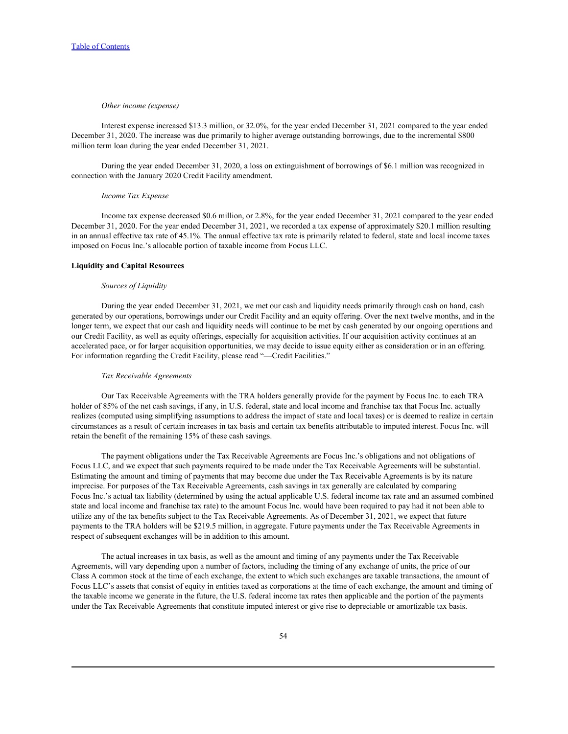# *Other income (expense)*

Interest expense increased \$13.3 million, or 32.0%, for the year ended December 31, 2021 compared to the year ended December 31, 2020. The increase was due primarily to higher average outstanding borrowings, due to the incremental \$800 million term loan during the year ended December 31, 2021.

During the year ended December 31, 2020, a loss on extinguishment of borrowings of \$6.1 million was recognized in connection with the January 2020 Credit Facility amendment.

#### *Income Tax Expense*

Income tax expense decreased \$0.6 million, or 2.8%, for the year ended December 31, 2021 compared to the year ended December 31, 2020. For the year ended December 31, 2021, we recorded a tax expense of approximately \$20.1 million resulting in an annual effective tax rate of 45.1%. The annual effective tax rate is primarily related to federal, state and local income taxes imposed on Focus Inc.'s allocable portion of taxable income from Focus LLC.

# **Liquidity and Capital Resources**

### *Sources of Liquidity*

During the year ended December 31, 2021, we met our cash and liquidity needs primarily through cash on hand, cash generated by our operations, borrowings under our Credit Facility and an equity offering. Over the next twelve months, and in the longer term, we expect that our cash and liquidity needs will continue to be met by cash generated by our ongoing operations and our Credit Facility, as well as equity offerings, especially for acquisition activities. If our acquisition activity continues at an accelerated pace, or for larger acquisition opportunities, we may decide to issue equity either as consideration or in an offering. For information regarding the Credit Facility, please read "—Credit Facilities."

#### *Tax Receivable Agreements*

Our Tax Receivable Agreements with the TRA holders generally provide for the payment by Focus Inc. to each TRA holder of 85% of the net cash savings, if any, in U.S. federal, state and local income and franchise tax that Focus Inc. actually realizes (computed using simplifying assumptions to address the impact of state and local taxes) or is deemed to realize in certain circumstances as a result of certain increases in tax basis and certain tax benefits attributable to imputed interest. Focus Inc. will retain the benefit of the remaining 15% of these cash savings.

The payment obligations under the Tax Receivable Agreements are Focus Inc.'s obligations and not obligations of Focus LLC, and we expect that such payments required to be made under the Tax Receivable Agreements will be substantial. Estimating the amount and timing of payments that may become due under the Tax Receivable Agreements is by its nature imprecise. For purposes of the Tax Receivable Agreements, cash savings in tax generally are calculated by comparing Focus Inc.'s actual tax liability (determined by using the actual applicable U.S. federal income tax rate and an assumed combined state and local income and franchise tax rate) to the amount Focus Inc. would have been required to pay had it not been able to utilize any of the tax benefits subject to the Tax Receivable Agreements. As of December 31, 2021, we expect that future payments to the TRA holders will be \$219.5 million, in aggregate. Future payments under the Tax Receivable Agreements in respect of subsequent exchanges will be in addition to this amount.

The actual increases in tax basis, as well as the amount and timing of any payments under the Tax Receivable Agreements, will vary depending upon a number of factors, including the timing of any exchange of units, the price of our Class A common stock at the time of each exchange, the extent to which such exchanges are taxable transactions, the amount of Focus LLC's assets that consist of equity in entities taxed as corporations at the time of each exchange, the amount and timing of the taxable income we generate in the future, the U.S. federal income tax rates then applicable and the portion of the payments under the Tax Receivable Agreements that constitute imputed interest or give rise to depreciable or amortizable tax basis.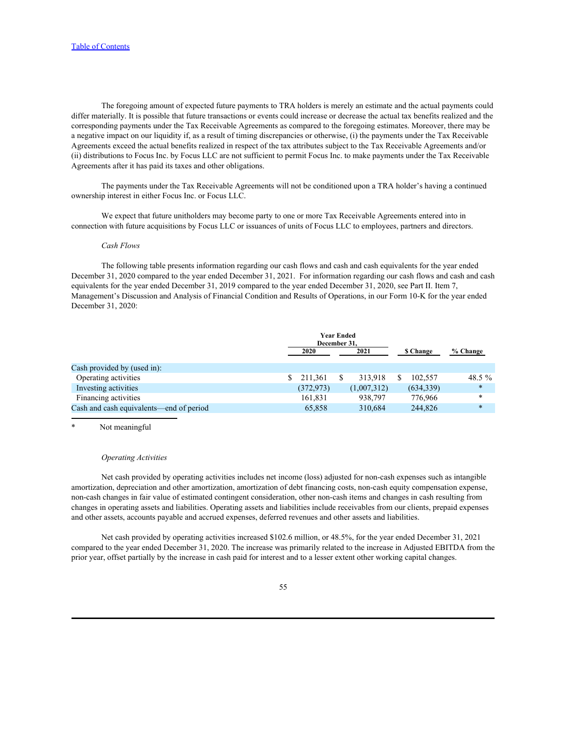The foregoing amount of expected future payments to TRA holders is merely an estimate and the actual payments could differ materially. It is possible that future transactions or events could increase or decrease the actual tax benefits realized and the corresponding payments under the Tax Receivable Agreements as compared to the foregoing estimates. Moreover, there may be a negative impact on our liquidity if, as a result of timing discrepancies or otherwise, (i) the payments under the Tax Receivable Agreements exceed the actual benefits realized in respect of the tax attributes subject to the Tax Receivable Agreements and/or (ii) distributions to Focus Inc. by Focus LLC are not sufficient to permit Focus Inc. to make payments under the Tax Receivable Agreements after it has paid its taxes and other obligations.

The payments under the Tax Receivable Agreements will not be conditioned upon a TRA holder's having a continued ownership interest in either Focus Inc. or Focus LLC.

We expect that future unitholders may become party to one or more Tax Receivable Agreements entered into in connection with future acquisitions by Focus LLC or issuances of units of Focus LLC to employees, partners and directors.

## *Cash Flows*

The following table presents information regarding our cash flows and cash and cash equivalents for the year ended December 31, 2020 compared to the year ended December 31, 2021. For information regarding our cash flows and cash and cash equivalents for the year ended December 31, 2019 compared to the year ended December 31, 2020, see Part II. Item 7, Management's Discussion and Analysis of Financial Condition and Results of Operations, in our Form 10-K for the year ended December 31, 2020:

|                                         |            | <b>Year Ended</b><br>December 31, |                 |          |
|-----------------------------------------|------------|-----------------------------------|-----------------|----------|
|                                         | 2020       | 2021                              | <b>S</b> Change | % Change |
| Cash provided by (used in):             |            |                                   |                 |          |
| Operating activities                    | \$211,361  | 313,918                           | 102,557         | 48.5 %   |
| Investing activities                    | (372, 973) | (1,007,312)                       | (634, 339)      |          |
| Financing activities                    | 161,831    | 938,797                           | 776,966         |          |
| Cash and cash equivalents—end of period | 65,858     | 310,684                           | 244,826         |          |

Not meaningful

# *Operating Activities*

Net cash provided by operating activities includes net income (loss) adjusted for non-cash expenses such as intangible amortization, depreciation and other amortization, amortization of debt financing costs, non-cash equity compensation expense, non-cash changes in fair value of estimated contingent consideration, other non-cash items and changes in cash resulting from changes in operating assets and liabilities. Operating assets and liabilities include receivables from our clients, prepaid expenses and other assets, accounts payable and accrued expenses, deferred revenues and other assets and liabilities.

Net cash provided by operating activities increased \$102.6 million, or 48.5%, for the year ended December 31, 2021 compared to the year ended December 31, 2020. The increase was primarily related to the increase in Adjusted EBITDA from the prior year, offset partially by the increase in cash paid for interest and to a lesser extent other working capital changes.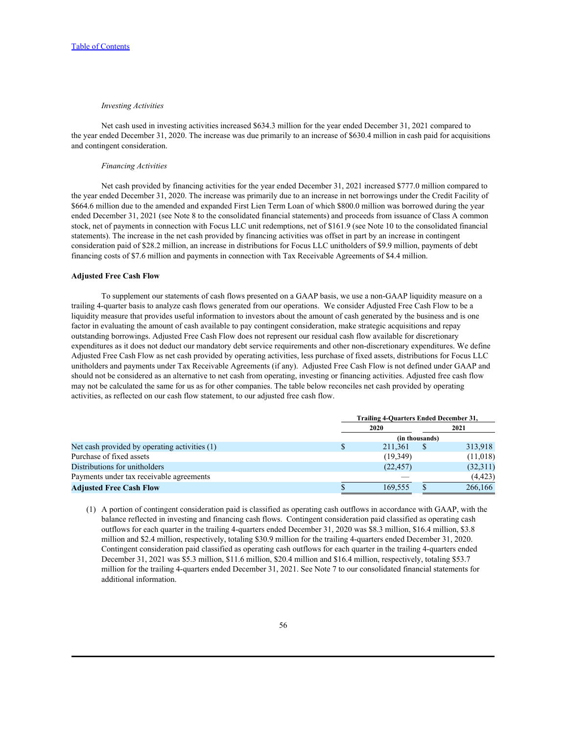#### *Investing Activities*

Net cash used in investing activities increased \$634.3 million for the year ended December 31, 2021 compared to the year ended December 31, 2020. The increase was due primarily to an increase of \$630.4 million in cash paid for acquisitions and contingent consideration.

#### *Financing Activities*

Net cash provided by financing activities for the year ended December 31, 2021 increased \$777.0 million compared to the year ended December 31, 2020. The increase was primarily due to an increase in net borrowings under the Credit Facility of \$664.6 million due to the amended and expanded First Lien Term Loan of which \$800.0 million was borrowed during the year ended December 31, 2021 (see Note 8 to the consolidated financial statements) and proceeds from issuance of Class A common stock, net of payments in connection with Focus LLC unit redemptions, net of \$161.9 (see Note 10 to the consolidated financial statements). The increase in the net cash provided by financing activities was offset in part by an increase in contingent consideration paid of \$28.2 million, an increase in distributions for Focus LLC unitholders of \$9.9 million, payments of debt financing costs of \$7.6 million and payments in connection with Tax Receivable Agreements of \$4.4 million.

### **Adjusted Free Cash Flow**

To supplement our statements of cash flows presented on a GAAP basis, we use a non-GAAP liquidity measure on a trailing 4-quarter basis to analyze cash flows generated from our operations. We consider Adjusted Free Cash Flow to be a liquidity measure that provides useful information to investors about the amount of cash generated by the business and is one factor in evaluating the amount of cash available to pay contingent consideration, make strategic acquisitions and repay outstanding borrowings. Adjusted Free Cash Flow does not represent our residual cash flow available for discretionary expenditures as it does not deduct our mandatory debt service requirements and other non-discretionary expenditures. We define Adjusted Free Cash Flow as net cash provided by operating activities, less purchase of fixed assets, distributions for Focus LLC unitholders and payments under Tax Receivable Agreements (if any). Adjusted Free Cash Flow is not defined under GAAP and should not be considered as an alternative to net cash from operating, investing or financing activities. Adjusted free cash flow may not be calculated the same for us as for other companies. The table below reconciles net cash provided by operating activities, as reflected on our cash flow statement, to our adjusted free cash flow.

|                                               | <b>Trailing 4-Ouarters Ended December 31,</b> |                |          |
|-----------------------------------------------|-----------------------------------------------|----------------|----------|
|                                               | 2020                                          |                | 2021     |
|                                               |                                               | (in thousands) |          |
| Net cash provided by operating activities (1) | 211,361                                       |                | 313,918  |
| Purchase of fixed assets                      | (19, 349)                                     |                | (11,018) |
| Distributions for unitholders                 | (22, 457)                                     |                | (32,311) |
| Payments under tax receivable agreements      |                                               |                | (4, 423) |
| <b>Adjusted Free Cash Flow</b>                | 169,555                                       |                | 266,166  |

(1) A portion of contingent consideration paid is classified as operating cash outflows in accordance with GAAP, with the balance reflected in investing and financing cash flows. Contingent consideration paid classified as operating cash outflows for each quarter in the trailing 4-quarters ended December 31, 2020 was \$8.3 million, \$16.4 million, \$3.8 million and \$2.4 million, respectively, totaling \$30.9 million for the trailing 4-quarters ended December 31, 2020. Contingent consideration paid classified as operating cash outflows for each quarter in the trailing 4-quarters ended December 31, 2021 was \$5.3 million, \$11.6 million, \$20.4 million and \$16.4 million, respectively, totaling \$53.7 million for the trailing 4-quarters ended December 31, 2021. See Note 7 to our consolidated financial statements for additional information.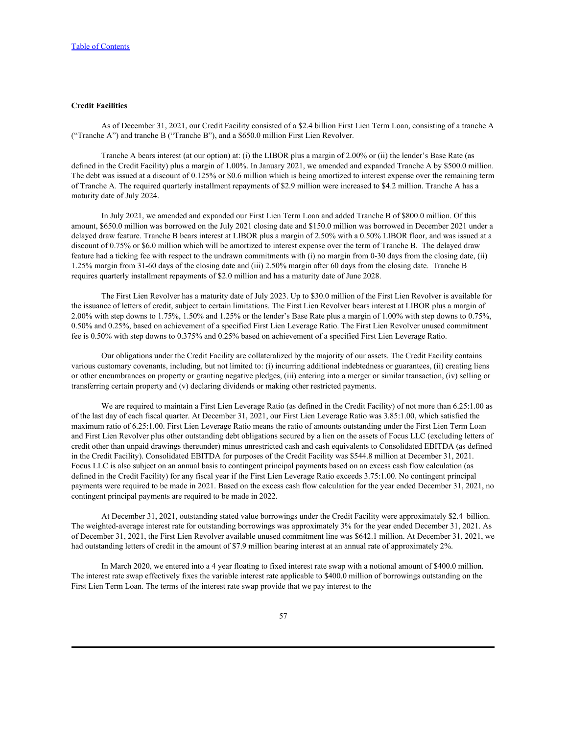## **Credit Facilities**

As of December 31, 2021, our Credit Facility consisted of a \$2.4 billion First Lien Term Loan, consisting of a tranche A ("Tranche A") and tranche B ("Tranche B"), and a \$650.0 million First Lien Revolver.

Tranche A bears interest (at our option) at: (i) the LIBOR plus a margin of 2.00% or (ii) the lender's Base Rate (as defined in the Credit Facility) plus a margin of 1.00%. In January 2021, we amended and expanded Tranche A by \$500.0 million. The debt was issued at a discount of 0.125% or \$0.6 million which is being amortized to interest expense over the remaining term of Tranche A. The required quarterly installment repayments of \$2.9 million were increased to \$4.2 million. Tranche A has a maturity date of July 2024.

In July 2021, we amended and expanded our First Lien Term Loan and added Tranche B of \$800.0 million. Of this amount, \$650.0 million was borrowed on the July 2021 closing date and \$150.0 million was borrowed in December 2021 under a delayed draw feature. Tranche B bears interest at LIBOR plus a margin of 2.50% with a 0.50% LIBOR floor, and was issued at a discount of 0.75% or \$6.0 million which will be amortized to interest expense over the term of Tranche B. The delayed draw feature had a ticking fee with respect to the undrawn commitments with (i) no margin from 0-30 days from the closing date, (ii) 1.25% margin from 31-60 days of the closing date and (iii) 2.50% margin after 60 days from the closing date. Tranche B requires quarterly installment repayments of \$2.0 million and has a maturity date of June 2028.

The First Lien Revolver has a maturity date of July 2023. Up to \$30.0 million of the First Lien Revolver is available for the issuance of letters of credit, subject to certain limitations. The First Lien Revolver bears interest at LIBOR plus a margin of 2.00% with step downs to 1.75%, 1.50% and 1.25% or the lender's Base Rate plus a margin of 1.00% with step downs to 0.75%, 0.50% and 0.25%, based on achievement of a specified First Lien Leverage Ratio. The First Lien Revolver unused commitment fee is 0.50% with step downs to 0.375% and 0.25% based on achievement of a specified First Lien Leverage Ratio.

Our obligations under the Credit Facility are collateralized by the majority of our assets. The Credit Facility contains various customary covenants, including, but not limited to: (i) incurring additional indebtedness or guarantees, (ii) creating liens or other encumbrances on property or granting negative pledges, (iii) entering into a merger or similar transaction, (iv) selling or transferring certain property and (v) declaring dividends or making other restricted payments.

We are required to maintain a First Lien Leverage Ratio (as defined in the Credit Facility) of not more than 6.25:1.00 as of the last day of each fiscal quarter. At December 31, 2021, our First Lien Leverage Ratio was 3.85:1.00, which satisfied the maximum ratio of 6.25:1.00. First Lien Leverage Ratio means the ratio of amounts outstanding under the First Lien Term Loan and First Lien Revolver plus other outstanding debt obligations secured by a lien on the assets of Focus LLC (excluding letters of credit other than unpaid drawings thereunder) minus unrestricted cash and cash equivalents to Consolidated EBITDA (as defined in the Credit Facility). Consolidated EBITDA for purposes of the Credit Facility was \$544.8 million at December 31, 2021. Focus LLC is also subject on an annual basis to contingent principal payments based on an excess cash flow calculation (as defined in the Credit Facility) for any fiscal year if the First Lien Leverage Ratio exceeds 3.75:1.00. No contingent principal payments were required to be made in 2021. Based on the excess cash flow calculation for the year ended December 31, 2021, no contingent principal payments are required to be made in 2022.

At December 31, 2021, outstanding stated value borrowings under the Credit Facility were approximately \$2.4 billion. The weighted-average interest rate for outstanding borrowings was approximately 3% for the year ended December 31, 2021. As of December 31, 2021, the First Lien Revolver available unused commitment line was \$642.1 million. At December 31, 2021, we had outstanding letters of credit in the amount of \$7.9 million bearing interest at an annual rate of approximately 2%.

In March 2020, we entered into a 4 year floating to fixed interest rate swap with a notional amount of \$400.0 million. The interest rate swap effectively fixes the variable interest rate applicable to \$400.0 million of borrowings outstanding on the First Lien Term Loan. The terms of the interest rate swap provide that we pay interest to the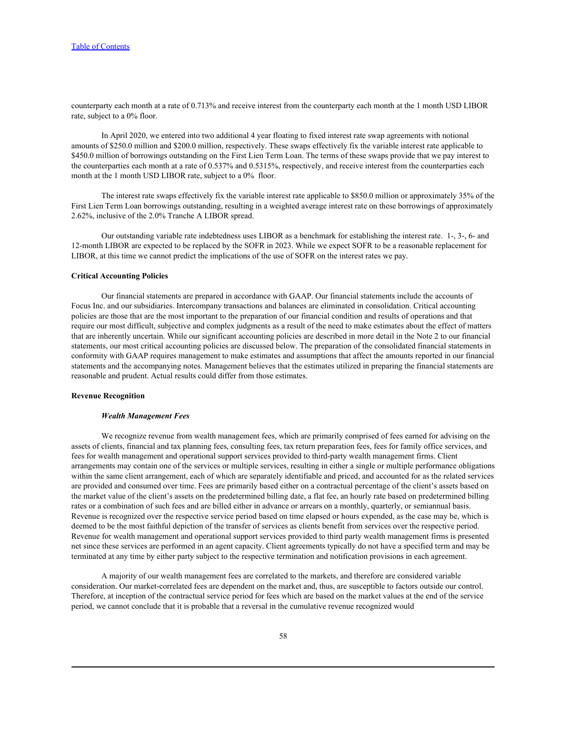counterparty each month at a rate of 0.713% and receive interest from the counterparty each month at the 1 month USD LIBOR rate, subject to a 0% floor.

In April 2020, we entered into two additional 4 year floating to fixed interest rate swap agreements with notional amounts of \$250.0 million and \$200.0 million, respectively. These swaps effectively fix the variable interest rate applicable to \$450.0 million of borrowings outstanding on the First Lien Term Loan. The terms of these swaps provide that we pay interest to the counterparties each month at a rate of 0.537% and 0.5315%, respectively, and receive interest from the counterparties each month at the 1 month USD LIBOR rate, subject to a 0% floor.

The interest rate swaps effectively fix the variable interest rate applicable to \$850.0 million or approximately 35% of the First Lien Term Loan borrowings outstanding, resulting in a weighted average interest rate on these borrowings of approximately 2.62%, inclusive of the 2.0% Tranche A LIBOR spread.

Our outstanding variable rate indebtedness uses LIBOR as a benchmark for establishing the interest rate. 1-, 3-, 6- and 12-month LIBOR are expected to be replaced by the SOFR in 2023. While we expect SOFR to be a reasonable replacement for LIBOR, at this time we cannot predict the implications of the use of SOFR on the interest rates we pay.

#### **Critical Accounting Policies**

Our financial statements are prepared in accordance with GAAP. Our financial statements include the accounts of Focus Inc. and our subsidiaries. Intercompany transactions and balances are eliminated in consolidation. Critical accounting policies are those that are the most important to the preparation of our financial condition and results of operations and that require our most difficult, subjective and complex judgments as a result of the need to make estimates about the effect of matters that are inherently uncertain. While our significant accounting policies are described in more detail in the Note 2 to our financial statements, our most critical accounting policies are discussed below. The preparation of the consolidated financial statements in conformity with GAAP requires management to make estimates and assumptions that affect the amounts reported in our financial statements and the accompanying notes. Management believes that the estimates utilized in preparing the financial statements are reasonable and prudent. Actual results could differ from those estimates.

# **Revenue Recognition**

## *Wealth Management Fees*

We recognize revenue from wealth management fees, which are primarily comprised of fees earned for advising on the assets of clients, financial and tax planning fees, consulting fees, tax return preparation fees, fees for family office services, and fees for wealth management and operational support services provided to third-party wealth management firms. Client arrangements may contain one of the services or multiple services, resulting in either a single or multiple performance obligations within the same client arrangement, each of which are separately identifiable and priced, and accounted for as the related services are provided and consumed over time. Fees are primarily based either on a contractual percentage of the client's assets based on the market value of the client's assets on the predetermined billing date, a flat fee, an hourly rate based on predetermined billing rates or a combination of such fees and are billed either in advance or arrears on a monthly, quarterly, or semiannual basis. Revenue is recognized over the respective service period based on time elapsed or hours expended, as the case may be, which is deemed to be the most faithful depiction of the transfer of services as clients benefit from services over the respective period. Revenue for wealth management and operational support services provided to third party wealth management firms is presented net since these services are performed in an agent capacity. Client agreements typically do not have a specified term and may be terminated at any time by either party subject to the respective termination and notification provisions in each agreement.

A majority of our wealth management fees are correlated to the markets, and therefore are considered variable consideration. Our market-correlated fees are dependent on the market and, thus, are susceptible to factors outside our control. Therefore, at inception of the contractual service period for fees which are based on the market values at the end of the service period, we cannot conclude that it is probable that a reversal in the cumulative revenue recognized would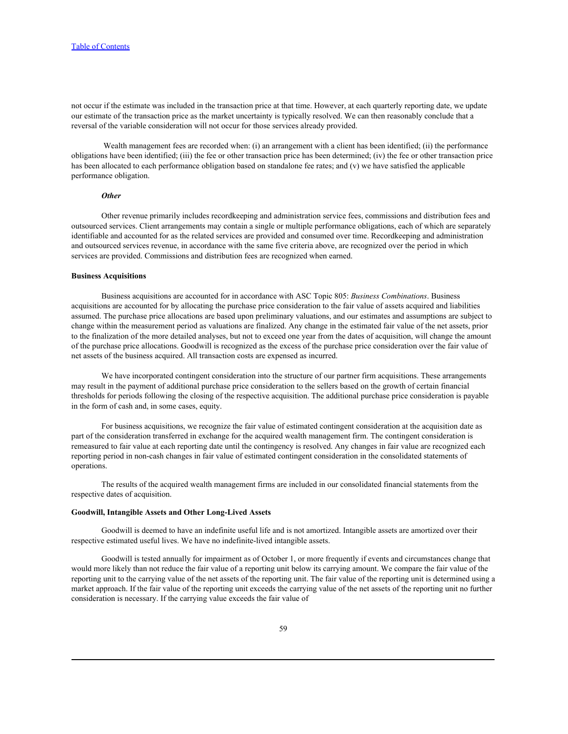not occur if the estimate was included in the transaction price at that time. However, at each quarterly reporting date, we update our estimate of the transaction price as the market uncertainty is typically resolved. We can then reasonably conclude that a reversal of the variable consideration will not occur for those services already provided.

 Wealth management fees are recorded when: (i) an arrangement with a client has been identified; (ii) the performance obligations have been identified; (iii) the fee or other transaction price has been determined; (iv) the fee or other transaction price has been allocated to each performance obligation based on standalone fee rates; and (v) we have satisfied the applicable performance obligation.

#### *Other*

Other revenue primarily includes recordkeeping and administration service fees, commissions and distribution fees and outsourced services. Client arrangements may contain a single or multiple performance obligations, each of which are separately identifiable and accounted for as the related services are provided and consumed over time. Recordkeeping and administration and outsourced services revenue, in accordance with the same five criteria above, are recognized over the period in which services are provided. Commissions and distribution fees are recognized when earned.

### **Business Acquisitions**

Business acquisitions are accounted for in accordance with ASC Topic 805: *Business Combinations*. Business acquisitions are accounted for by allocating the purchase price consideration to the fair value of assets acquired and liabilities assumed. The purchase price allocations are based upon preliminary valuations, and our estimates and assumptions are subject to change within the measurement period as valuations are finalized. Any change in the estimated fair value of the net assets, prior to the finalization of the more detailed analyses, but not to exceed one year from the dates of acquisition, will change the amount of the purchase price allocations. Goodwill is recognized as the excess of the purchase price consideration over the fair value of net assets of the business acquired. All transaction costs are expensed as incurred.

We have incorporated contingent consideration into the structure of our partner firm acquisitions. These arrangements may result in the payment of additional purchase price consideration to the sellers based on the growth of certain financial thresholds for periods following the closing of the respective acquisition. The additional purchase price consideration is payable in the form of cash and, in some cases, equity.

For business acquisitions, we recognize the fair value of estimated contingent consideration at the acquisition date as part of the consideration transferred in exchange for the acquired wealth management firm. The contingent consideration is remeasured to fair value at each reporting date until the contingency is resolved. Any changes in fair value are recognized each reporting period in non-cash changes in fair value of estimated contingent consideration in the consolidated statements of operations.

The results of the acquired wealth management firms are included in our consolidated financial statements from the respective dates of acquisition.

#### **Goodwill, Intangible Assets and Other Long-Lived Assets**

Goodwill is deemed to have an indefinite useful life and is not amortized. Intangible assets are amortized over their respective estimated useful lives. We have no indefinite-lived intangible assets.

Goodwill is tested annually for impairment as of October 1, or more frequently if events and circumstances change that would more likely than not reduce the fair value of a reporting unit below its carrying amount. We compare the fair value of the reporting unit to the carrying value of the net assets of the reporting unit. The fair value of the reporting unit is determined using a market approach. If the fair value of the reporting unit exceeds the carrying value of the net assets of the reporting unit no further consideration is necessary. If the carrying value exceeds the fair value of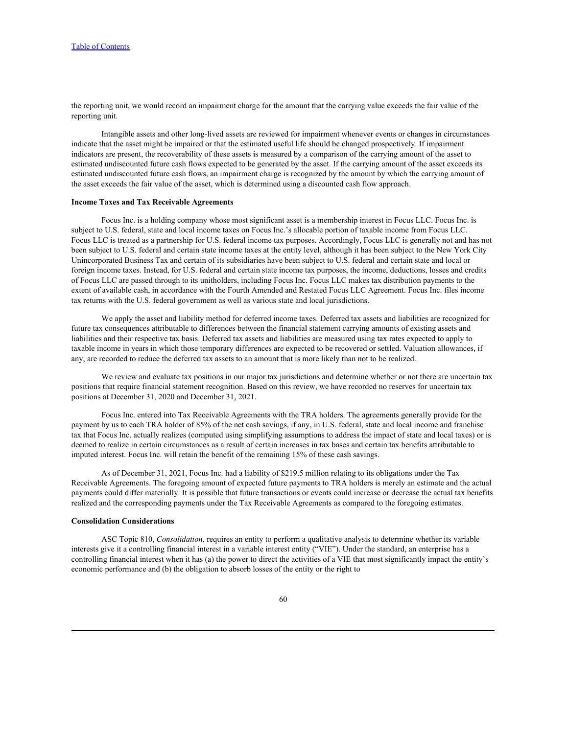the reporting unit, we would record an impairment charge for the amount that the carrying value exceeds the fair value of the reporting unit.

Intangible assets and other long-lived assets are reviewed for impairment whenever events or changes in circumstances indicate that the asset might be impaired or that the estimated useful life should be changed prospectively. If impairment indicators are present, the recoverability of these assets is measured by a comparison of the carrying amount of the asset to estimated undiscounted future cash flows expected to be generated by the asset. If the carrying amount of the asset exceeds its estimated undiscounted future cash flows, an impairment charge is recognized by the amount by which the carrying amount of the asset exceeds the fair value of the asset, which is determined using a discounted cash flow approach.

#### **Income Taxes and Tax Receivable Agreements**

Focus Inc. is a holding company whose most significant asset is a membership interest in Focus LLC. Focus Inc. is subject to U.S. federal, state and local income taxes on Focus Inc.'s allocable portion of taxable income from Focus LLC. Focus LLC is treated as a partnership for U.S. federal income tax purposes. Accordingly, Focus LLC is generally not and has not been subject to U.S. federal and certain state income taxes at the entity level, although it has been subject to the New York City Unincorporated Business Tax and certain of its subsidiaries have been subject to U.S. federal and certain state and local or foreign income taxes. Instead, for U.S. federal and certain state income tax purposes, the income, deductions, losses and credits of Focus LLC are passed through to its unitholders, including Focus Inc. Focus LLC makes tax distribution payments to the extent of available cash, in accordance with the Fourth Amended and Restated Focus LLC Agreement. Focus Inc. files income tax returns with the U.S. federal government as well as various state and local jurisdictions.

We apply the asset and liability method for deferred income taxes. Deferred tax assets and liabilities are recognized for future tax consequences attributable to differences between the financial statement carrying amounts of existing assets and liabilities and their respective tax basis. Deferred tax assets and liabilities are measured using tax rates expected to apply to taxable income in years in which those temporary differences are expected to be recovered or settled. Valuation allowances, if any, are recorded to reduce the deferred tax assets to an amount that is more likely than not to be realized.

We review and evaluate tax positions in our major tax jurisdictions and determine whether or not there are uncertain tax positions that require financial statement recognition. Based on this review, we have recorded no reserves for uncertain tax positions at December 31, 2020 and December 31, 2021.

Focus Inc. entered into Tax Receivable Agreements with the TRA holders. The agreements generally provide for the payment by us to each TRA holder of 85% of the net cash savings, if any, in U.S. federal, state and local income and franchise tax that Focus Inc. actually realizes (computed using simplifying assumptions to address the impact of state and local taxes) or is deemed to realize in certain circumstances as a result of certain increases in tax bases and certain tax benefits attributable to imputed interest. Focus Inc. will retain the benefit of the remaining 15% of these cash savings.

As of December 31, 2021, Focus Inc. had a liability of \$219.5 million relating to its obligations under the Tax Receivable Agreements. The foregoing amount of expected future payments to TRA holders is merely an estimate and the actual payments could differ materially. It is possible that future transactions or events could increase or decrease the actual tax benefits realized and the corresponding payments under the Tax Receivable Agreements as compared to the foregoing estimates.

#### **Consolidation Considerations**

ASC Topic 810, *Consolidation*, requires an entity to perform a qualitative analysis to determine whether its variable interests give it a controlling financial interest in a variable interest entity ("VIE"). Under the standard, an enterprise has a controlling financial interest when it has (a) the power to direct the activities of a VIE that most significantly impact the entity's economic performance and (b) the obligation to absorb losses of the entity or the right to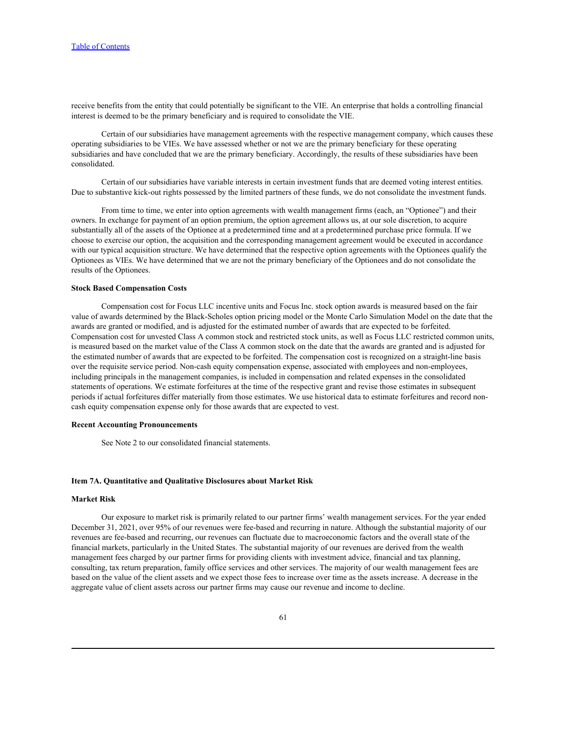receive benefits from the entity that could potentially be significant to the VIE. An enterprise that holds a controlling financial interest is deemed to be the primary beneficiary and is required to consolidate the VIE.

Certain of our subsidiaries have management agreements with the respective management company, which causes these operating subsidiaries to be VIEs. We have assessed whether or not we are the primary beneficiary for these operating subsidiaries and have concluded that we are the primary beneficiary. Accordingly, the results of these subsidiaries have been consolidated.

Certain of our subsidiaries have variable interests in certain investment funds that are deemed voting interest entities. Due to substantive kick-out rights possessed by the limited partners of these funds, we do not consolidate the investment funds.

From time to time, we enter into option agreements with wealth management firms (each, an "Optionee") and their owners. In exchange for payment of an option premium, the option agreement allows us, at our sole discretion, to acquire substantially all of the assets of the Optionee at a predetermined time and at a predetermined purchase price formula. If we choose to exercise our option, the acquisition and the corresponding management agreement would be executed in accordance with our typical acquisition structure. We have determined that the respective option agreements with the Optionees qualify the Optionees as VIEs. We have determined that we are not the primary beneficiary of the Optionees and do not consolidate the results of the Optionees.

## **Stock Based Compensation Costs**

Compensation cost for Focus LLC incentive units and Focus Inc. stock option awards is measured based on the fair value of awards determined by the Black-Scholes option pricing model or the Monte Carlo Simulation Model on the date that the awards are granted or modified, and is adjusted for the estimated number of awards that are expected to be forfeited. Compensation cost for unvested Class A common stock and restricted stock units, as well as Focus LLC restricted common units, is measured based on the market value of the Class A common stock on the date that the awards are granted and is adjusted for the estimated number of awards that are expected to be forfeited. The compensation cost is recognized on a straight-line basis over the requisite service period. Non-cash equity compensation expense, associated with employees and non-employees, including principals in the management companies, is included in compensation and related expenses in the consolidated statements of operations. We estimate forfeitures at the time of the respective grant and revise those estimates in subsequent periods if actual forfeitures differ materially from those estimates. We use historical data to estimate forfeitures and record noncash equity compensation expense only for those awards that are expected to vest.

#### **Recent Accounting Pronouncements**

See Note 2 to our consolidated financial statements.

#### **Item 7A. Quantitative and Qualitative Disclosures about Market Risk**

## **Market Risk**

Our exposure to market risk is primarily related to our partner firms' wealth management services. For the year ended December 31, 2021, over 95% of our revenues were fee-based and recurring in nature. Although the substantial majority of our revenues are fee-based and recurring, our revenues can fluctuate due to macroeconomic factors and the overall state of the financial markets, particularly in the United States. The substantial majority of our revenues are derived from the wealth management fees charged by our partner firms for providing clients with investment advice, financial and tax planning, consulting, tax return preparation, family office services and other services. The majority of our wealth management fees are based on the value of the client assets and we expect those fees to increase over time as the assets increase. A decrease in the aggregate value of client assets across our partner firms may cause our revenue and income to decline.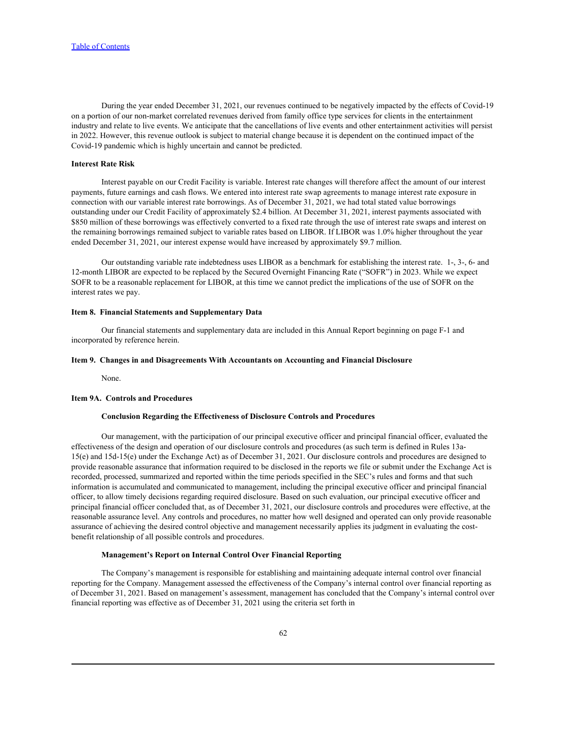During the year ended December 31, 2021, our revenues continued to be negatively impacted by the effects of Covid-19 on a portion of our non-market correlated revenues derived from family office type services for clients in the entertainment industry and relate to live events. We anticipate that the cancellations of live events and other entertainment activities will persist in 2022. However, this revenue outlook is subject to material change because it is dependent on the continued impact of the Covid-19 pandemic which is highly uncertain and cannot be predicted.

# **Interest Rate Risk**

Interest payable on our Credit Facility is variable. Interest rate changes will therefore affect the amount of our interest payments, future earnings and cash flows. We entered into interest rate swap agreements to manage interest rate exposure in connection with our variable interest rate borrowings. As of December 31, 2021, we had total stated value borrowings outstanding under our Credit Facility of approximately \$2.4 billion. At December 31, 2021, interest payments associated with \$850 million of these borrowings was effectively converted to a fixed rate through the use of interest rate swaps and interest on the remaining borrowings remained subject to variable rates based on LIBOR. If LIBOR was 1.0% higher throughout the year ended December 31, 2021, our interest expense would have increased by approximately \$9.7 million.

Our outstanding variable rate indebtedness uses LIBOR as a benchmark for establishing the interest rate. 1-, 3-, 6- and 12-month LIBOR are expected to be replaced by the Secured Overnight Financing Rate ("SOFR") in 2023. While we expect SOFR to be a reasonable replacement for LIBOR, at this time we cannot predict the implications of the use of SOFR on the interest rates we pay.

#### **Item 8. Financial Statements and Supplementary Data**

Our financial statements and supplementary data are included in this Annual Report beginning on page F-1 and incorporated by reference herein.

#### **Item 9. Changes in and Disagreements With Accountants on Accounting and Financial Disclosure**

None.

## **Item 9A. Controls and Procedures**

# **Conclusion Regarding the Effectiveness of Disclosure Controls and Procedures**

Our management, with the participation of our principal executive officer and principal financial officer, evaluated the effectiveness of the design and operation of our disclosure controls and procedures (as such term is defined in Rules 13a-15(e) and 15d-15(e) under the Exchange Act) as of December 31, 2021. Our disclosure controls and procedures are designed to provide reasonable assurance that information required to be disclosed in the reports we file or submit under the Exchange Act is recorded, processed, summarized and reported within the time periods specified in the SEC's rules and forms and that such information is accumulated and communicated to management, including the principal executive officer and principal financial officer, to allow timely decisions regarding required disclosure. Based on such evaluation, our principal executive officer and principal financial officer concluded that, as of December 31, 2021, our disclosure controls and procedures were effective, at the reasonable assurance level. Any controls and procedures, no matter how well designed and operated can only provide reasonable assurance of achieving the desired control objective and management necessarily applies its judgment in evaluating the costbenefit relationship of all possible controls and procedures.

# **Management's Report on Internal Control Over Financial Reporting**

The Company's management is responsible for establishing and maintaining adequate internal control over financial reporting for the Company. Management assessed the effectiveness of the Company's internal control over financial reporting as of December 31, 2021. Based on management's assessment, management has concluded that the Company's internal control over financial reporting was effective as of December 31, 2021 using the criteria set forth in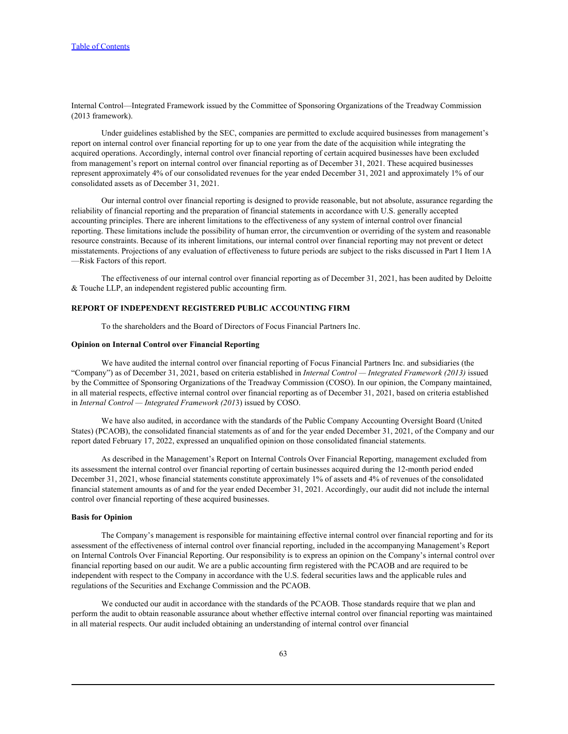Internal Control—Integrated Framework issued by the Committee of Sponsoring Organizations of the Treadway Commission (2013 framework).

Under guidelines established by the SEC, companies are permitted to exclude acquired businesses from management's report on internal control over financial reporting for up to one year from the date of the acquisition while integrating the acquired operations. Accordingly, internal control over financial reporting of certain acquired businesses have been excluded from management's report on internal control over financial reporting as of December 31, 2021. These acquired businesses represent approximately 4% of our consolidated revenues for the year ended December 31, 2021 and approximately 1% of our consolidated assets as of December 31, 2021.

Our internal control over financial reporting is designed to provide reasonable, but not absolute, assurance regarding the reliability of financial reporting and the preparation of financial statements in accordance with U.S. generally accepted accounting principles. There are inherent limitations to the effectiveness of any system of internal control over financial reporting. These limitations include the possibility of human error, the circumvention or overriding of the system and reasonable resource constraints. Because of its inherent limitations, our internal control over financial reporting may not prevent or detect misstatements. Projections of any evaluation of effectiveness to future periods are subject to the risks discussed in Part I Item 1A —Risk Factors of this report.

The effectiveness of our internal control over financial reporting as of December 31, 2021, has been audited by Deloitte & Touche LLP, an independent registered public accounting firm.

# **REPORT OF INDEPENDENT REGISTERED PUBLIC ACCOUNTING FIRM**

To the shareholders and the Board of Directors of Focus Financial Partners Inc.

### **Opinion on Internal Control over Financial Reporting**

We have audited the internal control over financial reporting of Focus Financial Partners Inc. and subsidiaries (the "Company") as of December 31, 2021, based on criteria established in *Internal Control — Integrated Framework (2013)* issued by the Committee of Sponsoring Organizations of the Treadway Commission (COSO). In our opinion, the Company maintained, in all material respects, effective internal control over financial reporting as of December 31, 2021, based on criteria established in *Internal Control — Integrated Framework (201*3) issued by COSO.

We have also audited, in accordance with the standards of the Public Company Accounting Oversight Board (United States) (PCAOB), the consolidated financial statements as of and for the year ended December 31, 2021, of the Company and our report dated February 17, 2022, expressed an unqualified opinion on those consolidated financial statements.

As described in the Management's Report on Internal Controls Over Financial Reporting, management excluded from its assessment the internal control over financial reporting of certain businesses acquired during the 12-month period ended December 31, 2021, whose financial statements constitute approximately 1% of assets and 4% of revenues of the consolidated financial statement amounts as of and for the year ended December 31, 2021. Accordingly, our audit did not include the internal control over financial reporting of these acquired businesses.

#### **Basis for Opinion**

The Company's management is responsible for maintaining effective internal control over financial reporting and for its assessment of the effectiveness of internal control over financial reporting, included in the accompanying Management's Report on Internal Controls Over Financial Reporting. Our responsibility is to express an opinion on the Company's internal control over financial reporting based on our audit. We are a public accounting firm registered with the PCAOB and are required to be independent with respect to the Company in accordance with the U.S. federal securities laws and the applicable rules and regulations of the Securities and Exchange Commission and the PCAOB.

We conducted our audit in accordance with the standards of the PCAOB. Those standards require that we plan and perform the audit to obtain reasonable assurance about whether effective internal control over financial reporting was maintained in all material respects. Our audit included obtaining an understanding of internal control over financial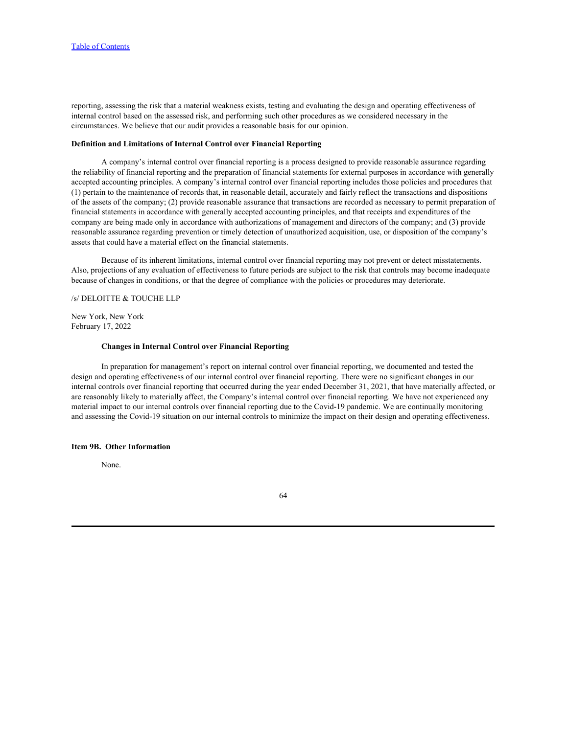reporting, assessing the risk that a material weakness exists, testing and evaluating the design and operating effectiveness of internal control based on the assessed risk, and performing such other procedures as we considered necessary in the circumstances. We believe that our audit provides a reasonable basis for our opinion.

### **Definition and Limitations of Internal Control over Financial Reporting**

A company's internal control over financial reporting is a process designed to provide reasonable assurance regarding the reliability of financial reporting and the preparation of financial statements for external purposes in accordance with generally accepted accounting principles. A company's internal control over financial reporting includes those policies and procedures that (1) pertain to the maintenance of records that, in reasonable detail, accurately and fairly reflect the transactions and dispositions of the assets of the company; (2) provide reasonable assurance that transactions are recorded as necessary to permit preparation of financial statements in accordance with generally accepted accounting principles, and that receipts and expenditures of the company are being made only in accordance with authorizations of management and directors of the company; and (3) provide reasonable assurance regarding prevention or timely detection of unauthorized acquisition, use, or disposition of the company's assets that could have a material effect on the financial statements.

Because of its inherent limitations, internal control over financial reporting may not prevent or detect misstatements. Also, projections of any evaluation of effectiveness to future periods are subject to the risk that controls may become inadequate because of changes in conditions, or that the degree of compliance with the policies or procedures may deteriorate.

### /s/ DELOITTE & TOUCHE LLP

New York, New York February 17, 2022

#### **Changes in Internal Control over Financial Reporting**

In preparation for management's report on internal control over financial reporting, we documented and tested the design and operating effectiveness of our internal control over financial reporting. There were no significant changes in our internal controls over financial reporting that occurred during the year ended December 31, 2021, that have materially affected, or are reasonably likely to materially affect, the Company's internal control over financial reporting. We have not experienced any material impact to our internal controls over financial reporting due to the Covid-19 pandemic. We are continually monitoring and assessing the Covid-19 situation on our internal controls to minimize the impact on their design and operating effectiveness.

# **Item 9B. Other Information**

None.

64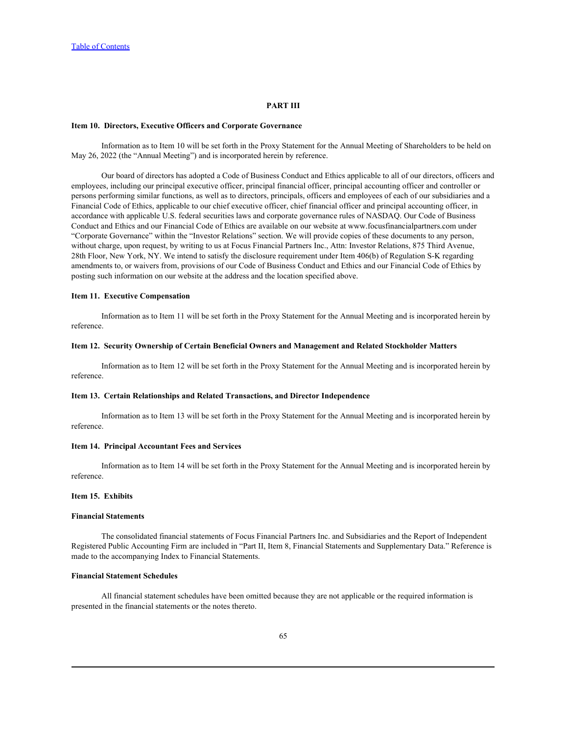# **PART III**

#### **Item 10. Directors, Executive Officers and Corporate Governance**

Information as to Item 10 will be set forth in the Proxy Statement for the Annual Meeting of Shareholders to be held on May 26, 2022 (the "Annual Meeting") and is incorporated herein by reference.

Our board of directors has adopted a Code of Business Conduct and Ethics applicable to all of our directors, officers and employees, including our principal executive officer, principal financial officer, principal accounting officer and controller or persons performing similar functions, as well as to directors, principals, officers and employees of each of our subsidiaries and a Financial Code of Ethics, applicable to our chief executive officer, chief financial officer and principal accounting officer, in accordance with applicable U.S. federal securities laws and corporate governance rules of NASDAQ. Our Code of Business Conduct and Ethics and our Financial Code of Ethics are available on our website at www.focusfinancialpartners.com under "Corporate Governance" within the "Investor Relations" section. We will provide copies of these documents to any person, without charge, upon request, by writing to us at Focus Financial Partners Inc., Attn: Investor Relations, 875 Third Avenue, 28th Floor, New York, NY. We intend to satisfy the disclosure requirement under Item 406(b) of Regulation S-K regarding amendments to, or waivers from, provisions of our Code of Business Conduct and Ethics and our Financial Code of Ethics by posting such information on our website at the address and the location specified above.

## **Item 11. Executive Compensation**

Information as to Item 11 will be set forth in the Proxy Statement for the Annual Meeting and is incorporated herein by reference.

## **Item 12. Security Ownership of Certain Beneficial Owners and Management and Related Stockholder Matters**

Information as to Item 12 will be set forth in the Proxy Statement for the Annual Meeting and is incorporated herein by reference.

# **Item 13. Certain Relationships and Related Transactions, and Director Independence**

Information as to Item 13 will be set forth in the Proxy Statement for the Annual Meeting and is incorporated herein by reference.

## **Item 14. Principal Accountant Fees and Services**

Information as to Item 14 will be set forth in the Proxy Statement for the Annual Meeting and is incorporated herein by reference.

#### **Item 15. Exhibits**

#### **Financial Statements**

The consolidated financial statements of Focus Financial Partners Inc. and Subsidiaries and the Report of Independent Registered Public Accounting Firm are included in "Part II, Item 8, Financial Statements and Supplementary Data." Reference is made to the accompanying Index to Financial Statements.

# **Financial Statement Schedules**

All financial statement schedules have been omitted because they are not applicable or the required information is presented in the financial statements or the notes thereto.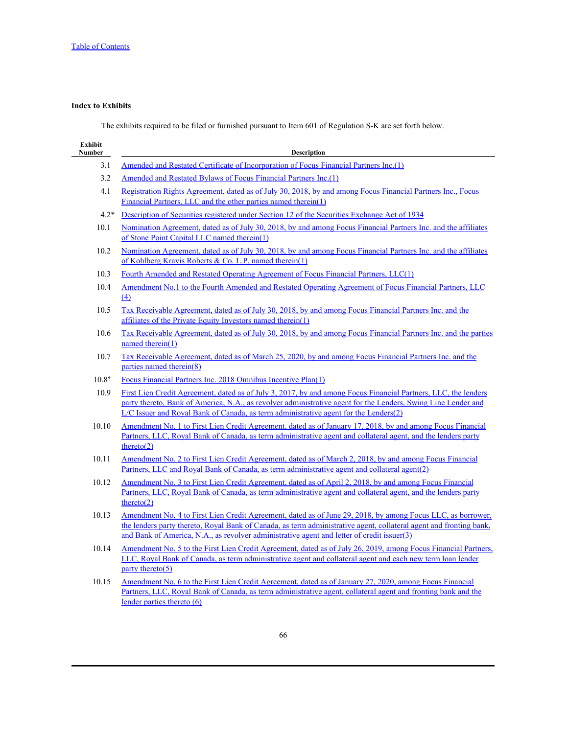# **Index to Exhibits**

The exhibits required to be filed or furnished pursuant to Item 601 of Regulation S-K are set forth below.

| Exhibit<br>Number | <b>Description</b>                                                                                                                                                                                                                                                                                                              |
|-------------------|---------------------------------------------------------------------------------------------------------------------------------------------------------------------------------------------------------------------------------------------------------------------------------------------------------------------------------|
| 3.1               | Amended and Restated Certificate of Incorporation of Focus Financial Partners Inc.(1)                                                                                                                                                                                                                                           |
| 3.2               | Amended and Restated Bylaws of Focus Financial Partners Inc.(1)                                                                                                                                                                                                                                                                 |
| 4.1               | Registration Rights Agreement, dated as of July 30, 2018, by and among Focus Financial Partners Inc., Focus<br>Financial Partners, LLC and the other parties named therein(1)                                                                                                                                                   |
| $4.2*$            | Description of Securities registered under Section 12 of the Securities Exchange Act of 1934                                                                                                                                                                                                                                    |
| 10.1              | Nomination Agreement, dated as of July 30, 2018, by and among Focus Financial Partners Inc. and the affiliates<br>of Stone Point Capital LLC named therein(1)                                                                                                                                                                   |
| 10.2              | Nomination Agreement, dated as of July 30, 2018, by and among Focus Financial Partners Inc. and the affiliates<br>of Kohlberg Kravis Roberts & Co. L.P. named therein(1)                                                                                                                                                        |
| 10.3              | Fourth Amended and Restated Operating Agreement of Focus Financial Partners, LLC(1)                                                                                                                                                                                                                                             |
| 10.4              | Amendment No.1 to the Fourth Amended and Restated Operating Agreement of Focus Financial Partners, LLC<br>(4)                                                                                                                                                                                                                   |
| 10.5              | Tax Receivable Agreement, dated as of July 30, 2018, by and among Focus Financial Partners Inc. and the<br>affiliates of the Private Equity Investors named therein(1)                                                                                                                                                          |
| 10.6              | Tax Receivable Agreement, dated as of July 30, 2018, by and among Focus Financial Partners Inc. and the parties<br>named therein $(1)$                                                                                                                                                                                          |
| 10.7              | Tax Receivable Agreement, dated as of March 25, 2020, by and among Focus Financial Partners Inc. and the<br>parties named therein(8)                                                                                                                                                                                            |
| $10.8^{\dagger}$  | Focus Financial Partners Inc. 2018 Omnibus Incentive Plan(1)                                                                                                                                                                                                                                                                    |
| 10.9              | First Lien Credit Agreement, dated as of July 3, 2017, by and among Focus Financial Partners, LLC, the lenders<br>party thereto, Bank of America, N.A., as revolver administrative agent for the Lenders, Swing Line Lender and<br>L/C Issuer and Royal Bank of Canada, as term administrative agent for the Lenders(2)         |
| 10.10             | Amendment No. 1 to First Lien Credit Agreement, dated as of January 17, 2018, by and among Focus Financial<br>Partners, LLC, Royal Bank of Canada, as term administrative agent and collateral agent, and the lenders party<br>thereto (2)                                                                                      |
| 10.11             | Amendment No. 2 to First Lien Credit Agreement, dated as of March 2, 2018, by and among Focus Financial<br>Partners, LLC and Royal Bank of Canada, as term administrative agent and collateral agent(2)                                                                                                                         |
| 10.12             | Amendment No. 3 to First Lien Credit Agreement, dated as of April 2, 2018, by and among Focus Financial<br>Partners, LLC, Royal Bank of Canada, as term administrative agent and collateral agent, and the lenders party<br>thereto (2)                                                                                         |
| 10.13             | Amendment No. 4 to First Lien Credit Agreement, dated as of June 29, 2018, by among Focus LLC, as borrower,<br>the lenders party thereto, Royal Bank of Canada, as term administrative agent, collateral agent and fronting bank,<br>and Bank of America, N.A., as revolver administrative agent and letter of credit issuer(3) |
| 10.14             | Amendment No. 5 to the First Lien Credit Agreement, dated as of July 26, 2019, among Focus Financial Partners,<br>LLC, Royal Bank of Canada, as term administrative agent and collateral agent and each new term loan lender<br>party thereto(5)                                                                                |
| 10.15             | Amendment No. 6 to the First Lien Credit Agreement, dated as of January 27, 2020, among Focus Financial<br>Partners, LLC, Royal Bank of Canada, as term administrative agent, collateral agent and fronting bank and the                                                                                                        |

[lender parties thereto \(6\)](https://content.edgar-online.com/ExternalLink/EDGAR/0001104659-20-006982.html?hash=d00ed8d720303909bd6407990b8be7a5dfbd5c9f98479a73c6aeeb4e2efd51f9&dest=tm205834d1_ex10-1_htm)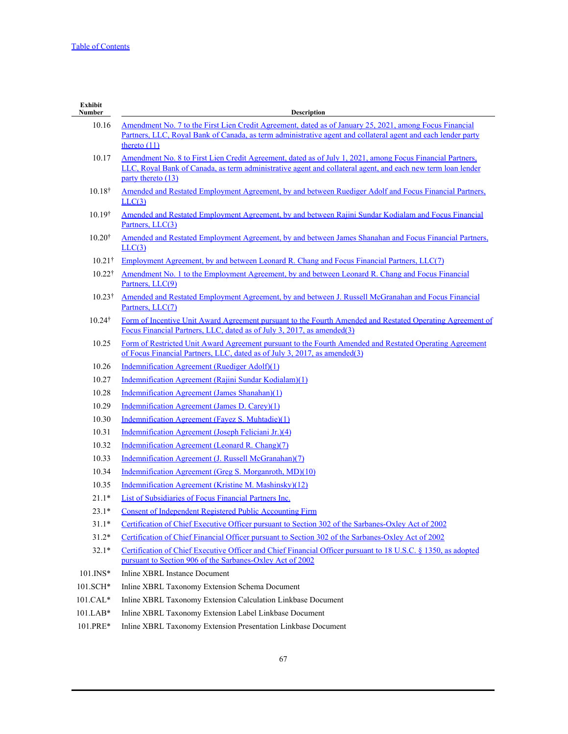| <u>Amendment No. 7 to the First Lien Credit Agreement, dated as of January 25, 2021, among Focus Financial</u><br>10.16<br>Partners, LLC, Royal Bank of Canada, as term administrative agent and collateral agent and each lender party<br>thereto $(11)$<br>Amendment No. 8 to First Lien Credit Agreement, dated as of July 1, 2021, among Focus Financial Partners,<br>10.17<br>LLC, Royal Bank of Canada, as term administrative agent and collateral agent, and each new term loan lender<br>party thereto (13)<br>$10.18^{\dagger}$<br>Amended and Restated Employment Agreement, by and between Ruediger Adolf and Focus Financial Partners,<br>LLC(3)<br>10.19 <sup>†</sup><br>Amended and Restated Employment Agreement, by and between Rajini Sundar Kodialam and Focus Financial<br>Partners, LLC(3)<br>$10.20^{\dagger}$<br>Amended and Restated Employment Agreement, by and between James Shanahan and Focus Financial Partners.<br>LLC(3)<br>$10.21$ †<br>Employment Agreement, by and between Leonard R. Chang and Focus Financial Partners, LLC(7)<br>Amendment No. 1 to the Employment Agreement, by and between Leonard R. Chang and Focus Financial<br>$10.22^{\dagger}$<br>Partners, LLC(9)<br>$10.23^{\dagger}$<br>Amended and Restated Employment Agreement, by and between J. Russell McGranahan and Focus Financial<br>Partners, LLC(7)<br>$10.24^{\dagger}$<br>Focus Financial Partners, LLC, dated as of July 3, 2017, as amended(3)<br>Form of Restricted Unit Award Agreement pursuant to the Fourth Amended and Restated Operating Agreement<br>10.25<br>of Focus Financial Partners, LLC, dated as of July 3, 2017, as amended(3)<br>Indemnification Agreement (Ruediger Adolf)(1)<br>10.26<br>10.27<br>Indemnification Agreement (Rajini Sundar Kodialam)(1)<br>10.28<br>Indemnification Agreement (James Shanahan)(1)<br>10.29<br>Indemnification Agreement (James D. Carey)(1)<br>10.30<br>Indemnification Agreement (Fayez S. Muhtadie)(1)<br>10.31<br>Indemnification Agreement (Joseph Feliciani Jr.)(4)<br>10.32<br>Indemnification Agreement (Leonard R. Chang)(7)<br>10.33<br>Indemnification Agreement (J. Russell McGranahan)(7)<br>10.34<br>Indemnification Agreement (Greg S. Morganroth, MD)(10)<br>Indemnification Agreement (Kristine M. Mashinsky)(12)<br>10.35<br>$21.1*$<br>List of Subsidiaries of Focus Financial Partners Inc.<br>$23.1*$<br><b>Consent of Independent Registered Public Accounting Firm</b><br>$31.1*$<br>Certification of Chief Executive Officer pursuant to Section 302 of the Sarbanes-Oxley Act of 2002<br>$31.2*$<br>Certification of Chief Financial Officer pursuant to Section 302 of the Sarbanes-Oxley Act of 2002<br>$32.1*$<br>Certification of Chief Executive Officer and Chief Financial Officer pursuant to 18 U.S.C. § 1350, as adopted<br>pursuant to Section 906 of the Sarbanes-Oxley Act of 2002<br>Inline XBRL Instance Document<br>Inline XBRL Taxonomy Extension Schema Document<br>Inline XBRL Taxonomy Extension Calculation Linkbase Document<br>Inline XBRL Taxonomy Extension Label Linkbase Document<br>Inline XBRL Taxonomy Extension Presentation Linkbase Document | Exhibit<br>Number | <b>Description</b>                                                                                        |
|----------------------------------------------------------------------------------------------------------------------------------------------------------------------------------------------------------------------------------------------------------------------------------------------------------------------------------------------------------------------------------------------------------------------------------------------------------------------------------------------------------------------------------------------------------------------------------------------------------------------------------------------------------------------------------------------------------------------------------------------------------------------------------------------------------------------------------------------------------------------------------------------------------------------------------------------------------------------------------------------------------------------------------------------------------------------------------------------------------------------------------------------------------------------------------------------------------------------------------------------------------------------------------------------------------------------------------------------------------------------------------------------------------------------------------------------------------------------------------------------------------------------------------------------------------------------------------------------------------------------------------------------------------------------------------------------------------------------------------------------------------------------------------------------------------------------------------------------------------------------------------------------------------------------------------------------------------------------------------------------------------------------------------------------------------------------------------------------------------------------------------------------------------------------------------------------------------------------------------------------------------------------------------------------------------------------------------------------------------------------------------------------------------------------------------------------------------------------------------------------------------------------------------------------------------------------------------------------------------------------------------------------------------------------------------------------------------------------------------------------------------------------------------------------------------------------------------------------------------------------------------------------------------------------------------------------------------------------------------------------------------------------------------------------------------------------------------------------------------------------------------------------------------------------------|-------------------|-----------------------------------------------------------------------------------------------------------|
|                                                                                                                                                                                                                                                                                                                                                                                                                                                                                                                                                                                                                                                                                                                                                                                                                                                                                                                                                                                                                                                                                                                                                                                                                                                                                                                                                                                                                                                                                                                                                                                                                                                                                                                                                                                                                                                                                                                                                                                                                                                                                                                                                                                                                                                                                                                                                                                                                                                                                                                                                                                                                                                                                                                                                                                                                                                                                                                                                                                                                                                                                                                                                                            |                   |                                                                                                           |
|                                                                                                                                                                                                                                                                                                                                                                                                                                                                                                                                                                                                                                                                                                                                                                                                                                                                                                                                                                                                                                                                                                                                                                                                                                                                                                                                                                                                                                                                                                                                                                                                                                                                                                                                                                                                                                                                                                                                                                                                                                                                                                                                                                                                                                                                                                                                                                                                                                                                                                                                                                                                                                                                                                                                                                                                                                                                                                                                                                                                                                                                                                                                                                            |                   |                                                                                                           |
|                                                                                                                                                                                                                                                                                                                                                                                                                                                                                                                                                                                                                                                                                                                                                                                                                                                                                                                                                                                                                                                                                                                                                                                                                                                                                                                                                                                                                                                                                                                                                                                                                                                                                                                                                                                                                                                                                                                                                                                                                                                                                                                                                                                                                                                                                                                                                                                                                                                                                                                                                                                                                                                                                                                                                                                                                                                                                                                                                                                                                                                                                                                                                                            |                   |                                                                                                           |
|                                                                                                                                                                                                                                                                                                                                                                                                                                                                                                                                                                                                                                                                                                                                                                                                                                                                                                                                                                                                                                                                                                                                                                                                                                                                                                                                                                                                                                                                                                                                                                                                                                                                                                                                                                                                                                                                                                                                                                                                                                                                                                                                                                                                                                                                                                                                                                                                                                                                                                                                                                                                                                                                                                                                                                                                                                                                                                                                                                                                                                                                                                                                                                            |                   |                                                                                                           |
|                                                                                                                                                                                                                                                                                                                                                                                                                                                                                                                                                                                                                                                                                                                                                                                                                                                                                                                                                                                                                                                                                                                                                                                                                                                                                                                                                                                                                                                                                                                                                                                                                                                                                                                                                                                                                                                                                                                                                                                                                                                                                                                                                                                                                                                                                                                                                                                                                                                                                                                                                                                                                                                                                                                                                                                                                                                                                                                                                                                                                                                                                                                                                                            |                   |                                                                                                           |
|                                                                                                                                                                                                                                                                                                                                                                                                                                                                                                                                                                                                                                                                                                                                                                                                                                                                                                                                                                                                                                                                                                                                                                                                                                                                                                                                                                                                                                                                                                                                                                                                                                                                                                                                                                                                                                                                                                                                                                                                                                                                                                                                                                                                                                                                                                                                                                                                                                                                                                                                                                                                                                                                                                                                                                                                                                                                                                                                                                                                                                                                                                                                                                            |                   |                                                                                                           |
|                                                                                                                                                                                                                                                                                                                                                                                                                                                                                                                                                                                                                                                                                                                                                                                                                                                                                                                                                                                                                                                                                                                                                                                                                                                                                                                                                                                                                                                                                                                                                                                                                                                                                                                                                                                                                                                                                                                                                                                                                                                                                                                                                                                                                                                                                                                                                                                                                                                                                                                                                                                                                                                                                                                                                                                                                                                                                                                                                                                                                                                                                                                                                                            |                   |                                                                                                           |
|                                                                                                                                                                                                                                                                                                                                                                                                                                                                                                                                                                                                                                                                                                                                                                                                                                                                                                                                                                                                                                                                                                                                                                                                                                                                                                                                                                                                                                                                                                                                                                                                                                                                                                                                                                                                                                                                                                                                                                                                                                                                                                                                                                                                                                                                                                                                                                                                                                                                                                                                                                                                                                                                                                                                                                                                                                                                                                                                                                                                                                                                                                                                                                            |                   |                                                                                                           |
|                                                                                                                                                                                                                                                                                                                                                                                                                                                                                                                                                                                                                                                                                                                                                                                                                                                                                                                                                                                                                                                                                                                                                                                                                                                                                                                                                                                                                                                                                                                                                                                                                                                                                                                                                                                                                                                                                                                                                                                                                                                                                                                                                                                                                                                                                                                                                                                                                                                                                                                                                                                                                                                                                                                                                                                                                                                                                                                                                                                                                                                                                                                                                                            |                   | Form of Incentive Unit Award Agreement pursuant to the Fourth Amended and Restated Operating Agreement of |
|                                                                                                                                                                                                                                                                                                                                                                                                                                                                                                                                                                                                                                                                                                                                                                                                                                                                                                                                                                                                                                                                                                                                                                                                                                                                                                                                                                                                                                                                                                                                                                                                                                                                                                                                                                                                                                                                                                                                                                                                                                                                                                                                                                                                                                                                                                                                                                                                                                                                                                                                                                                                                                                                                                                                                                                                                                                                                                                                                                                                                                                                                                                                                                            |                   |                                                                                                           |
|                                                                                                                                                                                                                                                                                                                                                                                                                                                                                                                                                                                                                                                                                                                                                                                                                                                                                                                                                                                                                                                                                                                                                                                                                                                                                                                                                                                                                                                                                                                                                                                                                                                                                                                                                                                                                                                                                                                                                                                                                                                                                                                                                                                                                                                                                                                                                                                                                                                                                                                                                                                                                                                                                                                                                                                                                                                                                                                                                                                                                                                                                                                                                                            |                   |                                                                                                           |
|                                                                                                                                                                                                                                                                                                                                                                                                                                                                                                                                                                                                                                                                                                                                                                                                                                                                                                                                                                                                                                                                                                                                                                                                                                                                                                                                                                                                                                                                                                                                                                                                                                                                                                                                                                                                                                                                                                                                                                                                                                                                                                                                                                                                                                                                                                                                                                                                                                                                                                                                                                                                                                                                                                                                                                                                                                                                                                                                                                                                                                                                                                                                                                            |                   |                                                                                                           |
|                                                                                                                                                                                                                                                                                                                                                                                                                                                                                                                                                                                                                                                                                                                                                                                                                                                                                                                                                                                                                                                                                                                                                                                                                                                                                                                                                                                                                                                                                                                                                                                                                                                                                                                                                                                                                                                                                                                                                                                                                                                                                                                                                                                                                                                                                                                                                                                                                                                                                                                                                                                                                                                                                                                                                                                                                                                                                                                                                                                                                                                                                                                                                                            |                   |                                                                                                           |
|                                                                                                                                                                                                                                                                                                                                                                                                                                                                                                                                                                                                                                                                                                                                                                                                                                                                                                                                                                                                                                                                                                                                                                                                                                                                                                                                                                                                                                                                                                                                                                                                                                                                                                                                                                                                                                                                                                                                                                                                                                                                                                                                                                                                                                                                                                                                                                                                                                                                                                                                                                                                                                                                                                                                                                                                                                                                                                                                                                                                                                                                                                                                                                            |                   |                                                                                                           |
|                                                                                                                                                                                                                                                                                                                                                                                                                                                                                                                                                                                                                                                                                                                                                                                                                                                                                                                                                                                                                                                                                                                                                                                                                                                                                                                                                                                                                                                                                                                                                                                                                                                                                                                                                                                                                                                                                                                                                                                                                                                                                                                                                                                                                                                                                                                                                                                                                                                                                                                                                                                                                                                                                                                                                                                                                                                                                                                                                                                                                                                                                                                                                                            |                   |                                                                                                           |
|                                                                                                                                                                                                                                                                                                                                                                                                                                                                                                                                                                                                                                                                                                                                                                                                                                                                                                                                                                                                                                                                                                                                                                                                                                                                                                                                                                                                                                                                                                                                                                                                                                                                                                                                                                                                                                                                                                                                                                                                                                                                                                                                                                                                                                                                                                                                                                                                                                                                                                                                                                                                                                                                                                                                                                                                                                                                                                                                                                                                                                                                                                                                                                            |                   |                                                                                                           |
|                                                                                                                                                                                                                                                                                                                                                                                                                                                                                                                                                                                                                                                                                                                                                                                                                                                                                                                                                                                                                                                                                                                                                                                                                                                                                                                                                                                                                                                                                                                                                                                                                                                                                                                                                                                                                                                                                                                                                                                                                                                                                                                                                                                                                                                                                                                                                                                                                                                                                                                                                                                                                                                                                                                                                                                                                                                                                                                                                                                                                                                                                                                                                                            |                   |                                                                                                           |
|                                                                                                                                                                                                                                                                                                                                                                                                                                                                                                                                                                                                                                                                                                                                                                                                                                                                                                                                                                                                                                                                                                                                                                                                                                                                                                                                                                                                                                                                                                                                                                                                                                                                                                                                                                                                                                                                                                                                                                                                                                                                                                                                                                                                                                                                                                                                                                                                                                                                                                                                                                                                                                                                                                                                                                                                                                                                                                                                                                                                                                                                                                                                                                            |                   |                                                                                                           |
|                                                                                                                                                                                                                                                                                                                                                                                                                                                                                                                                                                                                                                                                                                                                                                                                                                                                                                                                                                                                                                                                                                                                                                                                                                                                                                                                                                                                                                                                                                                                                                                                                                                                                                                                                                                                                                                                                                                                                                                                                                                                                                                                                                                                                                                                                                                                                                                                                                                                                                                                                                                                                                                                                                                                                                                                                                                                                                                                                                                                                                                                                                                                                                            |                   |                                                                                                           |
|                                                                                                                                                                                                                                                                                                                                                                                                                                                                                                                                                                                                                                                                                                                                                                                                                                                                                                                                                                                                                                                                                                                                                                                                                                                                                                                                                                                                                                                                                                                                                                                                                                                                                                                                                                                                                                                                                                                                                                                                                                                                                                                                                                                                                                                                                                                                                                                                                                                                                                                                                                                                                                                                                                                                                                                                                                                                                                                                                                                                                                                                                                                                                                            |                   |                                                                                                           |
|                                                                                                                                                                                                                                                                                                                                                                                                                                                                                                                                                                                                                                                                                                                                                                                                                                                                                                                                                                                                                                                                                                                                                                                                                                                                                                                                                                                                                                                                                                                                                                                                                                                                                                                                                                                                                                                                                                                                                                                                                                                                                                                                                                                                                                                                                                                                                                                                                                                                                                                                                                                                                                                                                                                                                                                                                                                                                                                                                                                                                                                                                                                                                                            |                   |                                                                                                           |
|                                                                                                                                                                                                                                                                                                                                                                                                                                                                                                                                                                                                                                                                                                                                                                                                                                                                                                                                                                                                                                                                                                                                                                                                                                                                                                                                                                                                                                                                                                                                                                                                                                                                                                                                                                                                                                                                                                                                                                                                                                                                                                                                                                                                                                                                                                                                                                                                                                                                                                                                                                                                                                                                                                                                                                                                                                                                                                                                                                                                                                                                                                                                                                            |                   |                                                                                                           |
|                                                                                                                                                                                                                                                                                                                                                                                                                                                                                                                                                                                                                                                                                                                                                                                                                                                                                                                                                                                                                                                                                                                                                                                                                                                                                                                                                                                                                                                                                                                                                                                                                                                                                                                                                                                                                                                                                                                                                                                                                                                                                                                                                                                                                                                                                                                                                                                                                                                                                                                                                                                                                                                                                                                                                                                                                                                                                                                                                                                                                                                                                                                                                                            |                   |                                                                                                           |
|                                                                                                                                                                                                                                                                                                                                                                                                                                                                                                                                                                                                                                                                                                                                                                                                                                                                                                                                                                                                                                                                                                                                                                                                                                                                                                                                                                                                                                                                                                                                                                                                                                                                                                                                                                                                                                                                                                                                                                                                                                                                                                                                                                                                                                                                                                                                                                                                                                                                                                                                                                                                                                                                                                                                                                                                                                                                                                                                                                                                                                                                                                                                                                            |                   |                                                                                                           |
|                                                                                                                                                                                                                                                                                                                                                                                                                                                                                                                                                                                                                                                                                                                                                                                                                                                                                                                                                                                                                                                                                                                                                                                                                                                                                                                                                                                                                                                                                                                                                                                                                                                                                                                                                                                                                                                                                                                                                                                                                                                                                                                                                                                                                                                                                                                                                                                                                                                                                                                                                                                                                                                                                                                                                                                                                                                                                                                                                                                                                                                                                                                                                                            |                   |                                                                                                           |
|                                                                                                                                                                                                                                                                                                                                                                                                                                                                                                                                                                                                                                                                                                                                                                                                                                                                                                                                                                                                                                                                                                                                                                                                                                                                                                                                                                                                                                                                                                                                                                                                                                                                                                                                                                                                                                                                                                                                                                                                                                                                                                                                                                                                                                                                                                                                                                                                                                                                                                                                                                                                                                                                                                                                                                                                                                                                                                                                                                                                                                                                                                                                                                            | 101.INS*          |                                                                                                           |
|                                                                                                                                                                                                                                                                                                                                                                                                                                                                                                                                                                                                                                                                                                                                                                                                                                                                                                                                                                                                                                                                                                                                                                                                                                                                                                                                                                                                                                                                                                                                                                                                                                                                                                                                                                                                                                                                                                                                                                                                                                                                                                                                                                                                                                                                                                                                                                                                                                                                                                                                                                                                                                                                                                                                                                                                                                                                                                                                                                                                                                                                                                                                                                            | 101.SCH*          |                                                                                                           |
|                                                                                                                                                                                                                                                                                                                                                                                                                                                                                                                                                                                                                                                                                                                                                                                                                                                                                                                                                                                                                                                                                                                                                                                                                                                                                                                                                                                                                                                                                                                                                                                                                                                                                                                                                                                                                                                                                                                                                                                                                                                                                                                                                                                                                                                                                                                                                                                                                                                                                                                                                                                                                                                                                                                                                                                                                                                                                                                                                                                                                                                                                                                                                                            | $101.CAL*$        |                                                                                                           |
|                                                                                                                                                                                                                                                                                                                                                                                                                                                                                                                                                                                                                                                                                                                                                                                                                                                                                                                                                                                                                                                                                                                                                                                                                                                                                                                                                                                                                                                                                                                                                                                                                                                                                                                                                                                                                                                                                                                                                                                                                                                                                                                                                                                                                                                                                                                                                                                                                                                                                                                                                                                                                                                                                                                                                                                                                                                                                                                                                                                                                                                                                                                                                                            | $101.LAB*$        |                                                                                                           |
|                                                                                                                                                                                                                                                                                                                                                                                                                                                                                                                                                                                                                                                                                                                                                                                                                                                                                                                                                                                                                                                                                                                                                                                                                                                                                                                                                                                                                                                                                                                                                                                                                                                                                                                                                                                                                                                                                                                                                                                                                                                                                                                                                                                                                                                                                                                                                                                                                                                                                                                                                                                                                                                                                                                                                                                                                                                                                                                                                                                                                                                                                                                                                                            | 101.PRE*          |                                                                                                           |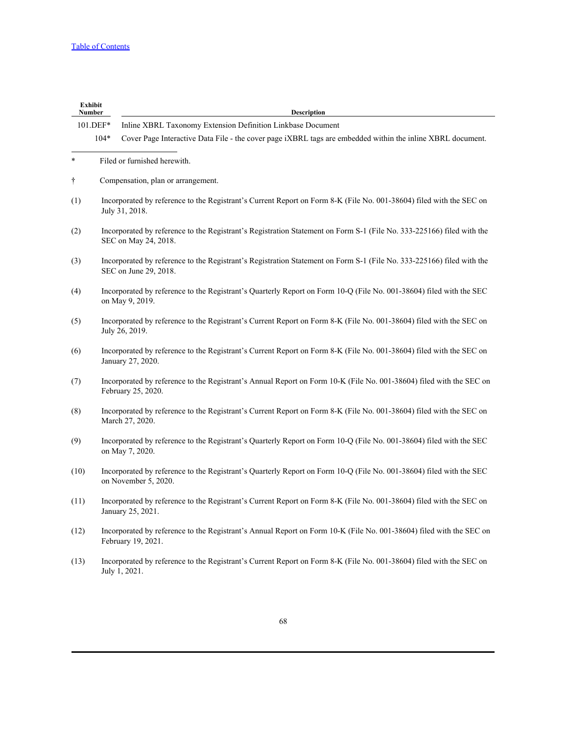| Exhibit<br>Number |        | <b>Description</b>                                                                                                                             |
|-------------------|--------|------------------------------------------------------------------------------------------------------------------------------------------------|
| 101.DEF*          |        | Inline XBRL Taxonomy Extension Definition Linkbase Document                                                                                    |
|                   | $104*$ | Cover Page Interactive Data File - the cover page iXBRL tags are embedded within the inline XBRL document.                                     |
| $\ast$            |        | Filed or furnished herewith.                                                                                                                   |
| $\dagger$         |        | Compensation, plan or arrangement.                                                                                                             |
| (1)               |        | Incorporated by reference to the Registrant's Current Report on Form 8-K (File No. 001-38604) filed with the SEC on<br>July 31, 2018.          |
| (2)               |        | Incorporated by reference to the Registrant's Registration Statement on Form S-1 (File No. 333-225166) filed with the<br>SEC on May 24, 2018.  |
| (3)               |        | Incorporated by reference to the Registrant's Registration Statement on Form S-1 (File No. 333-225166) filed with the<br>SEC on June 29, 2018. |
| (4)               |        | Incorporated by reference to the Registrant's Quarterly Report on Form 10-Q (File No. 001-38604) filed with the SEC<br>on May 9, 2019.         |
| (5)               |        | Incorporated by reference to the Registrant's Current Report on Form 8-K (File No. 001-38604) filed with the SEC on<br>July 26, 2019.          |
| (6)               |        | Incorporated by reference to the Registrant's Current Report on Form 8-K (File No. 001-38604) filed with the SEC on<br>January 27, 2020.       |
| (7)               |        | Incorporated by reference to the Registrant's Annual Report on Form 10-K (File No. 001-38604) filed with the SEC on<br>February 25, 2020.      |
| (8)               |        | Incorporated by reference to the Registrant's Current Report on Form 8-K (File No. 001-38604) filed with the SEC on<br>March 27, 2020.         |
| (9)               |        | Incorporated by reference to the Registrant's Quarterly Report on Form 10-Q (File No. 001-38604) filed with the SEC<br>on May 7, 2020.         |
| (10)              |        | Incorporated by reference to the Registrant's Quarterly Report on Form 10-Q (File No. 001-38604) filed with the SEC<br>on November 5, 2020.    |
| (11)              |        | Incorporated by reference to the Registrant's Current Report on Form 8-K (File No. 001-38604) filed with the SEC on<br>January 25, 2021.       |
| (12)              |        | Incorporated by reference to the Registrant's Annual Report on Form 10-K (File No. 001-38604) filed with the SEC on<br>February 19, 2021.      |
| (13)              |        | Incorporated by reference to the Registrant's Current Report on Form 8-K (File No. 001-38604) filed with the SEC on<br>July 1, 2021.           |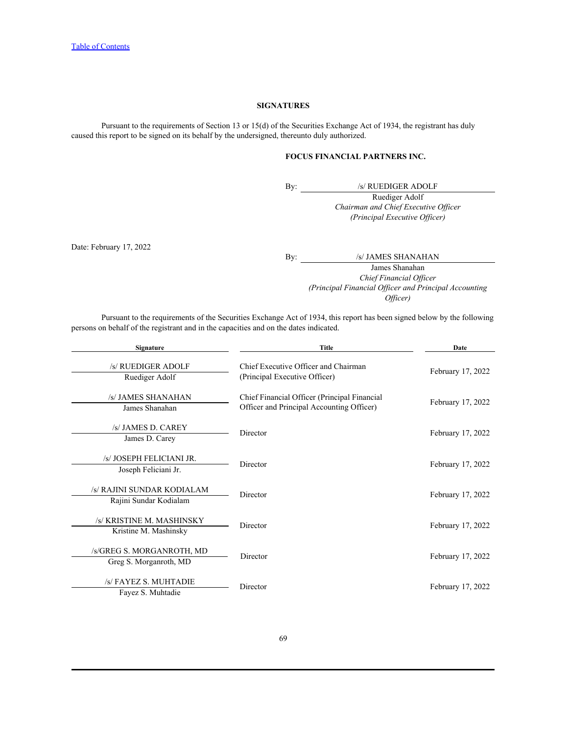# **SIGNATURES**

Pursuant to the requirements of Section 13 or 15(d) of the Securities Exchange Act of 1934, the registrant has duly caused this report to be signed on its behalf by the undersigned, thereunto duly authorized.

# **FOCUS FINANCIAL PARTNERS INC.**

By: /s/ RUEDIGER ADOLF

Ruediger Adolf *Chairman and Chief Executive Officer (Principal Executive Officer)*

Date: February 17, 2022

By: /s/ JAMES SHANAHAN James Shanahan *Chief Financial Officer (Principal Financial Officer and Principal Accounting Officer)*

Pursuant to the requirements of the Securities Exchange Act of 1934, this report has been signed below by the following persons on behalf of the registrant and in the capacities and on the dates indicated.

| Signature                                            | <b>Title</b>                                                                              | Date              |
|------------------------------------------------------|-------------------------------------------------------------------------------------------|-------------------|
| /s/ RUEDIGER ADOLF<br>Ruediger Adolf                 | Chief Executive Officer and Chairman<br>(Principal Executive Officer)                     | February 17, 2022 |
| /s/ JAMES SHANAHAN<br>James Shanahan                 | Chief Financial Officer (Principal Financial<br>Officer and Principal Accounting Officer) | February 17, 2022 |
| /s/ JAMES D. CAREY<br>James D. Carey                 | Director                                                                                  | February 17, 2022 |
| /s/ JOSEPH FELICIANI JR.<br>Joseph Feliciani Jr.     | Director                                                                                  | February 17, 2022 |
| /s/ RAJINI SUNDAR KODIALAM<br>Rajini Sundar Kodialam | Director                                                                                  | February 17, 2022 |
| /s/ KRISTINE M. MASHINSKY<br>Kristine M. Mashinsky   | Director                                                                                  | February 17, 2022 |
| /s/GREG S. MORGANROTH, MD<br>Greg S. Morganroth, MD  | Director                                                                                  | February 17, 2022 |
| /s/ FAYEZ S. MUHTADIE<br>Fayez S. Muhtadie           | Director                                                                                  | February 17, 2022 |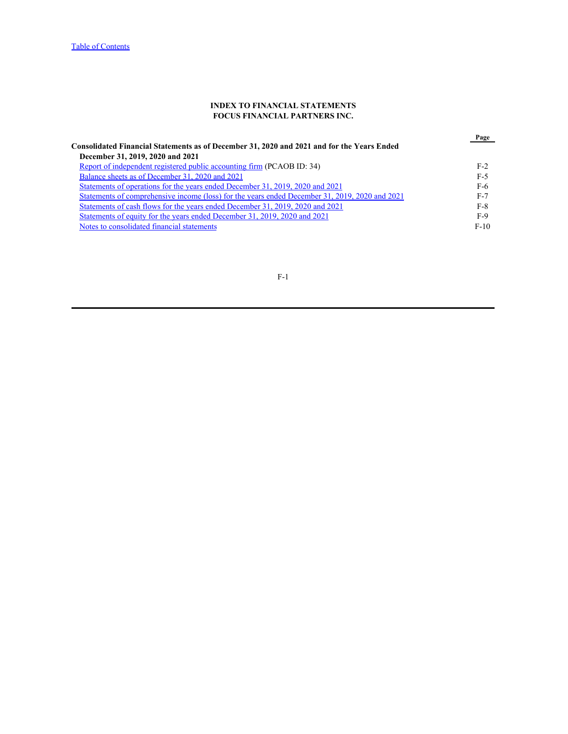# **INDEX TO FINANCIAL STATEMENTS FOCUS FINANCIAL PARTNERS INC.**

|                                                                                                | Page   |  |
|------------------------------------------------------------------------------------------------|--------|--|
| Consolidated Financial Statements as of December 31, 2020 and 2021 and for the Years Ended     |        |  |
| December 31, 2019, 2020 and 2021                                                               |        |  |
| Report of independent registered public accounting firm (PCAOB ID: 34)                         | $F-2$  |  |
| Balance sheets as of December 31, 2020 and 2021                                                | F-5    |  |
| Statements of operations for the years ended December 31, 2019, 2020 and 2021                  | $F-6$  |  |
| Statements of comprehensive income (loss) for the years ended December 31, 2019, 2020 and 2021 | $F-7$  |  |
| Statements of cash flows for the years ended December 31, 2019, 2020 and 2021                  | $F-8$  |  |
| Statements of equity for the years ended December 31, 2019, 2020 and 2021                      | $F-9$  |  |
| Notes to consolidated financial statements                                                     | $F-10$ |  |

F-1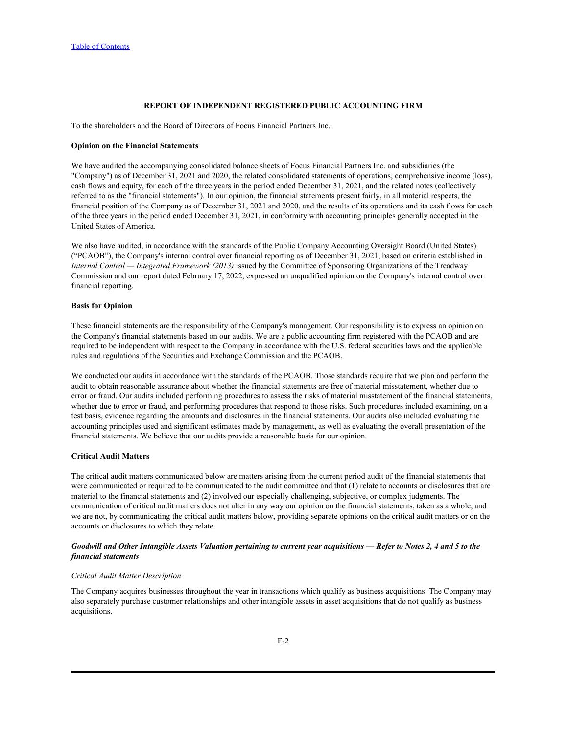### **REPORT OF INDEPENDENT REGISTERED PUBLIC ACCOUNTING FIRM**

To the shareholders and the Board of Directors of Focus Financial Partners Inc.

#### **Opinion on the Financial Statements**

We have audited the accompanying consolidated balance sheets of Focus Financial Partners Inc. and subsidiaries (the "Company") as of December 31, 2021 and 2020, the related consolidated statements of operations, comprehensive income (loss), cash flows and equity, for each of the three years in the period ended December 31, 2021, and the related notes (collectively referred to as the "financial statements"). In our opinion, the financial statements present fairly, in all material respects, the financial position of the Company as of December 31, 2021 and 2020, and the results of its operations and its cash flows for each of the three years in the period ended December 31, 2021, in conformity with accounting principles generally accepted in the United States of America.

We also have audited, in accordance with the standards of the Public Company Accounting Oversight Board (United States) ("PCAOB"), the Company's internal control over financial reporting as of December 31, 2021, based on criteria established in *Internal Control — Integrated Framework (2013)* issued by the Committee of Sponsoring Organizations of the Treadway Commission and our report dated February 17, 2022, expressed an unqualified opinion on the Company's internal control over financial reporting.

# **Basis for Opinion**

These financial statements are the responsibility of the Company's management. Our responsibility is to express an opinion on the Company's financial statements based on our audits. We are a public accounting firm registered with the PCAOB and are required to be independent with respect to the Company in accordance with the U.S. federal securities laws and the applicable rules and regulations of the Securities and Exchange Commission and the PCAOB.

We conducted our audits in accordance with the standards of the PCAOB. Those standards require that we plan and perform the audit to obtain reasonable assurance about whether the financial statements are free of material misstatement, whether due to error or fraud. Our audits included performing procedures to assess the risks of material misstatement of the financial statements, whether due to error or fraud, and performing procedures that respond to those risks. Such procedures included examining, on a test basis, evidence regarding the amounts and disclosures in the financial statements. Our audits also included evaluating the accounting principles used and significant estimates made by management, as well as evaluating the overall presentation of the financial statements. We believe that our audits provide a reasonable basis for our opinion.

# **Critical Audit Matters**

The critical audit matters communicated below are matters arising from the current period audit of the financial statements that were communicated or required to be communicated to the audit committee and that (1) relate to accounts or disclosures that are material to the financial statements and (2) involved our especially challenging, subjective, or complex judgments. The communication of critical audit matters does not alter in any way our opinion on the financial statements, taken as a whole, and we are not, by communicating the critical audit matters below, providing separate opinions on the critical audit matters or on the accounts or disclosures to which they relate.

# *Goodwill and Other Intangible Assets Valuation pertaining to current year acquisitions — Refer to Notes 2, 4 and 5 to the financial statements*

### *Critical Audit Matter Description*

The Company acquires businesses throughout the year in transactions which qualify as business acquisitions. The Company may also separately purchase customer relationships and other intangible assets in asset acquisitions that do not qualify as business acquisitions.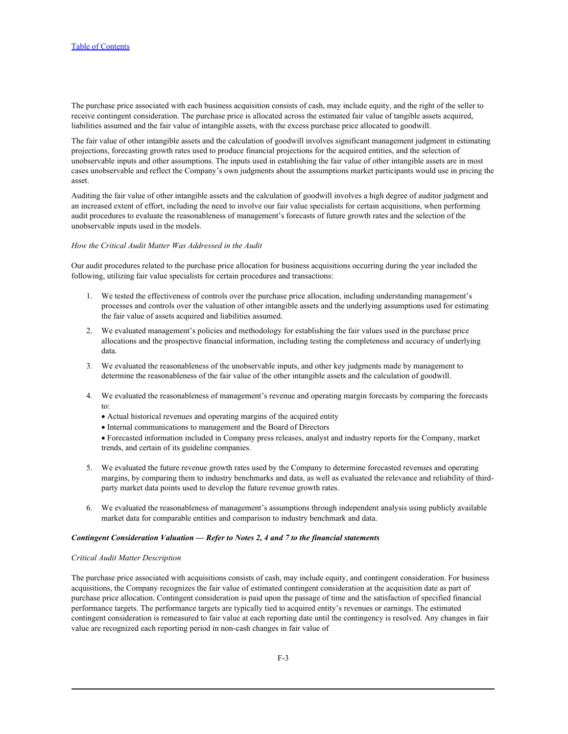The purchase price associated with each business acquisition consists of cash, may include equity, and the right of the seller to receive contingent consideration. The purchase price is allocated across the estimated fair value of tangible assets acquired, liabilities assumed and the fair value of intangible assets, with the excess purchase price allocated to goodwill.

The fair value of other intangible assets and the calculation of goodwill involves significant management judgment in estimating projections, forecasting growth rates used to produce financial projections for the acquired entities, and the selection of unobservable inputs and other assumptions. The inputs used in establishing the fair value of other intangible assets are in most cases unobservable and reflect the Company's own judgments about the assumptions market participants would use in pricing the asset.

Auditing the fair value of other intangible assets and the calculation of goodwill involves a high degree of auditor judgment and an increased extent of effort, including the need to involve our fair value specialists for certain acquisitions, when performing audit procedures to evaluate the reasonableness of management's forecasts of future growth rates and the selection of the unobservable inputs used in the models.

### *How the Critical Audit Matter Was Addressed in the Audit*

Our audit procedures related to the purchase price allocation for business acquisitions occurring during the year included the following, utilizing fair value specialists for certain procedures and transactions:

- 1. We tested the effectiveness of controls over the purchase price allocation, including understanding management's processes and controls over the valuation of other intangible assets and the underlying assumptions used for estimating the fair value of assets acquired and liabilities assumed.
- 2. We evaluated management's policies and methodology for establishing the fair values used in the purchase price allocations and the prospective financial information, including testing the completeness and accuracy of underlying data. **Exercise Service Service Service Service** Service Service Service Service Service Service Service Service S
- 3. We evaluated the reasonableness of the unobservable inputs, and other key judgments made by management to determine the reasonableness of the fair value of the other intangible assets and the calculation of goodwill.
- 4. We evaluated the reasonableness of management's revenue and operating margin forecasts by comparing the forecasts to:
	- · Actual historical revenues and operating margins of the acquired entity
	- · Internal communications to management and the Board of Directors
	- · Forecasted information included in Company press releases, analyst and industry reports for the Company, market trends, and certain of its guideline companies.
- 5. We evaluated the future revenue growth rates used by the Company to determine forecasted revenues and operating margins, by comparing them to industry benchmarks and data, as well as evaluated the relevance and reliability of thirdparty market data points used to develop the future revenue growth rates.
- 6. We evaluated the reasonableness of management's assumptions through independent analysis using publicly available market data for comparable entities and comparison to industry benchmark and data.

#### *Contingent Consideration Valuation — Refer to Notes 2, 4 and 7 to the financial statements*

#### *Critical Audit Matter Description*

The purchase price associated with acquisitions consists of cash, may include equity, and contingent consideration. For business acquisitions, the Company recognizes the fair value of estimated contingent consideration at the acquisition date as part of purchase price allocation. Contingent consideration is paid upon the passage of time and the satisfaction of specified financial performance targets. The performance targets are typically tied to acquired entity's revenues or earnings. The estimated contingent consideration is remeasured to fair value at each reporting date until the contingency is resolved. Any changes in fair value are recognized each reporting period in non-cash changes in fair value of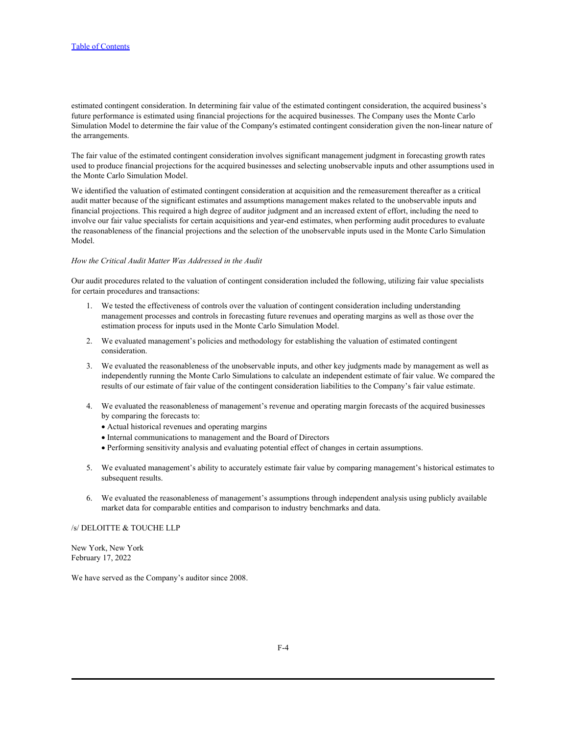estimated contingent consideration. In determining fair value of the estimated contingent consideration, the acquired business's future performance is estimated using financial projections for the acquired businesses. The Company uses the Monte Carlo Simulation Model to determine the fair value of the Company's estimated contingent consideration given the non-linear nature of the arrangements.

The fair value of the estimated contingent consideration involves significant management judgment in forecasting growth rates used to produce financial projections for the acquired businesses and selecting unobservable inputs and other assumptions used in the Monte Carlo Simulation Model.

We identified the valuation of estimated contingent consideration at acquisition and the remeasurement thereafter as a critical audit matter because of the significant estimates and assumptions management makes related to the unobservable inputs and financial projections. This required a high degree of auditor judgment and an increased extent of effort, including the need to involve our fair value specialists for certain acquisitions and year-end estimates, when performing audit procedures to evaluate the reasonableness of the financial projections and the selection of the unobservable inputs used in the Monte Carlo Simulation Model.

### *How the Critical Audit Matter Was Addressed in the Audit*

Our audit procedures related to the valuation of contingent consideration included the following, utilizing fair value specialists for certain procedures and transactions:

- 1. We tested the effectiveness of controls over the valuation of contingent consideration including understanding management processes and controls in forecasting future revenues and operating margins as well as those over the estimation process for inputs used in the Monte Carlo Simulation Model.
- 2. We evaluated management's policies and methodology for establishing the valuation of estimated contingent consideration.
- 3. We evaluated the reasonableness of the unobservable inputs, and other key judgments made by management as well as independently running the Monte Carlo Simulations to calculate an independent estimate of fair value. We compared the results of our estimate of fair value of the contingent consideration liabilities to the Company's fair value estimate.
- 4. We evaluated the reasonableness of management's revenue and operating margin forecasts of the acquired businesses by comparing the forecasts to:
	- · Actual historical revenues and operating margins
	- · Internal communications to management and the Board of Directors
	- · Performing sensitivity analysis and evaluating potential effect of changes in certain assumptions.
- 5. We evaluated management's ability to accurately estimate fair value by comparing management's historical estimates to subsequent results.
- 6. We evaluated the reasonableness of management's assumptions through independent analysis using publicly available market data for comparable entities and comparison to industry benchmarks and data.

#### /s/ DELOITTE & TOUCHE LLP

New York, New York February 17, 2022

We have served as the Company's auditor since 2008.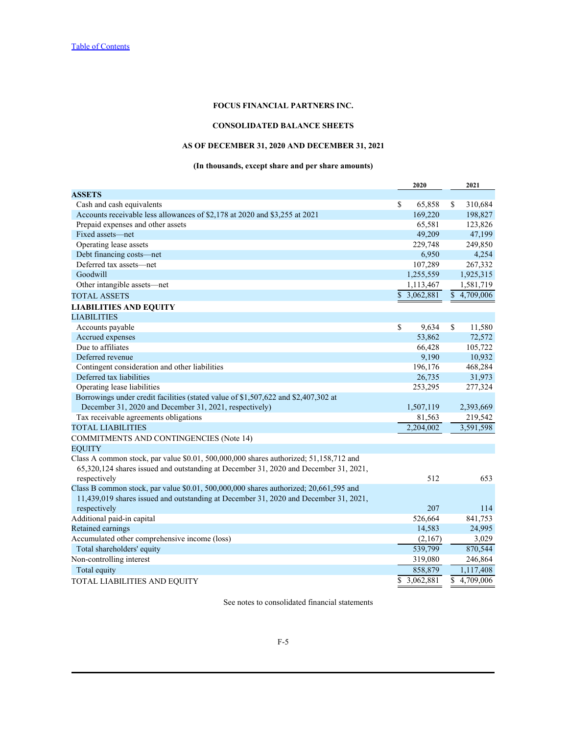# **CONSOLIDATED BALANCE SHEETS**

# **AS OF DECEMBER 31, 2020 AND DECEMBER 31, 2021**

# **(In thousands, except share and per share amounts)**

|                                                                                       | 2020         | 2021                    |
|---------------------------------------------------------------------------------------|--------------|-------------------------|
| <b>ASSETS</b>                                                                         |              |                         |
| Cash and cash equivalents                                                             | 65,858<br>\$ | 310,684<br>-S           |
| Accounts receivable less allowances of \$2,178 at 2020 and \$3,255 at 2021            | 169,220      | 198,827                 |
| Prepaid expenses and other assets                                                     | 65,581       | 123,826                 |
| Fixed assets-net                                                                      | 49,209       | 47,199                  |
| Operating lease assets                                                                | 229,748      | 249,850                 |
| Debt financing costs-net                                                              | 6,950        | 4,254                   |
| Deferred tax assets-net                                                               | 107,289      | 267,332                 |
| Goodwill                                                                              | 1,255,559    | 1,925,315               |
| Other intangible assets-net                                                           | 1,113,467    | 1,581,719               |
| <b>TOTAL ASSETS</b>                                                                   | \$ 3,062,881 | \$4,709,006             |
| <b>LIABILITIES AND EQUITY</b>                                                         |              |                         |
| <b>LIABILITIES</b>                                                                    |              |                         |
| Accounts payable                                                                      | \$<br>9,634  | <sup>\$</sup><br>11,580 |
| Accrued expenses                                                                      | 53,862       | 72,572                  |
| Due to affiliates                                                                     | 66,428       | 105,722                 |
| Deferred revenue                                                                      | 9,190        | 10,932                  |
| Contingent consideration and other liabilities                                        | 196,176      | 468,284                 |
| Deferred tax liabilities                                                              | 26,735       | 31,973                  |
| Operating lease liabilities                                                           | 253,295      | 277,324                 |
| Borrowings under credit facilities (stated value of \$1,507,622 and \$2,407,302 at    |              |                         |
| December 31, 2020 and December 31, 2021, respectively)                                | 1,507,119    | 2,393,669               |
| Tax receivable agreements obligations                                                 | 81,563       | 219,542                 |
| <b>TOTAL LIABILITIES</b>                                                              | 2,204,002    | 3,591,598               |
| <b>COMMITMENTS AND CONTINGENCIES (Note 14)</b>                                        |              |                         |
| <b>EQUITY</b>                                                                         |              |                         |
| Class A common stock, par value \$0.01, 500,000,000 shares authorized; 51,158,712 and |              |                         |
| 65,320,124 shares issued and outstanding at December 31, 2020 and December 31, 2021,  |              |                         |
| respectively                                                                          | 512          | 653                     |
| Class B common stock, par value \$0.01, 500,000,000 shares authorized; 20,661,595 and |              |                         |
| 11,439,019 shares issued and outstanding at December 31, 2020 and December 31, 2021,  |              |                         |
| respectively                                                                          | 207          | 114                     |
| Additional paid-in capital                                                            | 526,664      | 841,753                 |
| Retained earnings                                                                     | 14,583       | 24,995                  |
| Accumulated other comprehensive income (loss)                                         | (2,167)      | 3,029                   |
| Total shareholders' equity                                                            | 539,799      | 870,544                 |
| Non-controlling interest                                                              | 319,080      | 246,864                 |
| Total equity                                                                          | 858,879      | 1,117,408               |
|                                                                                       | \$ 3,062,881 | \$4,709,006             |
| TOTAL LIABILITIES AND EQUITY                                                          |              |                         |

See notes to consolidated financial statements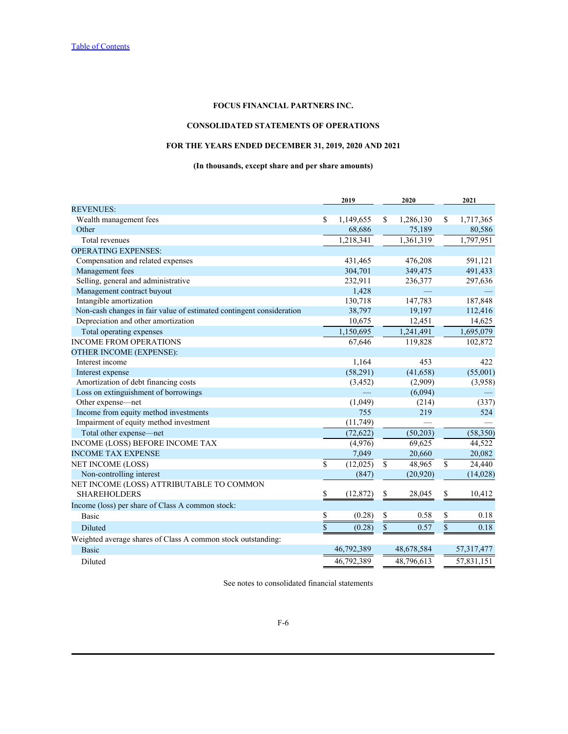# **CONSOLIDATED STATEMENTS OF OPERATIONS**

# **FOR THE YEARS ENDED DECEMBER 31, 2019, 2020 AND 2021**

# **(In thousands, except share and per share amounts)**

|                                                                      | 2019       | 2020                            | 2021                    |
|----------------------------------------------------------------------|------------|---------------------------------|-------------------------|
| <b>REVENUES:</b>                                                     |            |                                 |                         |
| Wealth management fees                                               | ,149,655   | 1,286,130<br><sup>\$</sup>      | 1,717,365<br>-S         |
| Other                                                                | 68,686     | 75,189                          | 80,586                  |
| Total revenues                                                       | 1,218,341  | 1,361,319                       | 1,797,951               |
| <b>OPERATING EXPENSES:</b>                                           |            |                                 |                         |
| Compensation and related expenses                                    | 431,465    | 476,208                         | 591,121                 |
| Management fees                                                      | 304,701    | 349,475                         | 491,433                 |
| Selling, general and administrative                                  | 232,911    | 236,377                         | 297,636                 |
| Management contract buyout                                           | 1,428      |                                 |                         |
| Intangible amortization                                              | 130,718    | 147,783                         | 187,848                 |
| Non-cash changes in fair value of estimated contingent consideration | 38,797     | 19,197                          | 112,416                 |
| Depreciation and other amortization                                  | 10,675     | 12,451                          | 14,625                  |
| Total operating expenses                                             | 1,150,695  | 1,241,491                       | 1,695,079               |
| <b>INCOME FROM OPERATIONS</b>                                        | 67,646     | 119,828                         | 102,872                 |
| OTHER INCOME (EXPENSE):                                              |            |                                 |                         |
| Interest income                                                      | 1,164      | 453                             | 422                     |
| Interest expense                                                     | (58,291)   | (41, 658)                       | (55,001)                |
| Amortization of debt financing costs                                 | (3, 452)   | (2,909)                         | (3,958)                 |
| Loss on extinguishment of borrowings                                 |            | (6,094)                         |                         |
| Other expense—net                                                    | (1,049)    | (214)                           | (337)                   |
| Income from equity method investments                                | 755        | 219                             | 524                     |
| Impairment of equity method investment                               | (11,749)   | $\hspace{0.1mm}-\hspace{0.1mm}$ |                         |
| Total other expense—net                                              | (72, 622)  | (50,203)                        | (58, 350)               |
| INCOME (LOSS) BEFORE INCOME TAX                                      | (4,976)    | 69,625                          | 44,522                  |
| <b>INCOME TAX EXPENSE</b>                                            | 7,049      | 20,660                          | 20,082                  |
| <b>NET INCOME (LOSS)</b>                                             | (12,025)   | $\mathbb{S}$<br>48,965          | $\mathbb{S}$<br>24,440  |
| Non-controlling interest                                             | (847)      | (20, 920)                       | (14,028)                |
| NET INCOME (LOSS) ATTRIBUTABLE TO COMMON                             |            |                                 |                         |
| <b>SHAREHOLDERS</b>                                                  | (12, 872)  | 28,045<br>-S                    | 10,412<br><sup>\$</sup> |
| Income (loss) per share of Class A common stock:                     |            |                                 |                         |
| Basic                                                                | (0.28)     | 0.58<br>-S                      | 0.18<br>S               |
|                                                                      |            |                                 |                         |
| Diluted                                                              | (0.28)     | 0.57<br><sup>S</sup>            | 0.18<br><sup>S</sup>    |
| Weighted average shares of Class A common stock outstanding:         |            |                                 |                         |
| Basic                                                                | 46,792,389 | 48,678,584                      | 57, 317, 477            |
| Diluted                                                              | 46,792,389 | 48,796,613                      | 57,831,151              |
|                                                                      |            |                                 |                         |

See notes to consolidated financial statements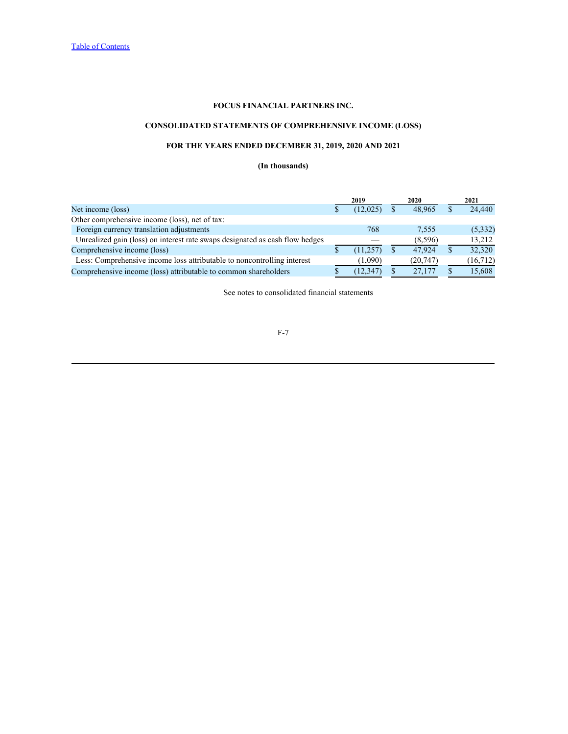# **CONSOLIDATED STATEMENTS OF COMPREHENSIVE INCOME (LOSS)**

# **FOR THE YEARS ENDED DECEMBER 31, 2019, 2020 AND 2021**

# **(In thousands)**

| 2019      | 2020     | 2021     |
|-----------|----------|----------|
| (12, 025) | 48,965   | 24,440   |
|           |          |          |
| 768       | 7,555    | (5,332)  |
|           | (8,596)  | 13,212   |
| (11,257)  | 47.924   | 32,320   |
| 1,090)    | (20,747) | (16,712) |
| (12, 347) | 27,177   | 15,608   |
|           |          |          |

See notes to consolidated financial statements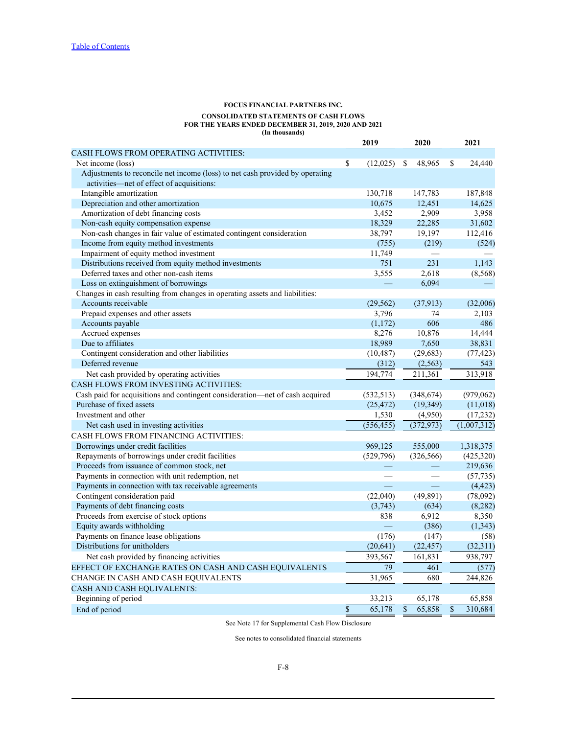### **FOCUS FINANCIAL PARTNERS INC. CONSOLIDATED STATEMENTS OF CASH FLOWS FOR THE YEARS ENDED DECEMBER 31, 2019, 2020 AND 2021 (In thousands)**

|                                                                              | 2019                     |              | 2020                     |              | 2021             |
|------------------------------------------------------------------------------|--------------------------|--------------|--------------------------|--------------|------------------|
| <b>CASH FLOWS FROM OPERATING ACTIVITIES:</b>                                 |                          |              |                          |              |                  |
| Net income (loss)                                                            | $(12,025)$ \$            |              | 48,965                   | - \$         | 24,440           |
| Adjustments to reconcile net income (loss) to net cash provided by operating |                          |              |                          |              |                  |
| activities—net of effect of acquisitions:                                    |                          |              |                          |              |                  |
| Intangible amortization                                                      | 130,718                  |              | 147,783                  |              | 187,848          |
| Depreciation and other amortization                                          | 10,675                   |              | 12,451                   |              | 14,625           |
| Amortization of debt financing costs                                         | 3,452                    |              | 2,909                    |              | 3,958            |
| Non-cash equity compensation expense                                         | 18,329                   |              | 22,285                   |              | 31,602           |
| Non-cash changes in fair value of estimated contingent consideration         | 38,797                   |              | 19,197                   |              | 112,416          |
| Income from equity method investments                                        | (755)                    |              | (219)                    |              | (524)            |
| Impairment of equity method investment                                       | 11,749                   |              | $\overline{\phantom{m}}$ |              |                  |
| Distributions received from equity method investments                        | 751                      |              | 231                      |              | 1,143            |
| Deferred taxes and other non-cash items                                      | 3,555                    |              | 2,618                    |              | (8, 568)         |
| Loss on extinguishment of borrowings                                         |                          |              | 6,094                    |              |                  |
| Changes in cash resulting from changes in operating assets and liabilities:  |                          |              |                          |              |                  |
| Accounts receivable                                                          | (29, 562)                |              | (37,913)                 |              | (32,006)         |
| Prepaid expenses and other assets                                            | 3,796                    |              | 74                       |              | 2,103            |
| Accounts payable                                                             | (1,172)                  |              | 606                      |              | 486              |
| Accrued expenses                                                             | 8,276                    |              | 10,876                   |              | 14,444           |
| Due to affiliates                                                            | 18,989                   |              | 7,650                    |              | 38,831           |
| Contingent consideration and other liabilities                               | (10, 487)                |              | (29, 683)                |              |                  |
| Deferred revenue                                                             | (312)                    |              | (2, 563)                 |              | (77, 423)<br>543 |
|                                                                              |                          |              |                          |              |                  |
| Net cash provided by operating activities                                    | 194,774                  |              | 211,361                  |              | 313,918          |
| CASH FLOWS FROM INVESTING ACTIVITIES:                                        |                          |              |                          |              |                  |
| Cash paid for acquisitions and contingent consideration—net of cash acquired | (532, 513)               |              | (348, 674)               |              | (979,062)        |
| Purchase of fixed assets                                                     | (25, 472)                |              | (19, 349)                |              | (11,018)         |
| Investment and other                                                         | 1,530                    |              | (4,950)                  |              | (17,232)         |
| Net cash used in investing activities                                        | (556, 455)               |              | (372, 973)               |              | (1,007,312)      |
| CASH FLOWS FROM FINANCING ACTIVITIES:                                        |                          |              |                          |              |                  |
| Borrowings under credit facilities                                           | 969,125                  |              | 555,000                  |              | 1,318,375        |
| Repayments of borrowings under credit facilities                             | (529, 796)               |              | (326, 566)               |              | (425,320)        |
| Proceeds from issuance of common stock, net                                  | $\overline{\phantom{0}}$ |              | $\overline{\phantom{m}}$ |              | 219,636          |
| Payments in connection with unit redemption, net                             | $\overline{\phantom{0}}$ |              |                          |              | (57, 735)        |
| Payments in connection with tax receivable agreements                        |                          |              | $\overline{\phantom{m}}$ |              | (4, 423)         |
| Contingent consideration paid                                                | (22,040)                 |              | (49, 891)                |              | (78,092)         |
| Payments of debt financing costs                                             | (3,743)                  |              | (634)                    |              | (8,282)          |
| Proceeds from exercise of stock options                                      | 838                      |              | 6,912                    |              | 8,350            |
| Equity awards withholding                                                    | $\equiv$                 |              | (386)                    |              | (1, 343)         |
| Payments on finance lease obligations                                        | (176)                    |              | (147)                    |              | (58)             |
| Distributions for unitholders                                                | (20,641)                 |              | (22, 457)                |              | (32,311)         |
| Net cash provided by financing activities                                    | 393,567                  |              | 161,831                  |              | 938,797          |
| EFFECT OF EXCHANGE RATES ON CASH AND CASH EQUIVALENTS                        | 79                       |              | 461                      |              | (577)            |
| CHANGE IN CASH AND CASH EQUIVALENTS                                          | 31,965                   |              | 680                      |              | 244,826          |
|                                                                              |                          |              |                          |              |                  |
| CASH AND CASH EQUIVALENTS:                                                   |                          |              |                          |              |                  |
| Beginning of period                                                          | 33,213                   |              | 65,178                   |              | 65,858           |
| End of period                                                                | 65,178                   | $\mathbb{S}$ | 65,858                   | <sup>S</sup> | 310,684          |

See Note 17 for Supplemental Cash Flow Disclosure

See notes to consolidated financial statements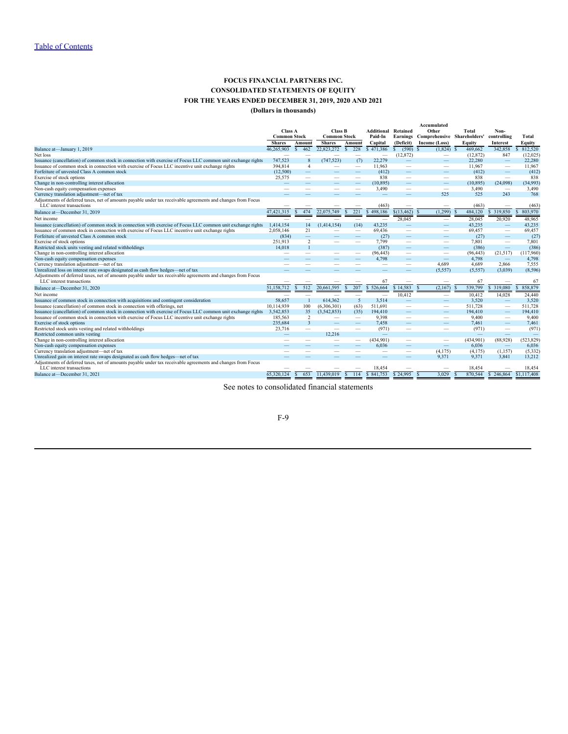# **FOCUS FINANCIAL PARTNERS INC. CONSOLIDATED STATEMENTS OF EQUITY FOR THE YEARS ENDED DECEMBER 31, 2019, 2020 AND 2021 (Dollars in thousands)**

|                                                                                                                                                                                                                  | <b>Class B</b><br>Class A          |                          |                                         | <b>Additional</b>        |                          | Retained                        | Accumulated<br>Other        | Total                    | Non-                            |                  |
|------------------------------------------------------------------------------------------------------------------------------------------------------------------------------------------------------------------|------------------------------------|--------------------------|-----------------------------------------|--------------------------|--------------------------|---------------------------------|-----------------------------|--------------------------|---------------------------------|------------------|
|                                                                                                                                                                                                                  | <b>Common Stock</b>                |                          | <b>Common Stock</b>                     |                          | Paid-In                  | Earnings                        | Comprehensive Shareholders' |                          | controlling                     | Total            |
|                                                                                                                                                                                                                  | <b>Shares</b>                      | Amount                   | <b>Shares</b>                           | Amount                   | Capital                  | (Deficit)                       | <b>Income</b> (Loss)        | Equity                   | Interest                        | Equity           |
| Balance at-January 1, 2019                                                                                                                                                                                       | 46.265.903                         | 462                      | 22.823.272                              | 228                      | \$471.386                | (590)                           | (1,824)                     | 469.662                  | 342,858                         | 812,520          |
| Net loss                                                                                                                                                                                                         | $\overline{\phantom{a}}$           |                          |                                         |                          | $\overline{\phantom{a}}$ | (12, 872)                       | $\overline{\phantom{a}}$    | (12, 872)                | 847                             | (12, 025)        |
| Issuance (cancellation) of common stock in connection with exercise of Focus LLC common unit exchange rights                                                                                                     | 747.523                            |                          | (747.523)                               | (7)                      | 22,279                   | $\qquad \qquad -$               |                             | 22,280                   |                                 | 22,280           |
| Issuance of common stock in connection with exercise of Focus LLC incentive unit exchange rights                                                                                                                 | 394.814                            |                          |                                         | $\overline{\phantom{a}}$ | 11.963                   | $\qquad \qquad -$               | $\overline{\phantom{a}}$    | 11.967                   | $\sim$                          | 11.967           |
| Forfeiture of unvested Class A common stock                                                                                                                                                                      | (12,500)                           |                          |                                         |                          | (412)                    | $\qquad \qquad -$               |                             | (412)                    | $\overline{\phantom{0}}$        | (412)            |
| Exercise of stock options                                                                                                                                                                                        | 25.575                             | $\overline{\phantom{a}}$ |                                         |                          | 838                      |                                 |                             | 838                      | $\overline{\phantom{m}}$        | 838              |
| Change in non-controlling interest allocation                                                                                                                                                                    |                                    |                          |                                         |                          | (10.895)                 | $\qquad \qquad -$               | $\overline{\phantom{m}}$    | (10.895)                 | (24,098)                        | (34.993)         |
| Non-cash equity compensation expenses                                                                                                                                                                            |                                    |                          |                                         |                          | 3490                     | $\hspace{0.1mm}-\hspace{0.1mm}$ | $\overline{\phantom{a}}$    | 3.490                    | $\hspace{0.1mm}-\hspace{0.1mm}$ | 3.490            |
| Currency translation adjustment-net of tax                                                                                                                                                                       |                                    |                          |                                         |                          |                          | $\overline{\phantom{a}}$        | 525                         | 525                      | 243                             | 768              |
| Adjustments of deferred taxes, net of amounts payable under tax receivable agreements and changes from Focus<br>LLC interest transactions                                                                        |                                    |                          |                                         |                          | (463)                    | $\overline{\phantom{a}}$        |                             | (463)                    |                                 | (463)            |
|                                                                                                                                                                                                                  | 47, 421, 315                       | 474                      | 22,075,749                              | 221                      | \$498,186                | \$(13, 462)                     | (1,299)                     | 484,120                  | 319.850                         | 803,970          |
| Balance at-December 31, 2019                                                                                                                                                                                     |                                    |                          |                                         |                          |                          |                                 |                             |                          |                                 |                  |
| Net income                                                                                                                                                                                                       | $\overline{\phantom{a}}$           | $\overline{\phantom{a}}$ |                                         | $\overline{\phantom{a}}$ | $\overline{\phantom{a}}$ | 28.045                          | $\overline{\phantom{a}}$    | 28.045                   | 20,920                          | 48.965           |
| Issuance (cancellation) of common stock in connection with exercise of Focus LLC common unit exchange rights<br>Issuance of common stock in connection with exercise of Focus LLC incentive unit exchange rights | 1,414,154<br>2.058.146             | 14<br>21                 | (1.414.154)<br>$\overline{\phantom{0}}$ | (14)                     | 43.235<br>69.436         | $\qquad \qquad -$               |                             | 43.235<br>69.457         | $\overline{\phantom{m}}$        | 43,235<br>69,457 |
| Forfeiture of unvested Class A common stock                                                                                                                                                                      | (834)                              |                          |                                         |                          | (27)                     |                                 |                             | (27)                     |                                 | (27)             |
| Exercise of stock options                                                                                                                                                                                        | 251.913                            |                          |                                         | $\overline{\phantom{a}}$ | 7.799                    | $\overline{\phantom{m}}$        | $\overline{\phantom{a}}$    | 7.801                    | $\hspace{0.1mm}-\hspace{0.1mm}$ | 7.801            |
| Restricted stock units vesting and related withholdings                                                                                                                                                          | 14.018                             |                          |                                         |                          | (387)                    |                                 | $\overline{\phantom{m}}$    | (386)                    | $\qquad \qquad -$               | (386)            |
| Change in non-controlling interest allocation                                                                                                                                                                    | $\overline{\phantom{a}}$           | $\overline{\phantom{a}}$ |                                         | $\overline{\phantom{a}}$ | (96.443)                 | $\overline{\phantom{m}}$        | $\overline{\phantom{a}}$    | (96.443)                 | (21,517)                        | (117,960)        |
| Non-cash equity compensation expenses                                                                                                                                                                            |                                    |                          |                                         |                          | 4.798                    |                                 | $\overline{\phantom{m}}$    | 4,798                    | $\overline{\phantom{0}}$        | 4,798            |
| Currency translation adjustment-net of tax                                                                                                                                                                       |                                    |                          |                                         |                          | $\overline{\phantom{a}}$ | $\overline{\phantom{m}}$        | 4.689                       | 4689                     | 2.866                           | 7,555            |
| Unrealized loss on interest rate swaps designated as cash flow hedges—net of tax                                                                                                                                 |                                    |                          |                                         |                          |                          |                                 | (5,557)                     | (5,557)                  | (3,039)                         | (8,596)          |
| Adjustments of deferred taxes, net of amounts payable under tax receivable agreements and changes from Focus<br>LLC interest transactions                                                                        |                                    |                          |                                         |                          |                          |                                 |                             | 67                       |                                 |                  |
| Balance at-December 31, 2020                                                                                                                                                                                     | 51.158.712                         | 512                      | 20.661.595                              | 207                      | \$526,664                | \$14.583                        | (2.167)                     | 539.799                  | 319.080                         | 858.879          |
| Net income                                                                                                                                                                                                       |                                    |                          |                                         |                          |                          |                                 |                             |                          |                                 |                  |
|                                                                                                                                                                                                                  | $\overline{\phantom{a}}$<br>58.657 |                          | 614.362                                 |                          | $\sim$<br>3.514          | 10,412                          | $\overline{\phantom{a}}$    | 10,412                   | 14,028                          | 24,440           |
| Issuance of common stock in connection with acquisitions and contingent consideration<br>Issuance (cancellation) of common stock in connection with offerings, net                                               | 10.114.939                         | 100                      | (6.306.301)                             | (63)                     | 511.691                  |                                 |                             | 3,520<br>511.728         | $\overline{\phantom{a}}$        | 3,520<br>511.728 |
| Issuance (cancellation) of common stock in connection with exercise of Focus LLC common unit exchange rights                                                                                                     | 3.542.853                          | 35                       | (3.542.853)                             | (35)                     | 194.410                  | $\qquad \qquad -$               | $\overline{\phantom{m}}$    | 194.410                  |                                 | 194,410          |
|                                                                                                                                                                                                                  |                                    |                          |                                         |                          |                          | $\qquad \qquad -$               |                             |                          | $\qquad \qquad -$               |                  |
| Issuance of common stock in connection with exercise of Focus LLC incentive unit exchange rights                                                                                                                 | 185.563                            |                          |                                         | $\overline{\phantom{a}}$ | 9.398                    | $\overline{\phantom{m}}$        |                             | 9400                     | $\sim$                          | 9.400            |
| Exercise of stock options                                                                                                                                                                                        | 235.684                            |                          |                                         |                          | 7.458                    | $\hspace{0.1mm}-\hspace{0.1mm}$ |                             | 7.461                    | $\qquad \qquad -$               | 7,461            |
| Restricted stock units vesting and related withholdings                                                                                                                                                          | 23.716                             | $\overline{\phantom{a}}$ | $\overline{\phantom{m}}$                |                          | (971)                    | $\overline{\phantom{m}}$        | $\overline{\phantom{m}}$    | (971)                    | $\overline{\phantom{0}}$        | (971)            |
| Restricted common units vesting                                                                                                                                                                                  |                                    |                          | 12,216                                  |                          |                          |                                 |                             | $\overline{\phantom{0}}$ |                                 |                  |
| Change in non-controlling interest allocation                                                                                                                                                                    |                                    |                          |                                         |                          | (434.901                 | $\hspace{0.1mm}-\hspace{0.1mm}$ | $\overline{\phantom{m}}$    | (434.901)                | (88,928)                        | (523, 829)       |
| Non-cash equity compensation expenses                                                                                                                                                                            |                                    |                          |                                         |                          | 6.036                    |                                 | $\qquad \qquad -$           | 6.036                    | $\hspace{0.1mm}-\hspace{0.1mm}$ | 6,036            |
| Currency translation adjustment-net of tax                                                                                                                                                                       |                                    |                          |                                         |                          | $\overline{\phantom{a}}$ | $\overline{\phantom{a}}$        | (4.175)                     | (4, 175)                 | (1, 157)                        | (5, 332)         |
| Unrealized gain on interest rate swaps designated as cash flow hedges-net of tax<br>Adjustments of deferred taxes, net of amounts payable under tax receivable agreements and changes from Focus                 |                                    |                          |                                         |                          |                          |                                 | 9.371                       | 9.371                    | 3.841                           | 13,212           |
| LLC interest transactions                                                                                                                                                                                        |                                    |                          |                                         |                          | 18.454                   |                                 |                             | 18,454                   |                                 | 18,454           |
| Balance at-December 31, 2021                                                                                                                                                                                     | 65.320.124                         | 653                      | 11.439.019                              | \$114                    | \$841,753                | \$24,995                        | 3,029                       | 870 544                  | \$246.864                       | \$1,117,408      |

See notes to consolidated financial statements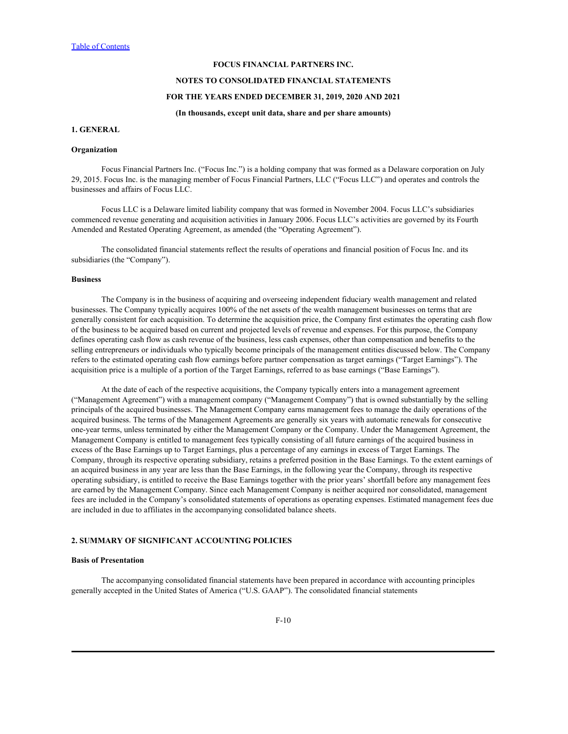### **NOTES TO CONSOLIDATED FINANCIAL STATEMENTS**

### **FOR THE YEARS ENDED DECEMBER 31, 2019, 2020 AND 2021**

#### **(In thousands, except unit data, share and per share amounts)**

#### **1. GENERAL**

#### **Organization**

Focus Financial Partners Inc. ("Focus Inc.") is a holding company that was formed as a Delaware corporation on July 29, 2015. Focus Inc. is the managing member of Focus Financial Partners, LLC ("Focus LLC") and operates and controls the businesses and affairs of Focus LLC.

Focus LLC is a Delaware limited liability company that was formed in November 2004. Focus LLC's subsidiaries commenced revenue generating and acquisition activities in January 2006. Focus LLC's activities are governed by its Fourth Amended and Restated Operating Agreement, as amended (the "Operating Agreement").

The consolidated financial statements reflect the results of operations and financial position of Focus Inc. and its subsidiaries (the "Company").

### **Business**

The Company is in the business of acquiring and overseeing independent fiduciary wealth management and related businesses. The Company typically acquires 100% of the net assets of the wealth management businesses on terms that are generally consistent for each acquisition. To determine the acquisition price, the Company first estimates the operating cash flow of the business to be acquired based on current and projected levels of revenue and expenses. For this purpose, the Company defines operating cash flow as cash revenue of the business, less cash expenses, other than compensation and benefits to the selling entrepreneurs or individuals who typically become principals of the management entities discussed below. The Company refers to the estimated operating cash flow earnings before partner compensation as target earnings ("Target Earnings"). The acquisition price is a multiple of a portion of the Target Earnings, referred to as base earnings ("Base Earnings").

At the date of each of the respective acquisitions, the Company typically enters into a management agreement ("Management Agreement") with a management company ("Management Company") that is owned substantially by the selling principals of the acquired businesses. The Management Company earns management fees to manage the daily operations of the acquired business. The terms of the Management Agreements are generally six years with automatic renewals for consecutive one-year terms, unless terminated by either the Management Company or the Company. Under the Management Agreement, the Management Company is entitled to management fees typically consisting of all future earnings of the acquired business in excess of the Base Earnings up to Target Earnings, plus a percentage of any earnings in excess of Target Earnings. The Company, through its respective operating subsidiary, retains a preferred position in the Base Earnings. To the extent earnings of an acquired business in any year are less than the Base Earnings, in the following year the Company, through its respective operating subsidiary, is entitled to receive the Base Earnings together with the prior years' shortfall before any management fees are earned by the Management Company. Since each Management Company is neither acquired nor consolidated, management fees are included in the Company's consolidated statements of operations as operating expenses. Estimated management fees due are included in due to affiliates in the accompanying consolidated balance sheets.

### **2. SUMMARY OF SIGNIFICANT ACCOUNTING POLICIES**

### **Basis of Presentation**

The accompanying consolidated financial statements have been prepared in accordance with accounting principles generally accepted in the United States of America ("U.S. GAAP"). The consolidated financial statements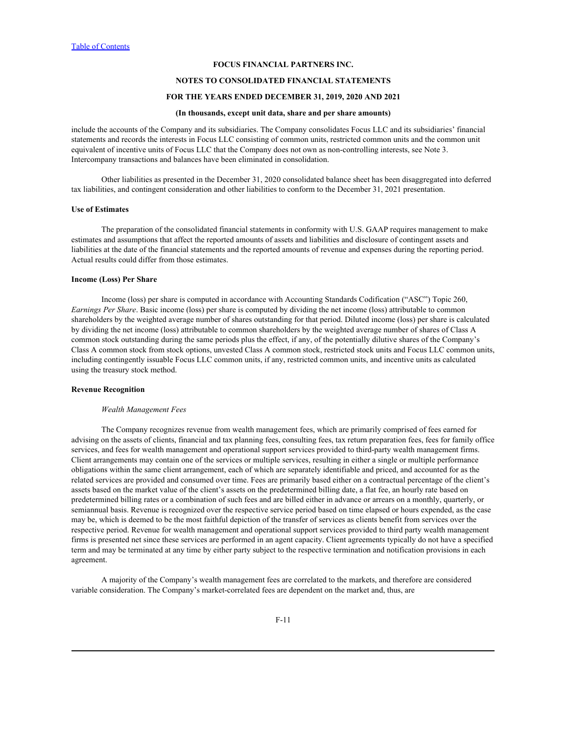### **NOTES TO CONSOLIDATED FINANCIAL STATEMENTS**

# **FOR THE YEARS ENDED DECEMBER 31, 2019, 2020 AND 2021**

## **(In thousands, except unit data, share and per share amounts)**

include the accounts of the Company and its subsidiaries. The Company consolidates Focus LLC and its subsidiaries' financial statements and records the interests in Focus LLC consisting of common units, restricted common units and the common unit equivalent of incentive units of Focus LLC that the Company does not own as non-controlling interests, see Note 3. Intercompany transactions and balances have been eliminated in consolidation.

Other liabilities as presented in the December 31, 2020 consolidated balance sheet has been disaggregated into deferred tax liabilities, and contingent consideration and other liabilities to conform to the December 31, 2021 presentation.

## **Use of Estimates**

The preparation of the consolidated financial statements in conformity with U.S. GAAP requires management to make estimates and assumptions that affect the reported amounts of assets and liabilities and disclosure of contingent assets and liabilities at the date of the financial statements and the reported amounts of revenue and expenses during the reporting period. Actual results could differ from those estimates.

### **Income (Loss) Per Share**

Income (loss) per share is computed in accordance with Accounting Standards Codification ("ASC") Topic 260, *Earnings Per Share*. Basic income (loss) per share is computed by dividing the net income (loss) attributable to common shareholders by the weighted average number of shares outstanding for that period. Diluted income (loss) per share is calculated by dividing the net income (loss) attributable to common shareholders by the weighted average number of shares of Class A common stock outstanding during the same periods plus the effect, if any, of the potentially dilutive shares of the Company's Class A common stock from stock options, unvested Class A common stock, restricted stock units and Focus LLC common units, including contingently issuable Focus LLC common units, if any, restricted common units, and incentive units as calculated using the treasury stock method.

#### **Revenue Recognition**

#### *Wealth Management Fees*

The Company recognizes revenue from wealth management fees, which are primarily comprised of fees earned for advising on the assets of clients, financial and tax planning fees, consulting fees, tax return preparation fees, fees for family office services, and fees for wealth management and operational support services provided to third-party wealth management firms. Client arrangements may contain one of the services or multiple services, resulting in either a single or multiple performance obligations within the same client arrangement, each of which are separately identifiable and priced, and accounted for as the related services are provided and consumed over time. Fees are primarily based either on a contractual percentage of the client's assets based on the market value of the client's assets on the predetermined billing date, a flat fee, an hourly rate based on predetermined billing rates or a combination of such fees and are billed either in advance or arrears on a monthly, quarterly, or semiannual basis. Revenue is recognized over the respective service period based on time elapsed or hours expended, as the case may be, which is deemed to be the most faithful depiction of the transfer of services as clients benefit from services over the respective period. Revenue for wealth management and operational support services provided to third party wealth management firms is presented net since these services are performed in an agent capacity. Client agreements typically do not have a specified term and may be terminated at any time by either party subject to the respective termination and notification provisions in each agreement.

A majority of the Company's wealth management fees are correlated to the markets, and therefore are considered variable consideration. The Company's market-correlated fees are dependent on the market and, thus, are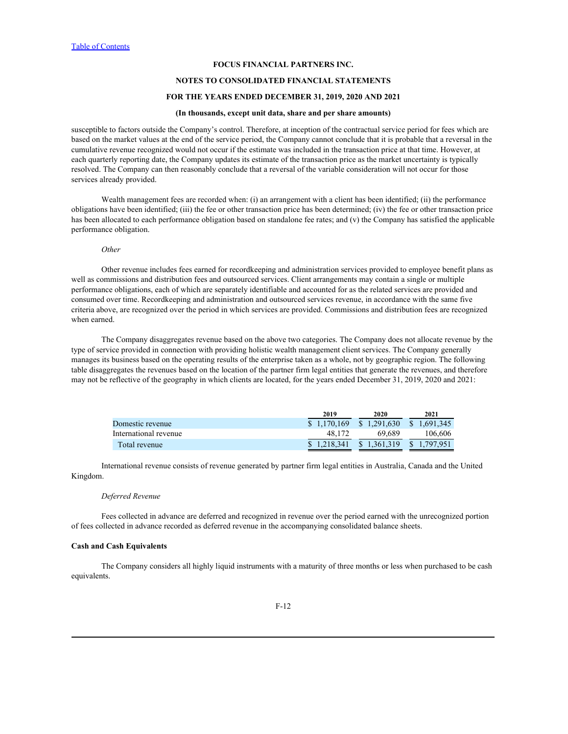### **NOTES TO CONSOLIDATED FINANCIAL STATEMENTS**

# **FOR THE YEARS ENDED DECEMBER 31, 2019, 2020 AND 2021**

### **(In thousands, except unit data, share and per share amounts)**

susceptible to factors outside the Company's control. Therefore, at inception of the contractual service period for fees which are based on the market values at the end of the service period, the Company cannot conclude that it is probable that a reversal in the cumulative revenue recognized would not occur if the estimate was included in the transaction price at that time. However, at each quarterly reporting date, the Company updates its estimate of the transaction price as the market uncertainty is typically resolved. The Company can then reasonably conclude that a reversal of the variable consideration will not occur for those services already provided.

Wealth management fees are recorded when: (i) an arrangement with a client has been identified; (ii) the performance obligations have been identified; (iii) the fee or other transaction price has been determined; (iv) the fee or other transaction price has been allocated to each performance obligation based on standalone fee rates; and (v) the Company has satisfied the applicable performance obligation.

### *Other*

Other revenue includes fees earned for recordkeeping and administration services provided to employee benefit plans as well as commissions and distribution fees and outsourced services. Client arrangements may contain a single or multiple performance obligations, each of which are separately identifiable and accounted for as the related services are provided and consumed over time. Recordkeeping and administration and outsourced services revenue, in accordance with the same five criteria above, are recognized over the period in which services are provided. Commissions and distribution fees are recognized when earned.

The Company disaggregates revenue based on the above two categories. The Company does not allocate revenue by the type of service provided in connection with providing holistic wealth management client services. The Company generally manages its business based on the operating results of the enterprise taken as a whole, not by geographic region. The following table disaggregates the revenues based on the location of the partner firm legal entities that generate the revenues, and therefore may not be reflective of the geography in which clients are located, for the years ended December 31, 2019, 2020 and 2021:

|                       | 2019            | 2020            | 2021        |
|-----------------------|-----------------|-----------------|-------------|
| Domestic revenue      | .170.169        | .291,630<br>S i | \$1.691.345 |
| International revenue | $48.17^{\circ}$ | 69.689          | 106.606     |
| Total revenue         | .218.341        | .361.319        | 797.951     |

International revenue consists of revenue generated by partner firm legal entities in Australia, Canada and the United Kingdom.

#### *Deferred Revenue*

Fees collected in advance are deferred and recognized in revenue over the period earned with the unrecognized portion of fees collected in advance recorded as deferred revenue in the accompanying consolidated balance sheets.

# **Cash and Cash Equivalents**

The Company considers all highly liquid instruments with a maturity of three months or less when purchased to be cash equivalents.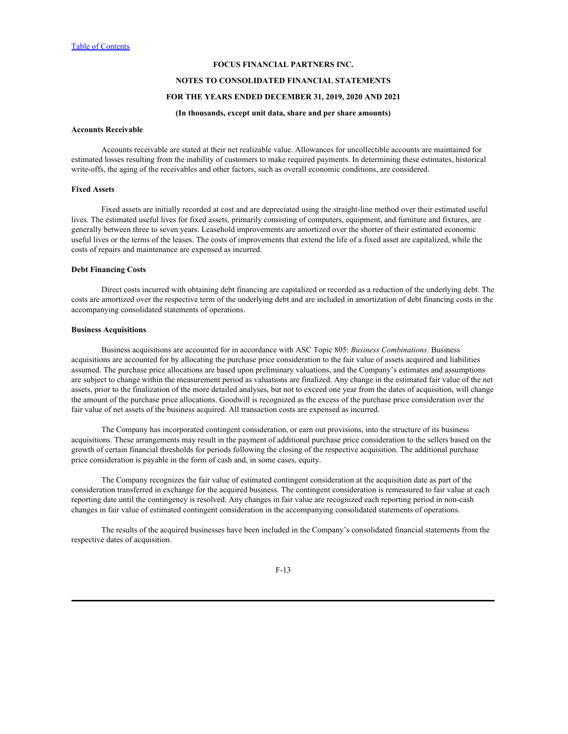# **FOCUS FINANCIAL PARTNERS INC. NOTES TO CONSOLIDATED FINANCIAL STATEMENTS FOR THE YEARS ENDED DECEMBER 31, 2019, 2020 AND 2021**

### **(In thousands, except unit data, share and per share amounts)**

#### **Accounts Receivable**

Accounts receivable are stated at their net realizable value. Allowances for uncollectible accounts are maintained for estimated losses resulting from the inability of customers to make required payments. In determining these estimates, historical write-offs, the aging of the receivables and other factors, such as overall economic conditions, are considered.

# **Fixed Assets**

Fixed assets are initially recorded at cost and are depreciated using the straight-line method over their estimated useful lives. The estimated useful lives for fixed assets, primarily consisting of computers, equipment, and furniture and fixtures, are generally between three to seven years. Leasehold improvements are amortized over the shorter of their estimated economic useful lives or the terms of the leases. The costs of improvements that extend the life of a fixed asset are capitalized, while the costs of repairs and maintenance are expensed as incurred.

### **Debt Financing Costs**

Direct costs incurred with obtaining debt financing are capitalized or recorded as a reduction of the underlying debt. The costs are amortized over the respective term of the underlying debt and are included in amortization of debt financing costs in the accompanying consolidated statements of operations.

# **Business Acquisitions**

Business acquisitions are accounted for in accordance with ASC Topic 805: *Business Combinations*. Business acquisitions are accounted for by allocating the purchase price consideration to the fair value of assets acquired and liabilities assumed. The purchase price allocations are based upon preliminary valuations, and the Company's estimates and assumptions are subject to change within the measurement period as valuations are finalized. Any change in the estimated fair value of the net assets, prior to the finalization of the more detailed analyses, but not to exceed one year from the dates of acquisition, will change the amount of the purchase price allocations. Goodwill is recognized as the excess of the purchase price consideration over the fair value of net assets of the business acquired. All transaction costs are expensed as incurred.

The Company has incorporated contingent consideration, or earn out provisions, into the structure of its business acquisitions. These arrangements may result in the payment of additional purchase price consideration to the sellers based on the growth of certain financial thresholds for periods following the closing of the respective acquisition. The additional purchase price consideration is payable in the form of cash and, in some cases, equity.

The Company recognizes the fair value of estimated contingent consideration at the acquisition date as part of the consideration transferred in exchange for the acquired business. The contingent consideration is remeasured to fair value at each reporting date until the contingency is resolved. Any changes in fair value are recognized each reporting period in non-cash changes in fair value of estimated contingent consideration in the accompanying consolidated statements of operations.

The results of the acquired businesses have been included in the Company's consolidated financial statements from the respective dates of acquisition.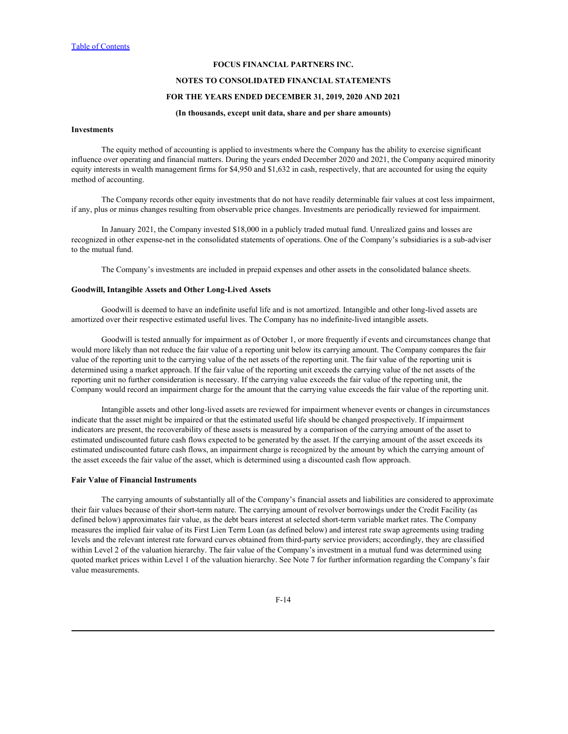### **NOTES TO CONSOLIDATED FINANCIAL STATEMENTS**

# **FOR THE YEARS ENDED DECEMBER 31, 2019, 2020 AND 2021**

# **(In thousands, except unit data, share and per share amounts)**

#### **Investments**

The equity method of accounting is applied to investments where the Company has the ability to exercise significant influence over operating and financial matters. During the years ended December 2020 and 2021, the Company acquired minority equity interests in wealth management firms for \$4,950 and \$1,632 in cash, respectively, that are accounted for using the equity method of accounting.

The Company records other equity investments that do not have readily determinable fair values at cost less impairment, if any, plus or minus changes resulting from observable price changes. Investments are periodically reviewed for impairment.

In January 2021, the Company invested \$18,000 in a publicly traded mutual fund. Unrealized gains and losses are recognized in other expense-net in the consolidated statements of operations. One of the Company's subsidiaries is a sub-adviser to the mutual fund.

The Company's investments are included in prepaid expenses and other assets in the consolidated balance sheets.

# **Goodwill, Intangible Assets and Other Long-Lived Assets**

Goodwill is deemed to have an indefinite useful life and is not amortized. Intangible and other long-lived assets are amortized over their respective estimated useful lives. The Company has no indefinite-lived intangible assets.

Goodwill is tested annually for impairment as of October 1, or more frequently if events and circumstances change that would more likely than not reduce the fair value of a reporting unit below its carrying amount. The Company compares the fair value of the reporting unit to the carrying value of the net assets of the reporting unit. The fair value of the reporting unit is determined using a market approach. If the fair value of the reporting unit exceeds the carrying value of the net assets of the reporting unit no further consideration is necessary. If the carrying value exceeds the fair value of the reporting unit, the Company would record an impairment charge for the amount that the carrying value exceeds the fair value of the reporting unit.

Intangible assets and other long-lived assets are reviewed for impairment whenever events or changes in circumstances indicate that the asset might be impaired or that the estimated useful life should be changed prospectively. If impairment indicators are present, the recoverability of these assets is measured by a comparison of the carrying amount of the asset to estimated undiscounted future cash flows expected to be generated by the asset. If the carrying amount of the asset exceeds its estimated undiscounted future cash flows, an impairment charge is recognized by the amount by which the carrying amount of the asset exceeds the fair value of the asset, which is determined using a discounted cash flow approach.

# **Fair Value of Financial Instruments**

The carrying amounts of substantially all of the Company's financial assets and liabilities are considered to approximate their fair values because of their short-term nature. The carrying amount of revolver borrowings under the Credit Facility (as defined below) approximates fair value, as the debt bears interest at selected short-term variable market rates. The Company measures the implied fair value of its First Lien Term Loan (as defined below) and interest rate swap agreements using trading levels and the relevant interest rate forward curves obtained from third-party service providers; accordingly, they are classified within Level 2 of the valuation hierarchy. The fair value of the Company's investment in a mutual fund was determined using quoted market prices within Level 1 of the valuation hierarchy. See Note 7 for further information regarding the Company's fair value measurements.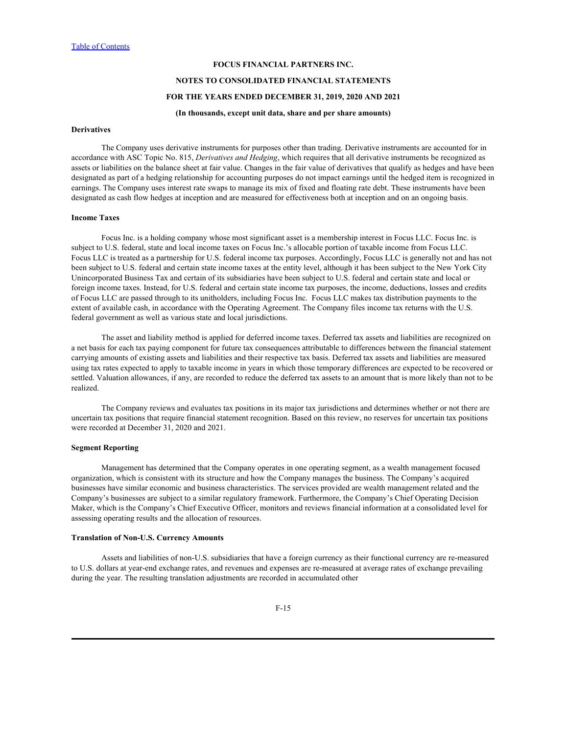# **FOCUS FINANCIAL PARTNERS INC. NOTES TO CONSOLIDATED FINANCIAL STATEMENTS FOR THE YEARS ENDED DECEMBER 31, 2019, 2020 AND 2021 (In thousands, except unit data, share and per share amounts)**

#### **Derivatives**

The Company uses derivative instruments for purposes other than trading. Derivative instruments are accounted for in accordance with ASC Topic No. 815, *Derivatives and Hedging*, which requires that all derivative instruments be recognized as assets or liabilities on the balance sheet at fair value. Changes in the fair value of derivatives that qualify as hedges and have been designated as part of a hedging relationship for accounting purposes do not impact earnings until the hedged item is recognized in earnings. The Company uses interest rate swaps to manage its mix of fixed and floating rate debt. These instruments have been designated as cash flow hedges at inception and are measured for effectiveness both at inception and on an ongoing basis.

#### **Income Taxes**

Focus Inc. is a holding company whose most significant asset is a membership interest in Focus LLC. Focus Inc. is subject to U.S. federal, state and local income taxes on Focus Inc.'s allocable portion of taxable income from Focus LLC. Focus LLC is treated as a partnership for U.S. federal income tax purposes. Accordingly, Focus LLC is generally not and has not been subject to U.S. federal and certain state income taxes at the entity level, although it has been subject to the New York City Unincorporated Business Tax and certain of its subsidiaries have been subject to U.S. federal and certain state and local or foreign income taxes. Instead, for U.S. federal and certain state income tax purposes, the income, deductions, losses and credits of Focus LLC are passed through to its unitholders, including Focus Inc. Focus LLC makes tax distribution payments to the extent of available cash, in accordance with the Operating Agreement. The Company files income tax returns with the U.S. federal government as well as various state and local jurisdictions.

The asset and liability method is applied for deferred income taxes. Deferred tax assets and liabilities are recognized on a net basis for each tax paying component for future tax consequences attributable to differences between the financial statement carrying amounts of existing assets and liabilities and their respective tax basis. Deferred tax assets and liabilities are measured using tax rates expected to apply to taxable income in years in which those temporary differences are expected to be recovered or settled. Valuation allowances, if any, are recorded to reduce the deferred tax assets to an amount that is more likely than not to be realized.

The Company reviews and evaluates tax positions in its major tax jurisdictions and determines whether or not there are uncertain tax positions that require financial statement recognition. Based on this review, no reserves for uncertain tax positions were recorded at December 31, 2020 and 2021.

# **Segment Reporting**

Management has determined that the Company operates in one operating segment, as a wealth management focused organization, which is consistent with its structure and how the Company manages the business. The Company's acquired businesses have similar economic and business characteristics. The services provided are wealth management related and the Company's businesses are subject to a similar regulatory framework. Furthermore, the Company's Chief Operating Decision Maker, which is the Company's Chief Executive Officer, monitors and reviews financial information at a consolidated level for assessing operating results and the allocation of resources.

#### **Translation of Non-U.S. Currency Amounts**

Assets and liabilities of non-U.S. subsidiaries that have a foreign currency as their functional currency are re-measured to U.S. dollars at year-end exchange rates, and revenues and expenses are re-measured at average rates of exchange prevailing during the year. The resulting translation adjustments are recorded in accumulated other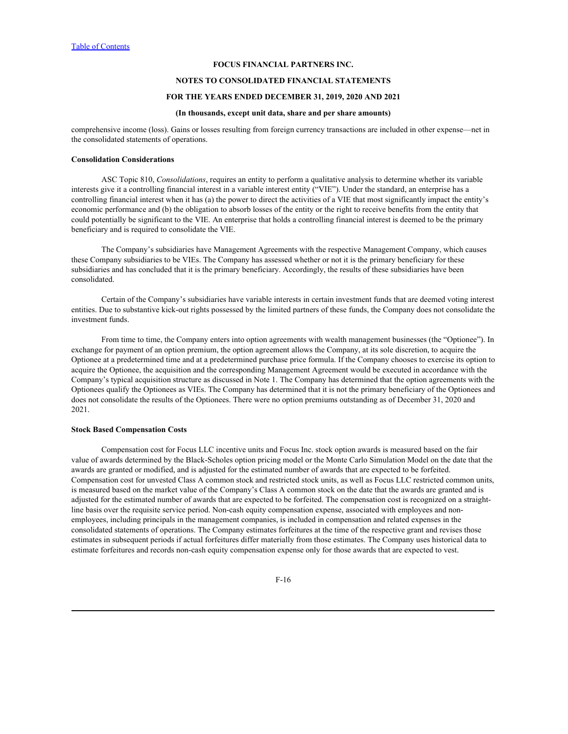## **NOTES TO CONSOLIDATED FINANCIAL STATEMENTS**

# **FOR THE YEARS ENDED DECEMBER 31, 2019, 2020 AND 2021**

#### **(In thousands, except unit data, share and per share amounts)**

comprehensive income (loss). Gains or losses resulting from foreign currency transactions are included in other expense—net in the consolidated statements of operations.

### **Consolidation Considerations**

ASC Topic 810, *Consolidations*, requires an entity to perform a qualitative analysis to determine whether its variable interests give it a controlling financial interest in a variable interest entity ("VIE"). Under the standard, an enterprise has a controlling financial interest when it has (a) the power to direct the activities of a VIE that most significantly impact the entity's economic performance and (b) the obligation to absorb losses of the entity or the right to receive benefits from the entity that could potentially be significant to the VIE. An enterprise that holds a controlling financial interest is deemed to be the primary beneficiary and is required to consolidate the VIE.

The Company's subsidiaries have Management Agreements with the respective Management Company, which causes these Company subsidiaries to be VIEs. The Company has assessed whether or not it is the primary beneficiary for these subsidiaries and has concluded that it is the primary beneficiary. Accordingly, the results of these subsidiaries have been consolidated.

Certain of the Company's subsidiaries have variable interests in certain investment funds that are deemed voting interest entities. Due to substantive kick-out rights possessed by the limited partners of these funds, the Company does not consolidate the investment funds.

From time to time, the Company enters into option agreements with wealth management businesses (the "Optionee"). In exchange for payment of an option premium, the option agreement allows the Company, at its sole discretion, to acquire the Optionee at a predetermined time and at a predetermined purchase price formula. If the Company chooses to exercise its option to acquire the Optionee, the acquisition and the corresponding Management Agreement would be executed in accordance with the Company's typical acquisition structure as discussed in Note 1. The Company has determined that the option agreements with the Optionees qualify the Optionees as VIEs. The Company has determined that it is not the primary beneficiary of the Optionees and does not consolidate the results of the Optionees. There were no option premiums outstanding as of December 31, 2020 and 2021.

#### **Stock Based Compensation Costs**

Compensation cost for Focus LLC incentive units and Focus Inc. stock option awards is measured based on the fair value of awards determined by the Black-Scholes option pricing model or the Monte Carlo Simulation Model on the date that the awards are granted or modified, and is adjusted for the estimated number of awards that are expected to be forfeited. Compensation cost for unvested Class A common stock and restricted stock units, as well as Focus LLC restricted common units, is measured based on the market value of the Company's Class A common stock on the date that the awards are granted and is adjusted for the estimated number of awards that are expected to be forfeited. The compensation cost is recognized on a straightline basis over the requisite service period. Non-cash equity compensation expense, associated with employees and nonemployees, including principals in the management companies, is included in compensation and related expenses in the consolidated statements of operations. The Company estimates forfeitures at the time of the respective grant and revises those estimates in subsequent periods if actual forfeitures differ materially from those estimates. The Company uses historical data to estimate forfeitures and records non-cash equity compensation expense only for those awards that are expected to vest.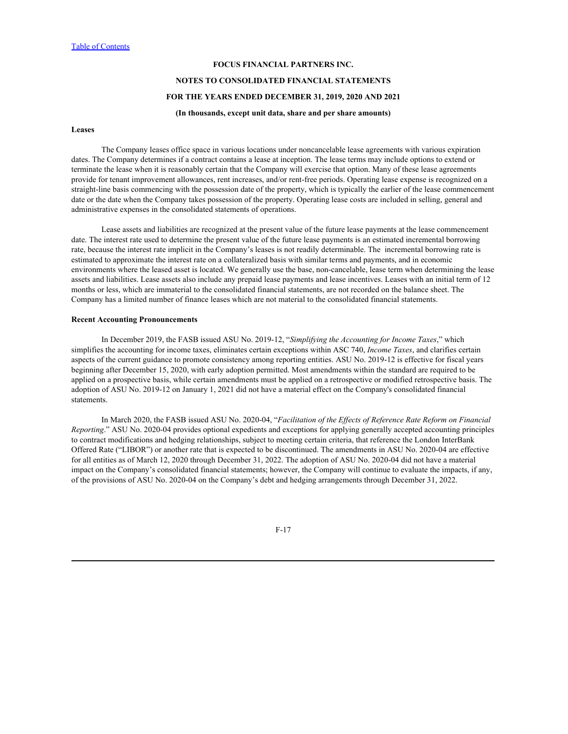# **FOCUS FINANCIAL PARTNERS INC. NOTES TO CONSOLIDATED FINANCIAL STATEMENTS FOR THE YEARS ENDED DECEMBER 31, 2019, 2020 AND 2021 (In thousands, except unit data, share and per share amounts)**

#### **Leases**

The Company leases office space in various locations under noncancelable lease agreements with various expiration dates. The Company determines if a contract contains a lease at inception. The lease terms may include options to extend or terminate the lease when it is reasonably certain that the Company will exercise that option. Many of these lease agreements provide for tenant improvement allowances, rent increases, and/or rent-free periods. Operating lease expense is recognized on a straight-line basis commencing with the possession date of the property, which is typically the earlier of the lease commencement date or the date when the Company takes possession of the property. Operating lease costs are included in selling, general and administrative expenses in the consolidated statements of operations.

Lease assets and liabilities are recognized at the present value of the future lease payments at the lease commencement date. The interest rate used to determine the present value of the future lease payments is an estimated incremental borrowing rate, because the interest rate implicit in the Company's leases is not readily determinable. The incremental borrowing rate is estimated to approximate the interest rate on a collateralized basis with similar terms and payments, and in economic environments where the leased asset is located. We generally use the base, non-cancelable, lease term when determining the lease assets and liabilities. Lease assets also include any prepaid lease payments and lease incentives. Leases with an initial term of 12 months or less, which are immaterial to the consolidated financial statements, are not recorded on the balance sheet. The Company has a limited number of finance leases which are not material to the consolidated financial statements.

# **Recent Accounting Pronouncements**

In December 2019, the FASB issued ASU No. 2019-12, "*Simplifying the Accounting for Income Taxes*," which simplifies the accounting for income taxes, eliminates certain exceptions within ASC 740, *Income Taxes*, and clarifies certain aspects of the current guidance to promote consistency among reporting entities. ASU No. 2019-12 is effective for fiscal years beginning after December 15, 2020, with early adoption permitted. Most amendments within the standard are required to be applied on a prospective basis, while certain amendments must be applied on a retrospective or modified retrospective basis. The adoption of ASU No. 2019-12 on January 1, 2021 did not have a material effect on the Company's consolidated financial statements.

In March 2020, the FASB issued ASU No. 2020-04, "*Facilitation of the Effects of Reference Rate Reform on Financial Reporting*." ASU No. 2020-04 provides optional expedients and exceptions for applying generally accepted accounting principles to contract modifications and hedging relationships, subject to meeting certain criteria, that reference the London InterBank Offered Rate ("LIBOR") or another rate that is expected to be discontinued. The amendments in ASU No. 2020-04 are effective for all entities as of March 12, 2020 through December 31, 2022. The adoption of ASU No. 2020-04 did not have a material impact on the Company's consolidated financial statements; however, the Company will continue to evaluate the impacts, if any, of the provisions of ASU No. 2020-04 on the Company's debt and hedging arrangements through December 31, 2022.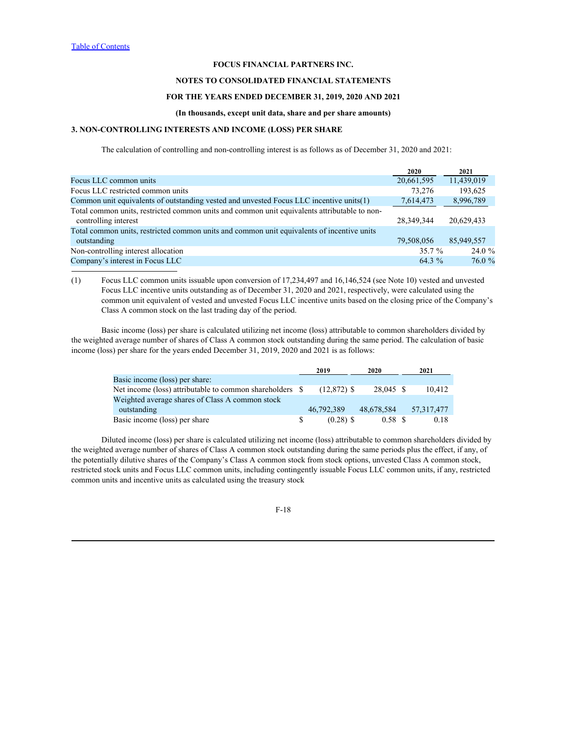# **NOTES TO CONSOLIDATED FINANCIAL STATEMENTS**

# **FOR THE YEARS ENDED DECEMBER 31, 2019, 2020 AND 2021**

## **(In thousands, except unit data, share and per share amounts)**

### **3. NON-CONTROLLING INTERESTS AND INCOME (LOSS) PER SHARE**

The calculation of controlling and non-controlling interest is as follows as of December 31, 2020 and 2021:

|                                                                                              | 2020       | 2021       |
|----------------------------------------------------------------------------------------------|------------|------------|
| Focus LLC common units                                                                       | 20,661,595 | 11,439,019 |
| Focus LLC restricted common units                                                            | 73,276     | 193,625    |
| Common unit equivalents of outstanding vested and unvested Focus LLC incentive units(1)      | 7,614,473  | 8,996,789  |
| Total common units, restricted common units and common unit equivalents attributable to non- |            |            |
| controlling interest                                                                         | 28,349,344 | 20,629,433 |
| Total common units, restricted common units and common unit equivalents of incentive units   |            |            |
| outstanding                                                                                  | 79,508,056 | 85,949,557 |
| Non-controlling interest allocation                                                          | $35.7\%$   | 24.0 %     |
| Company's interest in Focus LLC                                                              | 64.3 %     | 76.0 %     |

(1) Focus LLC common units issuable upon conversion of 17,234,497 and 16,146,524 (see Note 10) vested and unvested Focus LLC incentive units outstanding as of December 31, 2020 and 2021, respectively, were calculated using the common unit equivalent of vested and unvested Focus LLC incentive units based on the closing price of the Company's Class A common stock on the last trading day of the period.

Basic income (loss) per share is calculated utilizing net income (loss) attributable to common shareholders divided by the weighted average number of shares of Class A common stock outstanding during the same period. The calculation of basic income (loss) per share for the years ended December 31, 2019, 2020 and 2021 is as follows:

|                                                       | 2019          | <b>2020</b> | 2021       |
|-------------------------------------------------------|---------------|-------------|------------|
| Basic income (loss) per share:                        |               |             |            |
| Net income (loss) attributable to common shareholders | $(12,872)$ \$ | 28.045 \$   | 10.412     |
| Weighted average shares of Class A common stock       |               |             |            |
| outstanding                                           | 46,792,389    | 48.678.584  | 57.317.477 |
| Basic income (loss) per share                         | $(0.28)$ \$   | 0.58S       | 0.18       |

Diluted income (loss) per share is calculated utilizing net income (loss) attributable to common shareholders divided by the weighted average number of shares of Class A common stock outstanding during the same periods plus the effect, if any, of the potentially dilutive shares of the Company's Class A common stock from stock options, unvested Class A common stock, restricted stock units and Focus LLC common units, including contingently issuable Focus LLC common units, if any, restricted common units and incentive units as calculated using the treasury stock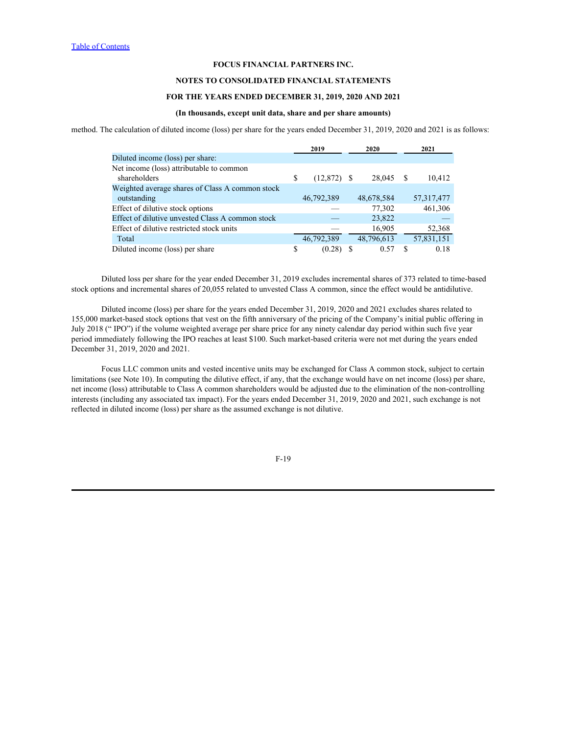# **NOTES TO CONSOLIDATED FINANCIAL STATEMENTS**

# **FOR THE YEARS ENDED DECEMBER 31, 2019, 2020 AND 2021**

# **(In thousands, except unit data, share and per share amounts)**

method. The calculation of diluted income (loss) per share for the years ended December 31, 2019, 2020 and 2021 is as follows:

|                                                  | 2019          | 2020        | 2021       |
|--------------------------------------------------|---------------|-------------|------------|
| Diluted income (loss) per share:                 |               |             |            |
| Net income (loss) attributable to common         |               |             |            |
| shareholders                                     | $(12,872)$ \$ | $28,045$ \$ | 10,412     |
| Weighted average shares of Class A common stock  |               |             |            |
| outstanding                                      | 46,792,389    | 48,678,584  | 57,317,477 |
| Effect of dilutive stock options                 |               | 77,302      | 461,306    |
| Effect of dilutive unvested Class A common stock |               | 23,822      |            |
| Effect of dilutive restricted stock units        |               | 16,905      | 52,368     |
| Total                                            | 46,792,389    | 48,796,613  | 57,831,151 |
| Diluted income (loss) per share                  | $(0.28)$ \$   | 0.57        | 0.18       |

Diluted loss per share for the year ended December 31, 2019 excludes incremental shares of 373 related to time-based stock options and incremental shares of 20,055 related to unvested Class A common, since the effect would be antidilutive.<br>Diluted income (loss) per share for the years ended December 31, 2019, 2020 and 2021 excludes share

155,000 market-based stock options that vest on the fifth anniversary of the pricing of the Company's initial public offering in July 2018 (" IPO") if the volume weighted average per share price for any ninety calendar day period within such five year period immediately following the IPO reaches at least \$100. Such market-based criteria were not met during the years ended December 31, 2019, 2020 and 2021.

Focus LLC common units and vested incentive units may be exchanged for Class A common stock, subject to certain limitations (see Note 10). In computing the dilutive effect, if any, that the exchange would have on net income (loss) per share, net income (loss) attributable to Class A common shareholders would be adjusted due to the elimination of the non-controlling interests (including any associated tax impact). For the years ended December 31, 2019, 2020 and 2021, such exchange is not reflected in diluted income (loss) per share as the assumed exchange is not dilutive.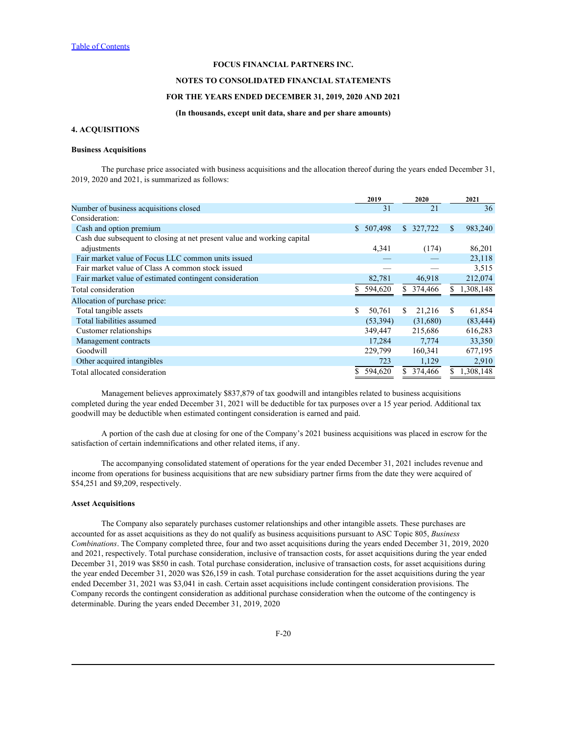### **NOTES TO CONSOLIDATED FINANCIAL STATEMENTS**

# **FOR THE YEARS ENDED DECEMBER 31, 2019, 2020 AND 2021**

# **(In thousands, except unit data, share and per share amounts)**

# **4. ACQUISITIONS**

### **Business Acquisitions**

The purchase price associated with business acquisitions and the allocation thereof during the years ended December 31, 2019, 2020 and 2021, is summarized as follows:

|                                                                         | 2019            | 2020                    | 2021           |
|-------------------------------------------------------------------------|-----------------|-------------------------|----------------|
| Number of business acquisitions closed                                  | 31              | 21                      | 36             |
| Consideration:                                                          |                 |                         |                |
| Cash and option premium                                                 | \$ 507<br>'.498 | 327,722<br>D.           | 983,240        |
| Cash due subsequent to closing at net present value and working capital |                 |                         |                |
| adjustments                                                             | 4,341           | (174)                   | 86,201         |
| Fair market value of Focus LLC common units issued                      | __              |                         | 23,118         |
| Fair market value of Class A common stock issued                        |                 |                         | 3,515          |
| Fair market value of estimated contingent consideration                 | 82,781          | 46,918                  | 212,074        |
| Total consideration                                                     | 594,620         | $\overline{\$}$ 374,466 | 1,308,148      |
| Allocation of purchase price:                                           |                 |                         |                |
| Total tangible assets                                                   | 50,761          | 21,216<br>Ж             | 61,854<br>- 55 |
| Total liabilities assumed                                               | (53, 394)       | (31,680)                | (83, 444)      |
| Customer relationships                                                  | 349,447         | 215,686                 | 616,283        |
| Management contracts                                                    | 17,284          | 7,774                   | 33,350         |
| Goodwill                                                                | 229,799         | 160,341                 | 677,195        |
| Other acquired intangibles                                              | 723             | 1,129                   | 2,910          |
| Total allocated consideration                                           | 594,620         | 374,466                 | 1,308,148      |

Management believes approximately \$837,879 of tax goodwill and intangibles related to business acquisitions completed during the year ended December 31, 2021 will be deductible for tax purposes over a 15 year period. Additional tax goodwill may be deductible when estimated contingent consideration is earned and paid.

A portion of the cash due at closing for one of the Company's 2021 business acquisitions was placed in escrow for the satisfaction of certain indemnifications and other related items, if any.

The accompanying consolidated statement of operations for the year ended December 31, 2021 includes revenue and income from operations for business acquisitions that are new subsidiary partner firms from the date they were acquired of \$54,251 and \$9,209, respectively.

# **Asset Acquisitions**

The Company also separately purchases customer relationships and other intangible assets. These purchases are accounted for as asset acquisitions as they do not qualify as business acquisitions pursuant to ASC Topic 805, *Business Combinations*. The Company completed three, four and two asset acquisitions during the years ended December 31, 2019, 2020 and 2021, respectively. Total purchase consideration, inclusive of transaction costs, for asset acquisitions during the year ended December 31, 2019 was \$850 in cash. Total purchase consideration, inclusive of transaction costs, for asset acquisitions during the year ended December 31, 2020 was \$26,159 in cash. Total purchase consideration for the asset acquisitions during the year ended December 31, 2021 was \$3,041 in cash. Certain asset acquisitions include contingent consideration provisions. The Company records the contingent consideration as additional purchase consideration when the outcome of the contingency is determinable. During the years ended December 31, 2019, 2020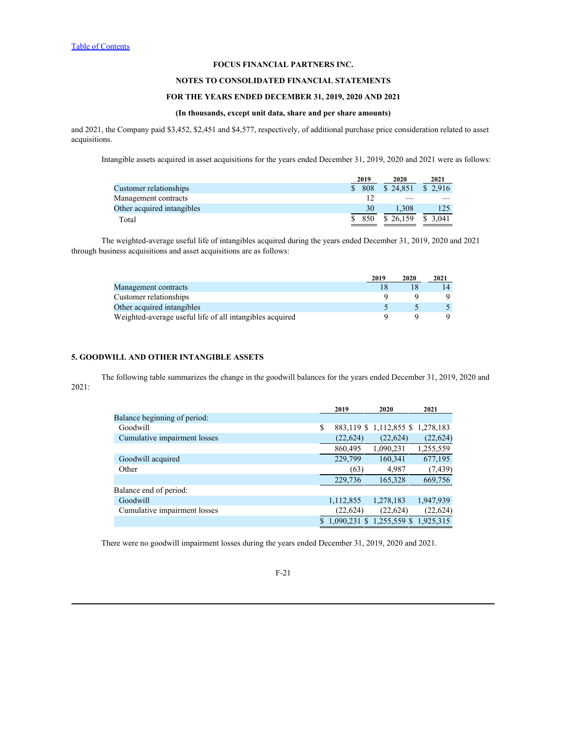# **NOTES TO CONSOLIDATED FINANCIAL STATEMENTS**

# **FOR THE YEARS ENDED DECEMBER 31, 2019, 2020 AND 2021**

# **(In thousands, except unit data, share and per share amounts)**

and 2021, the Company paid \$3,452, \$2,451 and \$4,577, respectively, of additional purchase price consideration related to asset acquisitions.

Intangible assets acquired in asset acquisitions for the years ended December 31, 2019, 2020 and 2021 were as follows:

|                            | 2019 | 2020                           | 2021                     |
|----------------------------|------|--------------------------------|--------------------------|
| Customer relationships     | 808  | 24,851                         | \$2,916                  |
| Management contracts       |      | $\overbrace{\hspace{25mm}}^{}$ | $\overline{\phantom{a}}$ |
| Other acquired intangibles | 30   | .308                           | 125                      |
| Total                      | 850  | 26,159                         | \$3,041                  |

The weighted-average useful life of intangibles acquired during the years ended December 31, 2019, 2020 and 2021 through business acquisitions and asset acquisitions are as follows:

| 2019 | 2020 | 2021 |
|------|------|------|
|      |      | 14   |
|      |      |      |
|      |      |      |
|      |      |      |
|      |      |      |

# **5. GOODWILL AND OTHER INTANGIBLE ASSETS**

The following table summarizes the change in the goodwill balances for the years ended December 31, 2019, 2020 and 2021:

|                              | 2019            | 2020                              | 2021      |
|------------------------------|-----------------|-----------------------------------|-----------|
| Balance beginning of period: |                 |                                   |           |
| Goodwill                     | \$              | 883,119 \$ 1,112,855 \$ 1,278,183 |           |
| Cumulative impairment losses | (22, 624)       | (22, 624)                         | (22, 624) |
|                              | 860,495         | 1,090,231                         | 1,255,559 |
| Goodwill acquired            | 229,799         | 160,341                           | 677,195   |
| Other                        | (63)            | 4,987                             | (7, 439)  |
|                              | 229,736         | 165,328                           | 669,756   |
| Balance end of period:       |                 |                                   |           |
| Goodwill                     | 1,112,855       | 1,278,183                         | 1,947,939 |
| Cumulative impairment losses | (22, 624)       | (22, 624)                         | (22, 624) |
|                              | $$1,090,231$ \$ | .255,559 \$ 1,925,315             |           |

There were no goodwill impairment losses during the years ended December 31, 2019, 2020 and 2021.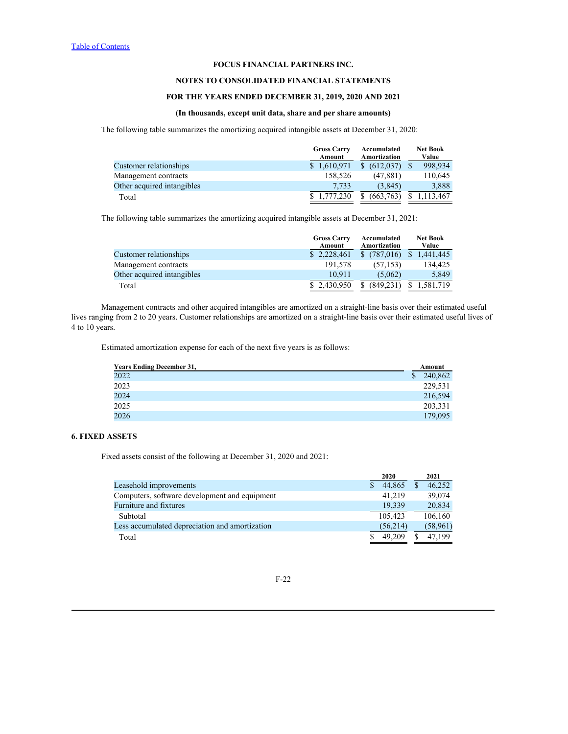# **NOTES TO CONSOLIDATED FINANCIAL STATEMENTS**

# **FOR THE YEARS ENDED DECEMBER 31, 2019, 2020 AND 2021**

# **(In thousands, except unit data, share and per share amounts)**

The following table summarizes the amortizing acquired intangible assets at December 31, 2020:

| <b>Gross Carry</b><br>Amount | Accumulated<br>Amortization | <b>Net Book</b><br>Value |
|------------------------------|-----------------------------|--------------------------|
| \$1.610.971                  | $^{\circ}$ (612,037).       | 998.934                  |
| 158.526                      | (47, 881)                   | 10,645                   |
| 7.733                        | (3,845)                     | 3,888                    |
| .777.230                     | (663.763)                   | ,113,467                 |
|                              |                             |                          |

The following table summarizes the amortizing acquired intangible assets at December 31, 2021:

| <b>Gross Carry</b><br>Amount | Accumulated<br>Amortization | <b>Net Book</b><br>Value |
|------------------------------|-----------------------------|--------------------------|
| \$2,228,461                  |                             | \$(787,016) \$1,441,445  |
| 191.578                      | (57.153)                    | 134,425                  |
| 10.911                       | (5,062)                     | 5,849                    |
| \$2,430,950                  | (849.231)                   | .581.719                 |
|                              |                             |                          |

Management contracts and other acquired intangibles are amortized on a straight-line basis over their estimated useful lives ranging from 2 to 20 years. Customer relationships are amortized on a straight-line basis over their estimated useful lives of 4 to 10 years.

Estimated amortization expense for each of the next five years is as follows:

| <b>Years Ending December 31,</b> | Amount  |
|----------------------------------|---------|
| 2022                             | 240,862 |
| 2023                             | 229,531 |
| 2024                             | 216,594 |
| 2025                             | 203,331 |
| 2026                             | 179,095 |

# **6. FIXED ASSETS**

Fixed assets consist of the following at December 31, 2020 and 2021:

|                                                | 2020     | 2021      |
|------------------------------------------------|----------|-----------|
| Leasehold improvements                         | 44,865   | 46,252    |
| Computers, software development and equipment  | 41.219   | 39,074    |
| Furniture and fixtures                         | 19.339   | 20,834    |
| Subtotal                                       | 105.423  | 106,160   |
| Less accumulated depreciation and amortization | (56,214) | (58, 961) |
| Total                                          | 49,209   | 47.199    |
|                                                |          |           |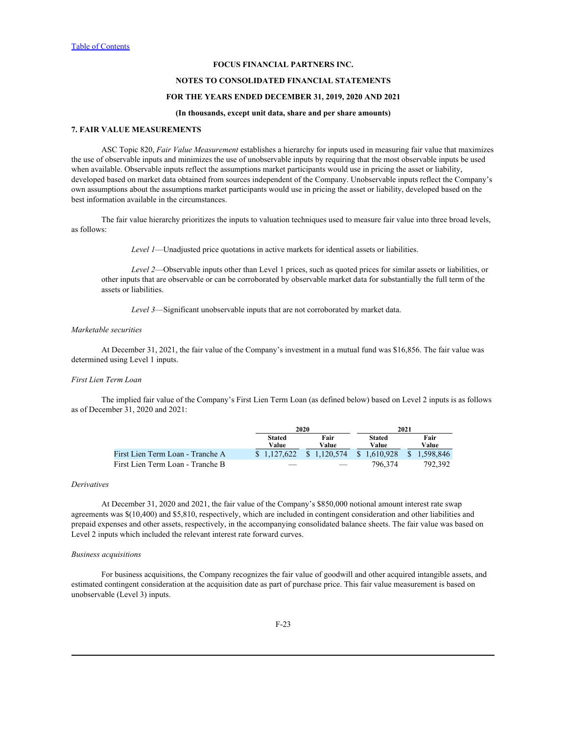## **NOTES TO CONSOLIDATED FINANCIAL STATEMENTS**

# **FOR THE YEARS ENDED DECEMBER 31, 2019, 2020 AND 2021**

# **(In thousands, except unit data, share and per share amounts)**

#### **7. FAIR VALUE MEASUREMENTS**

ASC Topic 820, *Fair Value Measurement* establishes a hierarchy for inputs used in measuring fair value that maximizes the use of observable inputs and minimizes the use of unobservable inputs by requiring that the most observable inputs be used when available. Observable inputs reflect the assumptions market participants would use in pricing the asset or liability, developed based on market data obtained from sources independent of the Company. Unobservable inputs reflect the Company's own assumptions about the assumptions market participants would use in pricing the asset or liability, developed based on the best information available in the circumstances.

The fair value hierarchy prioritizes the inputs to valuation techniques used to measure fair value into three broad levels, as follows:

*Level 1*—Unadjusted price quotations in active markets for identical assets or liabilities.

*Level 2*—Observable inputs other than Level 1 prices, such as quoted prices for similar assets or liabilities, or other inputs that are observable or can be corroborated by observable market data for substantially the full term of the assets or liabilities.

*Level 3*—Significant unobservable inputs that are not corroborated by market data.

### *Marketable securities*

At December 31, 2021, the fair value of the Company's investment in a mutual fund was \$16,856. The fair value was determined using Level 1 inputs.

### *First Lien Term Loan*

The implied fair value of the Company's First Lien Term Loan (as defined below) based on Level 2 inputs is as follows as of December 31, 2020 and 2021:

|                                     |               | 2020                            |           | 2021     |
|-------------------------------------|---------------|---------------------------------|-----------|----------|
|                                     | <b>Stated</b> | Fair                            | Stated    | Fair     |
|                                     | Value         | Value                           | Value     | Value    |
| First Lien Term Loan - Tranche A    | ,127,622      | ,120,574                        | 1,610,928 | .598,846 |
| First Lien Term Loan -<br>Tranche B |               | $\hspace{0.1mm}-\hspace{0.1mm}$ | 796,374   | 792,392  |

#### *Derivatives*

At December 31, 2020 and 2021, the fair value of the Company's \$850,000 notional amount interest rate swap agreements was \$(10,400) and \$5,810, respectively, which are included in contingent consideration and other liabilities and prepaid expenses and other assets, respectively, in the accompanying consolidated balance sheets. The fair value was based on Level 2 inputs which included the relevant interest rate forward curves.

#### *Business acquisitions*

For business acquisitions, the Company recognizes the fair value of goodwill and other acquired intangible assets, and estimated contingent consideration at the acquisition date as part of purchase price. This fair value measurement is based on unobservable (Level 3) inputs.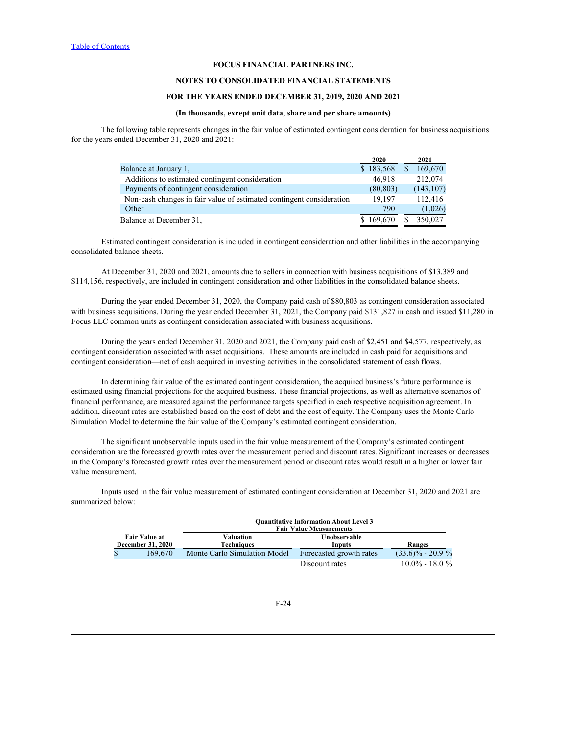# **NOTES TO CONSOLIDATED FINANCIAL STATEMENTS**

# **FOR THE YEARS ENDED DECEMBER 31, 2019, 2020 AND 2021**

#### **(In thousands, except unit data, share and per share amounts)**

The following table represents changes in the fair value of estimated contingent consideration for business acquisitions for the years ended December 31, 2020 and 2021:

|                                                                      | 2020      | 2021       |
|----------------------------------------------------------------------|-----------|------------|
| Balance at January 1,                                                | \$183,568 | 169,670    |
| Additions to estimated contingent consideration                      | 46.918    | 212,074    |
| Payments of contingent consideration                                 | (80, 803) | (143, 107) |
| Non-cash changes in fair value of estimated contingent consideration | 19.197    | 112,416    |
| Other                                                                | 790       | (1,026)    |
| Balance at December 31,                                              | \$169,670 | 350.027    |
|                                                                      |           |            |

Estimated contingent consideration is included in contingent consideration and other liabilities in the accompanying consolidated balance sheets.

At December 31, 2020 and 2021, amounts due to sellers in connection with business acquisitions of \$13,389 and \$114,156, respectively, are included in contingent consideration and other liabilities in the consolidated balance sheets.

During the year ended December 31, 2020, the Company paid cash of \$80,803 as contingent consideration associated with business acquisitions. During the year ended December 31, 2021, the Company paid \$131,827 in cash and issued \$11,280 in Focus LLC common units as contingent consideration associated with business acquisitions.

During the years ended December 31, 2020 and 2021, the Company paid cash of \$2,451 and \$4,577, respectively, as contingent consideration associated with asset acquisitions. These amounts are included in cash paid for acquisitions and contingent consideration—net of cash acquired in investing activities in the consolidated statement of cash flows.

In determining fair value of the estimated contingent consideration, the acquired business's future performance is estimated using financial projections for the acquired business. These financial projections, as well as alternative scenarios of financial performance, are measured against the performance targets specified in each respective acquisition agreement. In addition, discount rates are established based on the cost of debt and the cost of equity. The Company uses the Monte Carlo Simulation Model to determine the fair value of the Company's estimated contingent consideration.

The significant unobservable inputs used in the fair value measurement of the Company's estimated contingent consideration are the forecasted growth rates over the measurement period and discount rates. Significant increases or decreases in the Company's forecasted growth rates over the measurement period or discount rates would result in a higher or lower fair value measurement.

Inputs used in the fair value measurement of estimated contingent consideration at December 31, 2020 and 2021 are summarized below:

|                          |                              | <b>Ouantitative Information About Level 3</b> |                     |
|--------------------------|------------------------------|-----------------------------------------------|---------------------|
|                          |                              | <b>Fair Value Measurements</b>                |                     |
| <b>Fair Value at</b>     | Valuation                    | Unobservable                                  |                     |
| <b>December 31, 2020</b> | Techniques                   | Inputs                                        | Ranges              |
| 169,670                  | Monte Carlo Simulation Model | Forecasted growth rates                       | $(33.6)\% - 20.9\%$ |
|                          |                              | Discount rates                                | $10.0\% - 18.0\%$   |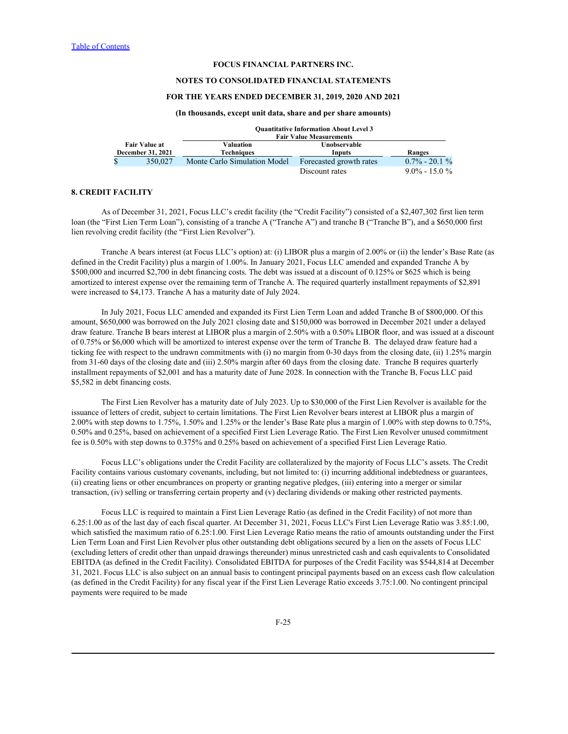# **NOTES TO CONSOLIDATED FINANCIAL STATEMENTS**

# **FOR THE YEARS ENDED DECEMBER 31, 2019, 2020 AND 2021**

#### **(In thousands, except unit data, share and per share amounts)**

|                                                  |                              | <b>Ouantitative Information About Level 3</b><br><b>Fair Value Measurements</b> |                     |
|--------------------------------------------------|------------------------------|---------------------------------------------------------------------------------|---------------------|
| <b>Fair Value at</b><br><b>December 31, 2021</b> | Valuation<br>Techniques      | Unobservable<br>Inputs                                                          | Ranges              |
| 350,027                                          | Monte Carlo Simulation Model | Forecasted growth rates                                                         | $0.7\%$ - 20.1 $\%$ |
|                                                  |                              | Discount rates                                                                  | $9.0\% - 15.0\%$    |

## **8. CREDIT FACILITY**

As of December 31, 2021, Focus LLC's credit facility (the "Credit Facility") consisted of a \$2,407,302 first lien term loan (the "First Lien Term Loan"), consisting of a tranche A ("Tranche A") and tranche B ("Tranche B"), and a \$650,000 first lien revolving credit facility (the "First Lien Revolver").

Tranche A bears interest (at Focus LLC's option) at: (i) LIBOR plus a margin of 2.00% or (ii) the lender's Base Rate (as defined in the Credit Facility) plus a margin of 1.00%. In January 2021, Focus LLC amended and expanded Tranche A by \$500,000 and incurred \$2,700 in debt financing costs. The debt was issued at a discount of 0.125% or \$625 which is being amortized to interest expense over the remaining term of Tranche A. The required quarterly installment repayments of \$2,891 were increased to \$4,173. Tranche A has a maturity date of July 2024.

In July 2021, Focus LLC amended and expanded its First Lien Term Loan and added Tranche B of \$800,000. Of this amount, \$650,000 was borrowed on the July 2021 closing date and \$150,000 was borrowed in December 2021 under a delayed draw feature. Tranche B bears interest at LIBOR plus a margin of 2.50% with a 0.50% LIBOR floor, and was issued at a discount of 0.75% or \$6,000 which will be amortized to interest expense over the term of Tranche B. The delayed draw feature had a ticking fee with respect to the undrawn commitments with (i) no margin from 0-30 days from the closing date, (ii) 1.25% margin from 31-60 days of the closing date and (iii) 2.50% margin after 60 days from the closing date. Tranche B requires quarterly installment repayments of \$2,001 and has a maturity date of June 2028. In connection with the Tranche B, Focus LLC paid \$5,582 in debt financing costs.

The First Lien Revolver has a maturity date of July 2023. Up to \$30,000 of the First Lien Revolver is available for the issuance of letters of credit, subject to certain limitations. The First Lien Revolver bears interest at LIBOR plus a margin of 2.00% with step downs to 1.75%, 1.50% and 1.25% or the lender's Base Rate plus a margin of 1.00% with step downs to 0.75%, 0.50% and 0.25%, based on achievement of a specified First Lien Leverage Ratio. The First Lien Revolver unused commitment fee is 0.50% with step downs to 0.375% and 0.25% based on achievement of a specified First Lien Leverage Ratio.

Focus LLC's obligations under the Credit Facility are collateralized by the majority of Focus LLC's assets. The Credit Facility contains various customary covenants, including, but not limited to: (i) incurring additional indebtedness or guarantees, (ii) creating liens or other encumbrances on property or granting negative pledges, (iii) entering into a merger or similar transaction, (iv) selling or transferring certain property and (v) declaring dividends or making other restricted payments.

Focus LLC is required to maintain a First Lien Leverage Ratio (as defined in the Credit Facility) of not more than 6.25:1.00 as of the last day of each fiscal quarter. At December 31, 2021, Focus LLC's First Lien Leverage Ratio was 3.85:1.00, which satisfied the maximum ratio of 6.25:1.00. First Lien Leverage Ratio means the ratio of amounts outstanding under the First Lien Term Loan and First Lien Revolver plus other outstanding debt obligations secured by a lien on the assets of Focus LLC (excluding letters of credit other than unpaid drawings thereunder) minus unrestricted cash and cash equivalents to Consolidated EBITDA (as defined in the Credit Facility). Consolidated EBITDA for purposes of the Credit Facility was \$544,814 at December 31, 2021. Focus LLC is also subject on an annual basis to contingent principal payments based on an excess cash flow calculation (as defined in the Credit Facility) for any fiscal year if the First Lien Leverage Ratio exceeds 3.75:1.00. No contingent principal payments were required to be made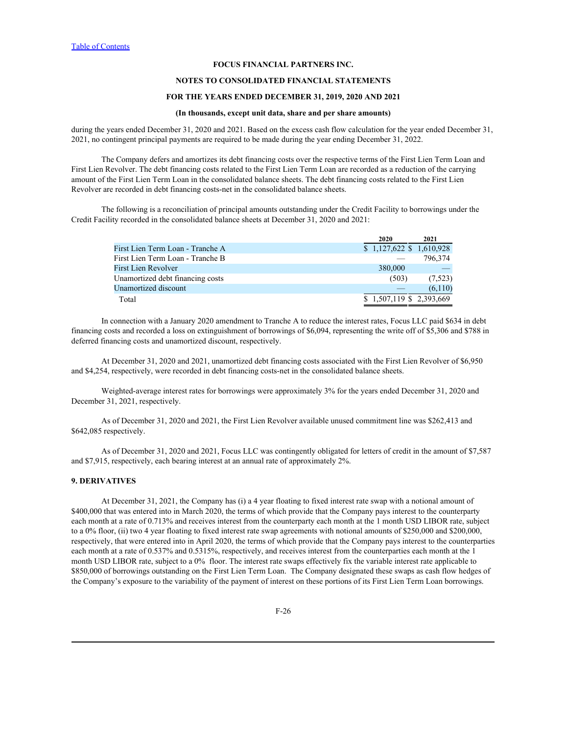# **NOTES TO CONSOLIDATED FINANCIAL STATEMENTS**

# **FOR THE YEARS ENDED DECEMBER 31, 2019, 2020 AND 2021**

#### **(In thousands, except unit data, share and per share amounts)**

during the years ended December 31, 2020 and 2021. Based on the excess cash flow calculation for the year ended December 31, 2021, no contingent principal payments are required to be made during the year ending December 31, 2022.

The Company defers and amortizes its debt financing costs over the respective terms of the First Lien Term Loan and First Lien Revolver. The debt financing costs related to the First Lien Term Loan are recorded as a reduction of the carrying amount of the First Lien Term Loan in the consolidated balance sheets. The debt financing costs related to the First Lien Revolver are recorded in debt financing costs-net in the consolidated balance sheets.

The following is a reconciliation of principal amounts outstanding under the Credit Facility to borrowings under the Credit Facility recorded in the consolidated balance sheets at December 31, 2020 and 2021:

|                                  | 2020                      | 2021    |
|----------------------------------|---------------------------|---------|
| First Lien Term Loan - Tranche A | $$1,127,622$ $$1,610,928$ |         |
| First Lien Term Loan - Tranche B |                           | 796,374 |
| First Lien Revolver              | 380,000                   |         |
| Unamortized debt financing costs | (503)                     | (7,523) |
| Unamortized discount             | $\hspace{0.05cm}$         | (6,110) |
| Total                            | \$1,507,119 \$2,393,669   |         |

In connection with a January 2020 amendment to Tranche A to reduce the interest rates, Focus LLC paid \$634 in debt financing costs and recorded a loss on extinguishment of borrowings of \$6,094, representing the write off of \$5,306 and \$788 in deferred financing costs and unamortized discount, respectively.

At December 31, 2020 and 2021, unamortized debt financing costs associated with the First Lien Revolver of \$6,950 and \$4,254, respectively, were recorded in debt financing costs-net in the consolidated balance sheets.

Weighted-average interest rates for borrowings were approximately 3% for the years ended December 31, 2020 and December 31, 2021, respectively.

As of December 31, 2020 and 2021, the First Lien Revolver available unused commitment line was \$262,413 and \$642,085 respectively.

As of December 31, 2020 and 2021, Focus LLC was contingently obligated for letters of credit in the amount of \$7,587 and \$7,915, respectively, each bearing interest at an annual rate of approximately 2%.

# **9. DERIVATIVES**

At December 31, 2021, the Company has (i) a 4 year floating to fixed interest rate swap with a notional amount of \$400,000 that was entered into in March 2020, the terms of which provide that the Company pays interest to the counterparty each month at a rate of 0.713% and receives interest from the counterparty each month at the 1 month USD LIBOR rate, subject to a 0% floor, (ii) two 4 year floating to fixed interest rate swap agreements with notional amounts of \$250,000 and \$200,000, respectively, that were entered into in April 2020, the terms of which provide that the Company pays interest to the counterparties each month at a rate of 0.537% and 0.5315%, respectively, and receives interest from the counterparties each month at the 1 month USD LIBOR rate, subject to a 0% floor. The interest rate swaps effectively fix the variable interest rate applicable to \$850,000 of borrowings outstanding on the First Lien Term Loan. The Company designated these swaps as cash flow hedges of the Company's exposure to the variability of the payment of interest on these portions of its First Lien Term Loan borrowings.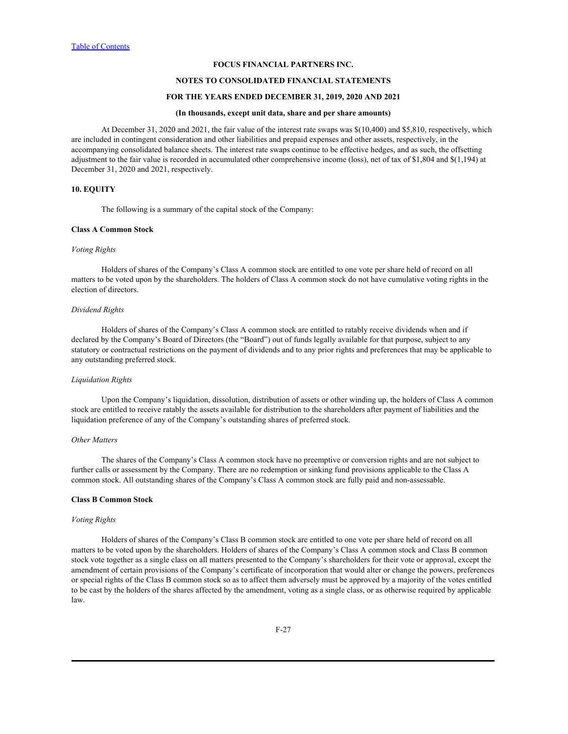# **NOTES TO CONSOLIDATED FINANCIAL STATEMENTS**

# **FOR THE YEARS ENDED DECEMBER 31, 2019, 2020 AND 2021**

#### **(In thousands, except unit data, share and per share amounts)**

At December 31, 2020 and 2021, the fair value of the interest rate swaps was \$(10,400) and \$5,810, respectively, which are included in contingent consideration and other liabilities and prepaid expenses and other assets, respectively, in the accompanying consolidated balance sheets. The interest rate swaps continue to be effective hedges, and as such, the offsetting adjustment to the fair value is recorded in accumulated other comprehensive income (loss), net of tax of \$1,804 and \$(1,194) at December 31, 2020 and 2021, respectively.

# **10. EQUITY**

The following is a summary of the capital stock of the Company:

### **Class A Common Stock**

### *Voting Rights*

Holders of shares of the Company's Class A common stock are entitled to one vote per share held of record on all matters to be voted upon by the shareholders. The holders of Class A common stock do not have cumulative voting rights in the election of directors.

### *Dividend Rights*

Holders of shares of the Company's Class A common stock are entitled to ratably receive dividends when and if declared by the Company's Board of Directors (the "Board") out of funds legally available for that purpose, subject to any statutory or contractual restrictions on the payment of dividends and to any prior rights and preferences that may be applicable to any outstanding preferred stock.

#### *Liquidation Rights*

Upon the Company's liquidation, dissolution, distribution of assets or other winding up, the holders of Class A common stock are entitled to receive ratably the assets available for distribution to the shareholders after payment of liabilities and the liquidation preference of any of the Company's outstanding shares of preferred stock.

#### *Other Matters*

The shares of the Company's Class A common stock have no preemptive or conversion rights and are not subject to further calls or assessment by the Company. There are no redemption or sinking fund provisions applicable to the Class A common stock. All outstanding shares of the Company's Class A common stock are fully paid and non-assessable.

### **Class B Common Stock**

#### *Voting Rights*

Holders of shares of the Company's Class B common stock are entitled to one vote per share held of record on all matters to be voted upon by the shareholders. Holders of shares of the Company's Class A common stock and Class B common stock vote together as a single class on all matters presented to the Company's shareholders for their vote or approval, except the amendment of certain provisions of the Company's certificate of incorporation that would alter or change the powers, preferences or special rights of the Class B common stock so as to affect them adversely must be approved by a majority of the votes entitled to be cast by the holders of the shares affected by the amendment, voting as a single class, or as otherwise required by applicable law.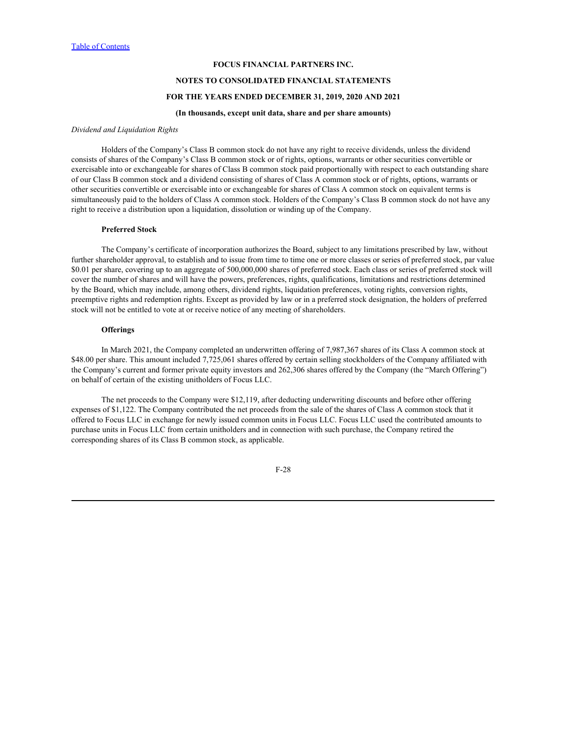# **FOCUS FINANCIAL PARTNERS INC. NOTES TO CONSOLIDATED FINANCIAL STATEMENTS FOR THE YEARS ENDED DECEMBER 31, 2019, 2020 AND 2021**

# **(In thousands, except unit data, share and per share amounts)**

#### *Dividend and Liquidation Rights*

Holders of the Company's Class B common stock do not have any right to receive dividends, unless the dividend consists of shares of the Company's Class B common stock or of rights, options, warrants or other securities convertible or exercisable into or exchangeable for shares of Class B common stock paid proportionally with respect to each outstanding share of our Class B common stock and a dividend consisting of shares of Class A common stock or of rights, options, warrants or other securities convertible or exercisable into or exchangeable for shares of Class A common stock on equivalent terms is simultaneously paid to the holders of Class A common stock. Holders of the Company's Class B common stock do not have any right to receive a distribution upon a liquidation, dissolution or winding up of the Company.

### **Preferred Stock**

The Company's certificate of incorporation authorizes the Board, subject to any limitations prescribed by law, without further shareholder approval, to establish and to issue from time to time one or more classes or series of preferred stock, par value \$0.01 per share, covering up to an aggregate of 500,000,000 shares of preferred stock. Each class or series of preferred stock will cover the number of shares and will have the powers, preferences, rights, qualifications, limitations and restrictions determined by the Board, which may include, among others, dividend rights, liquidation preferences, voting rights, conversion rights, preemptive rights and redemption rights. Except as provided by law or in a preferred stock designation, the holders of preferred stock will not be entitled to vote at or receive notice of any meeting of shareholders.

#### **Offerings**

In March 2021, the Company completed an underwritten offering of 7,987,367 shares of its Class A common stock at \$48.00 per share. This amount included 7,725,061 shares offered by certain selling stockholders of the Company affiliated with the Company's current and former private equity investors and 262,306 shares offered by the Company (the "March Offering") on behalf of certain of the existing unitholders of Focus LLC.

The net proceeds to the Company were \$12,119, after deducting underwriting discounts and before other offering expenses of \$1,122. The Company contributed the net proceeds from the sale of the shares of Class A common stock that it offered to Focus LLC in exchange for newly issued common units in Focus LLC. Focus LLC used the contributed amounts to purchase units in Focus LLC from certain unitholders and in connection with such purchase, the Company retired the corresponding shares of its Class B common stock, as applicable.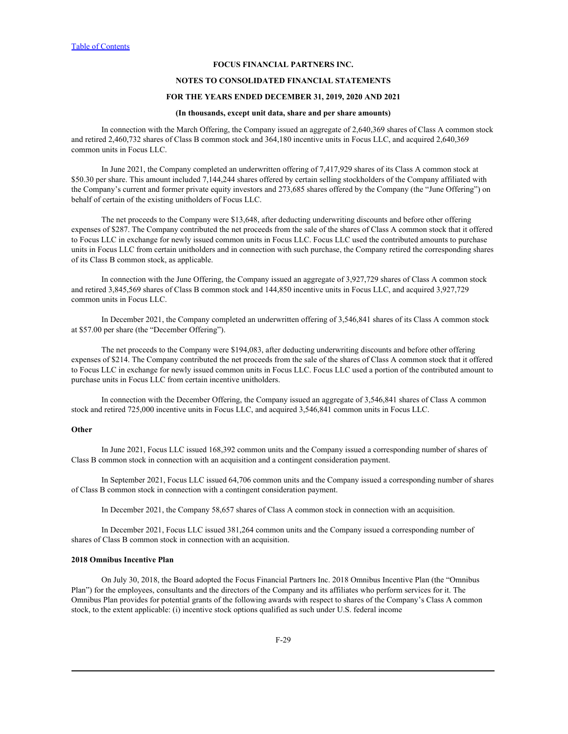# **NOTES TO CONSOLIDATED FINANCIAL STATEMENTS**

# **FOR THE YEARS ENDED DECEMBER 31, 2019, 2020 AND 2021**

#### **(In thousands, except unit data, share and per share amounts)**

In connection with the March Offering, the Company issued an aggregate of 2,640,369 shares of Class A common stock and retired 2,460,732 shares of Class B common stock and 364,180 incentive units in Focus LLC, and acquired 2,640,369 common units in Focus LLC.

In June 2021, the Company completed an underwritten offering of 7,417,929 shares of its Class A common stock at \$50.30 per share. This amount included 7,144,244 shares offered by certain selling stockholders of the Company affiliated with the Company's current and former private equity investors and 273,685 shares offered by the Company (the "June Offering") on behalf of certain of the existing unitholders of Focus LLC.

The net proceeds to the Company were \$13,648, after deducting underwriting discounts and before other offering expenses of \$287. The Company contributed the net proceeds from the sale of the shares of Class A common stock that it offered to Focus LLC in exchange for newly issued common units in Focus LLC. Focus LLC used the contributed amounts to purchase units in Focus LLC from certain unitholders and in connection with such purchase, the Company retired the corresponding shares of its Class B common stock, as applicable.

In connection with the June Offering, the Company issued an aggregate of 3,927,729 shares of Class A common stock and retired 3,845,569 shares of Class B common stock and 144,850 incentive units in Focus LLC, and acquired 3,927,729 common units in Focus LLC.

In December 2021, the Company completed an underwritten offering of 3,546,841 shares of its Class A common stock at \$57.00 per share (the "December Offering").

The net proceeds to the Company were \$194,083, after deducting underwriting discounts and before other offering expenses of \$214. The Company contributed the net proceeds from the sale of the shares of Class A common stock that it offered to Focus LLC in exchange for newly issued common units in Focus LLC. Focus LLC used a portion of the contributed amount to purchase units in Focus LLC from certain incentive unitholders.

In connection with the December Offering, the Company issued an aggregate of 3,546,841 shares of Class A common stock and retired 725,000 incentive units in Focus LLC, and acquired 3,546,841 common units in Focus LLC.

#### **Other**

In June 2021, Focus LLC issued 168,392 common units and the Company issued a corresponding number of shares of Class B common stock in connection with an acquisition and a contingent consideration payment.

In September 2021, Focus LLC issued 64,706 common units and the Company issued a corresponding number of shares of Class B common stock in connection with a contingent consideration payment.

In December 2021, the Company 58,657 shares of Class A common stock in connection with an acquisition.

In December 2021, Focus LLC issued 381,264 common units and the Company issued a corresponding number of shares of Class B common stock in connection with an acquisition.

#### **2018 Omnibus Incentive Plan**

On July 30, 2018, the Board adopted the Focus Financial Partners Inc. 2018 Omnibus Incentive Plan (the "Omnibus Plan") for the employees, consultants and the directors of the Company and its affiliates who perform services for it. The Omnibus Plan provides for potential grants of the following awards with respect to shares of the Company's Class A common stock, to the extent applicable: (i) incentive stock options qualified as such under U.S. federal income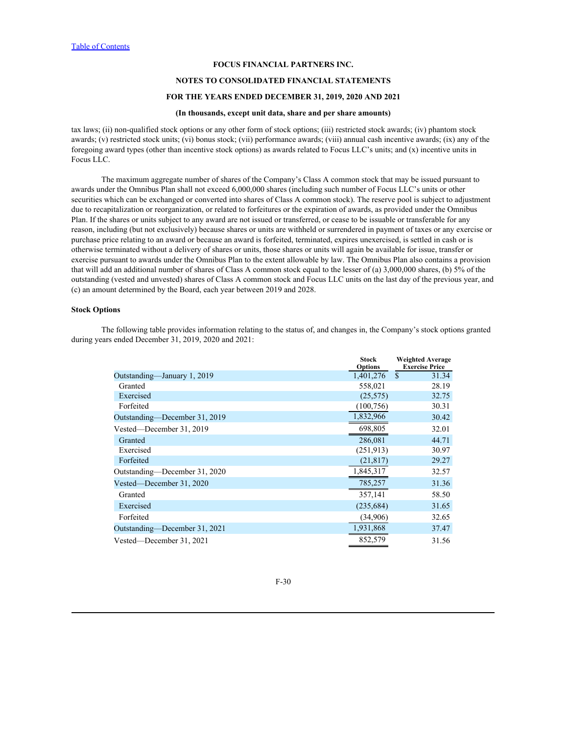# **NOTES TO CONSOLIDATED FINANCIAL STATEMENTS**

# **FOR THE YEARS ENDED DECEMBER 31, 2019, 2020 AND 2021**

# **(In thousands, except unit data, share and per share amounts)**

tax laws; (ii) non-qualified stock options or any other form of stock options; (iii) restricted stock awards; (iv) phantom stock awards; (v) restricted stock units; (vi) bonus stock; (vii) performance awards; (viii) annual cash incentive awards; (ix) any of the foregoing award types (other than incentive stock options) as awards related to Focus LLC's units; and (x) incentive units in Focus LLC.

The maximum aggregate number of shares of the Company's Class A common stock that may be issued pursuant to awards under the Omnibus Plan shall not exceed 6,000,000 shares (including such number of Focus LLC's units or other securities which can be exchanged or converted into shares of Class A common stock). The reserve pool is subject to adjustment due to recapitalization or reorganization, or related to forfeitures or the expiration of awards, as provided under the Omnibus Plan. If the shares or units subject to any award are not issued or transferred, or cease to be issuable or transferable for any reason, including (but not exclusively) because shares or units are withheld or surrendered in payment of taxes or any exercise or purchase price relating to an award or because an award is forfeited, terminated, expires unexercised, is settled in cash or is otherwise terminated without a delivery of shares or units, those shares or units will again be available for issue, transfer or exercise pursuant to awards under the Omnibus Plan to the extent allowable by law. The Omnibus Plan also contains a provision that will add an additional number of shares of Class A common stock equal to the lesser of (a) 3,000,000 shares, (b) 5% of the outstanding (vested and unvested) shares of Class A common stock and Focus LLC units on the last day of the previous year, and (c) an amount determined by the Board, each year between 2019 and 2028.

#### **Stock Options**

The following table provides information relating to the status of, and changes in, the Company's stock options granted during years ended December 31, 2019, 2020 and 2021:

|                               | <b>Stock</b><br><b>Options</b> | <b>Weighted Average</b><br><b>Exercise Price</b> |
|-------------------------------|--------------------------------|--------------------------------------------------|
| Outstanding-January 1, 2019   | 1,401,276                      | 31.34<br><sup>S</sup>                            |
| Granted                       | 558,021                        | 28.19                                            |
| Exercised                     | (25, 575)                      | 32.75                                            |
| Forfeited                     | (100, 756)                     | 30.31                                            |
| Outstanding-December 31, 2019 | 832,966                        | 30.42                                            |
| Vested-December 31, 2019      | 698,805                        | 32.01                                            |
| Granted                       | 286,081                        | 44.71                                            |
| Exercised                     | (251, 913)                     | 30.97                                            |
| Forfeited                     | (21, 817)                      | 29.27                                            |
| Outstanding-December 31, 2020 | ,845,317                       | 32.57                                            |
| Vested—December 31, 2020      | 785,257                        | 31.36                                            |
| Granted                       | 357,141                        | 58.50                                            |
| Exercised                     | (235, 684)                     | 31.65                                            |
| Forfeited                     | (34,906)                       | 32.65                                            |
| Outstanding—December 31, 2021 | ,931,868                       | 37.47                                            |
| Vested-December 31, 2021      | 852,579                        | 31.56                                            |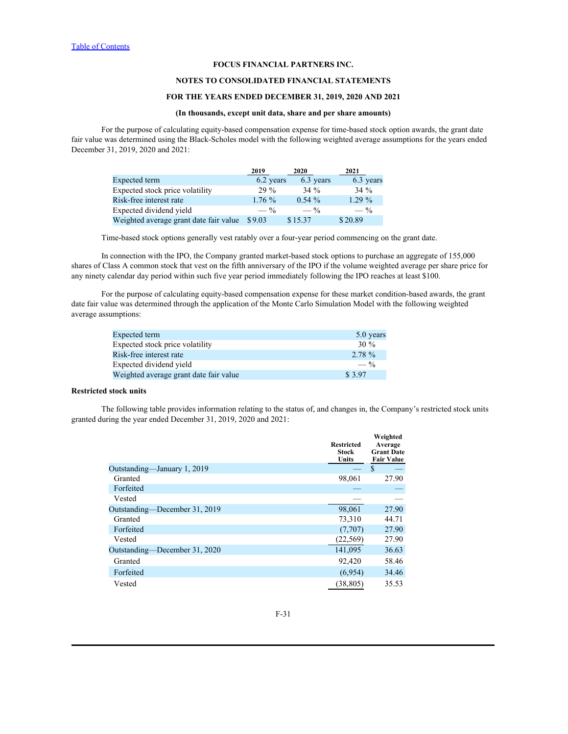# **NOTES TO CONSOLIDATED FINANCIAL STATEMENTS**

# **FOR THE YEARS ENDED DECEMBER 31, 2019, 2020 AND 2021**

# **(In thousands, except unit data, share and per share amounts)**

For the purpose of calculating equity-based compensation expense for time-based stock option awards, the grant date fair value was determined using the Black-Scholes model with the following weighted average assumptions for the years ended December 31, 2019, 2020 and 2021:

|                                        | 2019      | 2020          | 2021      |
|----------------------------------------|-----------|---------------|-----------|
| Expected term                          | 6.2 years | $6.3$ years   | 6.3 years |
| Expected stock price volatility        | 29 %      | 34 %          | $34\%$    |
| Risk-free interest rate                | $.76\%$   | $0.54\%$      | $.29\%$   |
| Expected dividend yield                |           | $\frac{0}{0}$ | $-$ %     |
| Weighted average grant date fair value | \$9.03    | \$15.37       | \$20.89   |

Time-based stock options generally vest ratably over a four-year period commencing on the grant date.

In connection with the IPO, the Company granted market-based stock options to purchase an aggregate of 155,000 shares of Class A common stock that vest on the fifth anniversary of the IPO if the volume weighted average per share price for any ninety calendar day period within such five year period immediately following the IPO reaches at least \$100.

For the purpose of calculating equity-based compensation expense for these market condition-based awards, the grant date fair value was determined through the application of the Monte Carlo Simulation Model with the following weighted average assumptions:

| Expected term                          | 5.0 years |
|----------------------------------------|-----------|
| Expected stock price volatility        | $30\%$    |
| Risk-free interest rate                | $2.78 \%$ |
| Expected dividend yield                | $-$ %     |
| Weighted average grant date fair value | \$3.97    |

#### **Restricted stock units**

The following table provides information relating to the status of, and changes in, the Company's restricted stock units granted during the year ended December 31, 2019, 2020 and 2021:

|                               | <b>Restricted</b><br>Stock<br><b>Units</b> | Weighted<br>Average<br><b>Grant Date</b><br><b>Fair Value</b> |  |
|-------------------------------|--------------------------------------------|---------------------------------------------------------------|--|
| Outstanding-January 1, 2019   | $\overline{\phantom{m}}$                   |                                                               |  |
| Granted                       | 98,061                                     | 27.90                                                         |  |
| Forfeited                     |                                            |                                                               |  |
| Vested                        |                                            |                                                               |  |
| Outstanding-December 31, 2019 | 98,061                                     | 27.90                                                         |  |
| Granted                       | 73,310                                     | 44.71                                                         |  |
| Forfeited                     | (7,707)                                    | 27.90                                                         |  |
| Vested                        | (22, 569)                                  | 27.90                                                         |  |
| Outstanding-December 31, 2020 | 141,095                                    | 36.63                                                         |  |
| Granted                       | 92,420                                     | 58.46                                                         |  |
| Forfeited                     | (6,954)                                    | 34.46                                                         |  |
| Vested                        | (38, 805)                                  | 35.53                                                         |  |
|                               |                                            |                                                               |  |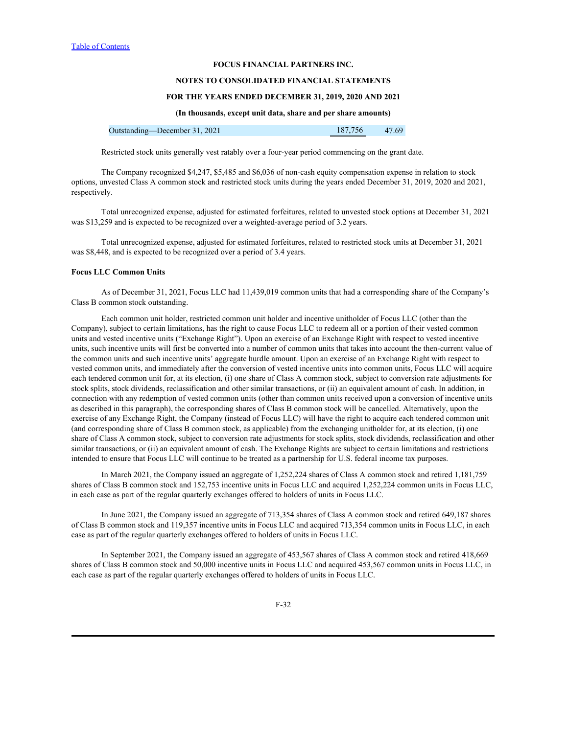# **NOTES TO CONSOLIDATED FINANCIAL STATEMENTS**

# **FOR THE YEARS ENDED DECEMBER 31, 2019, 2020 AND 2021**

#### **(In thousands, except unit data, share and per share amounts)**

Restricted stock units generally vest ratably over a four-year period commencing on the grant date.

The Company recognized \$4,247, \$5,485 and \$6,036 of non-cash equity compensation expense in relation to stock options, unvested Class A common stock and restricted stock units during the years ended December 31, 2019, 2020 and 2021, respectively.

Total unrecognized expense, adjusted for estimated forfeitures, related to unvested stock options at December 31, 2021 was \$13,259 and is expected to be recognized over a weighted-average period of 3.2 years.

Total unrecognized expense, adjusted for estimated forfeitures, related to restricted stock units at December 31, 2021 was \$8,448, and is expected to be recognized over a period of 3.4 years.

### **Focus LLC Common Units**

As of December 31, 2021, Focus LLC had 11,439,019 common units that had a corresponding share of the Company's Class B common stock outstanding.

Each common unit holder, restricted common unit holder and incentive unitholder of Focus LLC (other than the Company), subject to certain limitations, has the right to cause Focus LLC to redeem all or a portion of their vested common units and vested incentive units ("Exchange Right"). Upon an exercise of an Exchange Right with respect to vested incentive units, such incentive units will first be converted into a number of common units that takes into account the then-current value of the common units and such incentive units' aggregate hurdle amount. Upon an exercise of an Exchange Right with respect to vested common units, and immediately after the conversion of vested incentive units into common units, Focus LLC will acquire each tendered common unit for, at its election, (i) one share of Class A common stock, subject to conversion rate adjustments for stock splits, stock dividends, reclassification and other similar transactions, or (ii) an equivalent amount of cash. In addition, in connection with any redemption of vested common units (other than common units received upon a conversion of incentive units as described in this paragraph), the corresponding shares of Class B common stock will be cancelled. Alternatively, upon the exercise of any Exchange Right, the Company (instead of Focus LLC) will have the right to acquire each tendered common unit (and corresponding share of Class B common stock, as applicable) from the exchanging unitholder for, at its election, (i) one share of Class A common stock, subject to conversion rate adjustments for stock splits, stock dividends, reclassification and other similar transactions, or (ii) an equivalent amount of cash. The Exchange Rights are subject to certain limitations and restrictions intended to ensure that Focus LLC will continue to be treated as a partnership for U.S. federal income tax purposes.<br>In March 2021, the Company issued an aggregate of 1,252,224 shares of Class A common stock and retired 1,

shares of Class B common stock and 152,753 incentive units in Focus LLC and acquired 1,252,224 common units in Focus LLC, in each case as part of the regular quarterly exchanges offered to holders of units in Focus LLC.

In June 2021, the Company issued an aggregate of 713,354 shares of Class A common stock and retired 649,187 shares of Class B common stock and 119,357 incentive units in Focus LLC and acquired 713,354 common units in Focus LLC, in each case as part of the regular quarterly exchanges offered to holders of units in Focus LLC.

In September 2021, the Company issued an aggregate of 453,567 shares of Class A common stock and retired 418,669 shares of Class B common stock and 50,000 incentive units in Focus LLC and acquired 453,567 common units in Focus LLC, in each case as part of the regular quarterly exchanges offered to holders of units in Focus LLC.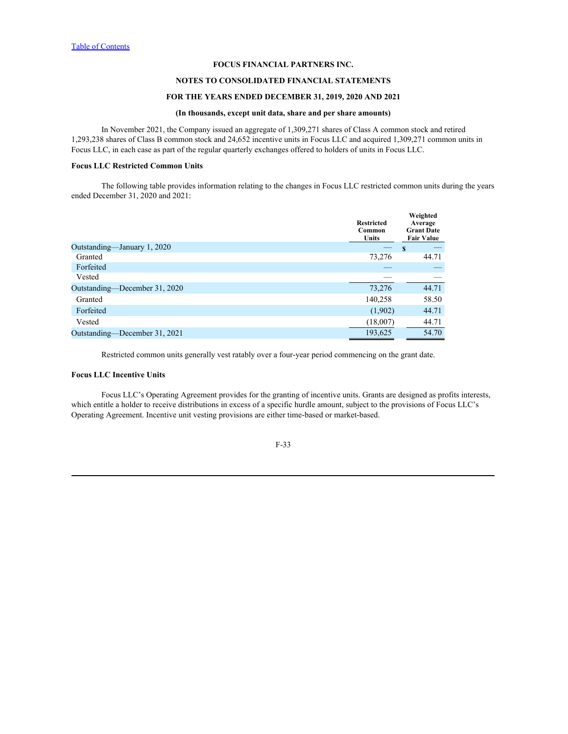# **NOTES TO CONSOLIDATED FINANCIAL STATEMENTS**

# **FOR THE YEARS ENDED DECEMBER 31, 2019, 2020 AND 2021**

# **(In thousands, except unit data, share and per share amounts)**

In November 2021, the Company issued an aggregate of 1,309,271 shares of Class A common stock and retired 1,293,238 shares of Class B common stock and 24,652 incentive units in Focus LLC and acquired 1,309,271 common units in Focus LLC, in each case as part of the regular quarterly exchanges offered to holders of units in Focus LLC.

### **Focus LLC Restricted Common Units**

The following table provides information relating to the changes in Focus LLC restricted common units during the years ended December 31, 2020 and 2021:

| Restricted<br>Common<br><b>Units</b> | Weighted<br>Average<br><b>Grant Date</b><br><b>Fair Value</b> |
|--------------------------------------|---------------------------------------------------------------|
|                                      |                                                               |
| 73,276                               | 44.71                                                         |
|                                      |                                                               |
|                                      |                                                               |
| 73,276                               | 44.71                                                         |
| 140,258                              | 58.50                                                         |
| (1,902)                              | 44.71                                                         |
| (18,007)                             | 44.71                                                         |
| 193,625                              | 54.70                                                         |
|                                      |                                                               |

Restricted common units generally vest ratably over a four-year period commencing on the grant date.

## **Focus LLC Incentive Units**

Focus LLC's Operating Agreement provides for the granting of incentive units. Grants are designed as profits interests, which entitle a holder to receive distributions in excess of a specific hurdle amount, subject to the provisions of Focus LLC's Operating Agreement. Incentive unit vesting provisions are either time-based or market-based.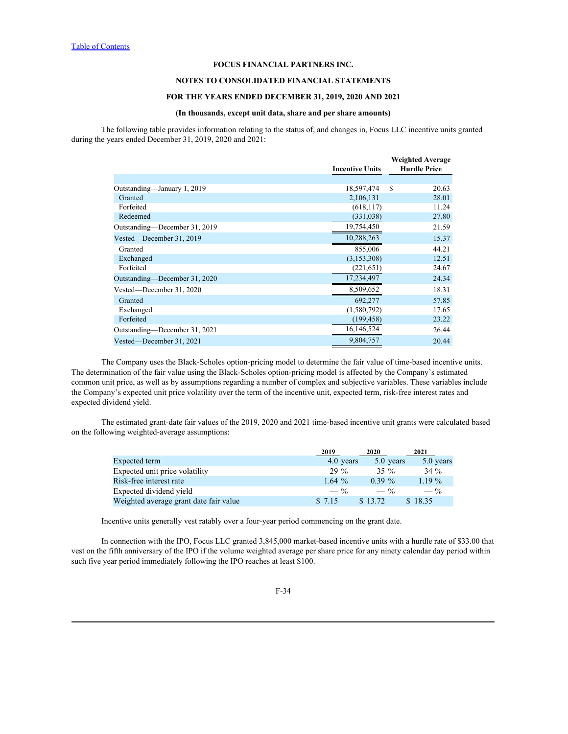# **NOTES TO CONSOLIDATED FINANCIAL STATEMENTS**

# **FOR THE YEARS ENDED DECEMBER 31, 2019, 2020 AND 2021**

# **(In thousands, except unit data, share and per share amounts)**

The following table provides information relating to the status of, and changes in, Focus LLC incentive units granted during the years ended December 31, 2019, 2020 and 2021:

|                               |                        | <b>Weighted Average</b> |
|-------------------------------|------------------------|-------------------------|
|                               | <b>Incentive Units</b> | <b>Hurdle Price</b>     |
|                               |                        |                         |
| Outstanding-January 1, 2019   | 18,597,474             | 20.63<br>-S             |
| Granted                       | 2,106,131              | 28.01                   |
| Forfeited                     | (618, 117)             | 11.24                   |
| Redeemed                      | (331,038)              | 27.80                   |
| Outstanding-December 31, 2019 | 19,754,450             | 21.59                   |
| Vested-December 31, 2019      | 10,288,263             | 15.37                   |
| Granted                       | 855,006                | 44.21                   |
| Exchanged                     | (3, 153, 308)          | 12.51                   |
| Forfeited                     | (221, 651)             | 24.67                   |
| Outstanding-December 31, 2020 | 17,234,497             | 24.34                   |
| Vested-December 31, 2020      | 8,509,652              | 18.31                   |
| Granted                       | 692,277                | 57.85                   |
| Exchanged                     | (1,580,792)            | 17.65                   |
| Forfeited                     | (199, 458)             | 23.22                   |
| Outstanding-December 31, 2021 | 16,146,524             | 26.44                   |
| Vested-December 31, 2021      | 9,804,757              | 20.44                   |

The Company uses the Black-Scholes option-pricing model to determine the fair value of time-based incentive units. The determination of the fair value using the Black-Scholes option-pricing model is affected by the Company's estimated common unit price, as well as by assumptions regarding a number of complex and subjective variables. These variables include the Company's expected unit price volatility over the term of the incentive unit, expected term, risk-free interest rates and expected dividend yield.

The estimated grant-date fair values of the 2019, 2020 and 2021 time-based incentive unit grants were calculated based on the following weighted-average assumptions:

|                                        | 2019      | 2020                    | 2021           |
|----------------------------------------|-----------|-------------------------|----------------|
| Expected term                          | 4.0 years | $5.0$ years             | 5.0 years      |
| Expected unit price volatility         | 29 %      | 35 %                    | $34\%$         |
| Risk-free interest rate                | 1.64 $%$  | $0.39 \%$               | $1.19\%$       |
| Expected dividend yield                | $-$ %     | $\hspace{0.05cm}$<br>70 | $-\frac{9}{6}$ |
| Weighted average grant date fair value |           | 13.72                   | 18.35          |

Incentive units generally vest ratably over a four-year period commencing on the grant date.

In connection with the IPO, Focus LLC granted 3,845,000 market-based incentive units with a hurdle rate of \$33.00 that vest on the fifth anniversary of the IPO if the volume weighted average per share price for any ninety calendar day period within such five year period immediately following the IPO reaches at least \$100.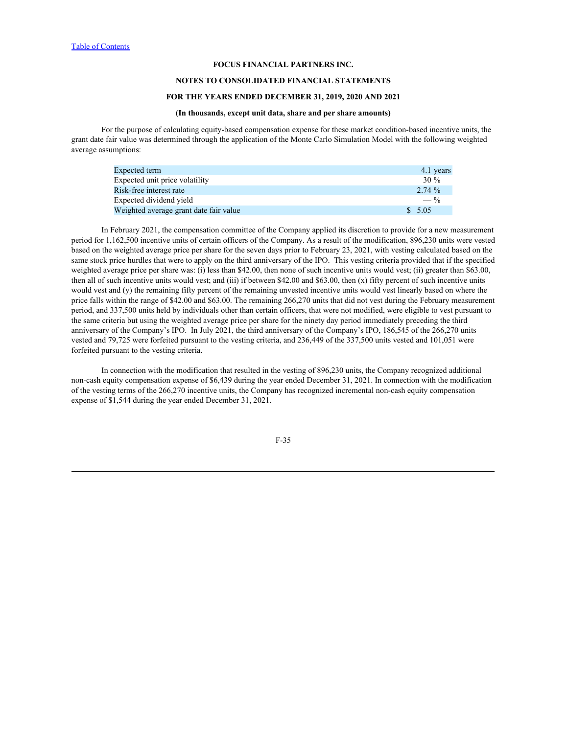### **NOTES TO CONSOLIDATED FINANCIAL STATEMENTS**

# **FOR THE YEARS ENDED DECEMBER 31, 2019, 2020 AND 2021**

# **(In thousands, except unit data, share and per share amounts)**

For the purpose of calculating equity-based compensation expense for these market condition-based incentive units, the grant date fair value was determined through the application of the Monte Carlo Simulation Model with the following weighted average assumptions:

| Expected term                          | 4.1 years |
|----------------------------------------|-----------|
| Expected unit price volatility         | 30 %      |
| Risk-free interest rate                | 2.74%     |
| Expected dividend yield                | $-$ %     |
| Weighted average grant date fair value | \$5.05    |

In February 2021, the compensation committee of the Company applied its discretion to provide for a new measurement period for 1,162,500 incentive units of certain officers of the Company. As a result of the modification, 896,230 units were vested based on the weighted average price per share for the seven days prior to February 23, 2021, with vesting calculated based on the same stock price hurdles that were to apply on the third anniversary of the IPO. This vesting criteria provided that if the specified weighted average price per share was: (i) less than \$42.00, then none of such incentive units would vest; (ii) greater than \$63.00, then all of such incentive units would vest; and (iii) if between \$42.00 and \$63.00, then (x) fifty percent of such incentive units would vest and (y) the remaining fifty percent of the remaining unvested incentive units would vest linearly based on where the price falls within the range of \$42.00 and \$63.00. The remaining 266,270 units that did not vest during the February measurement period, and 337,500 units held by individuals other than certain officers, that were not modified, were eligible to vest pursuant to the same criteria but using the weighted average price per share for the ninety day period immediately preceding the third anniversary of the Company's IPO. In July 2021, the third anniversary of the Company's IPO, 186,545 of the 266,270 units vested and 79,725 were forfeited pursuant to the vesting criteria, and 236,449 of the 337,500 units vested and 101,051 were forfeited pursuant to the vesting criteria.

In connection with the modification that resulted in the vesting of 896,230 units, the Company recognized additional non-cash equity compensation expense of \$6,439 during the year ended December 31, 2021. In connection with the modification of the vesting terms of the 266,270 incentive units, the Company has recognized incremental non-cash equity compensation expense of \$1,544 during the year ended December 31, 2021.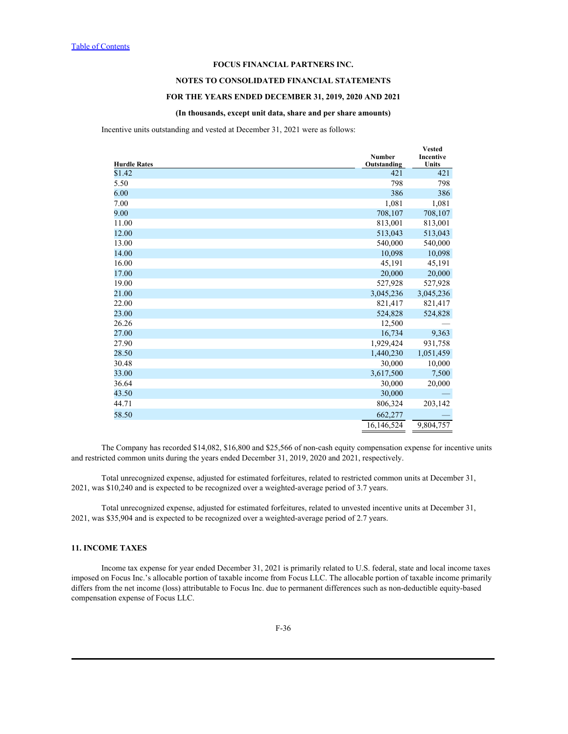# **NOTES TO CONSOLIDATED FINANCIAL STATEMENTS**

# **FOR THE YEARS ENDED DECEMBER 31, 2019, 2020 AND 2021**

# **(In thousands, except unit data, share and per share amounts)**

Incentive units outstanding and vested at December 31, 2021 were as follows:

| Number  | <b>Vested</b><br>Incentive                                                                                                                                                                                                                                     |
|---------|----------------------------------------------------------------------------------------------------------------------------------------------------------------------------------------------------------------------------------------------------------------|
|         | <b>Units</b>                                                                                                                                                                                                                                                   |
| 421     | 421                                                                                                                                                                                                                                                            |
| 798     | 798                                                                                                                                                                                                                                                            |
| 386     | 386                                                                                                                                                                                                                                                            |
|         | 1,081                                                                                                                                                                                                                                                          |
|         | 708,107                                                                                                                                                                                                                                                        |
|         | 813,001                                                                                                                                                                                                                                                        |
|         | 513,043                                                                                                                                                                                                                                                        |
| 540,000 | 540,000                                                                                                                                                                                                                                                        |
|         | 10,098                                                                                                                                                                                                                                                         |
|         | 45,191                                                                                                                                                                                                                                                         |
|         | 20,000                                                                                                                                                                                                                                                         |
|         | 527,928                                                                                                                                                                                                                                                        |
|         | 3,045,236                                                                                                                                                                                                                                                      |
|         | 821,417                                                                                                                                                                                                                                                        |
|         | 524,828                                                                                                                                                                                                                                                        |
|         |                                                                                                                                                                                                                                                                |
|         | 9,363                                                                                                                                                                                                                                                          |
|         | 931,758                                                                                                                                                                                                                                                        |
|         | 1,051,459                                                                                                                                                                                                                                                      |
|         | 10,000                                                                                                                                                                                                                                                         |
|         | 7,500                                                                                                                                                                                                                                                          |
|         | 20,000                                                                                                                                                                                                                                                         |
|         | $\overline{\phantom{m}}$                                                                                                                                                                                                                                       |
|         | 203,142                                                                                                                                                                                                                                                        |
|         |                                                                                                                                                                                                                                                                |
|         | 9,804,757                                                                                                                                                                                                                                                      |
|         | Outstanding<br>1,081<br>708,107<br>813,001<br>513,043<br>10,098<br>45,191<br>20,000<br>527,928<br>3,045,236<br>821,417<br>524,828<br>12,500<br>16,734<br>1,929,424<br>1,440,230<br>30,000<br>3,617,500<br>30,000<br>30,000<br>806,324<br>662,277<br>16,146,524 |

The Company has recorded \$14,082, \$16,800 and \$25,566 of non-cash equity compensation expense for incentive units and restricted common units during the years ended December 31, 2019, 2020 and 2021, respectively.

Total unrecognized expense, adjusted for estimated forfeitures, related to restricted common units at December 31, 2021, was \$10,240 and is expected to be recognized over a weighted-average period of 3.7 years.

Total unrecognized expense, adjusted for estimated forfeitures, related to unvested incentive units at December 31, 2021, was \$35,904 and is expected to be recognized over a weighted-average period of 2.7 years.

## **11. INCOME TAXES**

Income tax expense for year ended December 31, 2021 is primarily related to U.S. federal, state and local income taxes imposed on Focus Inc.'s allocable portion of taxable income from Focus LLC. The allocable portion of taxable income primarily differs from the net income (loss) attributable to Focus Inc. due to permanent differences such as non-deductible equity-based compensation expense of Focus LLC.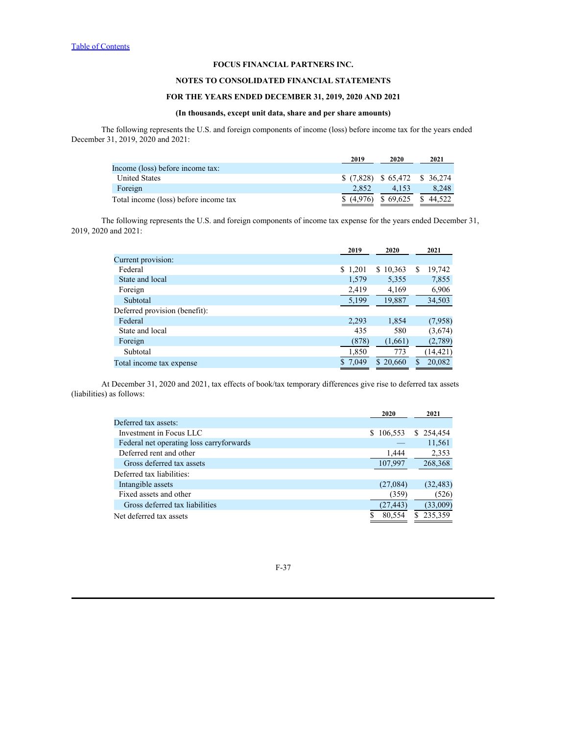# **NOTES TO CONSOLIDATED FINANCIAL STATEMENTS**

# **FOR THE YEARS ENDED DECEMBER 31, 2019, 2020 AND 2021**

# **(In thousands, except unit data, share and per share amounts)**

The following represents the U.S. and foreign components of income (loss) before income tax for the years ended December 31, 2019, 2020 and 2021:

| 2019                                             | <b>2020</b>                    | 2021                |
|--------------------------------------------------|--------------------------------|---------------------|
| Income (loss) before income tax:                 |                                |                     |
| <b>United States</b>                             | $$(7,828)$ $$65,472$ $$36,274$ |                     |
| Foreign<br>2.852                                 | 4.153                          | 8,248               |
| (4.976)<br>Total income (loss) before income tax |                                | $$69,625$ $$44,522$ |

The following represents the U.S. and foreign components of income tax expense for the years ended December 31, 2019, 2020 and 2021:

|                               | 2019    | 2020     | 2021        |
|-------------------------------|---------|----------|-------------|
| Current provision:            |         |          |             |
| Federal                       | \$1,201 | \$10,363 | 19,742<br>S |
| State and local               | 1,579   | 5,355    | 7,855       |
| Foreign                       | 2,419   | 4,169    | 6,906       |
| Subtotal                      | 5,199   | 19,887   | 34,503      |
| Deferred provision (benefit): |         |          |             |
| Federal                       | 2,293   | 1,854    | (7,958)     |
| State and local               | 435     | 580      | (3,674)     |
| Foreign                       | (878)   | (1,661)  | (2,789)     |
| Subtotal                      | 1,850   | 773      | (14, 421)   |
| Total income tax expense      | \$7,049 | \$20,660 | 20,082      |
|                               |         |          |             |

At December 31, 2020 and 2021, tax effects of book/tax temporary differences give rise to deferred tax assets (liabilities) as follows:

|                                          | 2020      | 2021      |
|------------------------------------------|-----------|-----------|
| Deferred tax assets:                     |           |           |
| Investment in Focus LLC                  | \$106,553 | \$254,454 |
| Federal net operating loss carryforwards | $-$       | 11,561    |
| Deferred rent and other                  | 1,444     | 2,353     |
| Gross deferred tax assets                | 107,997   | 268,368   |
| Deferred tax liabilities:                |           |           |
| Intangible assets                        | (27,084)  | (32, 483) |
| Fixed assets and other                   | (359)     | (526)     |
| Gross deferred tax liabilities           | (27, 443) | (33,009)  |
| Net deferred tax assets                  | 80,554    | 235,359   |
|                                          |           |           |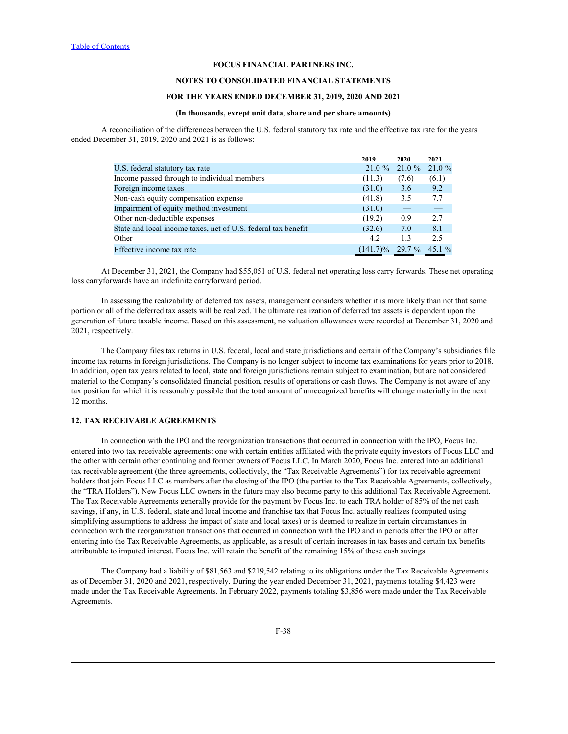## **NOTES TO CONSOLIDATED FINANCIAL STATEMENTS**

# **FOR THE YEARS ENDED DECEMBER 31, 2019, 2020 AND 2021**

#### **(In thousands, except unit data, share and per share amounts)**

A reconciliation of the differences between the U.S. federal statutory tax rate and the effective tax rate for the years ended December 31, 2019, 2020 and 2021 is as follows:

|                                                               | 2019                      | 2020                   | 2021  |
|---------------------------------------------------------------|---------------------------|------------------------|-------|
| U.S. federal statutory tax rate                               |                           | $21.0\%$ 21.0 % 21.0 % |       |
| Income passed through to individual members                   | (11.3)                    | (7.6)                  | (6.1) |
| Foreign income taxes                                          | (31.0)                    | 3.6                    | 9.2   |
| Non-cash equity compensation expense                          | (41.8)                    |                        | 7.7   |
| Impairment of equity method investment                        | (31.0)                    |                        |       |
| Other non-deductible expenses                                 | (19.2)                    | 0.9                    | 2.7   |
| State and local income taxes, net of U.S. federal tax benefit | (32.6)                    | 7.0                    | 8.1   |
| Other                                                         |                           |                        | 2.5   |
| Effective income tax rate                                     | $(141.7)\%$ 29.7 % 45.1 % |                        |       |

At December 31, 2021, the Company had \$55,051 of U.S. federal net operating loss carry forwards. These net operating loss carryforwards have an indefinite carryforward period.

In assessing the realizability of deferred tax assets, management considers whether it is more likely than not that some portion or all of the deferred tax assets will be realized. The ultimate realization of deferred tax assets is dependent upon the generation of future taxable income. Based on this assessment, no valuation allowances were recorded at December 31, 2020 and 2021, respectively.

The Company files tax returns in U.S. federal, local and state jurisdictions and certain of the Company's subsidiaries file income tax returns in foreign jurisdictions. The Company is no longer subject to income tax examinations for years prior to 2018. In addition, open tax years related to local, state and foreign jurisdictions remain subject to examination, but are not considered material to the Company's consolidated financial position, results of operations or cash flows. The Company is not aware of any tax position for which it is reasonably possible that the total amount of unrecognized benefits will change materially in the next 12 months.

## **12. TAX RECEIVABLE AGREEMENTS**

In connection with the IPO and the reorganization transactions that occurred in connection with the IPO, Focus Inc. entered into two tax receivable agreements: one with certain entities affiliated with the private equity investors of Focus LLC and the other with certain other continuing and former owners of Focus LLC. In March 2020, Focus Inc. entered into an additional tax receivable agreement (the three agreements, collectively, the "Tax Receivable Agreements") for tax receivable agreement holders that join Focus LLC as members after the closing of the IPO (the parties to the Tax Receivable Agreements, collectively, the "TRA Holders"). New Focus LLC owners in the future may also become party to this additional Tax Receivable Agreement. The Tax Receivable Agreements generally provide for the payment by Focus Inc. to each TRA holder of 85% of the net cash savings, if any, in U.S. federal, state and local income and franchise tax that Focus Inc. actually realizes (computed using simplifying assumptions to address the impact of state and local taxes) or is deemed to realize in certain circumstances in connection with the reorganization transactions that occurred in connection with the IPO and in periods after the IPO or after entering into the Tax Receivable Agreements, as applicable, as a result of certain increases in tax bases and certain tax benefits attributable to imputed interest. Focus Inc. will retain the benefit of the remaining 15% of these cash savings.

The Company had a liability of \$81,563 and \$219,542 relating to its obligations under the Tax Receivable Agreements as of December 31, 2020 and 2021, respectively. During the year ended December 31, 2021, payments totaling \$4,423 were made under the Tax Receivable Agreements. In February 2022, payments totaling \$3,856 were made under the Tax Receivable Agreements.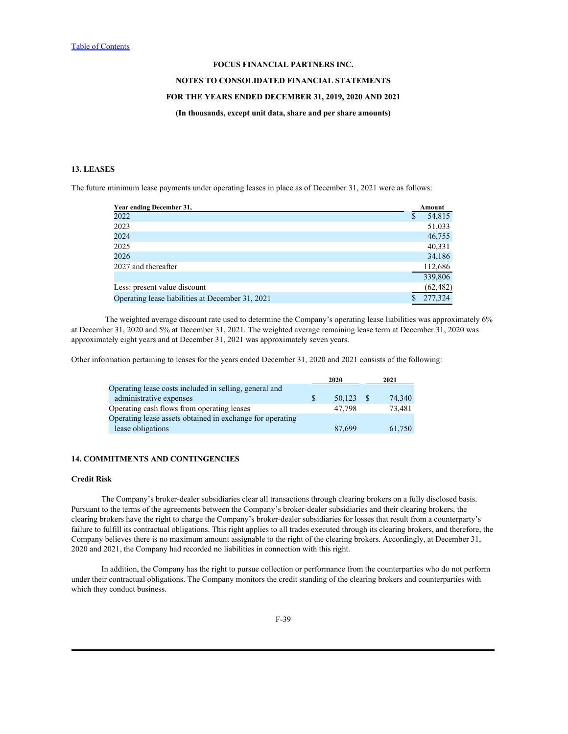## **NOTES TO CONSOLIDATED FINANCIAL STATEMENTS**

# **FOR THE YEARS ENDED DECEMBER 31, 2019, 2020 AND 2021**

#### **(In thousands, except unit data, share and per share amounts)**

# **13. LEASES**

The future minimum lease payments under operating leases in place as of December 31, 2021 were as follows:

| Year ending December 31,                         |               | Amount    |
|--------------------------------------------------|---------------|-----------|
| 2022                                             | $\mathcal{P}$ | 54,815    |
| 2023                                             |               | 51,033    |
| 2024                                             |               | 46,755    |
| 2025                                             |               | 40,331    |
| 2026                                             |               | 34,186    |
| 2027 and thereafter                              |               | 112,686   |
|                                                  |               | 339,806   |
| Less: present value discount                     |               | (62, 482) |
| Operating lease liabilities at December 31, 2021 |               | \$277,324 |
|                                                  |               |           |

The weighted average discount rate used to determine the Company's operating lease liabilities was approximately 6% at December 31, 2020 and 5% at December 31, 2021. The weighted average remaining lease term at December 31, 2020 was approximately eight years and at December 31, 2021 was approximately seven years.

Other information pertaining to leases for the years ended December 31, 2020 and 2021 consists of the following:

| Operating lease costs included in selling, general and<br>74.340<br>administrative expenses<br>50.123<br>Operating cash flows from operating leases<br>47.798<br>73.481<br>Operating lease assets obtained in exchange for operating |
|--------------------------------------------------------------------------------------------------------------------------------------------------------------------------------------------------------------------------------------|
|                                                                                                                                                                                                                                      |
|                                                                                                                                                                                                                                      |
|                                                                                                                                                                                                                                      |
|                                                                                                                                                                                                                                      |
| 87.699<br>lease obligations<br>61,750                                                                                                                                                                                                |

# **14. COMMITMENTS AND CONTINGENCIES**

# **Credit Risk**

The Company's broker-dealer subsidiaries clear all transactions through clearing brokers on a fully disclosed basis. Pursuant to the terms of the agreements between the Company's broker-dealer subsidiaries and their clearing brokers, the clearing brokers have the right to charge the Company's broker-dealer subsidiaries for losses that result from a counterparty's failure to fulfill its contractual obligations. This right applies to all trades executed through its clearing brokers, and therefore, the Company believes there is no maximum amount assignable to the right of the clearing brokers. Accordingly, at December 31, 2020 and 2021, the Company had recorded no liabilities in connection with this right.

In addition, the Company has the right to pursue collection or performance from the counterparties who do not perform under their contractual obligations. The Company monitors the credit standing of the clearing brokers and counterparties with which they conduct business.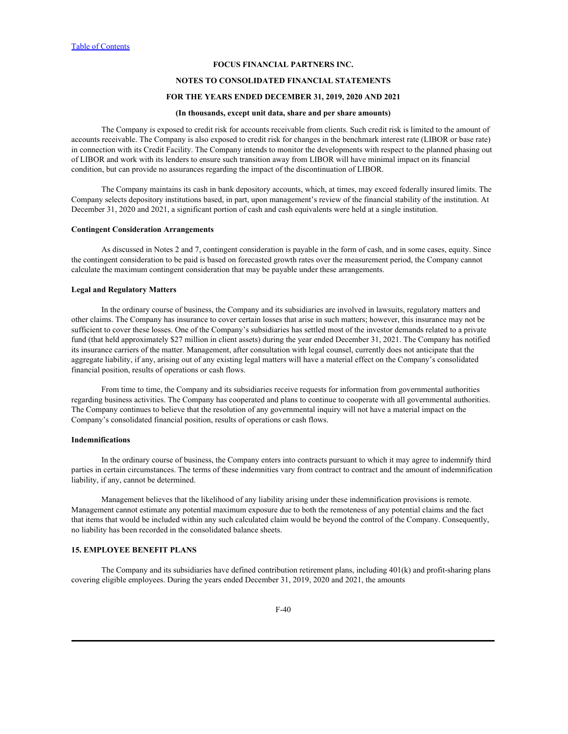#### **NOTES TO CONSOLIDATED FINANCIAL STATEMENTS**

# **FOR THE YEARS ENDED DECEMBER 31, 2019, 2020 AND 2021**

#### **(In thousands, except unit data, share and per share amounts)**

The Company is exposed to credit risk for accounts receivable from clients. Such credit risk is limited to the amount of accounts receivable. The Company is also exposed to credit risk for changes in the benchmark interest rate (LIBOR or base rate) in connection with its Credit Facility. The Company intends to monitor the developments with respect to the planned phasing out of LIBOR and work with its lenders to ensure such transition away from LIBOR will have minimal impact on its financial condition, but can provide no assurances regarding the impact of the discontinuation of LIBOR.

The Company maintains its cash in bank depository accounts, which, at times, may exceed federally insured limits. The Company selects depository institutions based, in part, upon management's review of the financial stability of the institution. At December 31, 2020 and 2021, a significant portion of cash and cash equivalents were held at a single institution.

#### **Contingent Consideration Arrangements**

As discussed in Notes 2 and 7, contingent consideration is payable in the form of cash, and in some cases, equity. Since the contingent consideration to be paid is based on forecasted growth rates over the measurement period, the Company cannot calculate the maximum contingent consideration that may be payable under these arrangements.

## **Legal and Regulatory Matters**

In the ordinary course of business, the Company and its subsidiaries are involved in lawsuits, regulatory matters and other claims. The Company has insurance to cover certain losses that arise in such matters; however, this insurance may not be sufficient to cover these losses. One of the Company's subsidiaries has settled most of the investor demands related to a private fund (that held approximately \$27 million in client assets) during the year ended December 31, 2021. The Company has notified its insurance carriers of the matter. Management, after consultation with legal counsel, currently does not anticipate that the aggregate liability, if any, arising out of any existing legal matters will have a material effect on the Company's consolidated financial position, results of operations or cash flows.

From time to time, the Company and its subsidiaries receive requests for information from governmental authorities regarding business activities. The Company has cooperated and plans to continue to cooperate with all governmental authorities. The Company continues to believe that the resolution of any governmental inquiry will not have a material impact on the Company's consolidated financial position, results of operations or cash flows.

#### **Indemnifications**

In the ordinary course of business, the Company enters into contracts pursuant to which it may agree to indemnify third parties in certain circumstances. The terms of these indemnities vary from contract to contract and the amount of indemnification liability, if any, cannot be determined.

Management believes that the likelihood of any liability arising under these indemnification provisions is remote. Management cannot estimate any potential maximum exposure due to both the remoteness of any potential claims and the fact that items that would be included within any such calculated claim would be beyond the control of the Company. Consequently, no liability has been recorded in the consolidated balance sheets.

# **15. EMPLOYEE BENEFIT PLANS**

The Company and its subsidiaries have defined contribution retirement plans, including 401(k) and profit-sharing plans covering eligible employees. During the years ended December 31, 2019, 2020 and 2021, the amounts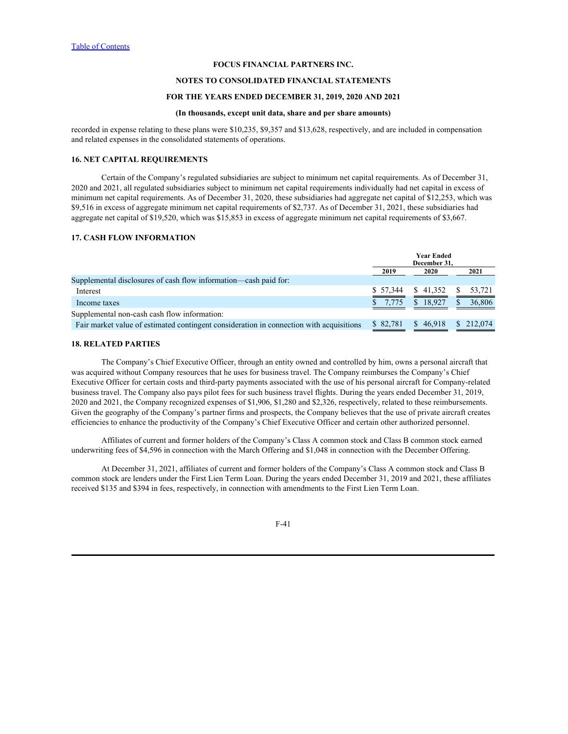## **NOTES TO CONSOLIDATED FINANCIAL STATEMENTS**

# **FOR THE YEARS ENDED DECEMBER 31, 2019, 2020 AND 2021**

#### **(In thousands, except unit data, share and per share amounts)**

recorded in expense relating to these plans were \$10,235, \$9,357 and \$13,628, respectively, and are included in compensation and related expenses in the consolidated statements of operations.

## **16. NET CAPITAL REQUIREMENTS**

Certain of the Company's regulated subsidiaries are subject to minimum net capital requirements. As of December 31, 2020 and 2021, all regulated subsidiaries subject to minimum net capital requirements individually had net capital in excess of minimum net capital requirements. As of December 31, 2020, these subsidiaries had aggregate net capital of \$12,253, which was \$9,516 in excess of aggregate minimum net capital requirements of \$2,737. As of December 31, 2021, these subsidiaries had aggregate net capital of \$19,520, which was \$15,853 in excess of aggregate minimum net capital requirements of \$3,667.

## **17. CASH FLOW INFORMATION**

|                                                                                         |           | <b>Year Ended</b><br>December 31, |         |
|-----------------------------------------------------------------------------------------|-----------|-----------------------------------|---------|
|                                                                                         | 2019      | 2020                              | 2021    |
| Supplemental disclosures of cash flow information—cash paid for:                        |           |                                   |         |
| Interest                                                                                | \$ 57,344 | \$41,352                          | 53,721  |
| Income taxes                                                                            | 7.775     | 18.927                            | 36.806  |
| Supplemental non-cash cash flow information:                                            |           |                                   |         |
| Fair market value of estimated contingent consideration in connection with acquisitions | \$ 82,781 | \$46,918                          | 212,074 |

## **18. RELATED PARTIES**

The Company's Chief Executive Officer, through an entity owned and controlled by him, owns a personal aircraft that was acquired without Company resources that he uses for business travel. The Company reimburses the Company's Chief Executive Officer for certain costs and third-party payments associated with the use of his personal aircraft for Company-related business travel. The Company also pays pilot fees for such business travel flights. During the years ended December 31, 2019, 2020 and 2021, the Company recognized expenses of \$1,906, \$1,280 and \$2,326, respectively, related to these reimbursements. Given the geography of the Company's partner firms and prospects, the Company believes that the use of private aircraft creates efficiencies to enhance the productivity of the Company's Chief Executive Officer and certain other authorized personnel.

Affiliates of current and former holders of the Company's Class A common stock and Class B common stock earned underwriting fees of \$4,596 in connection with the March Offering and \$1,048 in connection with the December Offering.

At December 31, 2021, affiliates of current and former holders of the Company's Class A common stock and Class B common stock are lenders under the First Lien Term Loan. During the years ended December 31, 2019 and 2021, these affiliates received \$135 and \$394 in fees, respectively, in connection with amendments to the First Lien Term Loan.

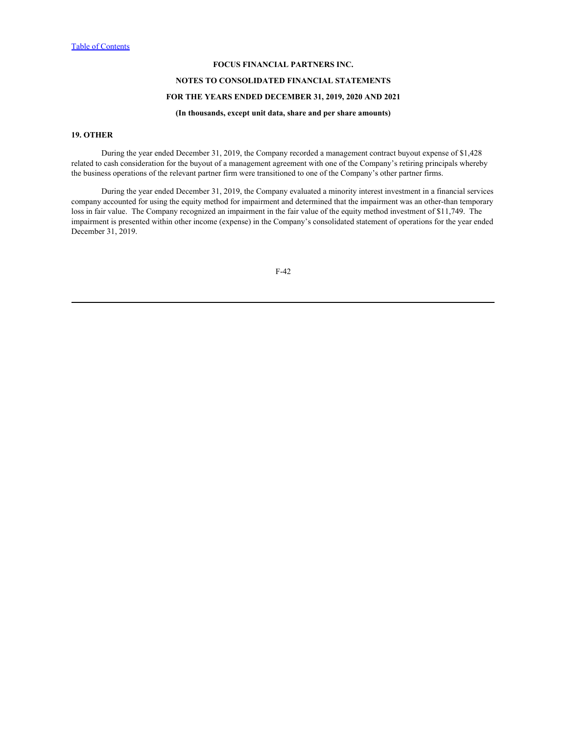# **FOCUS FINANCIAL PARTNERS INC. NOTES TO CONSOLIDATED FINANCIAL STATEMENTS**

# **FOR THE YEARS ENDED DECEMBER 31, 2019, 2020 AND 2021**

## **(In thousands, except unit data, share and per share amounts)**

#### **19. OTHER**

During the year ended December 31, 2019, the Company recorded a management contract buyout expense of \$1,428 related to cash consideration for the buyout of a management agreement with one of the Company's retiring principals whereby the business operations of the relevant partner firm were transitioned to one of the Company's other partner firms.

During the year ended December 31, 2019, the Company evaluated a minority interest investment in a financial services company accounted for using the equity method for impairment and determined that the impairment was an other-than temporary loss in fair value. The Company recognized an impairment in the fair value of the equity method investment of \$11,749. The impairment is presented within other income (expense) in the Company's consolidated statement of operations for the year ended December 31, 2019.

F-42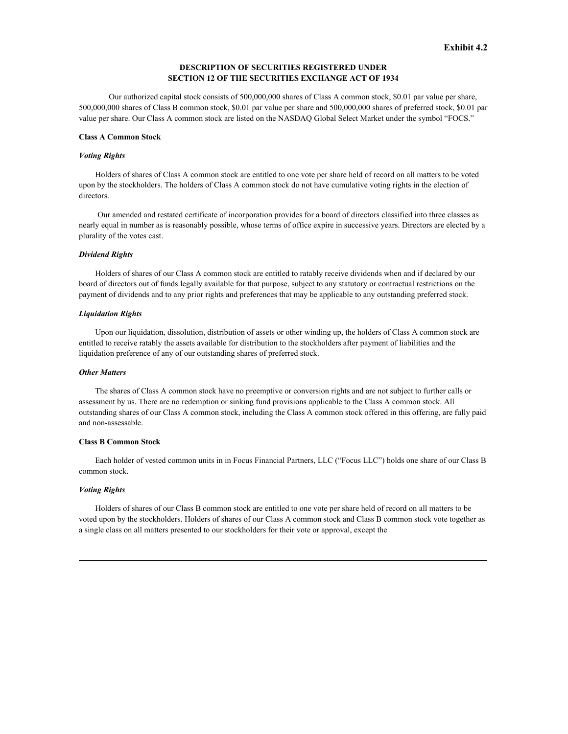# **DESCRIPTION OF SECURITIES REGISTERED UNDER SECTION 12 OF THE SECURITIES EXCHANGE ACT OF 1934**

Our authorized capital stock consists of 500,000,000 shares of Class A common stock, \$0.01 par value per share, 500,000,000 shares of Class B common stock, \$0.01 par value per share and 500,000,000 shares of preferred stock, \$0.01 par value per share. Our Class A common stock are listed on the NASDAQ Global Select Market under the symbol "FOCS."

## **Class A Common Stock**

#### *Voting Rights*

 Holders of shares of Class A common stock are entitled to one vote per share held of record on all matters to be voted upon by the stockholders. The holders of Class A common stock do not have cumulative voting rights in the election of directors.

Our amended and restated certificate of incorporation provides for a board of directors classified into three classes as nearly equal in number as is reasonably possible, whose terms of office expire in successive years. Directors are elected by a plurality of the votes cast.

## *Dividend Rights*

 Holders of shares of our Class A common stock are entitled to ratably receive dividends when and if declared by our board of directors out of funds legally available for that purpose, subject to any statutory or contractual restrictions on the payment of dividends and to any prior rights and preferences that may be applicable to any outstanding preferred stock.

#### *Liquidation Rights*

 Upon our liquidation, dissolution, distribution of assets or other winding up, the holders of Class A common stock are entitled to receive ratably the assets available for distribution to the stockholders after payment of liabilities and the liquidation preference of any of our outstanding shares of preferred stock.

#### *Other Matters*

 The shares of Class A common stock have no preemptive or conversion rights and are not subject to further calls or assessment by us. There are no redemption or sinking fund provisions applicable to the Class A common stock. All outstanding shares of our Class A common stock, including the Class A common stock offered in this offering, are fully paid and non-assessable.

## **Class B Common Stock**

 Each holder of vested common units in in Focus Financial Partners, LLC ("Focus LLC") holds one share of our Class B common stock.

## *Voting Rights*

 Holders of shares of our Class B common stock are entitled to one vote per share held of record on all matters to be voted upon by the stockholders. Holders of shares of our Class A common stock and Class B common stock vote together as a single class on all matters presented to our stockholders for their vote or approval, except the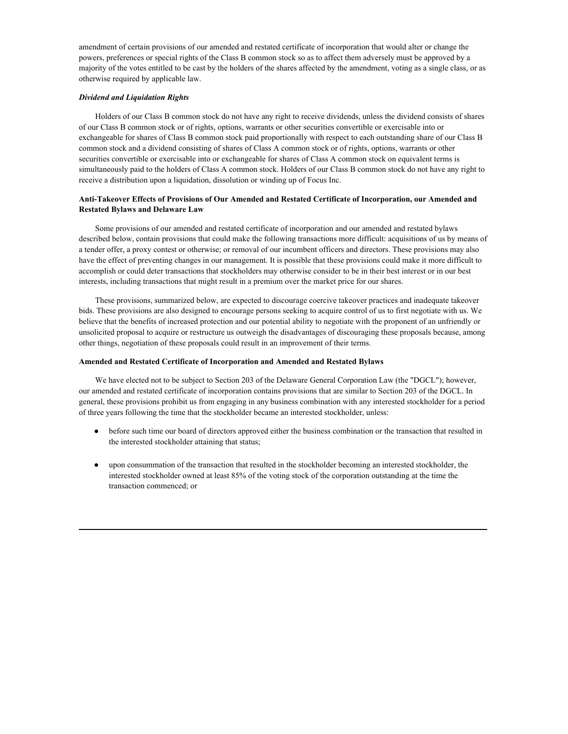amendment of certain provisions of our amended and restated certificate of incorporation that would alter or change the powers, preferences or special rights of the Class B common stock so as to affect them adversely must be approved by a majority of the votes entitled to be cast by the holders of the shares affected by the amendment, voting as a single class, or as otherwise required by applicable law.

## *Dividend and Liquidation Rights*

 Holders of our Class B common stock do not have any right to receive dividends, unless the dividend consists of shares of our Class B common stock or of rights, options, warrants or other securities convertible or exercisable into or exchangeable for shares of Class B common stock paid proportionally with respect to each outstanding share of our Class B common stock and a dividend consisting of shares of Class A common stock or of rights, options, warrants or other securities convertible or exercisable into or exchangeable for shares of Class A common stock on equivalent terms is simultaneously paid to the holders of Class A common stock. Holders of our Class B common stock do not have any right to receive a distribution upon a liquidation, dissolution or winding up of Focus Inc.

# **Anti-Takeover Effects of Provisions of Our Amended and Restated Certificate of Incorporation, our Amended and Restated Bylaws and Delaware Law**

 Some provisions of our amended and restated certificate of incorporation and our amended and restated bylaws described below, contain provisions that could make the following transactions more difficult: acquisitions of us by means of a tender offer, a proxy contest or otherwise; or removal of our incumbent officers and directors. These provisions may also have the effect of preventing changes in our management. It is possible that these provisions could make it more difficult to accomplish or could deter transactions that stockholders may otherwise consider to be in their best interest or in our best interests, including transactions that might result in a premium over the market price for our shares.

 These provisions, summarized below, are expected to discourage coercive takeover practices and inadequate takeover bids. These provisions are also designed to encourage persons seeking to acquire control of us to first negotiate with us. We believe that the benefits of increased protection and our potential ability to negotiate with the proponent of an unfriendly or unsolicited proposal to acquire or restructure us outweigh the disadvantages of discouraging these proposals because, among other things, negotiation of these proposals could result in an improvement of their terms.

#### **Amended and Restated Certificate of Incorporation and Amended and Restated Bylaws**

 We have elected not to be subject to Section 203 of the Delaware General Corporation Law (the "DGCL"); however, our amended and restated certificate of incorporation contains provisions that are similar to Section 203 of the DGCL. In general, these provisions prohibit us from engaging in any business combination with any interested stockholder for a period of three years following the time that the stockholder became an interested stockholder, unless:

- before such time our board of directors approved either the business combination or the transaction that resulted in the interested stockholder attaining that status;
- upon consummation of the transaction that resulted in the stockholder becoming an interested stockholder, the interested stockholder owned at least 85% of the voting stock of the corporation outstanding at the time the transaction commenced; or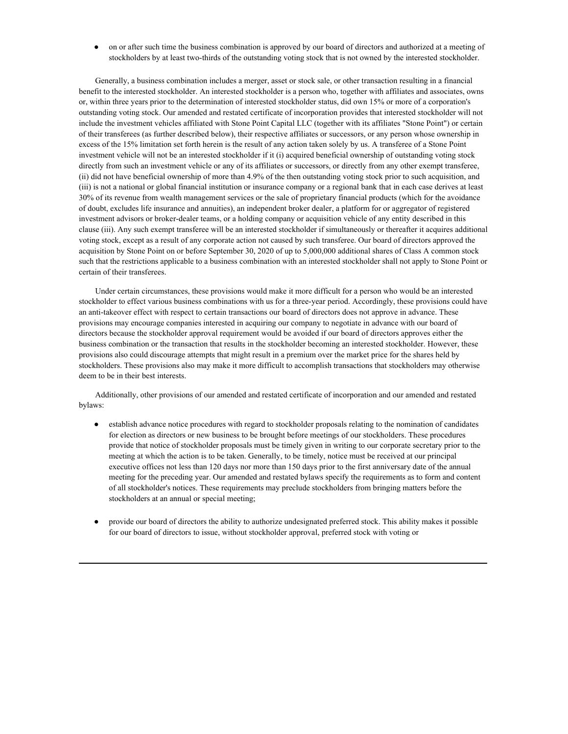on or after such time the business combination is approved by our board of directors and authorized at a meeting of stockholders by at least two-thirds of the outstanding voting stock that is not owned by the interested stockholder.

 Generally, a business combination includes a merger, asset or stock sale, or other transaction resulting in a financial benefit to the interested stockholder. An interested stockholder is a person who, together with affiliates and associates, owns or, within three years prior to the determination of interested stockholder status, did own 15% or more of a corporation's outstanding voting stock. Our amended and restated certificate of incorporation provides that interested stockholder will not include the investment vehicles affiliated with Stone Point Capital LLC (together with its affiliates "Stone Point") or certain of their transferees (as further described below), their respective affiliates or successors, or any person whose ownership in excess of the 15% limitation set forth herein is the result of any action taken solely by us. A transferee of a Stone Point investment vehicle will not be an interested stockholder if it (i) acquired beneficial ownership of outstanding voting stock directly from such an investment vehicle or any of its affiliates or successors, or directly from any other exempt transferee, (ii) did not have beneficial ownership of more than 4.9% of the then outstanding voting stock prior to such acquisition, and (iii) is not a national or global financial institution or insurance company or a regional bank that in each case derives at least 30% of its revenue from wealth management services or the sale of proprietary financial products (which for the avoidance of doubt, excludes life insurance and annuities), an independent broker dealer, a platform for or aggregator of registered investment advisors or broker-dealer teams, or a holding company or acquisition vehicle of any entity described in this clause (iii). Any such exempt transferee will be an interested stockholder if simultaneously or thereafter it acquires additional voting stock, except as a result of any corporate action not caused by such transferee. Our board of directors approved the acquisition by Stone Point on or before September 30, 2020 of up to 5,000,000 additional shares of Class A common stock such that the restrictions applicable to a business combination with an interested stockholder shall not apply to Stone Point or certain of their transferees.

 Under certain circumstances, these provisions would make it more difficult for a person who would be an interested stockholder to effect various business combinations with us for a three-year period. Accordingly, these provisions could have an anti-takeover effect with respect to certain transactions our board of directors does not approve in advance. These provisions may encourage companies interested in acquiring our company to negotiate in advance with our board of directors because the stockholder approval requirement would be avoided if our board of directors approves either the business combination or the transaction that results in the stockholder becoming an interested stockholder. However, these provisions also could discourage attempts that might result in a premium over the market price for the shares held by stockholders. These provisions also may make it more difficult to accomplish transactions that stockholders may otherwise deem to be in their best interests.

 Additionally, other provisions of our amended and restated certificate of incorporation and our amended and restated bylaws:

- establish advance notice procedures with regard to stockholder proposals relating to the nomination of candidates for election as directors or new business to be brought before meetings of our stockholders. These procedures provide that notice of stockholder proposals must be timely given in writing to our corporate secretary prior to the meeting at which the action is to be taken. Generally, to be timely, notice must be received at our principal executive offices not less than 120 days nor more than 150 days prior to the first anniversary date of the annual meeting for the preceding year. Our amended and restated bylaws specify the requirements as to form and content of all stockholder's notices. These requirements may preclude stockholders from bringing matters before the stockholders at an annual or special meeting;
- provide our board of directors the ability to authorize undesignated preferred stock. This ability makes it possible for our board of directors to issue, without stockholder approval, preferred stock with voting or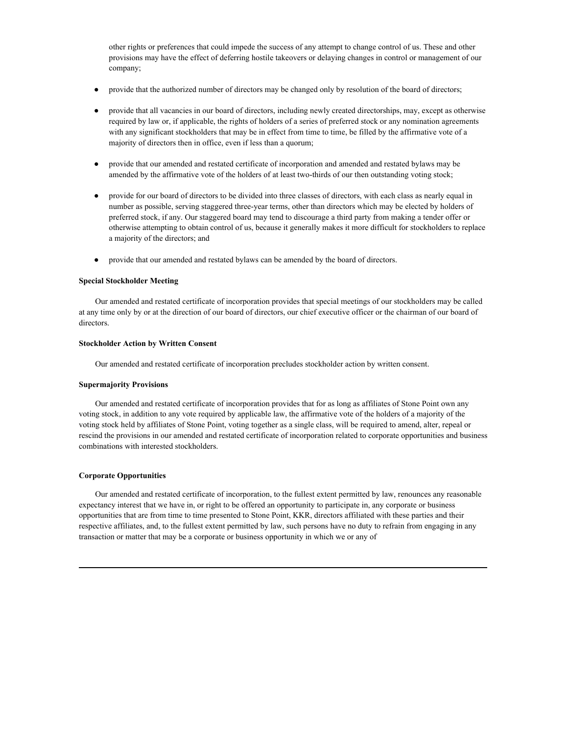other rights or preferences that could impede the success of any attempt to change control of us. These and other provisions may have the effect of deferring hostile takeovers or delaying changes in control or management of our company;

- provide that the authorized number of directors may be changed only by resolution of the board of directors;
- provide that all vacancies in our board of directors, including newly created directorships, may, except as otherwise required by law or, if applicable, the rights of holders of a series of preferred stock or any nomination agreements with any significant stockholders that may be in effect from time to time, be filled by the affirmative vote of a majority of directors then in office, even if less than a quorum;
- provide that our amended and restated certificate of incorporation and amended and restated bylaws may be amended by the affirmative vote of the holders of at least two-thirds of our then outstanding voting stock;
- provide for our board of directors to be divided into three classes of directors, with each class as nearly equal in number as possible, serving staggered three-year terms, other than directors which may be elected by holders of preferred stock, if any. Our staggered board may tend to discourage a third party from making a tender offer or otherwise attempting to obtain control of us, because it generally makes it more difficult for stockholders to replace a majority of the directors; and
- provide that our amended and restated bylaws can be amended by the board of directors.

#### **Special Stockholder Meeting**

 Our amended and restated certificate of incorporation provides that special meetings of our stockholders may be called at any time only by or at the direction of our board of directors, our chief executive officer or the chairman of our board of directors.

#### **Stockholder Action by Written Consent**

Our amended and restated certificate of incorporation precludes stockholder action by written consent.

#### **Supermajority Provisions**

 Our amended and restated certificate of incorporation provides that for as long as affiliates of Stone Point own any voting stock, in addition to any vote required by applicable law, the affirmative vote of the holders of a majority of the voting stock held by affiliates of Stone Point, voting together as a single class, will be required to amend, alter, repeal or rescind the provisions in our amended and restated certificate of incorporation related to corporate opportunities and business combinations with interested stockholders.

## **Corporate Opportunities**

 Our amended and restated certificate of incorporation, to the fullest extent permitted by law, renounces any reasonable expectancy interest that we have in, or right to be offered an opportunity to participate in, any corporate or business opportunities that are from time to time presented to Stone Point, KKR, directors affiliated with these parties and their respective affiliates, and, to the fullest extent permitted by law, such persons have no duty to refrain from engaging in any transaction or matter that may be a corporate or business opportunity in which we or any of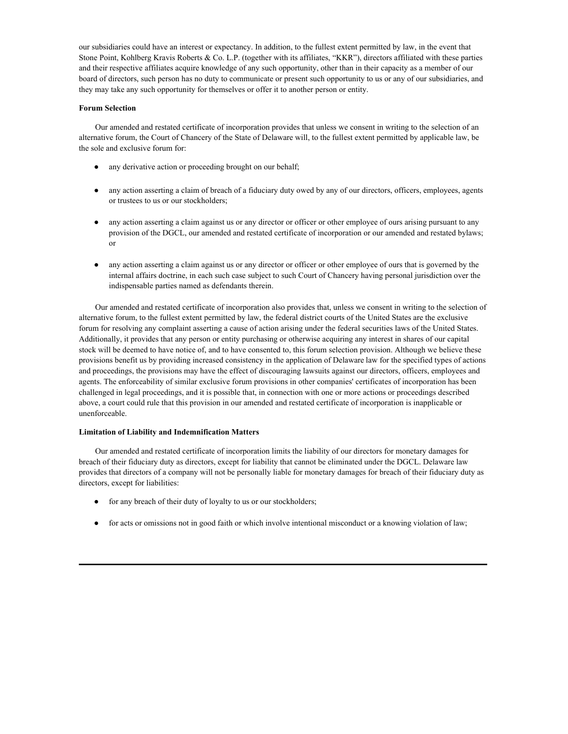our subsidiaries could have an interest or expectancy. In addition, to the fullest extent permitted by law, in the event that Stone Point, Kohlberg Kravis Roberts & Co. L.P. (together with its affiliates, "KKR"), directors affiliated with these parties and their respective affiliates acquire knowledge of any such opportunity, other than in their capacity as a member of our board of directors, such person has no duty to communicate or present such opportunity to us or any of our subsidiaries, and they may take any such opportunity for themselves or offer it to another person or entity.

# **Forum Selection**

 Our amended and restated certificate of incorporation provides that unless we consent in writing to the selection of an alternative forum, the Court of Chancery of the State of Delaware will, to the fullest extent permitted by applicable law, be the sole and exclusive forum for:

- any derivative action or proceeding brought on our behalf;
- any action asserting a claim of breach of a fiduciary duty owed by any of our directors, officers, employees, agents or trustees to us or our stockholders;
- any action asserting a claim against us or any director or officer or other employee of ours arising pursuant to any provision of the DGCL, our amended and restated certificate of incorporation or our amended and restated bylaws; or
- any action asserting a claim against us or any director or officer or other employee of ours that is governed by the internal affairs doctrine, in each such case subject to such Court of Chancery having personal jurisdiction over the indispensable parties named as defendants therein.

 Our amended and restated certificate of incorporation also provides that, unless we consent in writing to the selection of alternative forum, to the fullest extent permitted by law, the federal district courts of the United States are the exclusive forum for resolving any complaint asserting a cause of action arising under the federal securities laws of the United States. Additionally, it provides that any person or entity purchasing or otherwise acquiring any interest in shares of our capital stock will be deemed to have notice of, and to have consented to, this forum selection provision. Although we believe these provisions benefit us by providing increased consistency in the application of Delaware law for the specified types of actions and proceedings, the provisions may have the effect of discouraging lawsuits against our directors, officers, employees and agents. The enforceability of similar exclusive forum provisions in other companies' certificates of incorporation has been challenged in legal proceedings, and it is possible that, in connection with one or more actions or proceedings described above, a court could rule that this provision in our amended and restated certificate of incorporation is inapplicable or unenforceable.

# **Limitation of Liability and Indemnification Matters**

 Our amended and restated certificate of incorporation limits the liability of our directors for monetary damages for breach of their fiduciary duty as directors, except for liability that cannot be eliminated under the DGCL. Delaware law provides that directors of a company will not be personally liable for monetary damages for breach of their fiduciary duty as directors, except for liabilities:

- for any breach of their duty of loyalty to us or our stockholders;
- for acts or omissions not in good faith or which involve intentional misconduct or a knowing violation of law;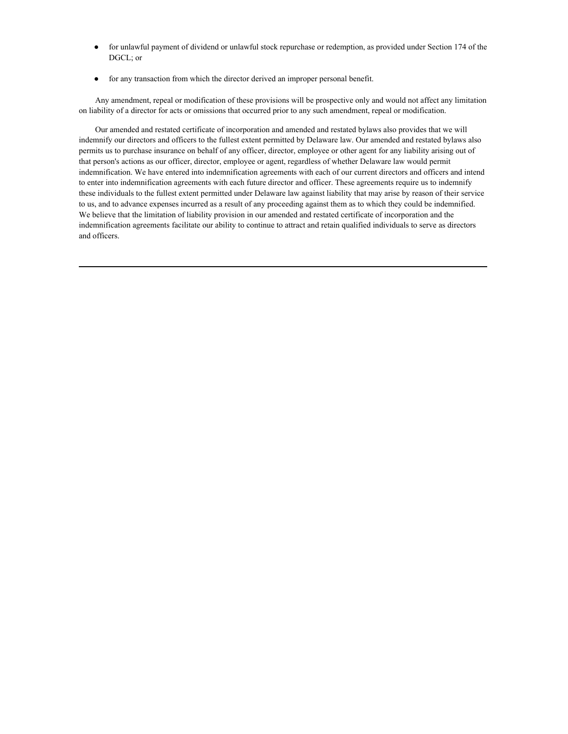- for unlawful payment of dividend or unlawful stock repurchase or redemption, as provided under Section 174 of the DGCL; or
- for any transaction from which the director derived an improper personal benefit.

 Any amendment, repeal or modification of these provisions will be prospective only and would not affect any limitation on liability of a director for acts or omissions that occurred prior to any such amendment, repeal or modification.

 Our amended and restated certificate of incorporation and amended and restated bylaws also provides that we will indemnify our directors and officers to the fullest extent permitted by Delaware law. Our amended and restated bylaws also permits us to purchase insurance on behalf of any officer, director, employee or other agent for any liability arising out of that person's actions as our officer, director, employee or agent, regardless of whether Delaware law would permit indemnification. We have entered into indemnification agreements with each of our current directors and officers and intend to enter into indemnification agreements with each future director and officer. These agreements require us to indemnify these individuals to the fullest extent permitted under Delaware law against liability that may arise by reason of their service to us, and to advance expenses incurred as a result of any proceeding against them as to which they could be indemnified. We believe that the limitation of liability provision in our amended and restated certificate of incorporation and the indemnification agreements facilitate our ability to continue to attract and retain qualified individuals to serve as directors and officers.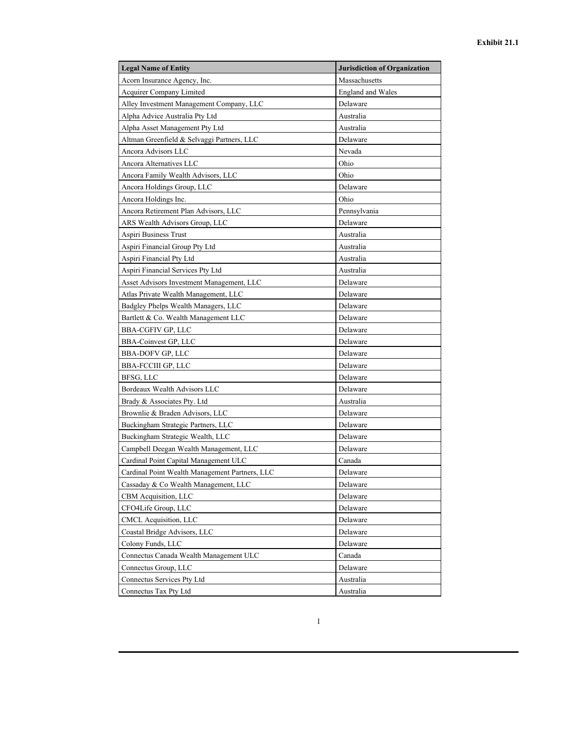| <b>Legal Name of Entity</b>                    | <b>Jurisdiction of Organization</b> |
|------------------------------------------------|-------------------------------------|
| Acorn Insurance Agency, Inc.                   | Massachusetts                       |
| Acquirer Company Limited                       | England and Wales                   |
| Alley Investment Management Company, LLC       | Delaware                            |
| Alpha Advice Australia Pty Ltd                 | Australia                           |
| Alpha Asset Management Pty Ltd                 | Australia                           |
| Altman Greenfield & Selvaggi Partners, LLC     | Delaware                            |
| Ancora Advisors LLC                            | Nevada                              |
| Ancora Alternatives LLC                        | Ohio                                |
| Ancora Family Wealth Advisors, LLC             | Ohio                                |
| Ancora Holdings Group, LLC                     | Delaware                            |
| Ancora Holdings Inc.                           | Ohio                                |
| Ancora Retirement Plan Advisors, LLC           | Pennsylvania                        |
| ARS Wealth Advisors Group, LLC                 | Delaware                            |
| Aspiri Business Trust                          | Australia                           |
| Aspiri Financial Group Pty Ltd                 | Australia                           |
| Aspiri Financial Pty Ltd                       | Australia                           |
| Aspiri Financial Services Pty Ltd              | Australia                           |
| Asset Advisors Investment Management, LLC      | Delaware                            |
| Atlas Private Wealth Management, LLC           | Delaware                            |
| Badgley Phelps Wealth Managers, LLC            | Delaware                            |
| Bartlett & Co. Wealth Management LLC           | Delaware                            |
| BBA-CGFIV GP, LLC                              | Delaware                            |
| BBA-Coinvest GP, LLC                           | Delaware                            |
| <b>BBA-DOFV GP, LLC</b>                        | Delaware                            |
|                                                |                                     |
| BBA-FCCIII GP, LLC<br>BFSG, LLC                | Delaware<br>Delaware                |
|                                                |                                     |
| Bordeaux Wealth Advisors LLC                   | Delaware                            |
| Brady & Associates Pty. Ltd                    | Australia                           |
| Brownlie & Braden Advisors, LLC                | Delaware                            |
| Buckingham Strategic Partners, LLC             | Delaware                            |
| Buckingham Strategic Wealth, LLC               | Delaware                            |
| Campbell Deegan Wealth Management, LLC         | Delaware                            |
| Cardinal Point Capital Management ULC          | Canada                              |
| Cardinal Point Wealth Management Partners, LLC | Delaware                            |
| Cassaday & Co Wealth Management, LLC           | Delaware                            |
| CBM Acquisition, LLC                           | Delaware                            |
| CFO4Life Group, LLC                            | Delaware                            |
| CMCL Acquisition, LLC                          | Delaware                            |
| Coastal Bridge Advisors, LLC                   | Delaware                            |
| Colony Funds, LLC                              | Delaware                            |
| Connectus Canada Wealth Management ULC         | Canada                              |
| Connectus Group, LLC                           | Delaware                            |
| Connectus Services Pty Ltd                     | Australia                           |
| Connectus Tax Pty Ltd                          | Australia                           |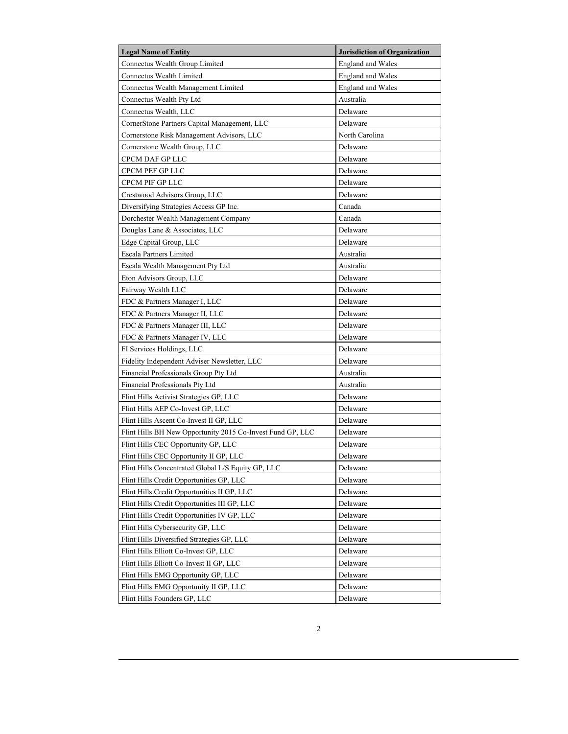| <b>Legal Name of Entity</b>                                | Jurisdiction of Organization |
|------------------------------------------------------------|------------------------------|
| Connectus Wealth Group Limited                             | <b>England and Wales</b>     |
| Connectus Wealth Limited                                   | <b>England</b> and Wales     |
| Connectus Wealth Management Limited                        | <b>England and Wales</b>     |
| Connectus Wealth Pty Ltd                                   | Australia                    |
| Connectus Wealth, LLC                                      | Delaware                     |
| CornerStone Partners Capital Management, LLC               | Delaware                     |
| Cornerstone Risk Management Advisors, LLC                  | North Carolina               |
| Cornerstone Wealth Group, LLC                              | Delaware                     |
| CPCM DAF GP LLC                                            | Delaware                     |
| CPCM PEF GP LLC                                            | Delaware                     |
| CPCM PIF GP LLC                                            | Delaware                     |
| Crestwood Advisors Group, LLC                              | Delaware                     |
| Diversifying Strategies Access GP Inc.                     | Canada                       |
| Dorchester Wealth Management Company                       | Canada                       |
| Douglas Lane & Associates, LLC                             | Delaware                     |
| Edge Capital Group, LLC                                    | Delaware                     |
| Escala Partners Limited                                    | Australia                    |
| Escala Wealth Management Pty Ltd                           | Australia                    |
| Eton Advisors Group, LLC                                   | Delaware                     |
| Fairway Wealth LLC                                         | Delaware                     |
| FDC & Partners Manager I, LLC                              | Delaware                     |
| FDC & Partners Manager II, LLC                             | Delaware                     |
| FDC & Partners Manager III, LLC                            | Delaware                     |
| FDC & Partners Manager IV, LLC                             | Delaware                     |
| FI Services Holdings, LLC                                  | Delaware                     |
| Fidelity Independent Adviser Newsletter, LLC               | Delaware                     |
| Financial Professionals Group Pty Ltd                      | Australia                    |
| Financial Professionals Pty Ltd                            | Australia                    |
| Flint Hills Activist Strategies GP, LLC                    | Delaware                     |
| Flint Hills AEP Co-Invest GP, LLC                          | Delaware                     |
| Flint Hills Ascent Co-Invest II GP, LLC                    | Delaware                     |
| Flint Hills BH New Opportunity 2015 Co-Invest Fund GP, LLC | Delaware                     |
| Flint Hills CEC Opportunity GP, LLC                        | Delaware                     |
| Flint Hills CEC Opportunity II GP, LLC                     | Delaware                     |
| Flint Hills Concentrated Global L/S Equity GP, LLC         | Delaware                     |
| Flint Hills Credit Opportunities GP, LLC                   | Delaware                     |
| Flint Hills Credit Opportunities II GP, LLC                | Delaware                     |
| Flint Hills Credit Opportunities III GP, LLC               | Delaware                     |
| Flint Hills Credit Opportunities IV GP, LLC                | Delaware                     |
| Flint Hills Cybersecurity GP, LLC                          | Delaware                     |
| Flint Hills Diversified Strategies GP, LLC                 | Delaware                     |
| Flint Hills Elliott Co-Invest GP, LLC                      | Delaware                     |
| Flint Hills Elliott Co-Invest II GP, LLC                   | Delaware                     |
| Flint Hills EMG Opportunity GP, LLC                        | Delaware                     |
| Flint Hills EMG Opportunity II GP, LLC                     | Delaware                     |
| Flint Hills Founders GP, LLC                               | Delaware                     |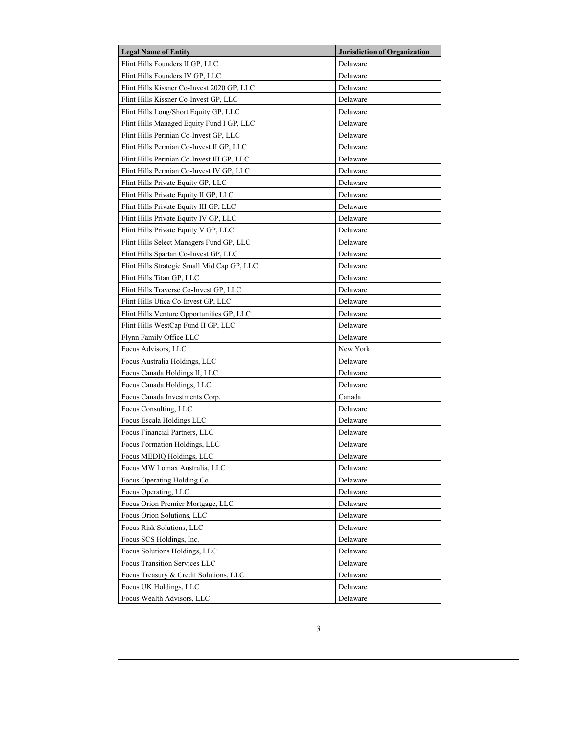| <b>Legal Name of Entity</b>                 | <b>Jurisdiction of Organization</b> |
|---------------------------------------------|-------------------------------------|
| Flint Hills Founders II GP, LLC             | Delaware                            |
| Flint Hills Founders IV GP, LLC             | Delaware                            |
| Flint Hills Kissner Co-Invest 2020 GP, LLC  | Delaware                            |
| Flint Hills Kissner Co-Invest GP, LLC       | Delaware                            |
| Flint Hills Long/Short Equity GP, LLC       | Delaware                            |
| Flint Hills Managed Equity Fund I GP, LLC   | Delaware                            |
| Flint Hills Permian Co-Invest GP, LLC       | Delaware                            |
| Flint Hills Permian Co-Invest II GP, LLC    | Delaware                            |
| Flint Hills Permian Co-Invest III GP, LLC   | Delaware                            |
| Flint Hills Permian Co-Invest IV GP, LLC    | Delaware                            |
| Flint Hills Private Equity GP, LLC          | Delaware                            |
| Flint Hills Private Equity II GP, LLC       | Delaware                            |
| Flint Hills Private Equity III GP, LLC      | Delaware                            |
| Flint Hills Private Equity IV GP, LLC       | Delaware                            |
| Flint Hills Private Equity V GP, LLC        | Delaware                            |
| Flint Hills Select Managers Fund GP, LLC    | Delaware                            |
| Flint Hills Spartan Co-Invest GP, LLC       | Delaware                            |
| Flint Hills Strategic Small Mid Cap GP, LLC | Delaware                            |
| Flint Hills Titan GP, LLC                   | Delaware                            |
| Flint Hills Traverse Co-Invest GP, LLC      | Delaware                            |
| Flint Hills Utica Co-Invest GP, LLC         | Delaware                            |
| Flint Hills Venture Opportunities GP, LLC   | Delaware                            |
| Flint Hills WestCap Fund II GP, LLC         | Delaware                            |
| Flynn Family Office LLC                     | Delaware                            |
| Focus Advisors, LLC                         | New York                            |
| Focus Australia Holdings, LLC               | Delaware                            |
| Focus Canada Holdings II, LLC               | Delaware                            |
| Focus Canada Holdings, LLC                  | Delaware                            |
| Focus Canada Investments Corp.              | Canada                              |
| Focus Consulting, LLC                       | Delaware                            |
| Focus Escala Holdings LLC                   | Delaware                            |
| Focus Financial Partners, LLC               | Delaware                            |
| Focus Formation Holdings, LLC               | Delaware                            |
| Focus MEDIQ Holdings, LLC                   | Delaware                            |
| Focus MW Lomax Australia, LLC               | Delaware                            |
| Focus Operating Holding Co.                 | Delaware                            |
| Focus Operating, LLC                        | Delaware                            |
| Focus Orion Premier Mortgage, LLC           | Delaware                            |
| Focus Orion Solutions, LLC                  | Delaware                            |
| Focus Risk Solutions, LLC                   | Delaware                            |
| Focus SCS Holdings, Inc.                    | Delaware                            |
| Focus Solutions Holdings, LLC               | Delaware                            |
| Focus Transition Services LLC               | Delaware                            |
| Focus Treasury & Credit Solutions, LLC      | Delaware                            |
| Focus UK Holdings, LLC                      | Delaware                            |
| Focus Wealth Advisors, LLC                  | Delaware                            |
|                                             |                                     |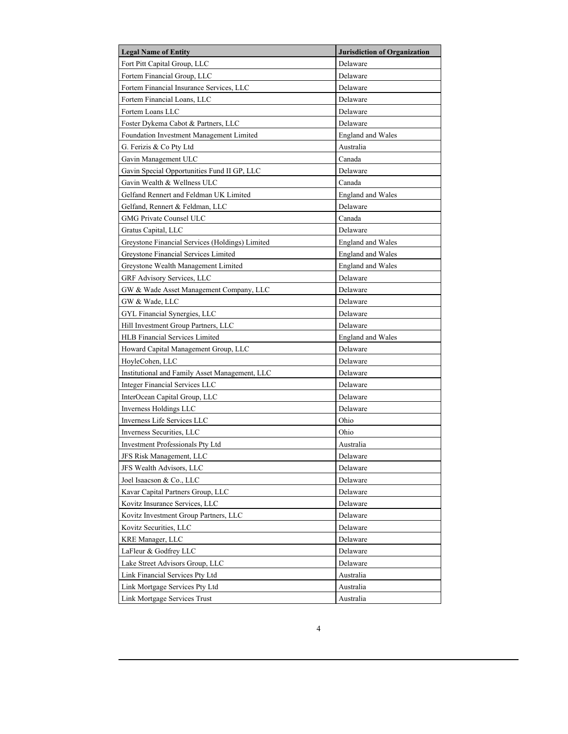| <b>Legal Name of Entity</b>                     | <b>Jurisdiction of Organization</b> |
|-------------------------------------------------|-------------------------------------|
| Fort Pitt Capital Group, LLC                    | Delaware                            |
| Fortem Financial Group, LLC                     | Delaware                            |
| Fortem Financial Insurance Services, LLC        | Delaware                            |
| Fortem Financial Loans, LLC                     | Delaware                            |
| Fortem Loans LLC                                | Delaware                            |
| Foster Dykema Cabot & Partners, LLC             | Delaware                            |
| Foundation Investment Management Limited        | England and Wales                   |
| G. Ferizis & Co Pty Ltd                         | Australia                           |
| Gavin Management ULC                            | Canada                              |
| Gavin Special Opportunities Fund II GP, LLC     | Delaware                            |
| Gavin Wealth & Wellness ULC                     | Canada                              |
| Gelfand Rennert and Feldman UK Limited          | <b>England</b> and Wales            |
| Gelfand, Rennert & Feldman, LLC                 | Delaware                            |
| <b>GMG Private Counsel ULC</b>                  | Canada                              |
| Gratus Capital, LLC                             | Delaware                            |
| Greystone Financial Services (Holdings) Limited | <b>England</b> and Wales            |
| Greystone Financial Services Limited            | <b>England</b> and Wales            |
| Greystone Wealth Management Limited             | <b>England</b> and Wales            |
| GRF Advisory Services, LLC                      | Delaware                            |
| GW & Wade Asset Management Company, LLC         | Delaware                            |
| GW & Wade, LLC                                  | Delaware                            |
| GYL Financial Synergies, LLC                    | Delaware                            |
| Hill Investment Group Partners, LLC             | Delaware                            |
| HLB Financial Services Limited                  | England and Wales                   |
| Howard Capital Management Group, LLC            | Delaware                            |
| HoyleCohen, LLC                                 | Delaware                            |
| Institutional and Family Asset Management, LLC  | Delaware                            |
| Integer Financial Services LLC                  | Delaware                            |
| InterOcean Capital Group, LLC                   | Delaware                            |
| Inverness Holdings LLC                          | Delaware                            |
| Inverness Life Services LLC                     | Ohio                                |
| Inverness Securities, LLC                       | Ohio                                |
| Investment Professionals Pty Ltd                | Australia                           |
| JFS Risk Management, LLC                        | Delaware                            |
| JFS Wealth Advisors, LLC                        | Delaware                            |
| Joel Isaacson & Co., LLC                        | Delaware                            |
| Kavar Capital Partners Group, LLC               | Delaware                            |
| Kovitz Insurance Services, LLC                  | Delaware                            |
| Kovitz Investment Group Partners, LLC           | Delaware                            |
| Kovitz Securities, LLC                          | Delaware                            |
| KRE Manager, LLC                                | Delaware                            |
| LaFleur & Godfrey LLC                           | Delaware                            |
| Lake Street Advisors Group, LLC                 | Delaware                            |
| Link Financial Services Pty Ltd                 | Australia                           |
| Link Mortgage Services Pty Ltd                  | Australia                           |
| Link Mortgage Services Trust                    | Australia                           |
|                                                 |                                     |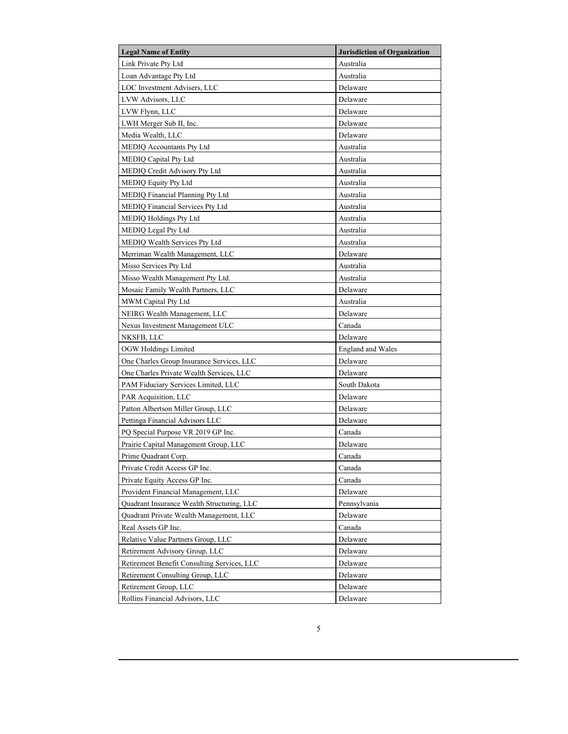| <b>Legal Name of Entity</b>                 | <b>Jurisdiction of Organization</b> |
|---------------------------------------------|-------------------------------------|
| Link Private Pty Ltd                        | Australia                           |
| Loan Advantage Pty Ltd                      | Australia                           |
| LOC Investment Advisers, LLC                | Delaware                            |
| LVW Advisors, LLC                           | Delaware                            |
| LVW Flynn, LLC                              | Delaware                            |
| LWH Merger Sub II, Inc.                     | Delaware                            |
| Media Wealth, LLC                           | Delaware                            |
| <b>MEDIQ Accountants Pty Ltd</b>            | Australia                           |
| MEDIQ Capital Pty Ltd                       | Australia                           |
| MEDIQ Credit Advisory Pty Ltd               | Australia                           |
| <b>MEDIQ Equity Pty Ltd</b>                 | Australia                           |
| MEDIQ Financial Planning Pty Ltd            | Australia                           |
| MEDIQ Financial Services Pty Ltd            | Australia                           |
| MEDIQ Holdings Pty Ltd                      | Australia                           |
| MEDIQ Legal Pty Ltd                         | Australia                           |
| MEDIQ Wealth Services Pty Ltd               | Australia                           |
| Merriman Wealth Management, LLC             | Delaware                            |
| Misso Services Pty Ltd                      | Australia                           |
| Misso Wealth Management Pty Ltd.            | Australia                           |
| Mosaic Family Wealth Partners, LLC          | Delaware                            |
| MWM Capital Pty Ltd                         | Australia                           |
| NEIRG Wealth Management, LLC                | Delaware                            |
| Nexus Investment Management ULC             | Canada                              |
| NKSFB, LLC                                  | Delaware                            |
| <b>OGW</b> Holdings Limited                 | <b>England and Wales</b>            |
| One Charles Group Insurance Services, LLC   | Delaware                            |
| One Charles Private Wealth Services, LLC    | Delaware                            |
| PAM Fiduciary Services Limited, LLC         | South Dakota                        |
| PAR Acquisition, LLC                        | Delaware                            |
| Patton Albertson Miller Group, LLC          | Delaware                            |
| Pettinga Financial Advisors LLC             | Delaware                            |
| PQ Special Purpose VR 2019 GP Inc.          | Canada                              |
| Prairie Capital Management Group, LLC       | Delaware                            |
| Prime Quadrant Corp.                        | Canada                              |
| Private Credit Access GP Inc.               | Canada                              |
| Private Equity Access GP Inc.               | Canada                              |
| Provident Financial Management, LLC         | Delaware                            |
| Quadrant Insurance Wealth Structuring, LLC  | Pennsylvania                        |
| Quadrant Private Wealth Management, LLC     | Delaware                            |
| Real Assets GP Inc.                         | Canada                              |
| Relative Value Partners Group, LLC          | Delaware                            |
| Retirement Advisory Group, LLC              | Delaware                            |
| Retirement Benefit Consulting Services, LLC | Delaware                            |
| Retirement Consulting Group, LLC            | Delaware                            |
| Retirement Group, LLC                       | Delaware                            |
| Rollins Financial Advisors, LLC             | Delaware                            |
|                                             |                                     |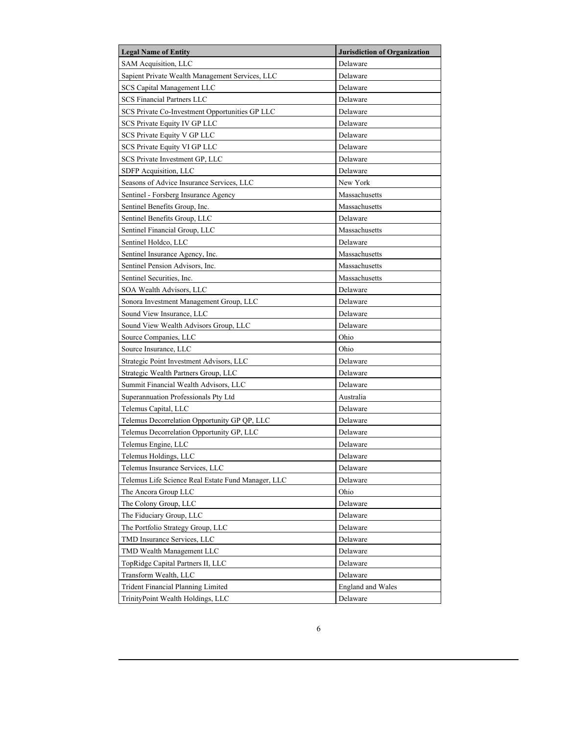| <b>Legal Name of Entity</b>                        | <b>Jurisdiction of Organization</b> |
|----------------------------------------------------|-------------------------------------|
| SAM Acquisition, LLC                               | Delaware                            |
| Sapient Private Wealth Management Services, LLC    | Delaware                            |
| SCS Capital Management LLC                         | Delaware                            |
| <b>SCS Financial Partners LLC</b>                  | Delaware                            |
| SCS Private Co-Investment Opportunities GP LLC     | Delaware                            |
| SCS Private Equity IV GP LLC                       | Delaware                            |
| SCS Private Equity V GP LLC                        | Delaware                            |
| SCS Private Equity VI GP LLC                       | Delaware                            |
| SCS Private Investment GP, LLC                     | Delaware                            |
| SDFP Acquisition, LLC                              | Delaware                            |
| Seasons of Advice Insurance Services, LLC          | New York                            |
| Sentinel - Forsberg Insurance Agency               | Massachusetts                       |
| Sentinel Benefits Group, Inc.                      | Massachusetts                       |
| Sentinel Benefits Group, LLC                       | Delaware                            |
| Sentinel Financial Group, LLC                      | Massachusetts                       |
| Sentinel Holdco, LLC                               | Delaware                            |
| Sentinel Insurance Agency, Inc.                    | Massachusetts                       |
| Sentinel Pension Advisors, Inc.                    | Massachusetts                       |
| Sentinel Securities, Inc.                          | Massachusetts                       |
| SOA Wealth Advisors, LLC                           | Delaware                            |
| Sonora Investment Management Group, LLC            | Delaware                            |
| Sound View Insurance, LLC                          | Delaware                            |
| Sound View Wealth Advisors Group, LLC              | Delaware                            |
| Source Companies, LLC                              | Ohio                                |
| Source Insurance, LLC                              | Ohio                                |
| Strategic Point Investment Advisors, LLC           | Delaware                            |
| Strategic Wealth Partners Group, LLC               | Delaware                            |
| Summit Financial Wealth Advisors, LLC              | Delaware                            |
| Superannuation Professionals Pty Ltd               | Australia                           |
| Telemus Capital, LLC                               | Delaware                            |
| Telemus Decorrelation Opportunity GP QP, LLC       | Delaware                            |
|                                                    | Delaware                            |
| Telemus Decorrelation Opportunity GP, LLC          |                                     |
| Telemus Engine, LLC                                | Delaware                            |
| Telemus Holdings, LLC                              | Delaware<br>Delaware                |
| Telemus Insurance Services, LLC                    | Delaware                            |
| Telemus Life Science Real Estate Fund Manager, LLC |                                     |
| The Ancora Group LLC                               | Ohio                                |
| The Colony Group, LLC                              | Delaware                            |
| The Fiduciary Group, LLC                           | Delaware                            |
| The Portfolio Strategy Group, LLC                  | Delaware                            |
| TMD Insurance Services, LLC                        | Delaware                            |
| TMD Wealth Management LLC                          | Delaware                            |
| TopRidge Capital Partners II, LLC                  | Delaware                            |
| Transform Wealth, LLC                              | Delaware                            |
| Trident Financial Planning Limited                 | <b>England and Wales</b>            |
| TrinityPoint Wealth Holdings, LLC                  | Delaware                            |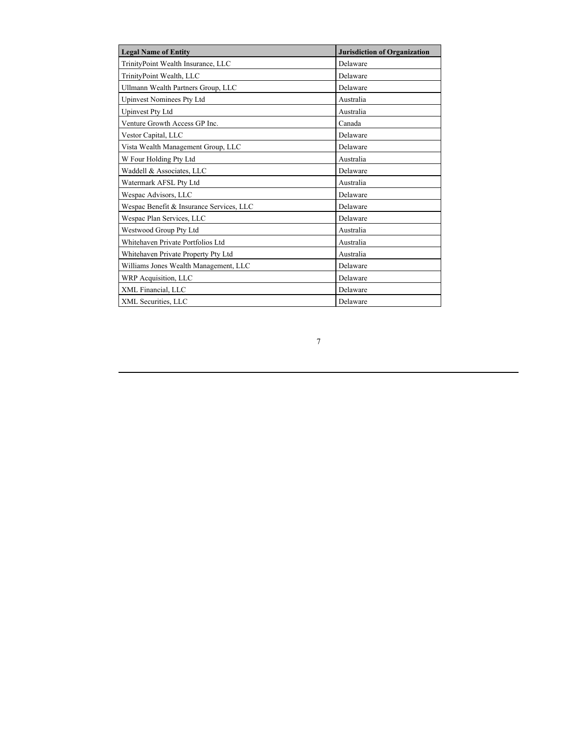| <b>Legal Name of Entity</b>              | <b>Jurisdiction of Organization</b> |
|------------------------------------------|-------------------------------------|
| TrinityPoint Wealth Insurance, LLC       | Delaware                            |
| TrinityPoint Wealth, LLC                 | Delaware                            |
| Ullmann Wealth Partners Group, LLC       | Delaware                            |
| Upinvest Nominees Pty Ltd                | Australia                           |
| <b>Upinvest Pty Ltd</b>                  | Australia                           |
| Venture Growth Access GP Inc.            | Canada                              |
| Vestor Capital, LLC                      | Delaware                            |
| Vista Wealth Management Group, LLC       | Delaware                            |
| W Four Holding Pty Ltd                   | Australia                           |
| Waddell & Associates, LLC                | Delaware                            |
| Watermark AFSL Pty Ltd                   | Australia                           |
| Wespac Advisors, LLC                     | Delaware                            |
| Wespac Benefit & Insurance Services, LLC | Delaware                            |
| Wespac Plan Services, LLC                | Delaware                            |
| Westwood Group Pty Ltd                   | Australia                           |
| Whitehaven Private Portfolios Ltd        | Australia                           |
| Whitehaven Private Property Pty Ltd      | Australia                           |
| Williams Jones Wealth Management, LLC    | Delaware                            |
| WRP Acquisition, LLC                     | Delaware                            |
| XML Financial, LLC                       | Delaware                            |
| XML Securities, LLC                      | Delaware                            |

7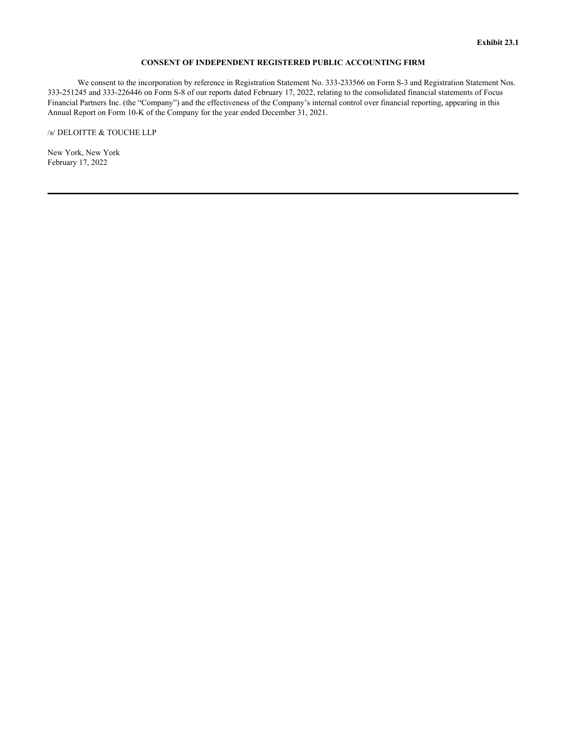# **CONSENT OF INDEPENDENT REGISTERED PUBLIC ACCOUNTING FIRM**

We consent to the incorporation by reference in Registration Statement No. 333-233566 on Form S-3 and Registration Statement Nos. 333-251245 and 333-226446 on Form S-8 of our reports dated February 17, 2022, relating to the consolidated financial statements of Focus Financial Partners Inc. (the "Company") and the effectiveness of the Company's internal control over financial reporting, appearing in this Annual Report on Form 10-K of the Company for the year ended December 31, 2021.

# /s/ DELOITTE & TOUCHE LLP

New York, New York February 17, 2022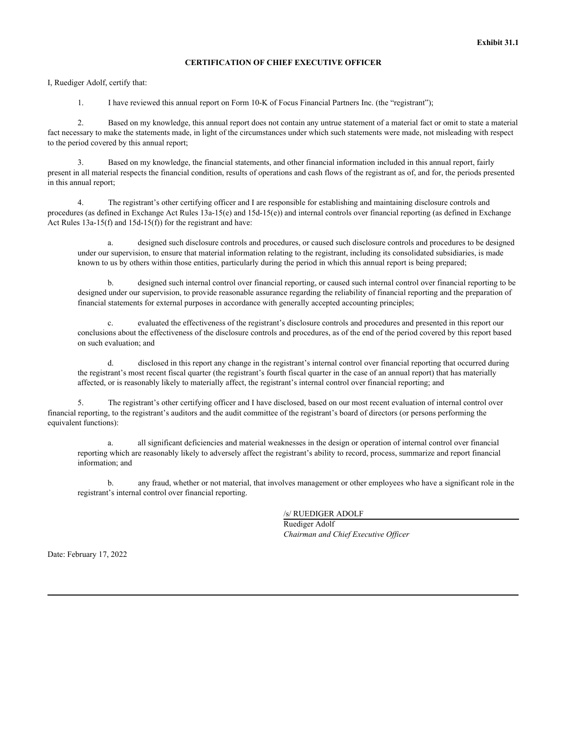# **CERTIFICATION OF CHIEF EXECUTIVE OFFICER**

I, Ruediger Adolf, certify that:

1. I have reviewed this annual report on Form 10-K of Focus Financial Partners Inc. (the "registrant");

2. Based on my knowledge, this annual report does not contain any untrue statement of a material fact or omit to state a material fact necessary to make the statements made, in light of the circumstances under which such statements were made, not misleading with respect to the period covered by this annual report;

3. Based on my knowledge, the financial statements, and other financial information included in this annual report, fairly present in all material respects the financial condition, results of operations and cash flows of the registrant as of, and for, the periods presented in this annual report;

4. The registrant's other certifying officer and I are responsible for establishing and maintaining disclosure controls and procedures (as defined in Exchange Act Rules 13a-15(e) and 15d-15(e)) and internal controls over financial reporting (as defined in Exchange Act Rules 13a-15(f) and 15d-15(f)) for the registrant and have:

a. designed such disclosure controls and procedures, or caused such disclosure controls and procedures to be designed under our supervision, to ensure that material information relating to the registrant, including its consolidated subsidiaries, is made known to us by others within those entities, particularly during the period in which this annual report is being prepared;

b. designed such internal control over financial reporting, or caused such internal control over financial reporting to be designed under our supervision, to provide reasonable assurance regarding the reliability of financial reporting and the preparation of financial statements for external purposes in accordance with generally accepted accounting principles;

c. evaluated the effectiveness of the registrant's disclosure controls and procedures and presented in this report our conclusions about the effectiveness of the disclosure controls and procedures, as of the end of the period covered by this report based on such evaluation; and

d. disclosed in this report any change in the registrant's internal control over financial reporting that occurred during the registrant's most recent fiscal quarter (the registrant's fourth fiscal quarter in the case of an annual report) that has materially affected, or is reasonably likely to materially affect, the registrant's internal control over financial reporting; and

5. The registrant's other certifying officer and I have disclosed, based on our most recent evaluation of internal control over financial reporting, to the registrant's auditors and the audit committee of the registrant's board of directors (or persons performing the equivalent functions):

a. all significant deficiencies and material weaknesses in the design or operation of internal control over financial reporting which are reasonably likely to adversely affect the registrant's ability to record, process, summarize and report financial information; and

b. any fraud, whether or not material, that involves management or other employees who have a significant role in the registrant's internal control over financial reporting.

> /s/ RUEDIGER ADOLF Ruediger Adolf *Chairman and Chief Executive Officer*

Date: February 17, 2022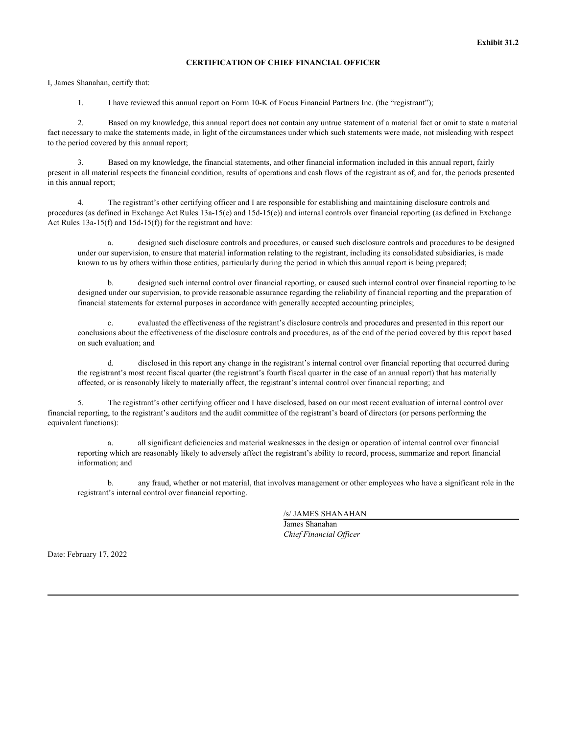# **CERTIFICATION OF CHIEF FINANCIAL OFFICER**

I, James Shanahan, certify that:

1. I have reviewed this annual report on Form 10-K of Focus Financial Partners Inc. (the "registrant");

2. Based on my knowledge, this annual report does not contain any untrue statement of a material fact or omit to state a material fact necessary to make the statements made, in light of the circumstances under which such statements were made, not misleading with respect to the period covered by this annual report;

3. Based on my knowledge, the financial statements, and other financial information included in this annual report, fairly present in all material respects the financial condition, results of operations and cash flows of the registrant as of, and for, the periods presented in this annual report;

4. The registrant's other certifying officer and I are responsible for establishing and maintaining disclosure controls and procedures (as defined in Exchange Act Rules 13a-15(e) and 15d-15(e)) and internal controls over financial reporting (as defined in Exchange Act Rules 13a-15(f) and 15d-15(f)) for the registrant and have:

a. designed such disclosure controls and procedures, or caused such disclosure controls and procedures to be designed under our supervision, to ensure that material information relating to the registrant, including its consolidated subsidiaries, is made known to us by others within those entities, particularly during the period in which this annual report is being prepared;

b. designed such internal control over financial reporting, or caused such internal control over financial reporting to be designed under our supervision, to provide reasonable assurance regarding the reliability of financial reporting and the preparation of financial statements for external purposes in accordance with generally accepted accounting principles;

c. evaluated the effectiveness of the registrant's disclosure controls and procedures and presented in this report our conclusions about the effectiveness of the disclosure controls and procedures, as of the end of the period covered by this report based on such evaluation; and

d. disclosed in this report any change in the registrant's internal control over financial reporting that occurred during the registrant's most recent fiscal quarter (the registrant's fourth fiscal quarter in the case of an annual report) that has materially affected, or is reasonably likely to materially affect, the registrant's internal control over financial reporting; and

5. The registrant's other certifying officer and I have disclosed, based on our most recent evaluation of internal control over financial reporting, to the registrant's auditors and the audit committee of the registrant's board of directors (or persons performing the equivalent functions):

a. all significant deficiencies and material weaknesses in the design or operation of internal control over financial reporting which are reasonably likely to adversely affect the registrant's ability to record, process, summarize and report financial information; and

b. any fraud, whether or not material, that involves management or other employees who have a significant role in the registrant's internal control over financial reporting.

> /s/ JAMES SHANAHAN James Shanahan *Chief Financial Officer*

Date: February 17, 2022